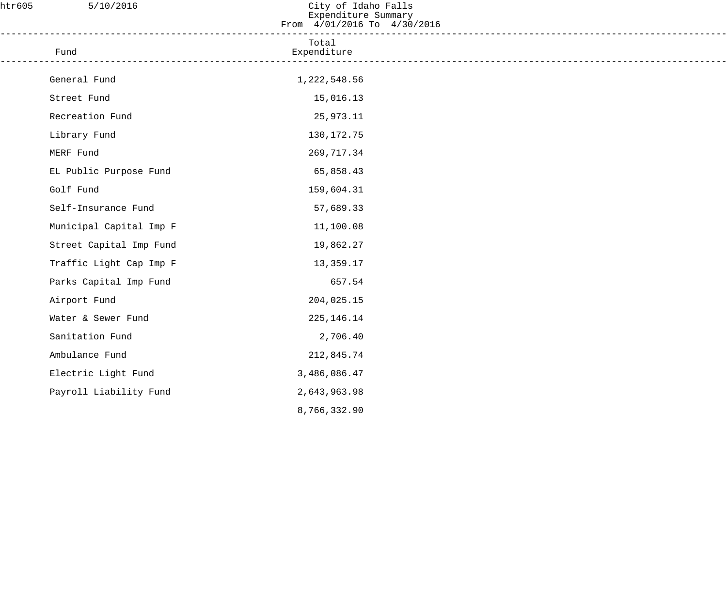| htr605 | 5/10/2016                                                                         | City of Idaho Falls<br>Expenditure Summary<br>From 4/01/2016 To 4/30/2016 |  |
|--------|-----------------------------------------------------------------------------------|---------------------------------------------------------------------------|--|
|        | ___________________________________<br>Fund<br>---------------------------------- | Total<br>Expenditure                                                      |  |
|        | General Fund                                                                      | 1,222,548.56                                                              |  |
|        | Street Fund                                                                       | 15,016.13                                                                 |  |
|        | Recreation Fund                                                                   | 25,973.11                                                                 |  |
|        | Library Fund                                                                      | 130, 172. 75                                                              |  |
|        | MERF Fund                                                                         | 269,717.34                                                                |  |
|        | EL Public Purpose Fund                                                            | 65,858.43                                                                 |  |
|        | Golf Fund                                                                         | 159,604.31                                                                |  |
|        | Self-Insurance Fund                                                               | 57,689.33                                                                 |  |
|        | Municipal Capital Imp F                                                           | 11,100.08                                                                 |  |
|        | Street Capital Imp Fund                                                           | 19,862.27                                                                 |  |
|        | Traffic Light Cap Imp F                                                           | 13,359.17                                                                 |  |
|        | Parks Capital Imp Fund                                                            | 657.54                                                                    |  |
|        | Airport Fund                                                                      | 204,025.15                                                                |  |
|        | Water & Sewer Fund                                                                | 225, 146. 14                                                              |  |
|        | Sanitation Fund                                                                   | 2,706.40                                                                  |  |
|        | Ambulance Fund                                                                    | 212,845.74                                                                |  |
|        | Electric Light Fund                                                               | 3,486,086.47                                                              |  |
|        | Payroll Liability Fund                                                            | 2,643,963.98                                                              |  |
|        |                                                                                   | 8,766,332.90                                                              |  |
|        |                                                                                   |                                                                           |  |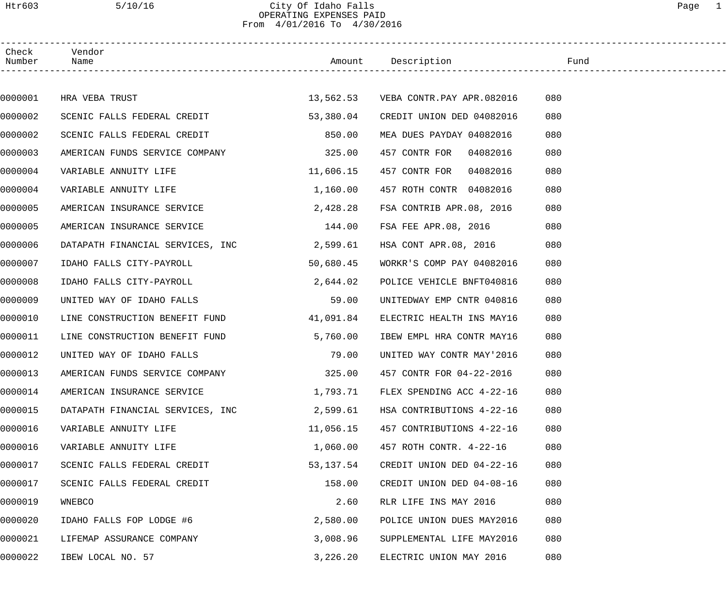### Htr603 5/10/16 City Of Idaho Falls Page 1 OPERATING EXPENSES PAID From 4/01/2016 To 4/30/2016

| Check<br>Number | Vendor<br>Name                   |           | Amount Description        | Fund |  |
|-----------------|----------------------------------|-----------|---------------------------|------|--|
|                 |                                  |           |                           |      |  |
| 0000001         | HRA VEBA TRUST                   | 13,562.53 | VEBA CONTR.PAY APR.082016 | 080  |  |
| 0000002         | SCENIC FALLS FEDERAL CREDIT      | 53,380.04 | CREDIT UNION DED 04082016 | 080  |  |
| 0000002         | SCENIC FALLS FEDERAL CREDIT      | 850.00    | MEA DUES PAYDAY 04082016  | 080  |  |
| 0000003         | AMERICAN FUNDS SERVICE COMPANY   | 325.00    | 457 CONTR FOR<br>04082016 | 080  |  |
| 0000004         | VARIABLE ANNUITY LIFE            | 11,606.15 | 04082016<br>457 CONTR FOR | 080  |  |
| 0000004         | VARIABLE ANNUITY LIFE            | 1,160.00  | 457 ROTH CONTR 04082016   | 080  |  |
| 0000005         | AMERICAN INSURANCE SERVICE       | 2,428.28  | FSA CONTRIB APR.08, 2016  | 080  |  |
| 0000005         | AMERICAN INSURANCE SERVICE       | 144.00    | FSA FEE APR.08, 2016      | 080  |  |
| 0000006         | DATAPATH FINANCIAL SERVICES, INC | 2,599.61  | HSA CONT APR.08, 2016     | 080  |  |
| 0000007         | IDAHO FALLS CITY-PAYROLL         | 50,680.45 | WORKR'S COMP PAY 04082016 | 080  |  |
| 0000008         | IDAHO FALLS CITY-PAYROLL         | 2,644.02  | POLICE VEHICLE BNFT040816 | 080  |  |
| 0000009         | UNITED WAY OF IDAHO FALLS        | 59.00     | UNITEDWAY EMP CNTR 040816 | 080  |  |
| 0000010         | LINE CONSTRUCTION BENEFIT FUND   | 41,091.84 | ELECTRIC HEALTH INS MAY16 | 080  |  |
| 0000011         | LINE CONSTRUCTION BENEFIT FUND   | 5,760.00  | IBEW EMPL HRA CONTR MAY16 | 080  |  |
| 0000012         | UNITED WAY OF IDAHO FALLS        | 79.00     | UNITED WAY CONTR MAY'2016 | 080  |  |
| 0000013         | AMERICAN FUNDS SERVICE COMPANY   | 325.00    | 457 CONTR FOR 04-22-2016  | 080  |  |
| 0000014         | AMERICAN INSURANCE SERVICE       | 1,793.71  | FLEX SPENDING ACC 4-22-16 | 080  |  |
| 0000015         | DATAPATH FINANCIAL SERVICES, INC | 2,599.61  | HSA CONTRIBUTIONS 4-22-16 | 080  |  |
| 0000016         | VARIABLE ANNUITY LIFE            | 11,056.15 | 457 CONTRIBUTIONS 4-22-16 | 080  |  |
| 0000016         | VARIABLE ANNUITY LIFE            | 1,060.00  | 457 ROTH CONTR. 4-22-16   | 080  |  |
| 0000017         | SCENIC FALLS FEDERAL CREDIT      | 53,137.54 | CREDIT UNION DED 04-22-16 | 080  |  |
| 0000017         | SCENIC FALLS FEDERAL CREDIT      | 158.00    | CREDIT UNION DED 04-08-16 | 080  |  |
| 0000019         | WNEBCO                           | 2.60      | RLR LIFE INS MAY 2016     | 080  |  |
| 0000020         | IDAHO FALLS FOP LODGE #6         | 2,580.00  | POLICE UNION DUES MAY2016 | 080  |  |
| 0000021         | LIFEMAP ASSURANCE COMPANY        | 3,008.96  | SUPPLEMENTAL LIFE MAY2016 | 080  |  |
| 0000022         | IBEW LOCAL NO. 57                | 3,226.20  | ELECTRIC UNION MAY 2016   | 080  |  |
|                 |                                  |           |                           |      |  |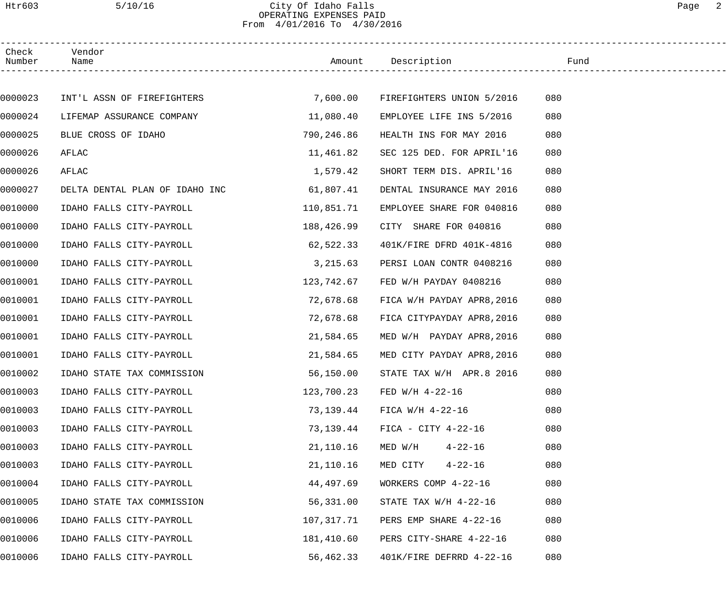## Htr603 5/10/16 City Of Idaho Falls Page 2 OPERATING EXPENSES PAID From 4/01/2016 To 4/30/2016

| Check<br>Number | Vendor<br>Name                 |            | Amount Description         | Fund |  |
|-----------------|--------------------------------|------------|----------------------------|------|--|
|                 |                                |            |                            |      |  |
| 0000023         | INT'L ASSN OF FIREFIGHTERS     | 7,600.00   | FIREFIGHTERS UNION 5/2016  | 080  |  |
| 0000024         | LIFEMAP ASSURANCE COMPANY      | 11,080.40  | EMPLOYEE LIFE INS 5/2016   | 080  |  |
| 0000025         | BLUE CROSS OF IDAHO            | 790,246.86 | HEALTH INS FOR MAY 2016    | 080  |  |
| 0000026         | AFLAC                          | 11,461.82  | SEC 125 DED. FOR APRIL'16  | 080  |  |
| 0000026         | AFLAC                          | 1,579.42   | SHORT TERM DIS. APRIL'16   | 080  |  |
| 0000027         | DELTA DENTAL PLAN OF IDAHO INC | 61,807.41  | DENTAL INSURANCE MAY 2016  | 080  |  |
| 0010000         | IDAHO FALLS CITY-PAYROLL       | 110,851.71 | EMPLOYEE SHARE FOR 040816  | 080  |  |
| 0010000         | IDAHO FALLS CITY-PAYROLL       | 188,426.99 | CITY SHARE FOR 040816      | 080  |  |
| 0010000         | IDAHO FALLS CITY-PAYROLL       | 62,522.33  | 401K/FIRE DFRD 401K-4816   | 080  |  |
| 0010000         | IDAHO FALLS CITY-PAYROLL       | 3,215.63   | PERSI LOAN CONTR 0408216   | 080  |  |
| 0010001         | IDAHO FALLS CITY-PAYROLL       | 123,742.67 | FED W/H PAYDAY 0408216     | 080  |  |
| 0010001         | IDAHO FALLS CITY-PAYROLL       | 72,678.68  | FICA W/H PAYDAY APR8, 2016 | 080  |  |
| 0010001         | IDAHO FALLS CITY-PAYROLL       | 72,678.68  | FICA CITYPAYDAY APR8, 2016 | 080  |  |
| 0010001         | IDAHO FALLS CITY-PAYROLL       | 21,584.65  | MED W/H PAYDAY APR8, 2016  | 080  |  |
| 0010001         | IDAHO FALLS CITY-PAYROLL       | 21,584.65  | MED CITY PAYDAY APR8, 2016 | 080  |  |
| 0010002         | IDAHO STATE TAX COMMISSION     | 56,150.00  | STATE TAX W/H APR.8 2016   | 080  |  |
| 0010003         | IDAHO FALLS CITY-PAYROLL       | 123,700.23 | FED W/H 4-22-16            | 080  |  |
| 0010003         | IDAHO FALLS CITY-PAYROLL       | 73,139.44  | FICA W/H 4-22-16           | 080  |  |
| 0010003         | IDAHO FALLS CITY-PAYROLL       | 73,139.44  | $FIGA - CITY 4-22-16$      | 080  |  |
| 0010003         | IDAHO FALLS CITY-PAYROLL       | 21,110.16  | $4 - 22 - 16$<br>MED W/H   | 080  |  |
| 0010003         | IDAHO FALLS CITY-PAYROLL       | 21,110.16  | MED CITY<br>$4 - 22 - 16$  | 080  |  |
| 0010004         | IDAHO FALLS CITY-PAYROLL       | 44,497.69  | WORKERS COMP 4-22-16       | 080  |  |
| 0010005         | IDAHO STATE TAX COMMISSION     | 56,331.00  | STATE TAX $W/H$ 4-22-16    | 080  |  |
| 0010006         | IDAHO FALLS CITY-PAYROLL       | 107,317.71 | PERS EMP SHARE 4-22-16     | 080  |  |
| 0010006         | IDAHO FALLS CITY-PAYROLL       | 181,410.60 | PERS CITY-SHARE 4-22-16    | 080  |  |
| 0010006         | IDAHO FALLS CITY-PAYROLL       | 56,462.33  | 401K/FIRE DEFRRD 4-22-16   | 080  |  |
|                 |                                |            |                            |      |  |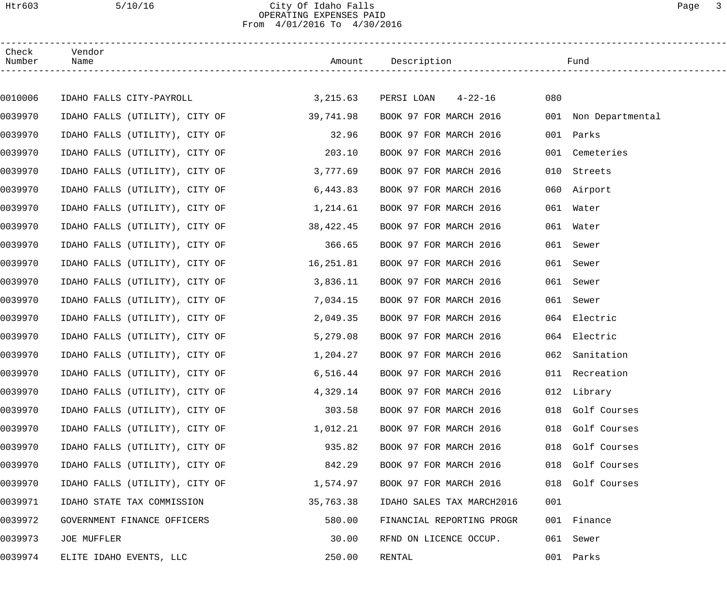### Htr603 5/10/16 City Of Idaho Falls Page 3 OPERATING EXPENSES PAID From 4/01/2016 To 4/30/2016

| Check<br>Number | Vendor<br>Name                 |           | Amount Description        |           | Fund                 |
|-----------------|--------------------------------|-----------|---------------------------|-----------|----------------------|
|                 |                                |           |                           |           |                      |
| 0010006         | IDAHO FALLS CITY-PAYROLL       | 3,215.63  | PERSI LOAN 4-22-16        | 080       |                      |
| 0039970         | IDAHO FALLS (UTILITY), CITY OF | 39,741.98 | BOOK 97 FOR MARCH 2016    |           | 001 Non Departmental |
| 0039970         | IDAHO FALLS (UTILITY), CITY OF | 32.96     | BOOK 97 FOR MARCH 2016    | 001       | Parks                |
| 0039970         | IDAHO FALLS (UTILITY), CITY OF | 203.10    | BOOK 97 FOR MARCH 2016    |           | 001 Cemeteries       |
| 0039970         | IDAHO FALLS (UTILITY), CITY OF | 3,777.69  | BOOK 97 FOR MARCH 2016    | 010       | Streets              |
| 0039970         | IDAHO FALLS (UTILITY), CITY OF | 6,443.83  | BOOK 97 FOR MARCH 2016    |           | 060 Airport          |
| 0039970         | IDAHO FALLS (UTILITY), CITY OF | 1,214.61  | BOOK 97 FOR MARCH 2016    | 061       | Water                |
| 0039970         | IDAHO FALLS (UTILITY), CITY OF | 38,422.45 | BOOK 97 FOR MARCH 2016    | 061 Water |                      |
| 0039970         | IDAHO FALLS (UTILITY), CITY OF | 366.65    | BOOK 97 FOR MARCH 2016    | 061       | Sewer                |
| 0039970         | IDAHO FALLS (UTILITY), CITY OF | 16,251.81 | BOOK 97 FOR MARCH 2016    | 061       | Sewer                |
| 0039970         | IDAHO FALLS (UTILITY), CITY OF | 3,836.11  | BOOK 97 FOR MARCH 2016    | 061       | Sewer                |
| 0039970         | IDAHO FALLS (UTILITY), CITY OF | 7,034.15  | BOOK 97 FOR MARCH 2016    | 061       | Sewer                |
| 0039970         | IDAHO FALLS (UTILITY), CITY OF | 2,049.35  | BOOK 97 FOR MARCH 2016    | 064       | Electric             |
| 0039970         | IDAHO FALLS (UTILITY), CITY OF | 5,279.08  | BOOK 97 FOR MARCH 2016    |           | 064 Electric         |
| 0039970         | IDAHO FALLS (UTILITY), CITY OF | 1,204.27  | BOOK 97 FOR MARCH 2016    |           | 062 Sanitation       |
| 0039970         | IDAHO FALLS (UTILITY), CITY OF | 6,516.44  | BOOK 97 FOR MARCH 2016    |           | 011 Recreation       |
| 0039970         | IDAHO FALLS (UTILITY), CITY OF | 4,329.14  | BOOK 97 FOR MARCH 2016    |           | 012 Library          |
| 0039970         | IDAHO FALLS (UTILITY), CITY OF | 303.58    | BOOK 97 FOR MARCH 2016    |           | 018 Golf Courses     |
| 0039970         | IDAHO FALLS (UTILITY), CITY OF | 1,012.21  | BOOK 97 FOR MARCH 2016    |           | 018 Golf Courses     |
| 0039970         | IDAHO FALLS (UTILITY), CITY OF | 935.82    | BOOK 97 FOR MARCH 2016    |           | 018 Golf Courses     |
| 0039970         | IDAHO FALLS (UTILITY), CITY OF | 842.29    | BOOK 97 FOR MARCH 2016    |           | 018 Golf Courses     |
| 0039970         | IDAHO FALLS (UTILITY), CITY OF | 1,574.97  | BOOK 97 FOR MARCH 2016    |           | 018 Golf Courses     |
| 0039971         | IDAHO STATE TAX COMMISSION     | 35,763.38 | IDAHO SALES TAX MARCH2016 | 001       |                      |
| 0039972         | GOVERNMENT FINANCE OFFICERS    | 580.00    | FINANCIAL REPORTING PROGR |           | 001 Finance          |
| 0039973         | JOE MUFFLER                    | 30.00     | RFND ON LICENCE OCCUP.    |           | 061 Sewer            |
| 0039974         | ELITE IDAHO EVENTS, LLC        | 250.00    | RENTAL                    |           | 001 Parks            |
|                 |                                |           |                           |           |                      |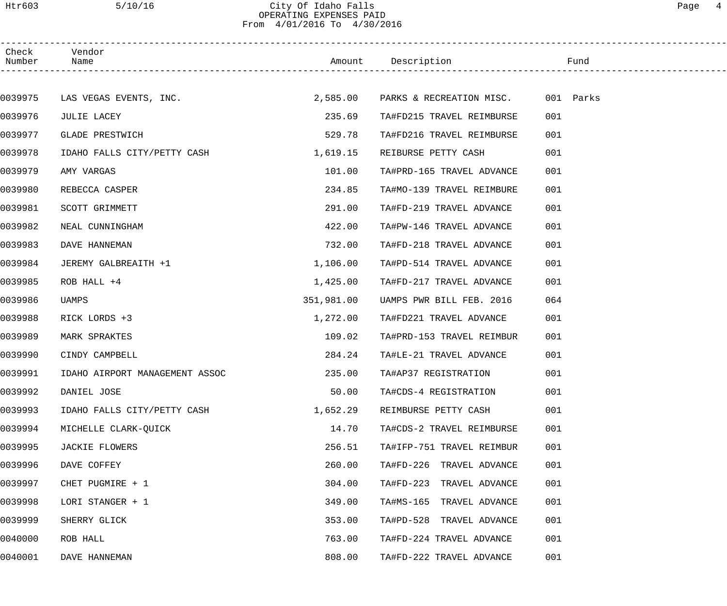## Htr603 5/10/16 City Of Idaho Falls Page 4 OPERATING EXPENSES PAID From 4/01/2016 To 4/30/2016

| Check<br>Number Name | Vendor                         |            |                                    |     |
|----------------------|--------------------------------|------------|------------------------------------|-----|
|                      |                                |            |                                    |     |
|                      | 0039975 LAS VEGAS EVENTS, INC. | 2,585.00   | PARKS & RECREATION MISC. 001 Parks |     |
| 0039976              | JULIE LACEY                    | 235.69     | TA#FD215 TRAVEL REIMBURSE          | 001 |
| 0039977              | GLADE PRESTWICH                | 529.78     | TA#FD216 TRAVEL REIMBURSE          | 001 |
| 0039978              | IDAHO FALLS CITY/PETTY CASH    | 1,619.15   | REIBURSE PETTY CASH                | 001 |
| 0039979              | AMY VARGAS                     | 101.00     | TA#PRD-165 TRAVEL ADVANCE          | 001 |
| 0039980              | REBECCA CASPER                 | 234.85     | TA#MO-139 TRAVEL REIMBURE          | 001 |
| 0039981              | SCOTT GRIMMETT                 | 291.00     | TA#FD-219 TRAVEL ADVANCE           | 001 |
| 0039982              | NEAL CUNNINGHAM                | 422.00     | TA#PW-146 TRAVEL ADVANCE           | 001 |
| 0039983              | DAVE HANNEMAN                  | 732.00     | TA#FD-218 TRAVEL ADVANCE           | 001 |
| 0039984              | JEREMY GALBREAITH +1           | 1,106.00   | TA#PD-514 TRAVEL ADVANCE           | 001 |
| 0039985              | ROB HALL +4                    | 1,425.00   | TA#FD-217 TRAVEL ADVANCE           | 001 |
| 0039986              | UAMPS                          | 351,981.00 | UAMPS PWR BILL FEB. 2016           | 064 |
| 0039988              | RICK LORDS +3                  | 1,272.00   | TA#FD221 TRAVEL ADVANCE            | 001 |
| 0039989              | MARK SPRAKTES                  | 109.02     | TA#PRD-153 TRAVEL REIMBUR          | 001 |
| 0039990              | CINDY CAMPBELL                 | 284.24     | TA#LE-21 TRAVEL ADVANCE            | 001 |
| 0039991              | IDAHO AIRPORT MANAGEMENT ASSOC | 235.00     | TA#AP37 REGISTRATION               | 001 |
| 0039992              | DANIEL JOSE                    | 50.00      | TA#CDS-4 REGISTRATION              | 001 |
| 0039993              | IDAHO FALLS CITY/PETTY CASH    | 1,652.29   | REIMBURSE PETTY CASH               | 001 |
| 0039994              | MICHELLE CLARK-QUICK           | 14.70      | TA#CDS-2 TRAVEL REIMBURSE          | 001 |
| 0039995              | JACKIE FLOWERS                 | 256.51     | TA#IFP-751 TRAVEL REIMBUR          | 001 |
| 0039996              | DAVE COFFEY                    | 260.00     | TA#FD-226 TRAVEL ADVANCE           | 001 |
| 0039997              | CHET PUGMIRE + 1               | 304.00     | TA#FD-223 TRAVEL ADVANCE           | 001 |
| 0039998              | LORI STANGER + 1               | 349.00     | TA#MS-165 TRAVEL ADVANCE           | 001 |
| 0039999              | SHERRY GLICK                   | 353.00     | TA#PD-528 TRAVEL ADVANCE           | 001 |
| 0040000              | ROB HALL                       | 763.00     | TA#FD-224 TRAVEL ADVANCE           | 001 |
| 0040001              | DAVE HANNEMAN                  | 808.00     | TA#FD-222 TRAVEL ADVANCE           | 001 |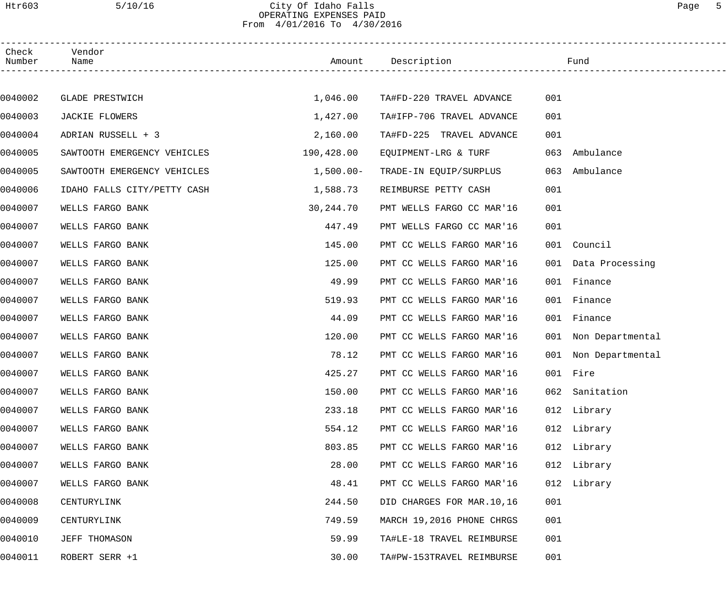### Htr603 5/10/16 City Of Idaho Falls Page 5 OPERATING EXPENSES PAID From 4/01/2016 To 4/30/2016

| Check<br>Number | Vendor<br>Name              |             | Amount Description        |     | Fund                 |  |
|-----------------|-----------------------------|-------------|---------------------------|-----|----------------------|--|
|                 |                             |             |                           |     |                      |  |
| 0040002         | <b>GLADE PRESTWICH</b>      | 1,046.00    | TA#FD-220 TRAVEL ADVANCE  | 001 |                      |  |
| 0040003         | JACKIE FLOWERS              | 1,427.00    | TA#IFP-706 TRAVEL ADVANCE | 001 |                      |  |
| 0040004         | ADRIAN RUSSELL + 3          | 2,160.00    | TA#FD-225 TRAVEL ADVANCE  | 001 |                      |  |
| 0040005         | SAWTOOTH EMERGENCY VEHICLES | 190,428.00  | EQUIPMENT-LRG & TURF      | 063 | Ambulance            |  |
| 0040005         | SAWTOOTH EMERGENCY VEHICLES | $1,500.00-$ | TRADE-IN EQUIP/SURPLUS    | 063 | Ambulance            |  |
| 0040006         | IDAHO FALLS CITY/PETTY CASH | 1,588.73    | REIMBURSE PETTY CASH      | 001 |                      |  |
| 0040007         | WELLS FARGO BANK            | 30,244.70   | PMT WELLS FARGO CC MAR'16 | 001 |                      |  |
| 0040007         | WELLS FARGO BANK            | 447.49      | PMT WELLS FARGO CC MAR'16 | 001 |                      |  |
| 0040007         | WELLS FARGO BANK            | 145.00      | PMT CC WELLS FARGO MAR'16 |     | 001 Council          |  |
| 0040007         | WELLS FARGO BANK            | 125.00      | PMT CC WELLS FARGO MAR'16 |     | 001 Data Processing  |  |
| 0040007         | WELLS FARGO BANK            | 49.99       | PMT CC WELLS FARGO MAR'16 | 001 | Finance              |  |
| 0040007         | WELLS FARGO BANK            | 519.93      | PMT CC WELLS FARGO MAR'16 | 001 | Finance              |  |
| 0040007         | WELLS FARGO BANK            | 44.09       | PMT CC WELLS FARGO MAR'16 | 001 | Finance              |  |
| 0040007         | WELLS FARGO BANK            | 120.00      | PMT CC WELLS FARGO MAR'16 |     | 001 Non Departmental |  |
| 0040007         | WELLS FARGO BANK            | 78.12       | PMT CC WELLS FARGO MAR'16 |     | 001 Non Departmental |  |
| 0040007         | WELLS FARGO BANK            | 425.27      | PMT CC WELLS FARGO MAR'16 |     | 001 Fire             |  |
| 0040007         | WELLS FARGO BANK            | 150.00      | PMT CC WELLS FARGO MAR'16 |     | 062 Sanitation       |  |
| 0040007         | WELLS FARGO BANK            | 233.18      | PMT CC WELLS FARGO MAR'16 |     | 012 Library          |  |
| 0040007         | WELLS FARGO BANK            | 554.12      | PMT CC WELLS FARGO MAR'16 |     | 012 Library          |  |
| 0040007         | WELLS FARGO BANK            | 803.85      | PMT CC WELLS FARGO MAR'16 |     | 012 Library          |  |
| 0040007         | WELLS FARGO BANK            | 28.00       | PMT CC WELLS FARGO MAR'16 |     | 012 Library          |  |
| 0040007         | WELLS FARGO BANK            | 48.41       | PMT CC WELLS FARGO MAR'16 |     | 012 Library          |  |
| 0040008         | CENTURYLINK                 | 244.50      | DID CHARGES FOR MAR.10,16 | 001 |                      |  |
| 0040009         | CENTURYLINK                 | 749.59      | MARCH 19,2016 PHONE CHRGS | 001 |                      |  |
| 0040010         | JEFF THOMASON               | 59.99       | TA#LE-18 TRAVEL REIMBURSE | 001 |                      |  |
| 0040011         | ROBERT SERR +1              | 30.00       | TA#PW-153TRAVEL REIMBURSE | 001 |                      |  |
|                 |                             |             |                           |     |                      |  |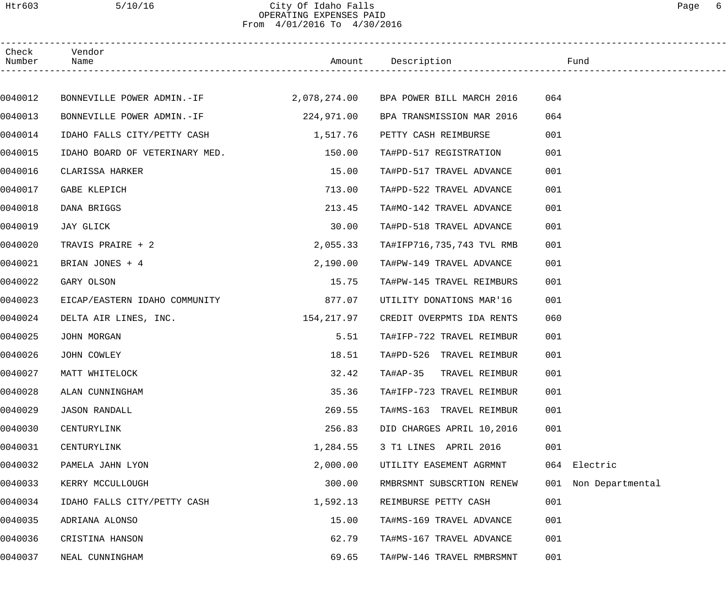## Htr603 5/10/16 City Of Idaho Falls Page 6 OPERATING EXPENSES PAID From 4/01/2016 To 4/30/2016

| Check<br>Number | Vendor<br>Name                                                    |            |                           |                         |  |
|-----------------|-------------------------------------------------------------------|------------|---------------------------|-------------------------|--|
|                 |                                                                   |            |                           |                         |  |
| 0040012         | BONNEVILLE POWER ADMIN.-IF 2,078,274.00 BPA POWER BILL MARCH 2016 |            |                           | 064                     |  |
| 0040013         | BONNEVILLE POWER ADMIN.-IF                                        | 224,971.00 | BPA TRANSMISSION MAR 2016 | 064                     |  |
| 0040014         | IDAHO FALLS CITY/PETTY CASH 1,517.76                              |            | PETTY CASH REIMBURSE      | 001                     |  |
| 0040015         | IDAHO BOARD OF VETERINARY MED.                                    | 150.00     | TA#PD-517 REGISTRATION    | 001                     |  |
| 0040016         | CLARISSA HARKER                                                   | 15.00      | TA#PD-517 TRAVEL ADVANCE  | 001                     |  |
| 0040017         | GABE KLEPICH                                                      | 713.00     | TA#PD-522 TRAVEL ADVANCE  | 001                     |  |
| 0040018         | DANA BRIGGS                                                       | 213.45     | TA#MO-142 TRAVEL ADVANCE  | 001                     |  |
| 0040019         | JAY GLICK                                                         | 30.00      | TA#PD-518 TRAVEL ADVANCE  | 001                     |  |
| 0040020         | TRAVIS PRAIRE + 2                                                 | 2,055.33   | TA#IFP716,735,743 TVL RMB | 001                     |  |
| 0040021         | BRIAN JONES + 4                                                   | 2,190.00   | TA#PW-149 TRAVEL ADVANCE  | 001                     |  |
| 0040022         | GARY OLSON                                                        | 15.75      | TA#PW-145 TRAVEL REIMBURS | 001                     |  |
| 0040023         | EICAP/EASTERN IDAHO COMMUNITY                                     | 877.07     | UTILITY DONATIONS MAR'16  | 001                     |  |
| 0040024         | DELTA AIR LINES, INC.                                             | 154,217.97 | CREDIT OVERPMTS IDA RENTS | 060                     |  |
| 0040025         | JOHN MORGAN                                                       | 5.51       | TA#IFP-722 TRAVEL REIMBUR | 001                     |  |
| 0040026         | JOHN COWLEY                                                       | 18.51      | TA#PD-526 TRAVEL REIMBUR  | 001                     |  |
| 0040027         | MATT WHITELOCK                                                    | 32.42      | TA#AP-35 TRAVEL REIMBUR   | 001                     |  |
| 0040028         | ALAN CUNNINGHAM                                                   | 35.36      | TA#IFP-723 TRAVEL REIMBUR | 001                     |  |
| 0040029         | <b>JASON RANDALL</b>                                              | 269.55     | TA#MS-163 TRAVEL REIMBUR  | 001                     |  |
| 0040030         | CENTURYLINK                                                       | 256.83     | DID CHARGES APRIL 10,2016 | 001                     |  |
| 0040031         | CENTURYLINK                                                       | 1,284.55   | 3 T1 LINES APRIL 2016     | 001                     |  |
| 0040032         | PAMELA JAHN LYON                                                  | 2,000.00   | UTILITY EASEMENT AGRMNT   | 064<br>Electric         |  |
| 0040033         | KERRY MCCULLOUGH                                                  | 300.00     | RMBRSMNT SUBSCRTION RENEW | 001<br>Non Departmental |  |
| 0040034         | IDAHO FALLS CITY/PETTY CASH                                       | 1,592.13   | REIMBURSE PETTY CASH      | 001                     |  |
| 0040035         | ADRIANA ALONSO                                                    | 15.00      | TA#MS-169 TRAVEL ADVANCE  | 001                     |  |
| 0040036         | CRISTINA HANSON                                                   | 62.79      | TA#MS-167 TRAVEL ADVANCE  | 001                     |  |
| 0040037         | NEAL CUNNINGHAM                                                   | 69.65      | TA#PW-146 TRAVEL RMBRSMNT | 001                     |  |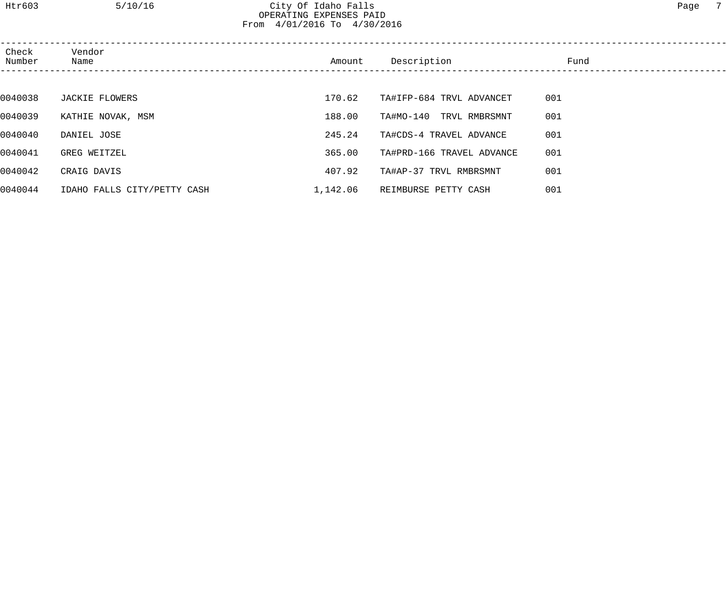# Htr603 5/10/16 City Of Idaho Falls Page 7 OPERATING EXPENSES PAID From 4/01/2016 To 4/30/2016

| Check<br>Number | Vendor<br>Name              | Amount   | Description               | Fund |  |
|-----------------|-----------------------------|----------|---------------------------|------|--|
|                 |                             |          |                           |      |  |
| 0040038         | JACKIE FLOWERS              | 170.62   | TA#IFP-684 TRVL ADVANCET  | 001  |  |
| 0040039         | KATHIE NOVAK, MSM           | 188.00   | TA#MO-140 TRVL RMBRSMNT   | 001  |  |
| 0040040         | DANIEL JOSE                 | 245.24   | TA#CDS-4 TRAVEL ADVANCE   | 001  |  |
| 0040041         | GREG WEITZEL                | 365.00   | TA#PRD-166 TRAVEL ADVANCE | 001  |  |
| 0040042         | CRAIG DAVIS                 | 407.92   | TA#AP-37 TRVL RMBRSMNT    | 001  |  |
| 0040044         | IDAHO FALLS CITY/PETTY CASH | 1,142.06 | REIMBURSE PETTY CASH      | 001  |  |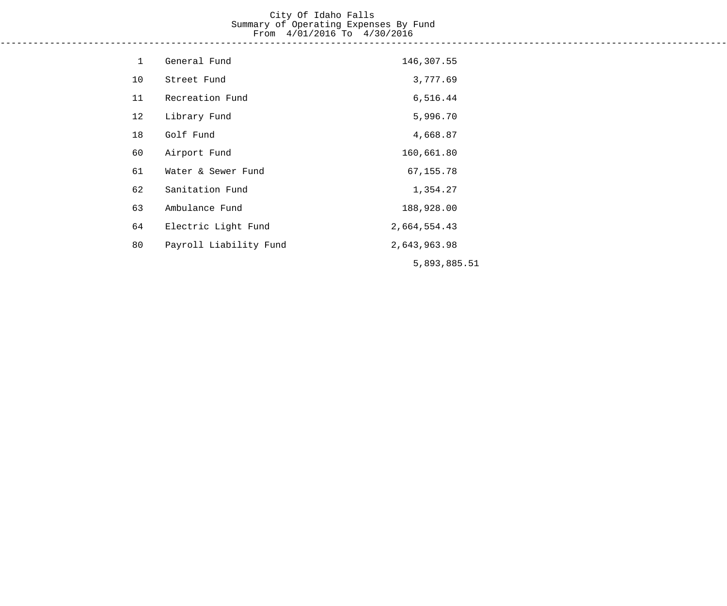#### City Of Idaho Falls Summary of Operating Expenses By Fund From 4/01/2016 To 4/30/2016 ------------------------------------------------------------------------------------------------------------------------------------

| $\mathbf 1$ | General Fund           | 146,307.55   |
|-------------|------------------------|--------------|
| 10          | Street Fund            | 3,777.69     |
| 11          | Recreation Fund        | 6,516.44     |
| 12          | Library Fund           | 5,996.70     |
| 18          | Golf Fund              | 4,668.87     |
| 60          | Airport Fund           | 160,661.80   |
| 61          | Water & Sewer Fund     | 67, 155.78   |
| 62          | Sanitation Fund        | 1,354.27     |
| 63          | Ambulance Fund         | 188,928.00   |
| 64          | Electric Light Fund    | 2,664,554.43 |
| 80          | Payroll Liability Fund | 2,643,963.98 |
|             |                        | 5,893,885.51 |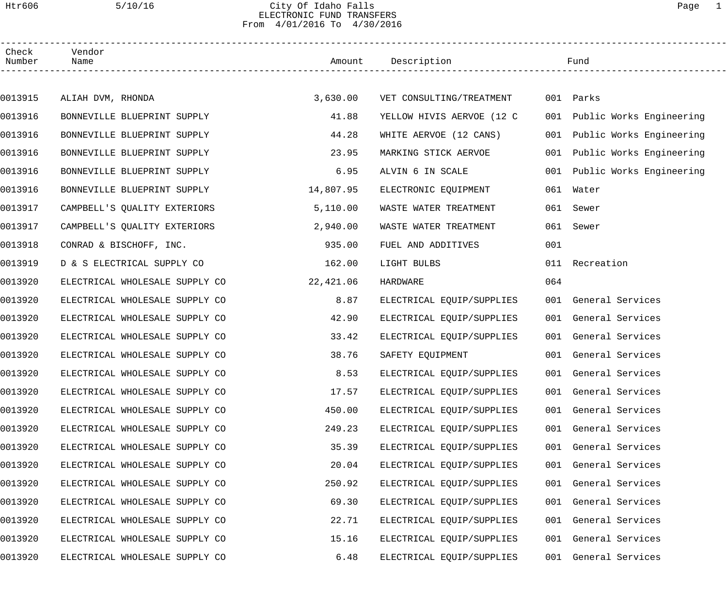### Htr606 5/10/16 City Of Idaho Falls Page 1 ELECTRONIC FUND TRANSFERS From 4/01/2016 To 4/30/2016

| Check<br>Number | Vendor<br>Name                 |           | Amount Description        |     | Fund                         |  |
|-----------------|--------------------------------|-----------|---------------------------|-----|------------------------------|--|
|                 |                                |           |                           |     |                              |  |
| 0013915         | ALIAH DVM, RHONDA              | 3,630.00  | VET CONSULTING/TREATMENT  |     | 001 Parks                    |  |
| 0013916         | BONNEVILLE BLUEPRINT SUPPLY    | 41.88     | YELLOW HIVIS AERVOE (12 C |     | 001 Public Works Engineering |  |
| 0013916         | BONNEVILLE BLUEPRINT SUPPLY    | 44.28     | WHITE AERVOE (12 CANS)    |     | 001 Public Works Engineering |  |
| 0013916         | BONNEVILLE BLUEPRINT SUPPLY    | 23.95     | MARKING STICK AERVOE      |     | 001 Public Works Engineering |  |
| 0013916         | BONNEVILLE BLUEPRINT SUPPLY    | 6.95      | ALVIN 6 IN SCALE          | 001 | Public Works Engineering     |  |
| 0013916         | BONNEVILLE BLUEPRINT SUPPLY    | 14,807.95 | ELECTRONIC EQUIPMENT      | 061 | Water                        |  |
| 0013917         | CAMPBELL'S QUALITY EXTERIORS   | 5,110.00  | WASTE WATER TREATMENT     | 061 | Sewer                        |  |
| 0013917         | CAMPBELL'S QUALITY EXTERIORS   | 2,940.00  | WASTE WATER TREATMENT     | 061 | Sewer                        |  |
| 0013918         | CONRAD & BISCHOFF, INC.        | 935.00    | FUEL AND ADDITIVES        | 001 |                              |  |
| 0013919         | D & S ELECTRICAL SUPPLY CO     | 162.00    | LIGHT BULBS               | 011 | Recreation                   |  |
| 0013920         | ELECTRICAL WHOLESALE SUPPLY CO | 22,421.06 | HARDWARE                  | 064 |                              |  |
| 0013920         | ELECTRICAL WHOLESALE SUPPLY CO | 8.87      | ELECTRICAL EQUIP/SUPPLIES |     | 001 General Services         |  |
| 0013920         | ELECTRICAL WHOLESALE SUPPLY CO | 42.90     | ELECTRICAL EQUIP/SUPPLIES |     | 001 General Services         |  |
| 0013920         | ELECTRICAL WHOLESALE SUPPLY CO | 33.42     | ELECTRICAL EQUIP/SUPPLIES |     | 001 General Services         |  |
| 0013920         | ELECTRICAL WHOLESALE SUPPLY CO | 38.76     | SAFETY EQUIPMENT          |     | 001 General Services         |  |
| 0013920         | ELECTRICAL WHOLESALE SUPPLY CO | 8.53      | ELECTRICAL EQUIP/SUPPLIES |     | 001 General Services         |  |
| 0013920         | ELECTRICAL WHOLESALE SUPPLY CO | 17.57     | ELECTRICAL EQUIP/SUPPLIES |     | 001 General Services         |  |
| 0013920         | ELECTRICAL WHOLESALE SUPPLY CO | 450.00    | ELECTRICAL EQUIP/SUPPLIES |     | 001 General Services         |  |
| 0013920         | ELECTRICAL WHOLESALE SUPPLY CO | 249.23    | ELECTRICAL EQUIP/SUPPLIES |     | 001 General Services         |  |
| 0013920         | ELECTRICAL WHOLESALE SUPPLY CO | 35.39     | ELECTRICAL EQUIP/SUPPLIES |     | 001 General Services         |  |
| 0013920         | ELECTRICAL WHOLESALE SUPPLY CO | 20.04     | ELECTRICAL EQUIP/SUPPLIES |     | 001 General Services         |  |
| 0013920         | ELECTRICAL WHOLESALE SUPPLY CO | 250.92    | ELECTRICAL EQUIP/SUPPLIES |     | 001 General Services         |  |
| 0013920         | ELECTRICAL WHOLESALE SUPPLY CO | 69.30     | ELECTRICAL EQUIP/SUPPLIES |     | 001 General Services         |  |
| 0013920         | ELECTRICAL WHOLESALE SUPPLY CO | 22.71     | ELECTRICAL EQUIP/SUPPLIES |     | 001 General Services         |  |
| 0013920         | ELECTRICAL WHOLESALE SUPPLY CO | 15.16     | ELECTRICAL EQUIP/SUPPLIES |     | 001 General Services         |  |
| 0013920         | ELECTRICAL WHOLESALE SUPPLY CO | 6.48      | ELECTRICAL EQUIP/SUPPLIES |     | 001 General Services         |  |
|                 |                                |           |                           |     |                              |  |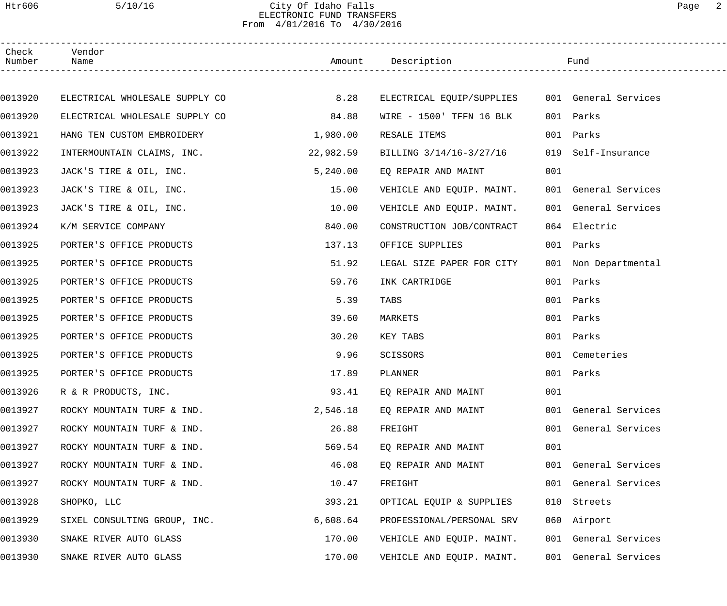### Htr606 5/10/16 City Of Idaho Falls Page 2 ELECTRONIC FUND TRANSFERS From 4/01/2016 To 4/30/2016

| Check<br>Number | Vendor<br>Name                 |           | Amount Description                             |     | Fund                 |
|-----------------|--------------------------------|-----------|------------------------------------------------|-----|----------------------|
|                 |                                |           |                                                |     |                      |
| 0013920         | ELECTRICAL WHOLESALE SUPPLY CO | 8.28      | ELECTRICAL EQUIP/SUPPLIES 001 General Services |     |                      |
| 0013920         | ELECTRICAL WHOLESALE SUPPLY CO | 84.88     | WIRE - 1500' TFFN 16 BLK                       |     | 001 Parks            |
| 0013921         | HANG TEN CUSTOM EMBROIDERY     | 1,980.00  | RESALE ITEMS                                   |     | 001 Parks            |
| 0013922         | INTERMOUNTAIN CLAIMS, INC.     | 22,982.59 | BILLING 3/14/16-3/27/16                        |     | 019 Self-Insurance   |
| 0013923         | JACK'S TIRE & OIL, INC.        | 5,240.00  | EQ REPAIR AND MAINT                            | 001 |                      |
| 0013923         | JACK'S TIRE & OIL, INC.        | 15.00     | VEHICLE AND EQUIP. MAINT.                      |     | 001 General Services |
| 0013923         | JACK'S TIRE & OIL, INC.        | 10.00     | VEHICLE AND EQUIP. MAINT.                      |     | 001 General Services |
| 0013924         | K/M SERVICE COMPANY            | 840.00    | CONSTRUCTION JOB/CONTRACT                      |     | 064 Electric         |
| 0013925         | PORTER'S OFFICE PRODUCTS       | 137.13    | OFFICE SUPPLIES                                |     | 001 Parks            |
| 0013925         | PORTER'S OFFICE PRODUCTS       | 51.92     | LEGAL SIZE PAPER FOR CITY                      |     | 001 Non Departmental |
| 0013925         | PORTER'S OFFICE PRODUCTS       | 59.76     | INK CARTRIDGE                                  |     | 001 Parks            |
| 0013925         | PORTER'S OFFICE PRODUCTS       | 5.39      | TABS                                           |     | 001 Parks            |
| 0013925         | PORTER'S OFFICE PRODUCTS       | 39.60     | MARKETS                                        |     | 001 Parks            |
| 0013925         | PORTER'S OFFICE PRODUCTS       | 30.20     | KEY TABS                                       |     | 001 Parks            |
| 0013925         | PORTER'S OFFICE PRODUCTS       | 9.96      | SCISSORS                                       |     | 001 Cemeteries       |
| 0013925         | PORTER'S OFFICE PRODUCTS       | 17.89     | PLANNER                                        |     | 001 Parks            |
| 0013926         | R & R PRODUCTS, INC.           | 93.41     | EQ REPAIR AND MAINT                            | 001 |                      |
| 0013927         | ROCKY MOUNTAIN TURF & IND.     | 2,546.18  | EQ REPAIR AND MAINT                            |     | 001 General Services |
| 0013927         | ROCKY MOUNTAIN TURF & IND.     | 26.88     | FREIGHT                                        |     | 001 General Services |
| 0013927         | ROCKY MOUNTAIN TURF & IND.     | 569.54    | EO REPAIR AND MAINT                            | 001 |                      |
| 0013927         | ROCKY MOUNTAIN TURF & IND.     | 46.08     | EQ REPAIR AND MAINT                            |     | 001 General Services |
| 0013927         | ROCKY MOUNTAIN TURF & IND.     | 10.47     | FREIGHT                                        |     | 001 General Services |
| 0013928         | SHOPKO, LLC                    | 393.21    | OPTICAL EQUIP & SUPPLIES                       |     | 010 Streets          |
| 0013929         | SIXEL CONSULTING GROUP, INC.   | 6,608.64  | PROFESSIONAL/PERSONAL SRV                      |     | 060 Airport          |
| 0013930         | SNAKE RIVER AUTO GLASS         | 170.00    | VEHICLE AND EQUIP. MAINT.                      |     | 001 General Services |
| 0013930         | SNAKE RIVER AUTO GLASS         | 170.00    | VEHICLE AND EQUIP. MAINT.                      |     | 001 General Services |
|                 |                                |           |                                                |     |                      |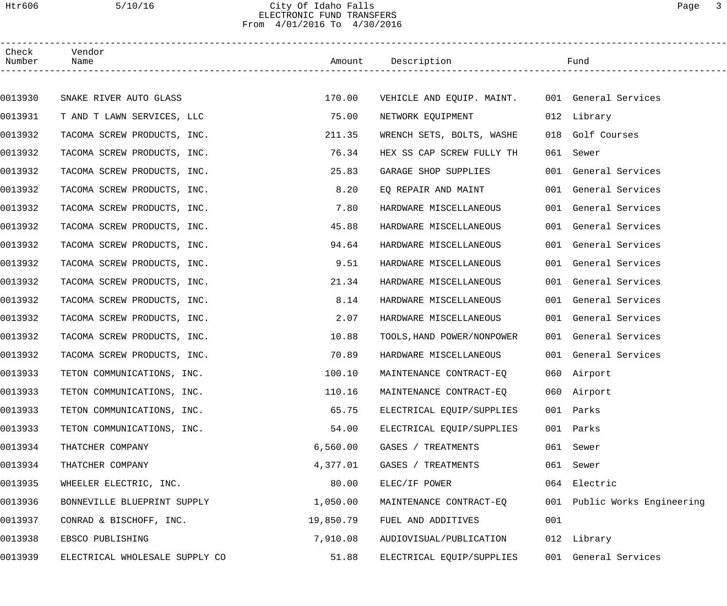### Htr606 5/10/16 City Of Idaho Falls Page 3 ELECTRONIC FUND TRANSFERS From 4/01/2016 To 4/30/2016

| Check<br>Number | Vendor<br>Name                 |           | Amount Description                             |     | Fund                         |  |
|-----------------|--------------------------------|-----------|------------------------------------------------|-----|------------------------------|--|
|                 |                                |           |                                                |     |                              |  |
| 0013930         | SNAKE RIVER AUTO GLASS         | 170.00    | VEHICLE AND EQUIP. MAINT. 001 General Services |     |                              |  |
| 0013931         | T AND T LAWN SERVICES, LLC     | 75.00     | NETWORK EQUIPMENT                              |     | 012 Library                  |  |
| 0013932         | TACOMA SCREW PRODUCTS, INC.    | 211.35    | WRENCH SETS, BOLTS, WASHE                      |     | 018 Golf Courses             |  |
| 0013932         | TACOMA SCREW PRODUCTS, INC.    | 76.34     | HEX SS CAP SCREW FULLY TH                      |     | 061 Sewer                    |  |
| 0013932         | TACOMA SCREW PRODUCTS, INC.    | 25.83     | GARAGE SHOP SUPPLIES                           |     | 001 General Services         |  |
| 0013932         | TACOMA SCREW PRODUCTS, INC.    | 8.20      | EQ REPAIR AND MAINT                            |     | 001 General Services         |  |
| 0013932         | TACOMA SCREW PRODUCTS, INC.    | 7.80      | HARDWARE MISCELLANEOUS                         |     | 001 General Services         |  |
| 0013932         | TACOMA SCREW PRODUCTS, INC.    | 45.88     | HARDWARE MISCELLANEOUS                         |     | 001 General Services         |  |
| 0013932         | TACOMA SCREW PRODUCTS, INC.    | 94.64     | HARDWARE MISCELLANEOUS                         |     | 001 General Services         |  |
| 0013932         | TACOMA SCREW PRODUCTS, INC.    | 9.51      | HARDWARE MISCELLANEOUS                         |     | 001 General Services         |  |
| 0013932         | TACOMA SCREW PRODUCTS, INC.    | 21.34     | HARDWARE MISCELLANEOUS                         |     | 001 General Services         |  |
| 0013932         | TACOMA SCREW PRODUCTS, INC.    | 8.14      | HARDWARE MISCELLANEOUS                         |     | 001 General Services         |  |
| 0013932         | TACOMA SCREW PRODUCTS, INC.    | 2.07      | HARDWARE MISCELLANEOUS                         |     | 001 General Services         |  |
| 0013932         | TACOMA SCREW PRODUCTS, INC.    | 10.88     | TOOLS, HAND POWER/NONPOWER                     |     | 001 General Services         |  |
| 0013932         | TACOMA SCREW PRODUCTS, INC.    | 70.89     | HARDWARE MISCELLANEOUS                         |     | 001 General Services         |  |
| 0013933         | TETON COMMUNICATIONS, INC.     | 100.10    | MAINTENANCE CONTRACT-EQ                        |     | 060 Airport                  |  |
| 0013933         | TETON COMMUNICATIONS, INC.     | 110.16    | MAINTENANCE CONTRACT-EO                        |     | 060 Airport                  |  |
| 0013933         | TETON COMMUNICATIONS, INC.     | 65.75     | ELECTRICAL EQUIP/SUPPLIES                      |     | 001 Parks                    |  |
| 0013933         | TETON COMMUNICATIONS, INC.     | 54.00     | ELECTRICAL EQUIP/SUPPLIES                      | 001 | Parks                        |  |
| 0013934         | THATCHER COMPANY               | 6,560.00  | GASES / TREATMENTS                             | 061 | Sewer                        |  |
| 0013934         | THATCHER COMPANY               | 4,377.01  | GASES / TREATMENTS                             | 061 | Sewer                        |  |
| 0013935         | WHEELER ELECTRIC, INC.         | 80.00     | ELEC/IF POWER                                  |     | 064 Electric                 |  |
| 0013936         | BONNEVILLE BLUEPRINT SUPPLY    | 1,050.00  | MAINTENANCE CONTRACT-EQ                        |     | 001 Public Works Engineering |  |
| 0013937         | CONRAD & BISCHOFF, INC.        | 19,850.79 | FUEL AND ADDITIVES                             | 001 |                              |  |
| 0013938         | EBSCO PUBLISHING               | 7,910.08  | AUDIOVISUAL/PUBLICATION                        |     | 012 Library                  |  |
| 0013939         | ELECTRICAL WHOLESALE SUPPLY CO | 51.88     | ELECTRICAL EQUIP/SUPPLIES                      |     | 001 General Services         |  |
|                 |                                |           |                                                |     |                              |  |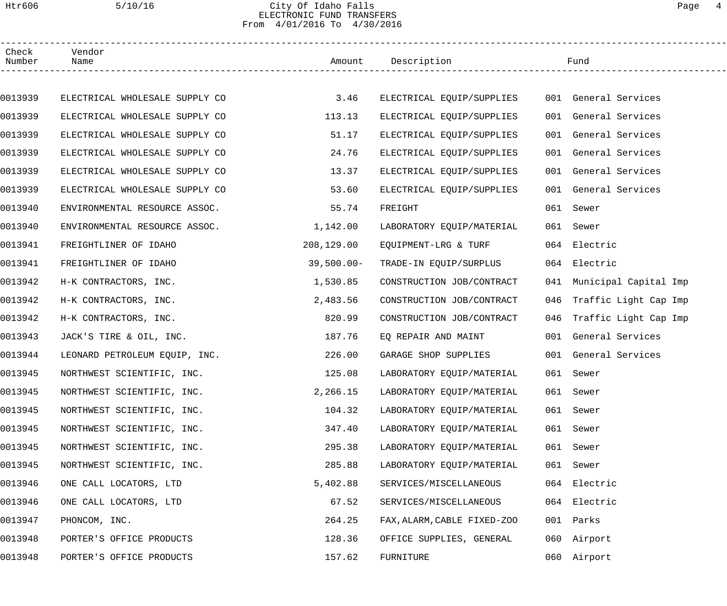### Htr606 5/10/16 City Of Idaho Falls Page 4 ELECTRONIC FUND TRANSFERS From 4/01/2016 To 4/30/2016

| Check<br>Number | Vendor<br>Name                 |               | Amount Description          |     | Fund                      |  |
|-----------------|--------------------------------|---------------|-----------------------------|-----|---------------------------|--|
|                 |                                |               |                             |     |                           |  |
| 0013939         | ELECTRICAL WHOLESALE SUPPLY CO | 3.46          | ELECTRICAL EQUIP/SUPPLIES   |     | 001 General Services      |  |
| 0013939         | ELECTRICAL WHOLESALE SUPPLY CO | 113.13        | ELECTRICAL EQUIP/SUPPLIES   |     | 001 General Services      |  |
| 0013939         | ELECTRICAL WHOLESALE SUPPLY CO | 51.17         | ELECTRICAL EQUIP/SUPPLIES   |     | 001 General Services      |  |
| 0013939         | ELECTRICAL WHOLESALE SUPPLY CO | 24.76         | ELECTRICAL EQUIP/SUPPLIES   |     | 001 General Services      |  |
| 0013939         | ELECTRICAL WHOLESALE SUPPLY CO | 13.37         | ELECTRICAL EQUIP/SUPPLIES   |     | 001 General Services      |  |
| 0013939         | ELECTRICAL WHOLESALE SUPPLY CO | 53.60         | ELECTRICAL EQUIP/SUPPLIES   |     | 001 General Services      |  |
| 0013940         | ENVIRONMENTAL RESOURCE ASSOC.  | 55.74         | FREIGHT                     |     | 061 Sewer                 |  |
| 0013940         | ENVIRONMENTAL RESOURCE ASSOC.  | 1,142.00      | LABORATORY EQUIP/MATERIAL   |     | 061 Sewer                 |  |
| 0013941         | FREIGHTLINER OF IDAHO          | 208,129.00    | EQUIPMENT-LRG & TURF        |     | 064 Electric              |  |
| 0013941         | FREIGHTLINER OF IDAHO          | $39,500.00 -$ | TRADE-IN EQUIP/SURPLUS      |     | 064 Electric              |  |
| 0013942         | H-K CONTRACTORS, INC.          | 1,530.85      | CONSTRUCTION JOB/CONTRACT   |     | 041 Municipal Capital Imp |  |
| 0013942         | H-K CONTRACTORS, INC.          | 2,483.56      | CONSTRUCTION JOB/CONTRACT   | 046 | Traffic Light Cap Imp     |  |
| 0013942         | H-K CONTRACTORS, INC.          | 820.99        | CONSTRUCTION JOB/CONTRACT   |     | 046 Traffic Light Cap Imp |  |
| 0013943         | JACK'S TIRE & OIL, INC.        | 187.76        | EQ REPAIR AND MAINT         |     | 001 General Services      |  |
| 0013944         | LEONARD PETROLEUM EQUIP, INC.  | 226.00        | GARAGE SHOP SUPPLIES        |     | 001 General Services      |  |
| 0013945         | NORTHWEST SCIENTIFIC, INC.     | 125.08        | LABORATORY EQUIP/MATERIAL   |     | 061 Sewer                 |  |
| 0013945         | NORTHWEST SCIENTIFIC, INC.     | 2,266.15      | LABORATORY EQUIP/MATERIAL   |     | 061 Sewer                 |  |
| 0013945         | NORTHWEST SCIENTIFIC, INC.     | 104.32        | LABORATORY EQUIP/MATERIAL   |     | 061 Sewer                 |  |
| 0013945         | NORTHWEST SCIENTIFIC, INC.     | 347.40        | LABORATORY EQUIP/MATERIAL   | 061 | Sewer                     |  |
| 0013945         | NORTHWEST SCIENTIFIC, INC.     | 295.38        | LABORATORY EQUIP/MATERIAL   |     | 061 Sewer                 |  |
| 0013945         | NORTHWEST SCIENTIFIC, INC.     | 285.88        | LABORATORY EQUIP/MATERIAL   |     | 061 Sewer                 |  |
| 0013946         | ONE CALL LOCATORS, LTD         | 5,402.88      | SERVICES/MISCELLANEOUS      |     | 064 Electric              |  |
| 0013946         | ONE CALL LOCATORS, LTD         | 67.52         | SERVICES/MISCELLANEOUS      |     | 064 Electric              |  |
| 0013947         | PHONCOM, INC.                  | 264.25        | FAX, ALARM, CABLE FIXED-ZOO |     | 001 Parks                 |  |
| 0013948         | PORTER'S OFFICE PRODUCTS       | 128.36        | OFFICE SUPPLIES, GENERAL    |     | 060 Airport               |  |
| 0013948         | PORTER'S OFFICE PRODUCTS       | 157.62        | FURNITURE                   |     | 060 Airport               |  |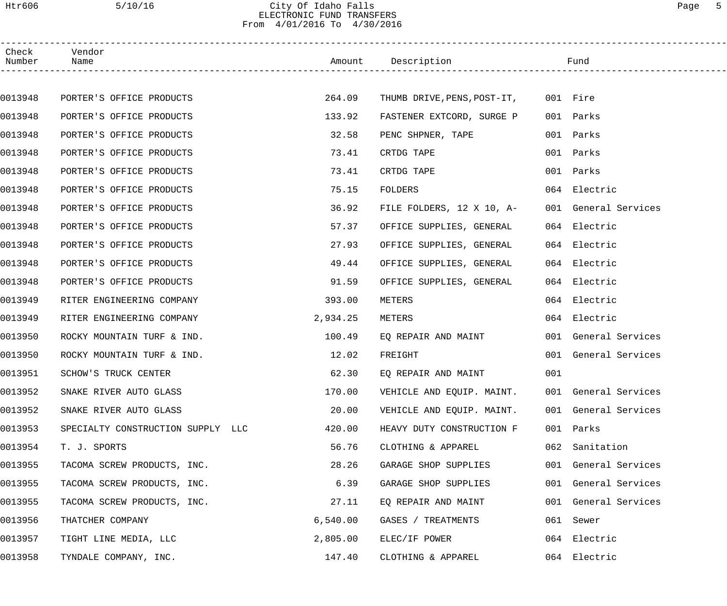## Htr606 5/10/16 City Of Idaho Falls Page 5 ELECTRONIC FUND TRANSFERS From 4/01/2016 To 4/30/2016

| Check<br>Number | Vendor<br>Name                    |          | Amount Description                   |     | Fund                 |
|-----------------|-----------------------------------|----------|--------------------------------------|-----|----------------------|
|                 |                                   |          |                                      |     |                      |
| 0013948         | PORTER'S OFFICE PRODUCTS          | 264.09   | THUMB DRIVE, PENS, POST-IT, 001 Fire |     |                      |
| 0013948         | PORTER'S OFFICE PRODUCTS          | 133.92   | FASTENER EXTCORD, SURGE P            |     | 001 Parks            |
| 0013948         | PORTER'S OFFICE PRODUCTS          | 32.58    | PENC SHPNER, TAPE                    |     | 001 Parks            |
| 0013948         | PORTER'S OFFICE PRODUCTS          | 73.41    | CRTDG TAPE                           |     | 001 Parks            |
| 0013948         | PORTER'S OFFICE PRODUCTS          | 73.41    | CRTDG TAPE                           |     | 001 Parks            |
| 0013948         | PORTER'S OFFICE PRODUCTS          | 75.15    | <b>FOLDERS</b>                       |     | 064 Electric         |
| 0013948         | PORTER'S OFFICE PRODUCTS          | 36.92    | FILE FOLDERS, 12 X 10, A-            |     | 001 General Services |
| 0013948         | PORTER'S OFFICE PRODUCTS          | 57.37    | OFFICE SUPPLIES, GENERAL             |     | 064 Electric         |
| 0013948         | PORTER'S OFFICE PRODUCTS          | 27.93    | OFFICE SUPPLIES, GENERAL             |     | 064 Electric         |
| 0013948         | PORTER'S OFFICE PRODUCTS          | 49.44    | OFFICE SUPPLIES, GENERAL             |     | 064 Electric         |
| 0013948         | PORTER'S OFFICE PRODUCTS          | 91.59    | OFFICE SUPPLIES, GENERAL             |     | 064 Electric         |
| 0013949         | RITER ENGINEERING COMPANY         | 393.00   | METERS                               |     | 064 Electric         |
| 0013949         | RITER ENGINEERING COMPANY         | 2,934.25 | METERS                               |     | 064 Electric         |
| 0013950         | ROCKY MOUNTAIN TURF & IND.        | 100.49   | EQ REPAIR AND MAINT                  |     | 001 General Services |
| 0013950         | ROCKY MOUNTAIN TURF & IND.        | 12.02    | FREIGHT                              |     | 001 General Services |
| 0013951         | SCHOW'S TRUCK CENTER              | 62.30    | EO REPAIR AND MAINT                  | 001 |                      |
| 0013952         | SNAKE RIVER AUTO GLASS            | 170.00   | VEHICLE AND EQUIP. MAINT.            |     | 001 General Services |
| 0013952         | SNAKE RIVER AUTO GLASS            | 20.00    | VEHICLE AND EQUIP. MAINT.            |     | 001 General Services |
| 0013953         | SPECIALTY CONSTRUCTION SUPPLY LLC | 420.00   | HEAVY DUTY CONSTRUCTION F            |     | 001 Parks            |
| 0013954         | T. J. SPORTS                      | 56.76    | CLOTHING & APPAREL                   |     | 062 Sanitation       |
| 0013955         | TACOMA SCREW PRODUCTS, INC.       | 28.26    | GARAGE SHOP SUPPLIES                 |     | 001 General Services |
| 0013955         | TACOMA SCREW PRODUCTS, INC.       | 6.39     | GARAGE SHOP SUPPLIES                 |     | 001 General Services |
| 0013955         | TACOMA SCREW PRODUCTS, INC.       | 27.11    | EQ REPAIR AND MAINT                  |     | 001 General Services |
| 0013956         | THATCHER COMPANY                  | 6,540.00 | GASES / TREATMENTS                   |     | 061 Sewer            |
| 0013957         | TIGHT LINE MEDIA, LLC             | 2,805.00 | ELEC/IF POWER                        |     | 064 Electric         |
| 0013958         | TYNDALE COMPANY, INC.             | 147.40   | CLOTHING & APPAREL                   |     | 064 Electric         |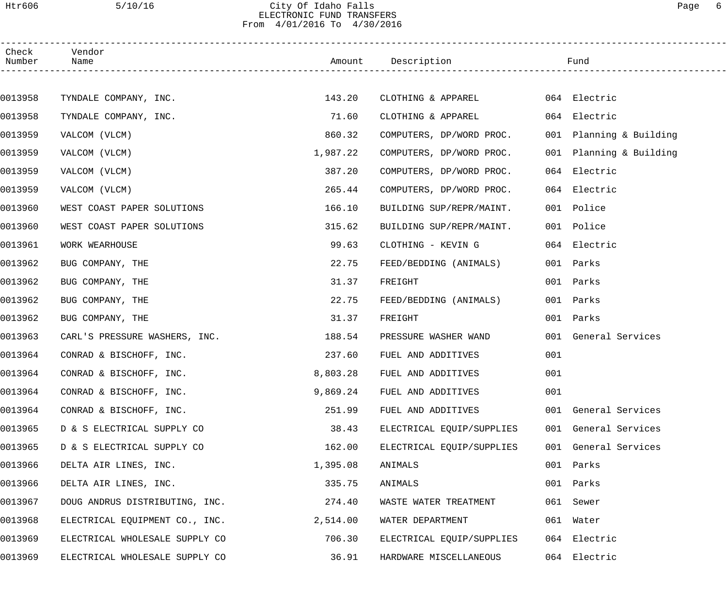### Htr606 5/10/16 City Of Idaho Falls Page 6 ELECTRONIC FUND TRANSFERS From 4/01/2016 To 4/30/2016

| Check<br>Number | Vendor<br>Name                 |          | Amount Description        |     | Fund                    |
|-----------------|--------------------------------|----------|---------------------------|-----|-------------------------|
|                 |                                |          |                           |     |                         |
| 0013958         | TYNDALE COMPANY, INC.          | 143.20   | CLOTHING & APPAREL        |     | 064 Electric            |
| 0013958         | TYNDALE COMPANY, INC.          | 71.60    | CLOTHING & APPAREL        |     | 064 Electric            |
| 0013959         | VALCOM (VLCM)                  | 860.32   | COMPUTERS, DP/WORD PROC.  |     | 001 Planning & Building |
| 0013959         | VALCOM (VLCM)                  | 1,987.22 | COMPUTERS, DP/WORD PROC.  |     | 001 Planning & Building |
| 0013959         | VALCOM (VLCM)                  | 387.20   | COMPUTERS, DP/WORD PROC.  | 064 | Electric                |
| 0013959         | VALCOM (VLCM)                  | 265.44   | COMPUTERS, DP/WORD PROC.  |     | 064 Electric            |
| 0013960         | WEST COAST PAPER SOLUTIONS     | 166.10   | BUILDING SUP/REPR/MAINT.  |     | 001 Police              |
| 0013960         | WEST COAST PAPER SOLUTIONS     | 315.62   | BUILDING SUP/REPR/MAINT.  |     | 001 Police              |
| 0013961         | WORK WEARHOUSE                 | 99.63    | CLOTHING - KEVIN G        |     | 064 Electric            |
| 0013962         | BUG COMPANY, THE               | 22.75    | FEED/BEDDING (ANIMALS)    |     | 001 Parks               |
| 0013962         | BUG COMPANY, THE               | 31.37    | FREIGHT                   |     | 001 Parks               |
| 0013962         | BUG COMPANY, THE               | 22.75    | FEED/BEDDING (ANIMALS)    |     | 001 Parks               |
| 0013962         | BUG COMPANY, THE               | 31.37    | FREIGHT                   |     | 001 Parks               |
| 0013963         | CARL'S PRESSURE WASHERS, INC.  | 188.54   | PRESSURE WASHER WAND      |     | 001 General Services    |
| 0013964         | CONRAD & BISCHOFF, INC.        | 237.60   | FUEL AND ADDITIVES        | 001 |                         |
| 0013964         | CONRAD & BISCHOFF, INC.        | 8,803.28 | FUEL AND ADDITIVES        | 001 |                         |
| 0013964         | CONRAD & BISCHOFF, INC.        | 9,869.24 | FUEL AND ADDITIVES        | 001 |                         |
| 0013964         | CONRAD & BISCHOFF, INC.        | 251.99   | FUEL AND ADDITIVES        |     | 001 General Services    |
| 0013965         | D & S ELECTRICAL SUPPLY CO     | 38.43    | ELECTRICAL EQUIP/SUPPLIES |     | 001 General Services    |
| 0013965         | D & S ELECTRICAL SUPPLY CO     | 162.00   | ELECTRICAL EQUIP/SUPPLIES |     | 001 General Services    |
| 0013966         | DELTA AIR LINES, INC.          | 1,395.08 | ANIMALS                   | 001 | Parks                   |
| 0013966         | DELTA AIR LINES, INC.          | 335.75   | ANIMALS                   | 001 | Parks                   |
| 0013967         | DOUG ANDRUS DISTRIBUTING, INC. | 274.40   | WASTE WATER TREATMENT     |     | 061 Sewer               |
| 0013968         | ELECTRICAL EQUIPMENT CO., INC. | 2,514.00 | WATER DEPARTMENT          |     | 061 Water               |
| 0013969         | ELECTRICAL WHOLESALE SUPPLY CO | 706.30   | ELECTRICAL EQUIP/SUPPLIES |     | 064 Electric            |
| 0013969         | ELECTRICAL WHOLESALE SUPPLY CO | 36.91    | HARDWARE MISCELLANEOUS    |     | 064 Electric            |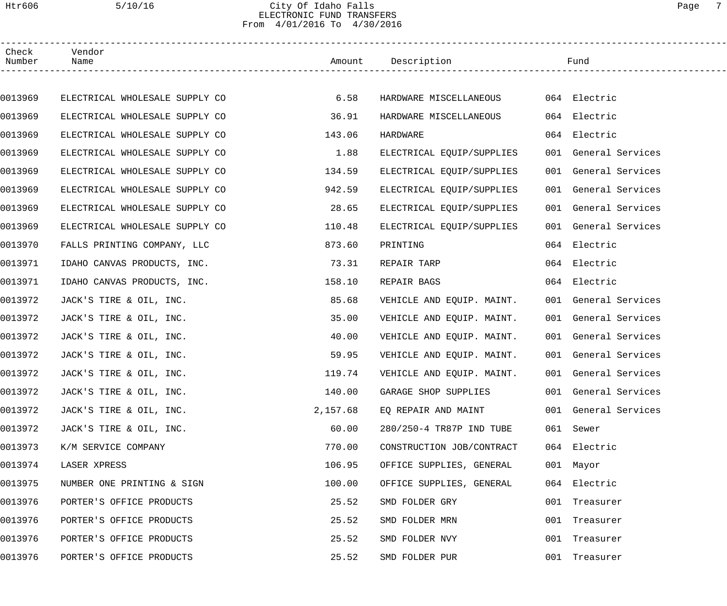### Htr606 5/10/16 City Of Idaho Falls Page 7 ELECTRONIC FUND TRANSFERS From 4/01/2016 To 4/30/2016

| Check<br>Number | Vendor<br>Name                 |          | Amount Description        | Fund                 |
|-----------------|--------------------------------|----------|---------------------------|----------------------|
|                 |                                |          |                           |                      |
| 0013969         | ELECTRICAL WHOLESALE SUPPLY CO | 6.58     | HARDWARE MISCELLANEOUS    | 064 Electric         |
| 0013969         | ELECTRICAL WHOLESALE SUPPLY CO | 36.91    | HARDWARE MISCELLANEOUS    | 064 Electric         |
| 0013969         | ELECTRICAL WHOLESALE SUPPLY CO | 143.06   | HARDWARE                  | 064 Electric         |
| 0013969         | ELECTRICAL WHOLESALE SUPPLY CO | 1.88     | ELECTRICAL EQUIP/SUPPLIES | 001 General Services |
| 0013969         | ELECTRICAL WHOLESALE SUPPLY CO | 134.59   | ELECTRICAL EQUIP/SUPPLIES | 001 General Services |
| 0013969         | ELECTRICAL WHOLESALE SUPPLY CO | 942.59   | ELECTRICAL EQUIP/SUPPLIES | 001 General Services |
| 0013969         | ELECTRICAL WHOLESALE SUPPLY CO | 28.65    | ELECTRICAL EQUIP/SUPPLIES | 001 General Services |
| 0013969         | ELECTRICAL WHOLESALE SUPPLY CO | 110.48   | ELECTRICAL EQUIP/SUPPLIES | 001 General Services |
| 0013970         | FALLS PRINTING COMPANY, LLC    | 873.60   | PRINTING                  | 064 Electric         |
| 0013971         | IDAHO CANVAS PRODUCTS, INC.    | 73.31    | REPAIR TARP               | 064 Electric         |
| 0013971         | IDAHO CANVAS PRODUCTS, INC.    | 158.10   | REPAIR BAGS               | 064 Electric         |
| 0013972         | JACK'S TIRE & OIL, INC.        | 85.68    | VEHICLE AND EQUIP. MAINT. | 001 General Services |
| 0013972         | JACK'S TIRE & OIL, INC.        | 35.00    | VEHICLE AND EQUIP. MAINT. | 001 General Services |
| 0013972         | JACK'S TIRE & OIL, INC.        | 40.00    | VEHICLE AND EQUIP. MAINT. | 001 General Services |
| 0013972         | JACK'S TIRE & OIL, INC.        | 59.95    | VEHICLE AND EQUIP. MAINT. | 001 General Services |
| 0013972         | JACK'S TIRE & OIL, INC.        | 119.74   | VEHICLE AND EQUIP. MAINT. | 001 General Services |
| 0013972         | JACK'S TIRE & OIL, INC.        | 140.00   | GARAGE SHOP SUPPLIES      | 001 General Services |
| 0013972         | JACK'S TIRE & OIL, INC.        | 2,157.68 | EQ REPAIR AND MAINT       | 001 General Services |
| 0013972         | JACK'S TIRE & OIL, INC.        | 60.00    | 280/250-4 TR87P IND TUBE  | 061 Sewer            |
| 0013973         | K/M SERVICE COMPANY            | 770.00   | CONSTRUCTION JOB/CONTRACT | 064 Electric         |
| 0013974         | LASER XPRESS                   | 106.95   | OFFICE SUPPLIES, GENERAL  | 001 Mayor            |
| 0013975         | NUMBER ONE PRINTING & SIGN     | 100.00   | OFFICE SUPPLIES, GENERAL  | 064 Electric         |
| 0013976         | PORTER'S OFFICE PRODUCTS       | 25.52    | SMD FOLDER GRY            | 001 Treasurer        |
| 0013976         | PORTER'S OFFICE PRODUCTS       | 25.52    | SMD FOLDER MRN            | 001 Treasurer        |
| 0013976         | PORTER'S OFFICE PRODUCTS       | 25.52    | SMD FOLDER NVY            | 001 Treasurer        |
| 0013976         | PORTER'S OFFICE PRODUCTS       | 25.52    | SMD FOLDER PUR            | 001 Treasurer        |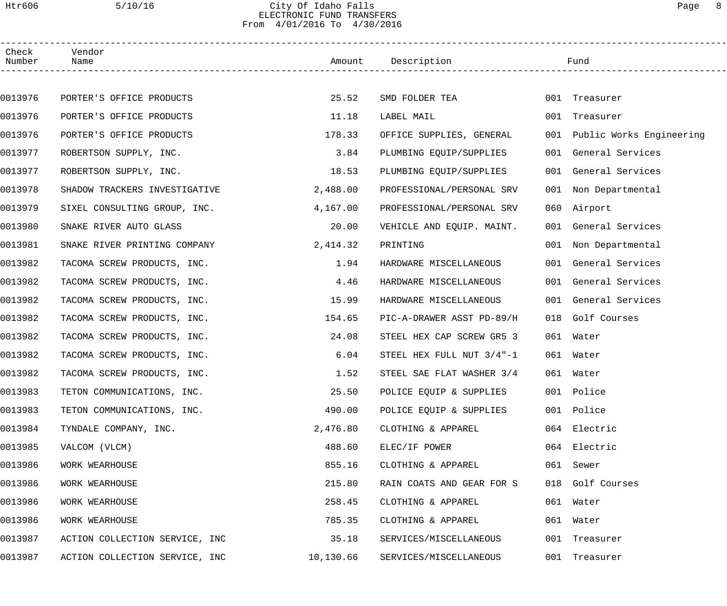### Htr606 5/10/16 City Of Idaho Falls Page 8 ELECTRONIC FUND TRANSFERS From 4/01/2016 To 4/30/2016

| Check<br>Number | Vendor<br>Name                 |           | Amount Description           |     | Fund                         |  |
|-----------------|--------------------------------|-----------|------------------------------|-----|------------------------------|--|
|                 |                                |           |                              |     |                              |  |
| 0013976         | PORTER'S OFFICE PRODUCTS       | 25.52     | SMD FOLDER TEA               |     | 001 Treasurer                |  |
| 0013976         | PORTER'S OFFICE PRODUCTS       | 11.18     | LABEL MAIL                   |     | 001 Treasurer                |  |
| 0013976         | PORTER'S OFFICE PRODUCTS       | 178.33    | OFFICE SUPPLIES, GENERAL     |     | 001 Public Works Engineering |  |
| 0013977         | ROBERTSON SUPPLY, INC.         | 3.84      | PLUMBING EQUIP/SUPPLIES      |     | 001 General Services         |  |
| 0013977         | ROBERTSON SUPPLY, INC.         | 18.53     | PLUMBING EQUIP/SUPPLIES      |     | 001 General Services         |  |
| 0013978         | SHADOW TRACKERS INVESTIGATIVE  | 2,488.00  | PROFESSIONAL/PERSONAL SRV    |     | 001 Non Departmental         |  |
| 0013979         | SIXEL CONSULTING GROUP, INC.   | 4,167.00  | PROFESSIONAL/PERSONAL SRV    |     | 060 Airport                  |  |
| 0013980         | SNAKE RIVER AUTO GLASS         | 20.00     | VEHICLE AND EQUIP. MAINT.    |     | 001 General Services         |  |
| 0013981         | SNAKE RIVER PRINTING COMPANY   | 2,414.32  | PRINTING                     |     | 001 Non Departmental         |  |
| 0013982         | TACOMA SCREW PRODUCTS, INC.    | 1.94      | HARDWARE MISCELLANEOUS       |     | 001 General Services         |  |
| 0013982         | TACOMA SCREW PRODUCTS, INC.    | 4.46      | HARDWARE MISCELLANEOUS       |     | 001 General Services         |  |
| 0013982         | TACOMA SCREW PRODUCTS, INC.    | 15.99     | HARDWARE MISCELLANEOUS       |     | 001 General Services         |  |
| 0013982         | TACOMA SCREW PRODUCTS, INC.    | 154.65    | PIC-A-DRAWER ASST PD-89/H    | 018 | Golf Courses                 |  |
| 0013982         | TACOMA SCREW PRODUCTS, INC.    | 24.08     | STEEL HEX CAP SCREW GR5 3    |     | 061 Water                    |  |
| 0013982         | TACOMA SCREW PRODUCTS, INC.    | 6.04      | STEEL HEX FULL NUT $3/4$ "-1 |     | 061 Water                    |  |
| 0013982         | TACOMA SCREW PRODUCTS, INC.    | 1.52      | STEEL SAE FLAT WASHER 3/4    |     | 061 Water                    |  |
| 0013983         | TETON COMMUNICATIONS, INC.     | 25.50     | POLICE EQUIP & SUPPLIES      |     | 001 Police                   |  |
| 0013983         | TETON COMMUNICATIONS, INC.     | 490.00    | POLICE EQUIP & SUPPLIES      |     | 001 Police                   |  |
| 0013984         | TYNDALE COMPANY, INC.          | 2,476.80  | CLOTHING & APPAREL           |     | 064 Electric                 |  |
| 0013985         | VALCOM (VLCM)                  | 488.60    | ELEC/IF POWER                |     | 064 Electric                 |  |
| 0013986         | WORK WEARHOUSE                 | 855.16    | CLOTHING & APPAREL           |     | 061 Sewer                    |  |
| 0013986         | WORK WEARHOUSE                 | 215.80    | RAIN COATS AND GEAR FOR S    |     | 018 Golf Courses             |  |
| 0013986         | WORK WEARHOUSE                 | 258.45    | CLOTHING & APPAREL           |     | 061 Water                    |  |
| 0013986         | WORK WEARHOUSE                 | 785.35    | CLOTHING & APPAREL           |     | 061 Water                    |  |
| 0013987         | ACTION COLLECTION SERVICE, INC | 35.18     | SERVICES/MISCELLANEOUS       |     | 001 Treasurer                |  |
| 0013987         | ACTION COLLECTION SERVICE, INC | 10,130.66 | SERVICES/MISCELLANEOUS       |     | 001 Treasurer                |  |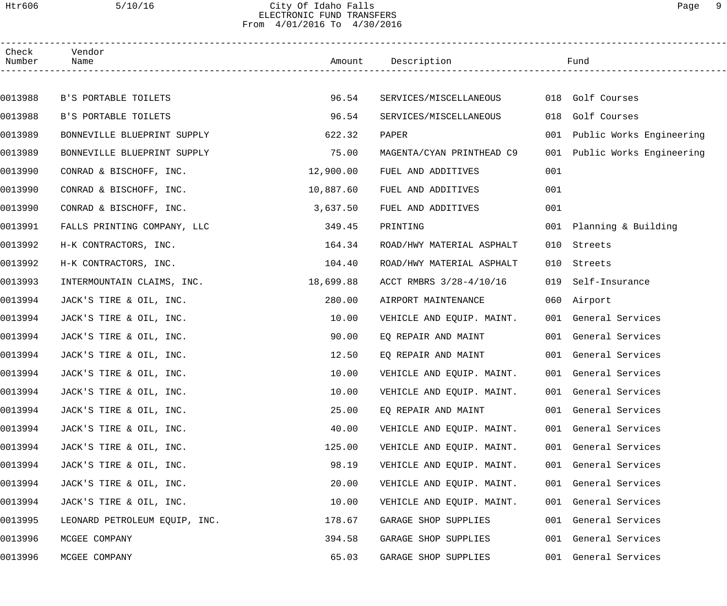## Htr606 5/10/16 City Of Idaho Falls Page 9 ELECTRONIC FUND TRANSFERS From 4/01/2016 To 4/30/2016

| Check<br>Number | Vendor<br>Name                |           | Amount Description        |     | Fund                         |  |
|-----------------|-------------------------------|-----------|---------------------------|-----|------------------------------|--|
|                 |                               |           |                           |     |                              |  |
| 0013988         | B'S PORTABLE TOILETS          | 96.54     | SERVICES/MISCELLANEOUS    |     | 018 Golf Courses             |  |
| 0013988         | B'S PORTABLE TOILETS          | 96.54     | SERVICES/MISCELLANEOUS    | 018 | Golf Courses                 |  |
| 0013989         | BONNEVILLE BLUEPRINT SUPPLY   | 622.32    | PAPER                     |     | 001 Public Works Engineering |  |
| 0013989         | BONNEVILLE BLUEPRINT SUPPLY   | 75.00     | MAGENTA/CYAN PRINTHEAD C9 |     | 001 Public Works Engineering |  |
| 0013990         | CONRAD & BISCHOFF, INC.       | 12,900.00 | FUEL AND ADDITIVES        | 001 |                              |  |
| 0013990         | CONRAD & BISCHOFF, INC.       | 10,887.60 | FUEL AND ADDITIVES        | 001 |                              |  |
| 0013990         | CONRAD & BISCHOFF, INC.       | 3,637.50  | FUEL AND ADDITIVES        | 001 |                              |  |
| 0013991         | FALLS PRINTING COMPANY, LLC   | 349.45    | PRINTING                  |     | 001 Planning & Building      |  |
| 0013992         | H-K CONTRACTORS, INC.         | 164.34    | ROAD/HWY MATERIAL ASPHALT | 010 | Streets                      |  |
| 0013992         | H-K CONTRACTORS, INC.         | 104.40    | ROAD/HWY MATERIAL ASPHALT | 010 | Streets                      |  |
| 0013993         | INTERMOUNTAIN CLAIMS, INC.    | 18,699.88 | ACCT RMBRS 3/28-4/10/16   | 019 | Self-Insurance               |  |
| 0013994         | JACK'S TIRE & OIL, INC.       | 280.00    | AIRPORT MAINTENANCE       |     | 060 Airport                  |  |
| 0013994         | JACK'S TIRE & OIL, INC.       | 10.00     | VEHICLE AND EQUIP. MAINT. |     | 001 General Services         |  |
| 0013994         | JACK'S TIRE & OIL, INC.       | 90.00     | EO REPAIR AND MAINT       |     | 001 General Services         |  |
| 0013994         | JACK'S TIRE & OIL, INC.       | 12.50     | EQ REPAIR AND MAINT       |     | 001 General Services         |  |
| 0013994         | JACK'S TIRE & OIL, INC.       | 10.00     | VEHICLE AND EQUIP. MAINT. |     | 001 General Services         |  |
| 0013994         | JACK'S TIRE & OIL, INC.       | 10.00     | VEHICLE AND EQUIP. MAINT. |     | 001 General Services         |  |
| 0013994         | JACK'S TIRE & OIL, INC.       | 25.00     | EQ REPAIR AND MAINT       |     | 001 General Services         |  |
| 0013994         | JACK'S TIRE & OIL, INC.       | 40.00     | VEHICLE AND EQUIP. MAINT. |     | 001 General Services         |  |
| 0013994         | JACK'S TIRE & OIL, INC.       | 125.00    | VEHICLE AND EQUIP. MAINT. |     | 001 General Services         |  |
| 0013994         | JACK'S TIRE & OIL, INC.       | 98.19     | VEHICLE AND EQUIP. MAINT. |     | 001 General Services         |  |
| 0013994         | JACK'S TIRE & OIL, INC.       | 20.00     | VEHICLE AND EQUIP. MAINT. |     | 001 General Services         |  |
| 0013994         | JACK'S TIRE & OIL, INC.       | 10.00     | VEHICLE AND EQUIP. MAINT. |     | 001 General Services         |  |
| 0013995         | LEONARD PETROLEUM EQUIP, INC. | 178.67    | GARAGE SHOP SUPPLIES      |     | 001 General Services         |  |
| 0013996         | MCGEE COMPANY                 | 394.58    | GARAGE SHOP SUPPLIES      |     | 001 General Services         |  |
| 0013996         | MCGEE COMPANY                 | 65.03     | GARAGE SHOP SUPPLIES      |     | 001 General Services         |  |
|                 |                               |           |                           |     |                              |  |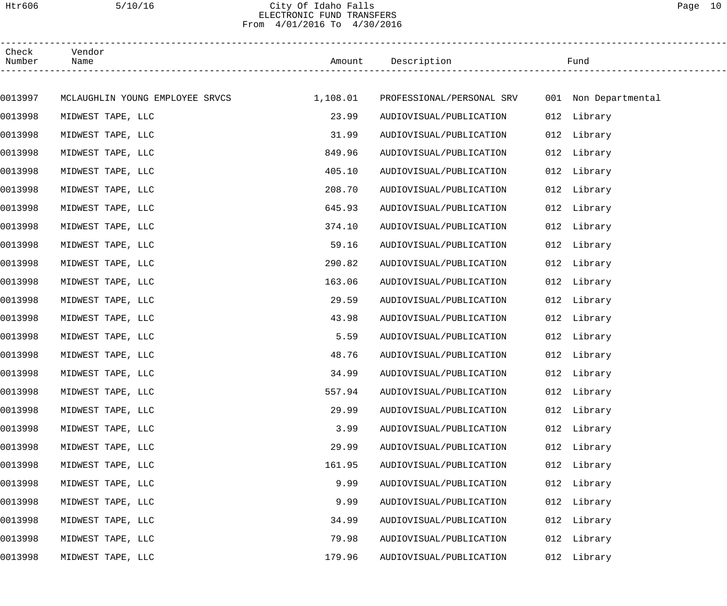### Htr606 5/10/16 City Of Idaho Falls Page 10 ELECTRONIC FUND TRANSFERS From 4/01/2016 To 4/30/2016

| Check<br>Number | Vendor<br>Name                           |        | Amount Description                             |     | Fund        |
|-----------------|------------------------------------------|--------|------------------------------------------------|-----|-------------|
|                 |                                          |        |                                                |     |             |
| 0013997         | MCLAUGHLIN YOUNG EMPLOYEE SRVCS 1,108.01 |        | PROFESSIONAL/PERSONAL SRV 001 Non Departmental |     |             |
| 0013998         | MIDWEST TAPE, LLC                        | 23.99  | AUDIOVISUAL/PUBLICATION                        |     | 012 Library |
| 0013998         | MIDWEST TAPE, LLC                        | 31.99  | AUDIOVISUAL/PUBLICATION                        |     | 012 Library |
| 0013998         | MIDWEST TAPE, LLC                        | 849.96 | AUDIOVISUAL/PUBLICATION                        |     | 012 Library |
| 0013998         | MIDWEST TAPE, LLC                        | 405.10 | AUDIOVISUAL/PUBLICATION                        |     | 012 Library |
| 0013998         | MIDWEST TAPE, LLC                        | 208.70 | AUDIOVISUAL/PUBLICATION                        |     | 012 Library |
| 0013998         | MIDWEST TAPE, LLC                        | 645.93 | AUDIOVISUAL/PUBLICATION                        |     | 012 Library |
| 0013998         | MIDWEST TAPE, LLC                        | 374.10 | AUDIOVISUAL/PUBLICATION                        |     | 012 Library |
| 0013998         | MIDWEST TAPE, LLC                        | 59.16  | AUDIOVISUAL/PUBLICATION                        |     | 012 Library |
| 0013998         | MIDWEST TAPE, LLC                        | 290.82 | AUDIOVISUAL/PUBLICATION                        |     | 012 Library |
| 0013998         | MIDWEST TAPE, LLC                        | 163.06 | AUDIOVISUAL/PUBLICATION                        |     | 012 Library |
| 0013998         | MIDWEST TAPE, LLC                        | 29.59  | AUDIOVISUAL/PUBLICATION                        |     | 012 Library |
| 0013998         | MIDWEST TAPE, LLC                        | 43.98  | AUDIOVISUAL/PUBLICATION                        |     | 012 Library |
| 0013998         | MIDWEST TAPE, LLC                        | 5.59   | AUDIOVISUAL/PUBLICATION                        |     | 012 Library |
| 0013998         | MIDWEST TAPE, LLC                        | 48.76  | AUDIOVISUAL/PUBLICATION                        |     | 012 Library |
| 0013998         | MIDWEST TAPE, LLC                        | 34.99  | AUDIOVISUAL/PUBLICATION                        |     | 012 Library |
| 0013998         | MIDWEST TAPE, LLC                        | 557.94 | AUDIOVISUAL/PUBLICATION                        |     | 012 Library |
| 0013998         | MIDWEST TAPE, LLC                        | 29.99  | AUDIOVISUAL/PUBLICATION                        |     | 012 Library |
| 0013998         | MIDWEST TAPE, LLC                        | 3.99   | AUDIOVISUAL/PUBLICATION                        |     | 012 Library |
| 0013998         | MIDWEST TAPE, LLC                        | 29.99  | AUDIOVISUAL/PUBLICATION                        |     | 012 Library |
| 0013998         | MIDWEST TAPE, LLC                        | 161.95 | AUDIOVISUAL/PUBLICATION                        |     | 012 Library |
| 0013998         | MIDWEST TAPE, LLC                        | 9.99   | AUDIOVISUAL/PUBLICATION                        | 012 | Library     |
| 0013998         | MIDWEST TAPE, LLC                        | 9.99   | AUDIOVISUAL/PUBLICATION                        | 012 | Library     |
| 0013998         | MIDWEST TAPE, LLC                        | 34.99  | AUDIOVISUAL/PUBLICATION                        | 012 | Library     |
| 0013998         | MIDWEST TAPE, LLC                        | 79.98  | AUDIOVISUAL/PUBLICATION                        | 012 | Library     |
| 0013998         | MIDWEST TAPE, LLC                        | 179.96 | AUDIOVISUAL/PUBLICATION                        |     | 012 Library |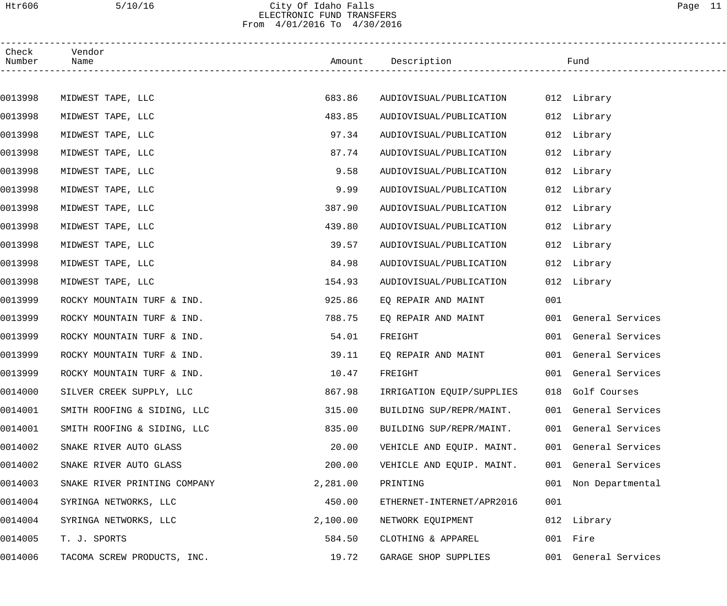### Htr606 5/10/16 City Of Idaho Falls Page 11 ELECTRONIC FUND TRANSFERS From 4/01/2016 To 4/30/2016

| Check<br>Number | Vendor<br>Name               |          | Amount Description        |     | Fund                 |
|-----------------|------------------------------|----------|---------------------------|-----|----------------------|
|                 |                              |          |                           |     |                      |
| 0013998         | MIDWEST TAPE, LLC            | 683.86   | AUDIOVISUAL/PUBLICATION   |     | 012 Library          |
| 0013998         | MIDWEST TAPE, LLC            | 483.85   | AUDIOVISUAL/PUBLICATION   |     | 012 Library          |
| 0013998         | MIDWEST TAPE, LLC            | 97.34    | AUDIOVISUAL/PUBLICATION   |     | 012 Library          |
| 0013998         | MIDWEST TAPE, LLC            | 87.74    | AUDIOVISUAL/PUBLICATION   |     | 012 Library          |
| 0013998         | MIDWEST TAPE, LLC            | 9.58     | AUDIOVISUAL/PUBLICATION   |     | 012 Library          |
| 0013998         | MIDWEST TAPE, LLC            | 9.99     | AUDIOVISUAL/PUBLICATION   |     | 012 Library          |
| 0013998         | MIDWEST TAPE, LLC            | 387.90   | AUDIOVISUAL/PUBLICATION   |     | 012 Library          |
| 0013998         | MIDWEST TAPE, LLC            | 439.80   | AUDIOVISUAL/PUBLICATION   |     | 012 Library          |
| 0013998         | MIDWEST TAPE, LLC            | 39.57    | AUDIOVISUAL/PUBLICATION   |     | 012 Library          |
| 0013998         | MIDWEST TAPE, LLC            | 84.98    | AUDIOVISUAL/PUBLICATION   |     | 012 Library          |
| 0013998         | MIDWEST TAPE, LLC            | 154.93   | AUDIOVISUAL/PUBLICATION   |     | 012 Library          |
| 0013999         | ROCKY MOUNTAIN TURF & IND.   | 925.86   | EQ REPAIR AND MAINT       | 001 |                      |
| 0013999         | ROCKY MOUNTAIN TURF & IND.   | 788.75   | EQ REPAIR AND MAINT       |     | 001 General Services |
| 0013999         | ROCKY MOUNTAIN TURF & IND.   | 54.01    | FREIGHT                   |     | 001 General Services |
| 0013999         | ROCKY MOUNTAIN TURF & IND.   | 39.11    | EQ REPAIR AND MAINT       |     | 001 General Services |
| 0013999         | ROCKY MOUNTAIN TURF & IND.   | 10.47    | FREIGHT                   |     | 001 General Services |
| 0014000         | SILVER CREEK SUPPLY, LLC     | 867.98   | IRRIGATION EQUIP/SUPPLIES |     | 018 Golf Courses     |
| 0014001         | SMITH ROOFING & SIDING, LLC  | 315.00   | BUILDING SUP/REPR/MAINT.  |     | 001 General Services |
| 0014001         | SMITH ROOFING & SIDING, LLC  | 835.00   | BUILDING SUP/REPR/MAINT.  |     | 001 General Services |
| 0014002         | SNAKE RIVER AUTO GLASS       | 20.00    | VEHICLE AND EQUIP. MAINT. |     | 001 General Services |
| 0014002         | SNAKE RIVER AUTO GLASS       | 200.00   | VEHICLE AND EQUIP. MAINT. |     | 001 General Services |
| 0014003         | SNAKE RIVER PRINTING COMPANY | 2,281.00 | PRINTING                  | 001 | Non Departmental     |
| 0014004         | SYRINGA NETWORKS, LLC        | 450.00   | ETHERNET-INTERNET/APR2016 | 001 |                      |
| 0014004         | SYRINGA NETWORKS, LLC        | 2,100.00 | NETWORK EQUIPMENT         |     | 012 Library          |
| 0014005         | T. J. SPORTS                 | 584.50   | CLOTHING & APPAREL        |     | 001 Fire             |
| 0014006         | TACOMA SCREW PRODUCTS, INC.  | 19.72    | GARAGE SHOP SUPPLIES      |     | 001 General Services |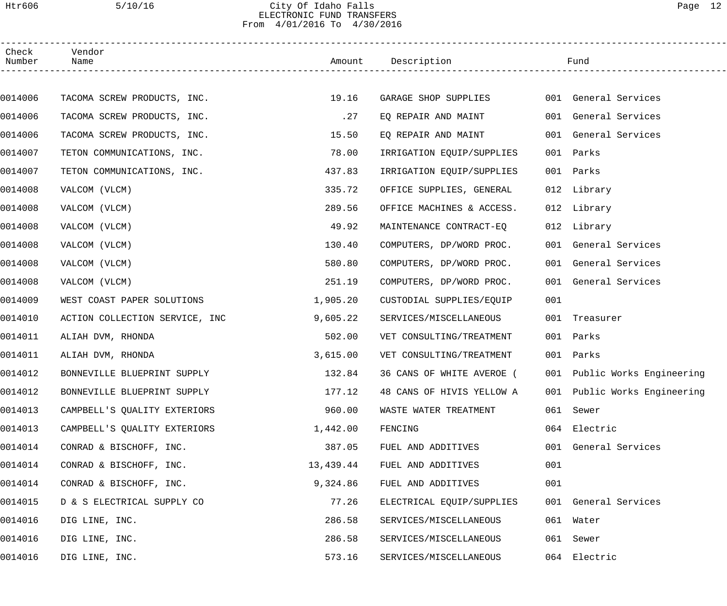### Htr606 5/10/16 City Of Idaho Falls Page 12 ELECTRONIC FUND TRANSFERS From 4/01/2016 To 4/30/2016

| Check<br>Number | Vendor<br>Name                 |           | Amount Description        |     | Fund                         |
|-----------------|--------------------------------|-----------|---------------------------|-----|------------------------------|
|                 |                                |           |                           |     |                              |
| 0014006         | TACOMA SCREW PRODUCTS, INC.    | 19.16     | GARAGE SHOP SUPPLIES      |     | 001 General Services         |
| 0014006         | TACOMA SCREW PRODUCTS, INC.    | .27       | EQ REPAIR AND MAINT       |     | 001 General Services         |
| 0014006         | TACOMA SCREW PRODUCTS, INC.    | 15.50     | EO REPAIR AND MAINT       |     | 001 General Services         |
| 0014007         | TETON COMMUNICATIONS, INC.     | 78.00     | IRRIGATION EQUIP/SUPPLIES |     | 001 Parks                    |
| 0014007         | TETON COMMUNICATIONS, INC.     | 437.83    | IRRIGATION EQUIP/SUPPLIES |     | 001 Parks                    |
| 0014008         | VALCOM (VLCM)                  | 335.72    | OFFICE SUPPLIES, GENERAL  |     | 012 Library                  |
| 0014008         | VALCOM (VLCM)                  | 289.56    | OFFICE MACHINES & ACCESS. |     | 012 Library                  |
| 0014008         | VALCOM (VLCM)                  | 49.92     | MAINTENANCE CONTRACT-EQ   |     | 012 Library                  |
| 0014008         | VALCOM (VLCM)                  | 130.40    | COMPUTERS, DP/WORD PROC.  |     | 001 General Services         |
| 0014008         | VALCOM (VLCM)                  | 580.80    | COMPUTERS, DP/WORD PROC.  |     | 001 General Services         |
| 0014008         | VALCOM (VLCM)                  | 251.19    | COMPUTERS, DP/WORD PROC.  |     | 001 General Services         |
| 0014009         | WEST COAST PAPER SOLUTIONS     | 1,905.20  | CUSTODIAL SUPPLIES/EQUIP  | 001 |                              |
| 0014010         | ACTION COLLECTION SERVICE, INC | 9,605.22  | SERVICES/MISCELLANEOUS    | 001 | Treasurer                    |
| 0014011         | ALIAH DVM, RHONDA              | 502.00    | VET CONSULTING/TREATMENT  |     | 001 Parks                    |
| 0014011         | ALIAH DVM, RHONDA              | 3,615.00  | VET CONSULTING/TREATMENT  | 001 | Parks                        |
| 0014012         | BONNEVILLE BLUEPRINT SUPPLY    | 132.84    | 36 CANS OF WHITE AVEROE ( |     | 001 Public Works Engineering |
| 0014012         | BONNEVILLE BLUEPRINT SUPPLY    | 177.12    | 48 CANS OF HIVIS YELLOW A |     | 001 Public Works Engineering |
| 0014013         | CAMPBELL'S QUALITY EXTERIORS   | 960.00    | WASTE WATER TREATMENT     |     | 061 Sewer                    |
| 0014013         | CAMPBELL'S QUALITY EXTERIORS   | 1,442.00  | FENCING                   |     | 064 Electric                 |
| 0014014         | CONRAD & BISCHOFF, INC.        | 387.05    | FUEL AND ADDITIVES        |     | 001 General Services         |
| 0014014         | CONRAD & BISCHOFF, INC.        | 13,439.44 | FUEL AND ADDITIVES        | 001 |                              |
| 0014014         | CONRAD & BISCHOFF, INC.        | 9,324.86  | FUEL AND ADDITIVES        | 001 |                              |
| 0014015         | D & S ELECTRICAL SUPPLY CO     | 77.26     | ELECTRICAL EQUIP/SUPPLIES |     | 001 General Services         |
| 0014016         | DIG LINE, INC.                 | 286.58    | SERVICES/MISCELLANEOUS    |     | 061 Water                    |
| 0014016         | DIG LINE, INC.                 | 286.58    | SERVICES/MISCELLANEOUS    | 061 | Sewer                        |
| 0014016         | DIG LINE, INC.                 | 573.16    | SERVICES/MISCELLANEOUS    |     | 064 Electric                 |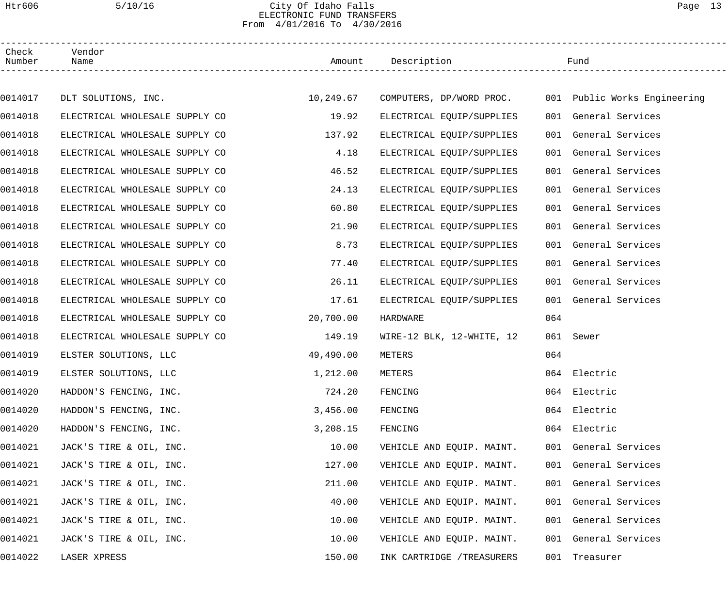### Htr606 5/10/16 City Of Idaho Falls Page 13 ELECTRONIC FUND TRANSFERS From 4/01/2016 To 4/30/2016

| Check<br>Number | Vendor<br>Name                 |           | Amount Description                                    |     | Fund                 |  |
|-----------------|--------------------------------|-----------|-------------------------------------------------------|-----|----------------------|--|
|                 |                                |           |                                                       |     |                      |  |
| 0014017         | DLT SOLUTIONS, INC.            | 10,249.67 | COMPUTERS, DP/WORD PROC. 001 Public Works Engineering |     |                      |  |
| 0014018         | ELECTRICAL WHOLESALE SUPPLY CO | 19.92     | ELECTRICAL EQUIP/SUPPLIES                             |     | 001 General Services |  |
| 0014018         | ELECTRICAL WHOLESALE SUPPLY CO | 137.92    | ELECTRICAL EQUIP/SUPPLIES                             |     | 001 General Services |  |
| 0014018         | ELECTRICAL WHOLESALE SUPPLY CO | 4.18      | ELECTRICAL EQUIP/SUPPLIES                             |     | 001 General Services |  |
| 0014018         | ELECTRICAL WHOLESALE SUPPLY CO | 46.52     | ELECTRICAL EQUIP/SUPPLIES                             |     | 001 General Services |  |
| 0014018         | ELECTRICAL WHOLESALE SUPPLY CO | 24.13     | ELECTRICAL EQUIP/SUPPLIES                             |     | 001 General Services |  |
| 0014018         | ELECTRICAL WHOLESALE SUPPLY CO | 60.80     | ELECTRICAL EQUIP/SUPPLIES                             |     | 001 General Services |  |
| 0014018         | ELECTRICAL WHOLESALE SUPPLY CO | 21.90     | ELECTRICAL EQUIP/SUPPLIES                             |     | 001 General Services |  |
| 0014018         | ELECTRICAL WHOLESALE SUPPLY CO | 8.73      | ELECTRICAL EQUIP/SUPPLIES                             |     | 001 General Services |  |
| 0014018         | ELECTRICAL WHOLESALE SUPPLY CO | 77.40     | ELECTRICAL EQUIP/SUPPLIES                             |     | 001 General Services |  |
| 0014018         | ELECTRICAL WHOLESALE SUPPLY CO | 26.11     | ELECTRICAL EQUIP/SUPPLIES                             |     | 001 General Services |  |
| 0014018         | ELECTRICAL WHOLESALE SUPPLY CO | 17.61     | ELECTRICAL EQUIP/SUPPLIES                             |     | 001 General Services |  |
| 0014018         | ELECTRICAL WHOLESALE SUPPLY CO | 20,700.00 | HARDWARE                                              | 064 |                      |  |
| 0014018         | ELECTRICAL WHOLESALE SUPPLY CO | 149.19    | WIRE-12 BLK, 12-WHITE, 12                             |     | 061 Sewer            |  |
| 0014019         | ELSTER SOLUTIONS, LLC          | 49,490.00 | METERS                                                | 064 |                      |  |
| 0014019         | ELSTER SOLUTIONS, LLC          | 1,212.00  | METERS                                                |     | 064 Electric         |  |
| 0014020         | HADDON'S FENCING, INC.         | 724.20    | FENCING                                               |     | 064 Electric         |  |
| 0014020         | HADDON'S FENCING, INC.         | 3,456.00  | FENCING                                               |     | 064 Electric         |  |
| 0014020         | HADDON'S FENCING, INC.         | 3,208.15  | FENCING                                               |     | 064 Electric         |  |
| 0014021         | JACK'S TIRE & OIL, INC.        | 10.00     | VEHICLE AND EQUIP. MAINT.                             |     | 001 General Services |  |
| 0014021         | JACK'S TIRE & OIL, INC.        | 127.00    | VEHICLE AND EQUIP. MAINT.                             |     | 001 General Services |  |
| 0014021         | JACK'S TIRE & OIL, INC.        | 211.00    | VEHICLE AND EQUIP. MAINT.                             |     | 001 General Services |  |
| 0014021         | JACK'S TIRE & OIL, INC.        | 40.00     | VEHICLE AND EQUIP. MAINT.                             |     | 001 General Services |  |
| 0014021         | JACK'S TIRE & OIL, INC.        | 10.00     | VEHICLE AND EQUIP. MAINT.                             |     | 001 General Services |  |
| 0014021         | JACK'S TIRE & OIL, INC.        | 10.00     | VEHICLE AND EQUIP. MAINT.                             |     | 001 General Services |  |
| 0014022         | LASER XPRESS                   | 150.00    | INK CARTRIDGE / TREASURERS                            |     | 001 Treasurer        |  |
|                 |                                |           |                                                       |     |                      |  |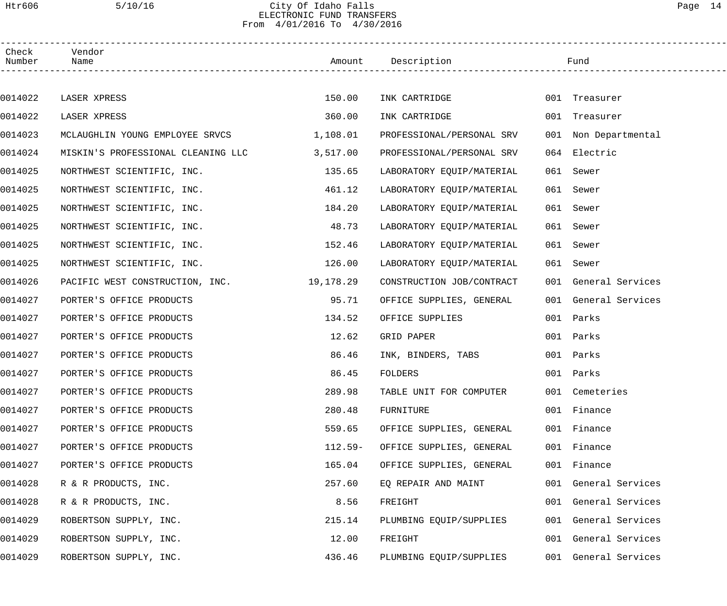### Htr606 5/10/16 City Of Idaho Falls Page 14 ELECTRONIC FUND TRANSFERS From 4/01/2016 To 4/30/2016

| Check<br>Number | Vendor<br>Name                     |           | Amount Description        |     | Fund                 |
|-----------------|------------------------------------|-----------|---------------------------|-----|----------------------|
|                 |                                    |           |                           |     |                      |
| 0014022         | LASER XPRESS                       | 150.00    | INK CARTRIDGE             |     | 001 Treasurer        |
| 0014022         | LASER XPRESS                       | 360.00    | INK CARTRIDGE             |     | 001 Treasurer        |
| 0014023         | MCLAUGHLIN YOUNG EMPLOYEE SRVCS    | 1,108.01  | PROFESSIONAL/PERSONAL SRV |     | 001 Non Departmental |
| 0014024         | MISKIN'S PROFESSIONAL CLEANING LLC | 3,517.00  | PROFESSIONAL/PERSONAL SRV |     | 064 Electric         |
| 0014025         | NORTHWEST SCIENTIFIC, INC.         | 135.65    | LABORATORY EQUIP/MATERIAL | 061 | Sewer                |
| 0014025         | NORTHWEST SCIENTIFIC, INC.         | 461.12    | LABORATORY EQUIP/MATERIAL | 061 | Sewer                |
| 0014025         | NORTHWEST SCIENTIFIC, INC.         | 184.20    | LABORATORY EQUIP/MATERIAL |     | 061 Sewer            |
| 0014025         | NORTHWEST SCIENTIFIC, INC.         | 48.73     | LABORATORY EQUIP/MATERIAL |     | 061 Sewer            |
| 0014025         | NORTHWEST SCIENTIFIC, INC.         | 152.46    | LABORATORY EQUIP/MATERIAL |     | 061 Sewer            |
| 0014025         | NORTHWEST SCIENTIFIC, INC.         | 126.00    | LABORATORY EQUIP/MATERIAL |     | 061 Sewer            |
| 0014026         | PACIFIC WEST CONSTRUCTION, INC.    | 19,178.29 | CONSTRUCTION JOB/CONTRACT |     | 001 General Services |
| 0014027         | PORTER'S OFFICE PRODUCTS           | 95.71     | OFFICE SUPPLIES, GENERAL  |     | 001 General Services |
| 0014027         | PORTER'S OFFICE PRODUCTS           | 134.52    | OFFICE SUPPLIES           |     | 001 Parks            |
| 0014027         | PORTER'S OFFICE PRODUCTS           | 12.62     | GRID PAPER                |     | 001 Parks            |
| 0014027         | PORTER'S OFFICE PRODUCTS           | 86.46     | INK, BINDERS, TABS        |     | 001 Parks            |
| 0014027         | PORTER'S OFFICE PRODUCTS           | 86.45     | FOLDERS                   |     | 001 Parks            |
| 0014027         | PORTER'S OFFICE PRODUCTS           | 289.98    | TABLE UNIT FOR COMPUTER   |     | 001 Cemeteries       |
| 0014027         | PORTER'S OFFICE PRODUCTS           | 280.48    | FURNITURE                 |     | 001 Finance          |
| 0014027         | PORTER'S OFFICE PRODUCTS           | 559.65    | OFFICE SUPPLIES, GENERAL  |     | 001 Finance          |
| 0014027         | PORTER'S OFFICE PRODUCTS           | $112.59-$ | OFFICE SUPPLIES, GENERAL  |     | 001 Finance          |
| 0014027         | PORTER'S OFFICE PRODUCTS           | 165.04    | OFFICE SUPPLIES, GENERAL  |     | 001 Finance          |
| 0014028         | R & R PRODUCTS, INC.               | 257.60    | EQ REPAIR AND MAINT       |     | 001 General Services |
| 0014028         | R & R PRODUCTS, INC.               | 8.56      | FREIGHT                   |     | 001 General Services |
| 0014029         | ROBERTSON SUPPLY, INC.             | 215.14    | PLUMBING EQUIP/SUPPLIES   |     | 001 General Services |
| 0014029         | ROBERTSON SUPPLY, INC.             | 12.00     | FREIGHT                   |     | 001 General Services |
| 0014029         | ROBERTSON SUPPLY, INC.             | 436.46    | PLUMBING EQUIP/SUPPLIES   |     | 001 General Services |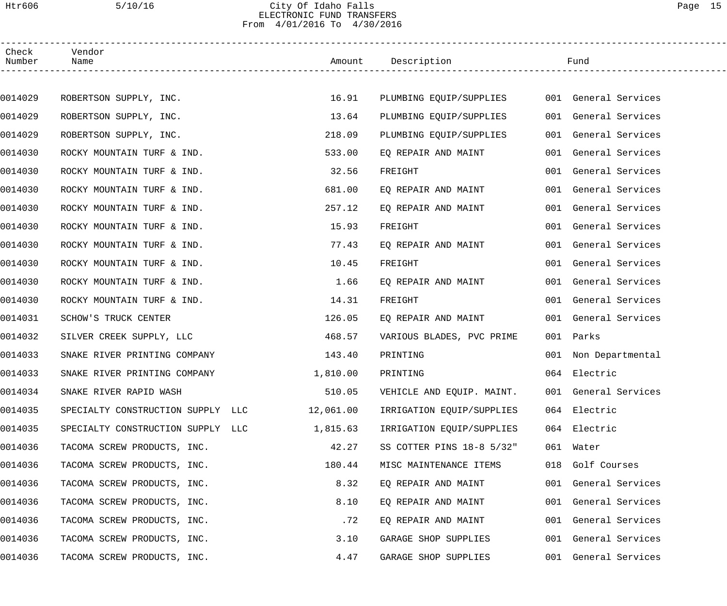### Htr606 5/10/16 City Of Idaho Falls Page 15 ELECTRONIC FUND TRANSFERS From 4/01/2016 To 4/30/2016

| Check<br>Number | Vendor<br>Name                    |           | Amount Description        | Fund                 |
|-----------------|-----------------------------------|-----------|---------------------------|----------------------|
|                 |                                   |           |                           |                      |
| 0014029         | ROBERTSON SUPPLY, INC.            | 16.91     | PLUMBING EQUIP/SUPPLIES   | 001 General Services |
| 0014029         | ROBERTSON SUPPLY, INC.            | 13.64     | PLUMBING EQUIP/SUPPLIES   | 001 General Services |
| 0014029         | ROBERTSON SUPPLY, INC.            | 218.09    | PLUMBING EQUIP/SUPPLIES   | 001 General Services |
| 0014030         | ROCKY MOUNTAIN TURF & IND.        | 533.00    | EQ REPAIR AND MAINT       | 001 General Services |
| 0014030         | ROCKY MOUNTAIN TURF & IND.        | 32.56     | FREIGHT                   | 001 General Services |
| 0014030         | ROCKY MOUNTAIN TURF & IND.        | 681.00    | EQ REPAIR AND MAINT       | 001 General Services |
| 0014030         | ROCKY MOUNTAIN TURF & IND.        | 257.12    | EO REPAIR AND MAINT       | 001 General Services |
| 0014030         | ROCKY MOUNTAIN TURF & IND.        | 15.93     | FREIGHT                   | 001 General Services |
| 0014030         | ROCKY MOUNTAIN TURF & IND.        | 77.43     | EQ REPAIR AND MAINT       | 001 General Services |
| 0014030         | ROCKY MOUNTAIN TURF & IND.        | 10.45     | FREIGHT                   | 001 General Services |
| 0014030         | ROCKY MOUNTAIN TURF & IND.        | 1.66      | EQ REPAIR AND MAINT       | 001 General Services |
| 0014030         | ROCKY MOUNTAIN TURF & IND.        | 14.31     | FREIGHT                   | 001 General Services |
| 0014031         | SCHOW'S TRUCK CENTER              | 126.05    | EQ REPAIR AND MAINT       | 001 General Services |
| 0014032         | SILVER CREEK SUPPLY, LLC          | 468.57    | VARIOUS BLADES, PVC PRIME | 001 Parks            |
| 0014033         | SNAKE RIVER PRINTING COMPANY      | 143.40    | PRINTING                  | 001 Non Departmental |
| 0014033         | SNAKE RIVER PRINTING COMPANY      | 1,810.00  | PRINTING                  | 064 Electric         |
| 0014034         | SNAKE RIVER RAPID WASH            | 510.05    | VEHICLE AND EQUIP. MAINT. | 001 General Services |
| 0014035         | SPECIALTY CONSTRUCTION SUPPLY LLC | 12,061.00 | IRRIGATION EQUIP/SUPPLIES | 064 Electric         |
| 0014035         | SPECIALTY CONSTRUCTION SUPPLY LLC | 1,815.63  | IRRIGATION EQUIP/SUPPLIES | 064 Electric         |
| 0014036         | TACOMA SCREW PRODUCTS, INC.       | 42.27     | SS COTTER PINS 18-8 5/32" | 061 Water            |
| 0014036         | TACOMA SCREW PRODUCTS, INC.       | 180.44    | MISC MAINTENANCE ITEMS    | 018 Golf Courses     |
| 0014036         | TACOMA SCREW PRODUCTS, INC.       | 8.32      | EQ REPAIR AND MAINT       | 001 General Services |
| 0014036         | TACOMA SCREW PRODUCTS, INC.       | 8.10      | EQ REPAIR AND MAINT       | 001 General Services |
| 0014036         | TACOMA SCREW PRODUCTS, INC.       | .72       | EQ REPAIR AND MAINT       | 001 General Services |
| 0014036         | TACOMA SCREW PRODUCTS, INC.       | 3.10      | GARAGE SHOP SUPPLIES      | 001 General Services |
| 0014036         | TACOMA SCREW PRODUCTS, INC.       | 4.47      | GARAGE SHOP SUPPLIES      | 001 General Services |
|                 |                                   |           |                           |                      |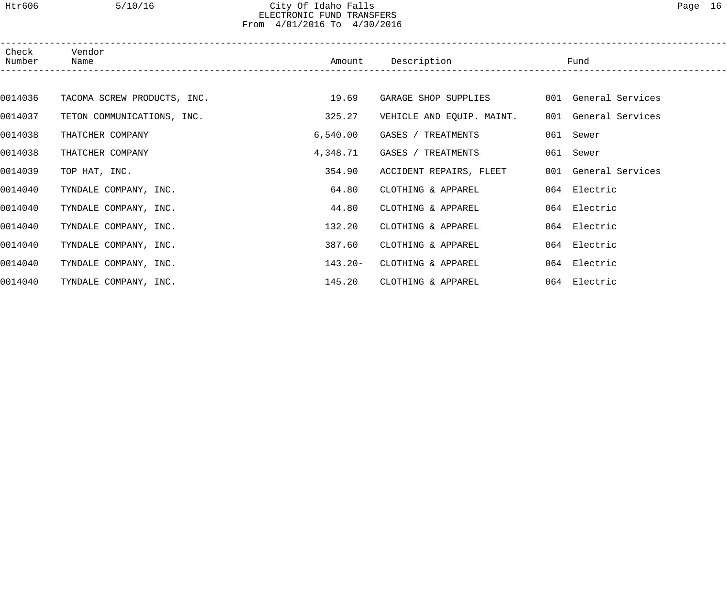### Htr606 5/10/16 City Of Idaho Falls Page 16 ELECTRONIC FUND TRANSFERS From 4/01/2016 To 4/30/2016

| Check<br>Number | Vendor<br>Name              | Amount   | Description               | Fund                 |
|-----------------|-----------------------------|----------|---------------------------|----------------------|
|                 |                             |          |                           |                      |
| 0014036         | TACOMA SCREW PRODUCTS, INC. | 19.69    | GARAGE SHOP SUPPLIES      | 001 General Services |
| 0014037         | TETON COMMUNICATIONS, INC.  | 325.27   | VEHICLE AND EQUIP. MAINT. | 001 General Services |
| 0014038         | THATCHER COMPANY            | 6,540.00 | GASES / TREATMENTS        | 061 Sewer            |
| 0014038         | THATCHER COMPANY            | 4,348.71 | GASES / TREATMENTS        | 061 Sewer            |
| 0014039         | TOP HAT, INC.               | 354.90   | ACCIDENT REPAIRS, FLEET   | 001 General Services |
| 0014040         | TYNDALE COMPANY, INC.       | 64.80    | CLOTHING & APPAREL        | 064 Electric         |
| 0014040         | TYNDALE COMPANY, INC.       | 44.80    | CLOTHING & APPAREL        | 064 Electric         |
| 0014040         | TYNDALE COMPANY, INC.       | 132.20   | CLOTHING & APPAREL        | 064 Electric         |
| 0014040         | TYNDALE COMPANY, INC.       | 387.60   | CLOTHING & APPAREL        | 064 Electric         |
| 0014040         | TYNDALE COMPANY, INC.       | 143.20-  | CLOTHING & APPAREL        | 064 Electric         |
| 0014040         | TYNDALE COMPANY, INC.       | 145.20   | CLOTHING & APPAREL        | 064 Electric         |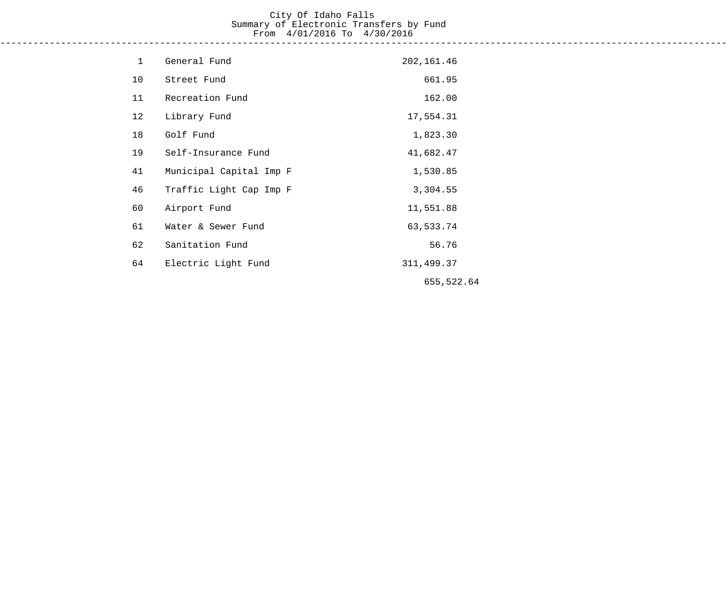# City Of Idaho Falls Summary of Electronic Transfers by Fund From 4/01/2016 To 4/30/2016

------------------------------------------------------------------------------------------------------------------------------------

| $\mathbf 1$ | General Fund            | 202,161.46  |
|-------------|-------------------------|-------------|
| 10          | Street Fund             | 661.95      |
| 11          | Recreation Fund         | 162.00      |
| 12          | Library Fund            | 17,554.31   |
| 18          | Golf Fund               | 1,823.30    |
| 19          | Self-Insurance Fund     | 41,682.47   |
| 41          | Municipal Capital Imp F | 1,530.85    |
| 46          | Traffic Light Cap Imp F | 3,304.55    |
| 60          | Airport Fund            | 11,551.88   |
| 61          | Water & Sewer Fund      | 63,533.74   |
| 62          | Sanitation Fund         | 56.76       |
| 64          | Electric Light Fund     | 311, 499.37 |
|             |                         | 655,522.64  |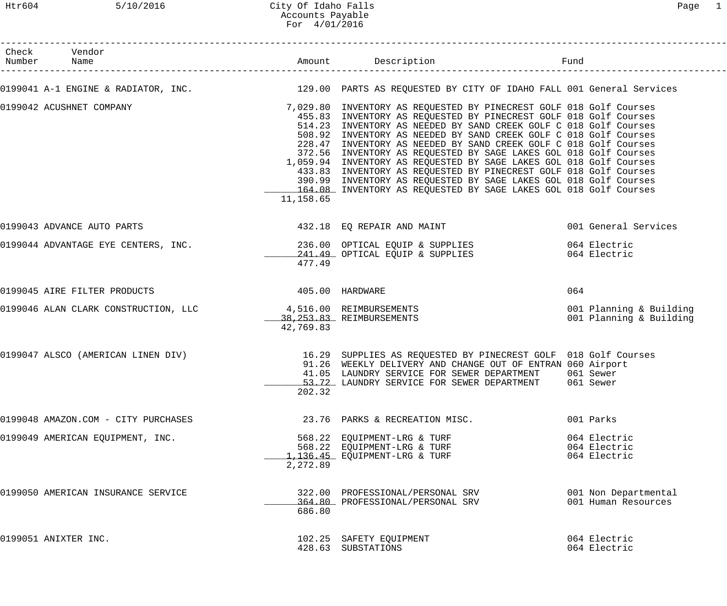# Htr604 5/10/2016 City Of Idaho Falls Page 1 Accounts Payable For 4/01/2016

| Check Vendor<br>Number Name         |                 | Amount Description                                                                                                                                                                                                                                                                                                                                                                                                                                                                                                                                                                                                                                                                                       | Fund                                               |
|-------------------------------------|-----------------|----------------------------------------------------------------------------------------------------------------------------------------------------------------------------------------------------------------------------------------------------------------------------------------------------------------------------------------------------------------------------------------------------------------------------------------------------------------------------------------------------------------------------------------------------------------------------------------------------------------------------------------------------------------------------------------------------------|----------------------------------------------------|
|                                     |                 | 0199041 A-1 ENGINE & RADIATOR, INC. THE MANUME 129.00 PARTS AS REQUESTED BY CITY OF IDAHO FALL 001 General Services                                                                                                                                                                                                                                                                                                                                                                                                                                                                                                                                                                                      |                                                    |
| 0199042 ACUSHNET COMPANY            | 11,158.65       | 7,029.80 INVENTORY AS REQUESTED BY PINECREST GOLF 018 Golf Courses<br>455.83 INVENTORY AS REQUESTED BY PINECREST GOLF 018 Golf Courses<br>514.23 INVENTORY AS NEEDED BY SAND CREEK GOLF C 018 Golf Courses<br>508.92 INVENTORY AS NEEDED BY SAND CREEK GOLF C 018 Golf Courses<br>228.47 INVENTORY AS NEEDED BY SAND CREEK GOLF C 018 Golf Courses<br>372.56 INVENTORY AS REQUESTED BY SAGE LAKES GOL 018 Golf Courses<br>1,059.94 INVENTORY AS REQUESTED BY SAGE LAKES GOL 018 Golf Courses<br>433.83 INVENTORY AS REQUESTED BY PINECREST GOLF 018 Golf Courses<br>390.99 INVENTORY AS REQUESTED BY SAGE LAKES GOL 018 Golf Courses<br>164.08 INVENTORY AS REQUESTED BY SAGE LAKES GOL 018 Golf Courses |                                                    |
| 0199043 ADVANCE AUTO PARTS          |                 | 432.18 EQ REPAIR AND MAINT                                                                                                                                                                                                                                                                                                                                                                                                                                                                                                                                                                                                                                                                               | 001 General Services                               |
|                                     | 477.49          | 0199044 ADVANTAGE EYE CENTERS, INC. 236.00 OPTICAL EQUIP & SUPPLIES<br>241.49 OPTICAL EQUIP & SUPPLIES                                                                                                                                                                                                                                                                                                                                                                                                                                                                                                                                                                                                   | 064 Electric<br>064 Electric                       |
| 0199045 AIRE FILTER PRODUCTS        | 405.00 HARDWARE |                                                                                                                                                                                                                                                                                                                                                                                                                                                                                                                                                                                                                                                                                                          | 064                                                |
|                                     | 42,769.83       | 0199046 ALAN CLARK CONSTRUCTION, LLC $\begin{array}{r}4,516.00 \ 4,253.83 \ 3.8,253.83\end{array}$ REIMBURSEMENTS                                                                                                                                                                                                                                                                                                                                                                                                                                                                                                                                                                                        | 001 Planning & Building<br>001 Planning & Building |
|                                     | 202.32          | 0199047 ALSCO (AMERICAN LINEN DIV) 16.29 SUPPLIES AS REQUESTED BY PINECREST GOLF 018 Golf Courses<br>91.26 WEEKLY DELIVERY AND CHANGE OUT OF ENTRAN 060 Airport<br>41.05 LAUNDRY SERVICE FOR SEWER DEPARTMENT<br>53.72 LAUNDRY SERVICE FOR SEWER DEPARTMENT 061 Sewer                                                                                                                                                                                                                                                                                                                                                                                                                                    | 061 Sewer                                          |
| 0199048 AMAZON.COM - CITY PURCHASES |                 | 23.76 PARKS & RECREATION MISC.                                                                                                                                                                                                                                                                                                                                                                                                                                                                                                                                                                                                                                                                           | 001 Parks                                          |
| 0199049 AMERICAN EQUIPMENT, INC.    | 2,272.89        | 568.22 EQUIPMENT-LRG & TURF<br>568.22 EQUIPMENT-LRG & TURF<br>1,136.45 EQUIPMENT-LRG & TURF                                                                                                                                                                                                                                                                                                                                                                                                                                                                                                                                                                                                              | 064 Electric<br>064 Electric<br>064 Electric       |
| 0199050 AMERICAN INSURANCE SERVICE  | 686.80          | 322.00 PROFESSIONAL/PERSONAL SRV<br>364.80 PROFESSIONAL/PERSONAL SRV                                                                                                                                                                                                                                                                                                                                                                                                                                                                                                                                                                                                                                     | 001 Non Departmental<br>001 Human Resources        |
| 0199051 ANIXTER INC.                |                 | 102.25 SAFETY EQUIPMENT<br>428.63 SUBSTATIONS                                                                                                                                                                                                                                                                                                                                                                                                                                                                                                                                                                                                                                                            | 064 Electric<br>064 Electric                       |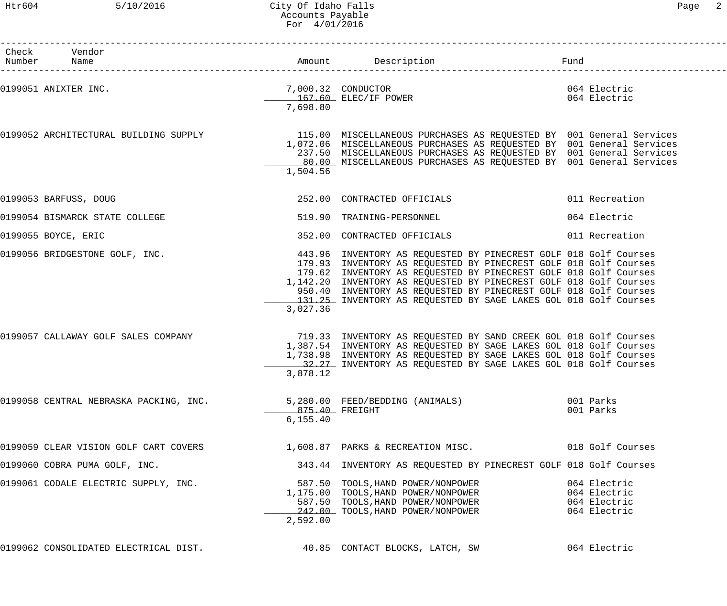| Check Vendor<br>Number Name                                                                                                             |                             |                                                                                                                                                                                                                                                                                                                                                    |                                                              |
|-----------------------------------------------------------------------------------------------------------------------------------------|-----------------------------|----------------------------------------------------------------------------------------------------------------------------------------------------------------------------------------------------------------------------------------------------------------------------------------------------------------------------------------------------|--------------------------------------------------------------|
| 0199051 ANIXTER INC.<br>2,000.32 CONDUCTOR<br>267.60 ELEC/IF POWER                                                                      | 7,698.80                    |                                                                                                                                                                                                                                                                                                                                                    | 064 Electric<br>064 Electric                                 |
| 0199052 ARCHITECTURAL BUILDING SUPPLY 115.00 MISCELLANEOUS PURCHASES AS REQUESTED BY 001 General Services                               | 1,504.56                    | 1,072.06 MISCELLANEOUS PURCHASES AS REQUESTED BY 001 General Services<br>237.50 MISCELLANEOUS PURCHASES AS REQUESTED BY 001 General Services<br>80.00 MISCELLANEOUS PURCHASES AS REQUESTED BY 001 General Services                                                                                                                                 |                                                              |
| 0199053 BARFUSS, DOUG                                                                                                                   |                             | 252.00 CONTRACTED OFFICIALS                                                                                                                                                                                                                                                                                                                        | 011 Recreation                                               |
| 0199054 BISMARCK STATE COLLEGE                                                                                                          |                             | 519.90 TRAINING-PERSONNEL                                                                                                                                                                                                                                                                                                                          | 064 Electric                                                 |
| 0199055 BOYCE, ERIC                                                                                                                     |                             | 352.00 CONTRACTED OFFICIALS                                                                                                                                                                                                                                                                                                                        | 011 Recreation                                               |
| 0199056 BRIDGESTONE GOLF, INC. THE SALE MANUSIC MEASURE AND MODES TO A 443.96 INVENTORY AS REQUESTED BY PINECREST GOLF 018 Golf Courses | 3,027.36                    | 179.93 INVENTORY AS REQUESTED BY PINECREST GOLF 018 Golf Courses<br>179.62 INVENTORY AS REQUESTED BY PINECREST GOLF 018 Golf Courses<br>1,142.20 INVENTORY AS REQUESTED BY PINECREST GOLF 018 Golf Courses<br>950.40 INVENTORY AS REQUESTED BY PINECREST GOLF 018 Golf Courses<br>131.25 INVENTORY AS REQUESTED BY SAGE LAKES GOL 018 Golf Courses |                                                              |
| 0199057 CALLAWAY GOLF SALES COMPANY                                                                                                     | 3,878.12                    | 719.33 INVENTORY AS REQUESTED BY SAND CREEK GOL 018 Golf Courses<br>1,387.54 INVENTORY AS REQUESTED BY SAGE LAKES GOL 018 Golf Courses<br>1,738.98 INVENTORY AS REQUESTED BY SAGE LAKES GOL 018 Golf Courses<br>32.27 INVENTORY AS REQUESTED BY SAGE LAKES GOL 018 Golf Courses                                                                    |                                                              |
| 0199058 CENTRAL NEBRASKA PACKING, INC.                                                                                                  | 875.40 FREIGHT<br>6, 155.40 | 5,280.00 FEED/BEDDING (ANIMALS)                                                                                                                                                                                                                                                                                                                    | 001 Parks<br>001 Parks                                       |
| 0199059 CLEAR VISION GOLF CART COVERS 1,608.87 PARKS & RECREATION MISC. 018 Golf Courses                                                |                             |                                                                                                                                                                                                                                                                                                                                                    |                                                              |
| 0199060 COBRA PUMA GOLF, INC.                                                                                                           |                             | 343.44 INVENTORY AS REQUESTED BY PINECREST GOLF 018 Golf Courses                                                                                                                                                                                                                                                                                   |                                                              |
| 0199061 CODALE ELECTRIC SUPPLY, INC.                                                                                                    | 2,592.00                    | 587.50 TOOLS, HAND POWER/NONPOWER<br>1,175.00 TOOLS, HAND POWER/NONPOWER<br>587.50 TOOLS, HAND POWER/NONPOWER<br>242.00 TOOLS, HAND POWER/NONPOWER                                                                                                                                                                                                 | 064 Electric<br>064 Electric<br>064 Electric<br>064 Electric |
| 0199062 CONSOLIDATED ELECTRICAL DIST.                        40.85  CONTACT BLOCKS, LATCH, SW                                           |                             |                                                                                                                                                                                                                                                                                                                                                    | 064 Electric                                                 |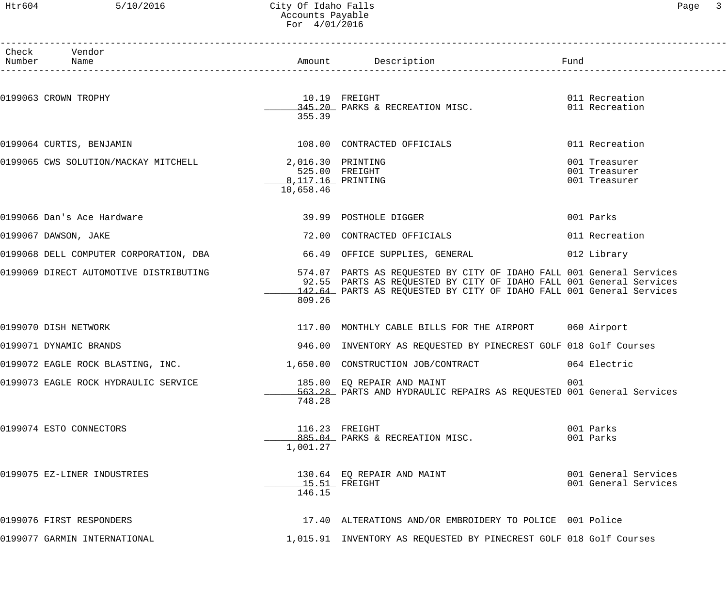### Htr604 5/10/2016 City Of Idaho Falls Page 3 Accounts Payable For 4/01/2016

| aar |  |
|-----|--|
|     |  |

| Check Vendor<br>Number Name                                                                                 |                                                   |                                                                                                                                             |                                                 |
|-------------------------------------------------------------------------------------------------------------|---------------------------------------------------|---------------------------------------------------------------------------------------------------------------------------------------------|-------------------------------------------------|
| 0199063 CROWN TROPHY                                                                                        | 10.19 FREIGHT<br>355.39                           | 10.19 FREIGHT 10.19 CHECKERTION MISC.<br>145.20 PARKS & RECREATION MISC. 1011 Recreation                                                    |                                                 |
| 0199064 CURTIS, BENJAMIN                                                                                    |                                                   | 108.00 CONTRACTED OFFICIALS                                                                                                                 | 011 Recreation                                  |
| 0199065 CWS SOLUTION/MACKAY MITCHELL 2,016.30 PRINTING                                                      | 525.00 FREIGHT<br>8, 117.16 PRINTING<br>10,658.46 |                                                                                                                                             | 001 Treasurer<br>001 Treasurer<br>001 Treasurer |
| 0199066 Dan's Ace Hardware                                                                                  |                                                   | 39.99 POSTHOLE DIGGER                                                                                                                       | 001 Parks                                       |
| 0199067 DAWSON, JAKE                                                                                        |                                                   | 72.00 CONTRACTED OFFICIALS                                                                                                                  | 011 Recreation                                  |
| 0199068 DELL COMPUTER CORPORATION, DBA 66.49 OFFICE SUPPLIES, GENERAL                                       |                                                   |                                                                                                                                             | 012 Library                                     |
| 0199069 DIRECT AUTOMOTIVE DISTRIBUTING 574.07 PARTS AS REQUESTED BY CITY OF IDAHO FALL 001 General Services | 809.26                                            | 92.55 PARTS AS REQUESTED BY CITY OF IDAHO FALL 001 General Services<br>142.64 PARTS AS REQUESTED BY CITY OF IDAHO FALL 001 General Services |                                                 |
| 0199070 DISH NETWORK                                                                                        |                                                   | 117.00 MONTHLY CABLE BILLS FOR THE AIRPORT 060 Airport                                                                                      |                                                 |
| 0199071 DYNAMIC BRANDS                                                                                      |                                                   | 946.00 INVENTORY AS REQUESTED BY PINECREST GOLF 018 Golf Courses                                                                            |                                                 |
| 0199072 EAGLE ROCK BLASTING, INC. 1,650.00 CONSTRUCTION JOB/CONTRACT 064 Electric                           |                                                   |                                                                                                                                             |                                                 |
| 0199073 EAGLE ROCK HYDRAULIC SERVICE THE SERIES ON THE SERIE AND MAINT                                      | 748.28                                            | 563.28 PARTS AND HYDRAULIC REPAIRS AS REQUESTED 001 General Services                                                                        | 001                                             |
| 0199074 ESTO CONNECTORS                                                                                     | 1,001.27                                          | 116.23 FREIGHT<br>885.04 PARKS & RECREATION MISC.                                                                                           | 001 Parks<br>001 Parks                          |
| 0199075 EZ-LINER INDUSTRIES                                                                                 | 146.15                                            | 130.64 EO REPAIR AND MAINT<br>$15.51$ FREIGHT                                                                                               | 001 General Services<br>001 General Services    |
| 0199076 FIRST RESPONDERS                                                                                    |                                                   | 17.40 ALTERATIONS AND/OR EMBROIDERY TO POLICE 001 Police                                                                                    |                                                 |
| 0199077 GARMIN INTERNATIONAL                                                                                |                                                   | 1,015.91 INVENTORY AS REQUESTED BY PINECREST GOLF 018 Golf Courses                                                                          |                                                 |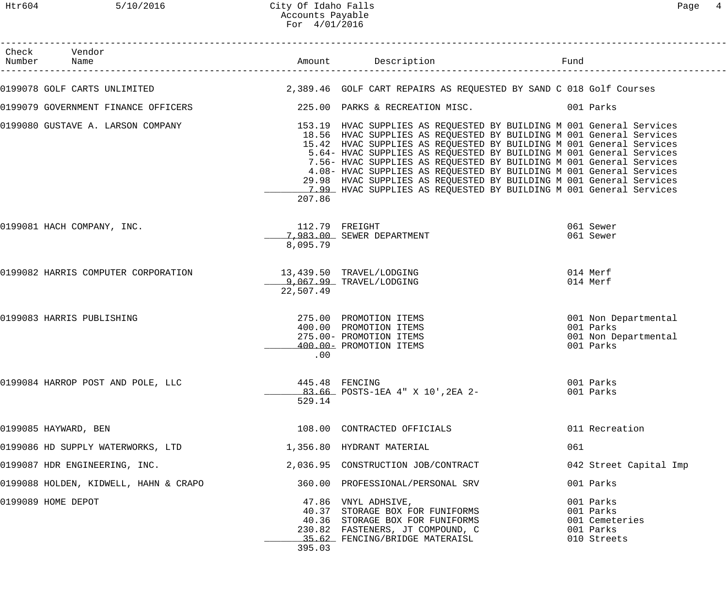| Check Vendor<br>Number Name           |           |                                                                                                                                                                                                                                                                                                                                                                                                                                                                                                                                                                                      |     |                                                                        |
|---------------------------------------|-----------|--------------------------------------------------------------------------------------------------------------------------------------------------------------------------------------------------------------------------------------------------------------------------------------------------------------------------------------------------------------------------------------------------------------------------------------------------------------------------------------------------------------------------------------------------------------------------------------|-----|------------------------------------------------------------------------|
|                                       |           | 0199078 GOLF CARTS UNLIMITED (2,389.46 GOLF CART REPAIRS AS REQUESTED BY SAND C 018 Golf Courses                                                                                                                                                                                                                                                                                                                                                                                                                                                                                     |     |                                                                        |
| 0199079 GOVERNMENT FINANCE OFFICERS   |           | 225.00 PARKS & RECREATION MISC. 001 Parks                                                                                                                                                                                                                                                                                                                                                                                                                                                                                                                                            |     |                                                                        |
| 0199080 GUSTAVE A. LARSON COMPANY     | 207.86    | 153.19 HVAC SUPPLIES AS REQUESTED BY BUILDING M 001 General Services<br>18.56 HVAC SUPPLIES AS REQUESTED BY BUILDING M 001 General Services<br>15.42 HVAC SUPPLIES AS REQUESTED BY BUILDING M 001 General Services<br>5.64- HVAC SUPPLIES AS REQUESTED BY BUILDING M 001 General Services<br>7.56- HVAC SUPPLIES AS REQUESTED BY BUILDING M 001 General Services<br>4.08- HVAC SUPPLIES AS REQUESTED BY BUILDING M 001 General Services<br>29.98 HVAC SUPPLIES AS REQUESTED BY BUILDING M 001 General Services<br>7.99 HVAC SUPPLIES AS REQUESTED BY BUILDING M 001 General Services |     |                                                                        |
| 0199081 HACH COMPANY, INC.            | 8,095.79  | 112.79 FREIGHT<br>7,983.00 SEWER DEPARTMENT                                                                                                                                                                                                                                                                                                                                                                                                                                                                                                                                          |     | 061 Sewer<br>061 Sewer                                                 |
| 0199082 HARRIS COMPUTER CORPORATION   | 22,507.49 | 13,439.50 TRAVEL/LODGING<br>9,067.99 TRAVEL/LODGING                                                                                                                                                                                                                                                                                                                                                                                                                                                                                                                                  |     | 014 Merf<br>014 Merf                                                   |
| 0199083 HARRIS PUBLISHING             | .00       | 275.00 PROMOTION ITEMS<br>400.00 PROMOTION ITEMS<br>275.00- PROMOTION ITEMS<br>400.00- PROMOTION ITEMS                                                                                                                                                                                                                                                                                                                                                                                                                                                                               |     | 001 Non Departmental<br>001 Parks<br>001 Non Departmental<br>001 Parks |
| 0199084 HARROP POST AND POLE, LLC     | 529.14    | 445.48 FENCING<br>83.66 POSTS-1EA 4" X 10',2EA 2-                                                                                                                                                                                                                                                                                                                                                                                                                                                                                                                                    |     | 001 Parks<br>001 Parks                                                 |
| 0199085 HAYWARD, BEN                  |           | 108.00 CONTRACTED OFFICIALS                                                                                                                                                                                                                                                                                                                                                                                                                                                                                                                                                          |     | 011 Recreation                                                         |
| 0199086 HD SUPPLY WATERWORKS, LTD     |           | 1,356.80 HYDRANT MATERIAL                                                                                                                                                                                                                                                                                                                                                                                                                                                                                                                                                            | 061 |                                                                        |
| 0199087 HDR ENGINEERING, INC.         |           | 2,036.95 CONSTRUCTION JOB/CONTRACT                                                                                                                                                                                                                                                                                                                                                                                                                                                                                                                                                   |     | 042 Street Capital Imp                                                 |
| 0199088 HOLDEN, KIDWELL, HAHN & CRAPO |           | 360.00 PROFESSIONAL/PERSONAL SRV                                                                                                                                                                                                                                                                                                                                                                                                                                                                                                                                                     |     | 001 Parks                                                              |
| 0199089 HOME DEPOT                    | 395.03    | 47.86 VNYL ADHSIVE,<br>40.37 STORAGE BOX FOR FUNIFORMS<br>40.36 STORAGE BOX FOR FUNIFORMS<br>230.82 FASTENERS, JT COMPOUND, C<br>35.62 FENCING/BRIDGE MATERAISL                                                                                                                                                                                                                                                                                                                                                                                                                      |     | 001 Parks<br>001 Parks<br>001 Cemeteries<br>001 Parks<br>010 Streets   |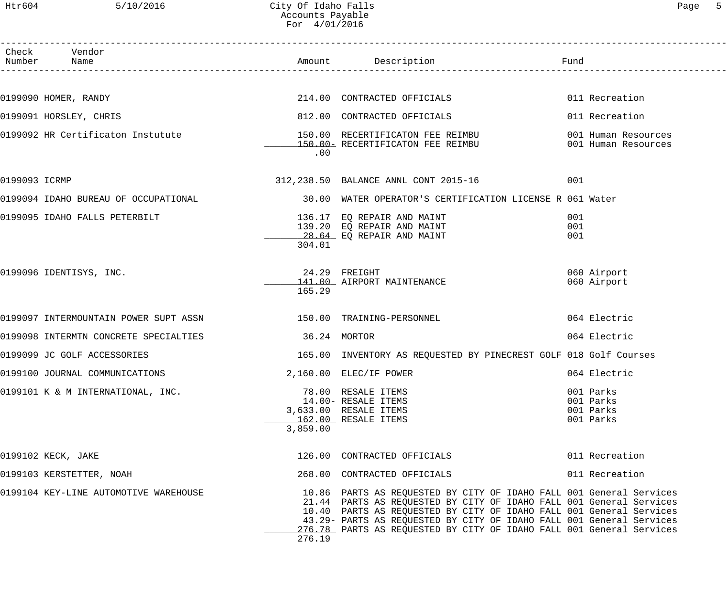|               | Check Vendor<br>Number Name           |              |                                                                                                                                                                                                                                                                                                                                                                   |                                                  |
|---------------|---------------------------------------|--------------|-------------------------------------------------------------------------------------------------------------------------------------------------------------------------------------------------------------------------------------------------------------------------------------------------------------------------------------------------------------------|--------------------------------------------------|
|               |                                       |              |                                                                                                                                                                                                                                                                                                                                                                   |                                                  |
|               | 0199090 HOMER, RANDY                  |              | 214.00 CONTRACTED OFFICIALS                                                                                                                                                                                                                                                                                                                                       | 011 Recreation                                   |
|               | 0199091 HORSLEY, CHRIS                |              | 812.00 CONTRACTED OFFICIALS                                                                                                                                                                                                                                                                                                                                       | 011 Recreation                                   |
|               | 0199092 HR Certificaton Instutute     | .00          | 150.00 RECERTIFICATON FEE REIMBU<br>150.00 RECERTIFICATON FEE REIMBU 601 Human Resources                                                                                                                                                                                                                                                                          | 001 Human Resources                              |
| 0199093 ICRMP |                                       |              | 312, 238.50 BALANCE ANNL CONT 2015-16                                                                                                                                                                                                                                                                                                                             | 001                                              |
|               |                                       |              | 0199094 IDAHO BUREAU OF OCCUPATIONAL 30.00 WATER OPERATOR'S CERTIFICATION LICENSE R 061 Water                                                                                                                                                                                                                                                                     |                                                  |
|               | 0199095 IDAHO FALLS PETERBILT         | 304.01       | IONAL<br>136.17 EQ REPAIR AND MAINT<br>139.20 EQ REPAIR AND MAINT<br>139.20 EQ REPAIR AND MAINT                                                                                                                                                                                                                                                                   | 001<br>001<br>001                                |
|               | 0199096 IDENTISYS, INC.               | 165.29       | 24.29 FREIGHT<br>141.00 AIRPORT MAINTENANCE                                                                                                                                                                                                                                                                                                                       | 060 Airport<br>060 Airport                       |
|               |                                       |              |                                                                                                                                                                                                                                                                                                                                                                   | 064 Electric                                     |
|               | 0199098 INTERMTN CONCRETE SPECIALTIES | 36.24 MORTOR |                                                                                                                                                                                                                                                                                                                                                                   | 064 Electric                                     |
|               | 0199099 JC GOLF ACCESSORIES           |              | 165.00 INVENTORY AS REQUESTED BY PINECREST GOLF 018 Golf Courses                                                                                                                                                                                                                                                                                                  |                                                  |
|               | 0199100 JOURNAL COMMUNICATIONS        |              | 2,160.00 ELEC/IF POWER                                                                                                                                                                                                                                                                                                                                            | 064 Electric                                     |
|               | 0199101 K & M INTERNATIONAL, INC.     | 3,859.00     | 78.00 RESALE ITEMS<br>14.00- RESALE ITEMS<br>3,633.00 RESALE ITEMS<br>162.00 RESALE ITEMS                                                                                                                                                                                                                                                                         | 001 Parks<br>001 Parks<br>001 Parks<br>001 Parks |
|               | 0199102 KECK, JAKE                    |              | 126.00 CONTRACTED OFFICIALS                                                                                                                                                                                                                                                                                                                                       | 011 Recreation                                   |
|               | 0199103 KERSTETTER, NOAH              |              | 268.00 CONTRACTED OFFICIALS                                                                                                                                                                                                                                                                                                                                       | 011 Recreation                                   |
|               | 0199104 KEY-LINE AUTOMOTIVE WAREHOUSE | 276.19       | 10.86 PARTS AS REQUESTED BY CITY OF IDAHO FALL 001 General Services<br>21.44 PARTS AS REQUESTED BY CITY OF IDAHO FALL 001 General Services<br>10.40 PARTS AS REQUESTED BY CITY OF IDAHO FALL 001 General Services<br>43.29- PARTS AS REQUESTED BY CITY OF IDAHO FALL 001 General Services<br>276.78 PARTS AS REQUESTED BY CITY OF IDAHO FALL 001 General Services |                                                  |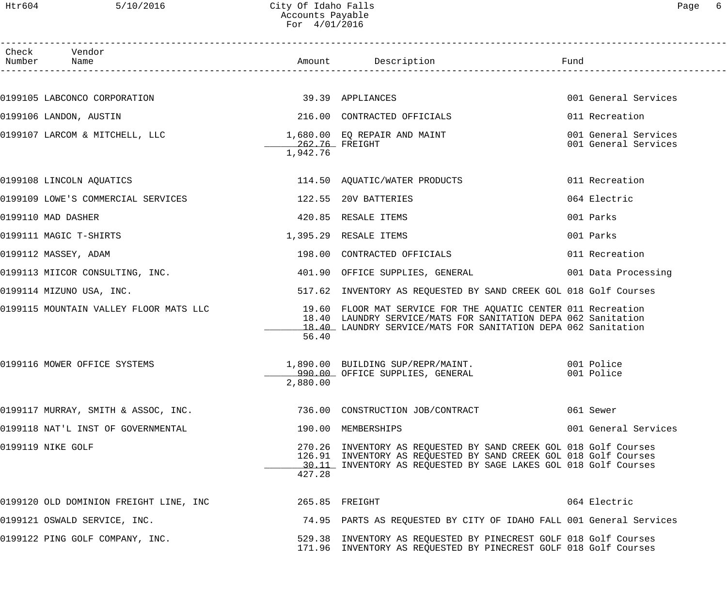### Htr604 5/10/2016 City Of Idaho Falls Page 6 Accounts Payable For 4/01/2016

| Check Vendor<br>Number Name                                   |                            |                                                                                                                                                                                                                                        |                                              |
|---------------------------------------------------------------|----------------------------|----------------------------------------------------------------------------------------------------------------------------------------------------------------------------------------------------------------------------------------|----------------------------------------------|
|                                                               |                            |                                                                                                                                                                                                                                        |                                              |
| 0199105 LABCONCO CORPORATION                                  | 39.39 APPLIANCES           |                                                                                                                                                                                                                                        | 001 General Services                         |
| 0199106 LANDON, AUSTIN                                        |                            | 216.00 CONTRACTED OFFICIALS                                                                                                                                                                                                            | 011 Recreation                               |
| 0199107 LARCOM & MITCHELL, LLC $1,680.00$ EQ REPAIR AND MAINT | 262.76 FREIGHT<br>1,942.76 |                                                                                                                                                                                                                                        | 001 General Services<br>001 General Services |
| 0199108 LINCOLN AQUATICS                                      |                            | 114.50 AQUATIC/WATER PRODUCTS                                                                                                                                                                                                          | 011 Recreation                               |
| 0199109 LOWE'S COMMERCIAL SERVICES                            |                            | 122.55 20V BATTERIES                                                                                                                                                                                                                   | 064 Electric                                 |
| 0199110 MAD DASHER                                            |                            | 420.85 RESALE ITEMS                                                                                                                                                                                                                    | 001 Parks                                    |
| 0199111 MAGIC T-SHIRTS                                        |                            | 1,395.29 RESALE ITEMS                                                                                                                                                                                                                  | 001 Parks                                    |
| 0199112 MASSEY, ADAM                                          |                            | 198.00 CONTRACTED OFFICIALS                                                                                                                                                                                                            | 011 Recreation                               |
| 0199113 MIICOR CONSULTING, INC.                               |                            | 401.90 OFFICE SUPPLIES, GENERAL 601 Data Processing                                                                                                                                                                                    |                                              |
| 0199114 MIZUNO USA, INC.                                      |                            | 517.62 INVENTORY AS REQUESTED BY SAND CREEK GOL 018 Golf Courses                                                                                                                                                                       |                                              |
|                                                               | 56.40                      | 0199115 MOUNTAIN VALLEY FLOOR MATS LLC 19.60 FLOOR MAT SERVICE FOR THE AQUATIC CENTER 011 Recreation<br>18.40 LAUNDRY SERVICE/MATS FOR SANITATION DEPA 062 Sanitation<br>18.40 LAUNDRY SERVICE/MATS FOR SANITATION DEPA 062 Sanitation |                                              |
| 0199116 MOWER OFFICE SYSTEMS                                  | 2,880.00                   | 1,890.00 BUILDING SUP/REPR/MAINT. 001 Police<br>990.00 OFFICE SUPPLIES, GENERAL                                                                                                                                                        | 001 Police                                   |
| 0199117 MURRAY, SMITH & ASSOC, INC.                           |                            | 736.00 CONSTRUCTION JOB/CONTRACT                                                                                                                                                                                                       | 061 Sewer                                    |
| 0199118 NAT'L INST OF GOVERNMENTAL                            |                            | 190.00 MEMBERSHIPS                                                                                                                                                                                                                     | 001 General Services                         |
| 0199119 NIKE GOLF                                             | 427.28                     | 270.26 INVENTORY AS REQUESTED BY SAND CREEK GOL 018 Golf Courses<br>126.91 INVENTORY AS REQUESTED BY SAND CREEK GOL 018 Golf Courses<br>30.11 INVENTORY AS REQUESTED BY SAGE LAKES GOL 018 Golf Courses                                |                                              |
| 0199120 OLD DOMINION FREIGHT LINE, INC                        |                            | 265.85 FREIGHT                                                                                                                                                                                                                         | 064 Electric                                 |
| 0199121 OSWALD SERVICE, INC.                                  |                            | 74.95 PARTS AS REQUESTED BY CITY OF IDAHO FALL 001 General Services                                                                                                                                                                    |                                              |
| 0199122 PING GOLF COMPANY, INC.                               |                            | 529.38 INVENTORY AS REQUESTED BY PINECREST GOLF 018 Golf Courses<br>171.96 INVENTORY AS REQUESTED BY PINECREST GOLF 018 Golf Courses                                                                                                   |                                              |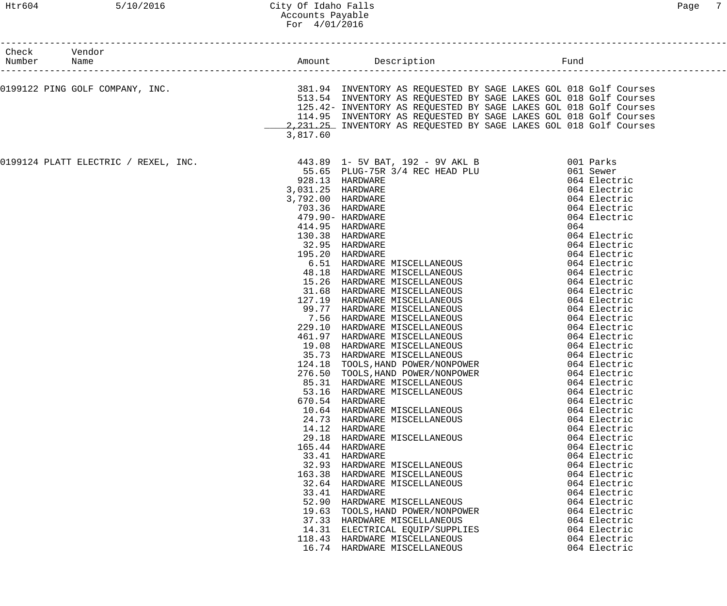| Check Vendor                         |          |                                                                                                                                                                                                                                                                                                                                                                                                                                                                                                                                                                                                                                                                                                                                                                                                                                                                                                  |                                                                                                                                                                                                                                                                                              |
|--------------------------------------|----------|--------------------------------------------------------------------------------------------------------------------------------------------------------------------------------------------------------------------------------------------------------------------------------------------------------------------------------------------------------------------------------------------------------------------------------------------------------------------------------------------------------------------------------------------------------------------------------------------------------------------------------------------------------------------------------------------------------------------------------------------------------------------------------------------------------------------------------------------------------------------------------------------------|----------------------------------------------------------------------------------------------------------------------------------------------------------------------------------------------------------------------------------------------------------------------------------------------|
|                                      |          |                                                                                                                                                                                                                                                                                                                                                                                                                                                                                                                                                                                                                                                                                                                                                                                                                                                                                                  |                                                                                                                                                                                                                                                                                              |
|                                      | 3,817.60 | 513.54 INVENTORY AS REQUESTED BY SAGE LAKES GOL 018 Golf Courses<br>125.42- INVENTORY AS REQUESTED BY SAGE LAKES GOL 018 Golf Courses<br>114.95 INVENTORY AS REQUESTED BY SAGE LAKES GOL 018 Golf Courses<br>2, 231.25 INVENTORY AS REQUESTED BY SAGE LAKES GOL 018 Golf Courses                                                                                                                                                                                                                                                                                                                                                                                                                                                                                                                                                                                                                 |                                                                                                                                                                                                                                                                                              |
|                                      |          |                                                                                                                                                                                                                                                                                                                                                                                                                                                                                                                                                                                                                                                                                                                                                                                                                                                                                                  |                                                                                                                                                                                                                                                                                              |
| 0199124 PLATT ELECTRIC / REXEL, INC. |          | 443.89 1- 5V BAT, 192 - 9V AKL B<br>55.65 PLUG-75R 3/4 REC HEAD PLU 061 Sewer<br>414.98 AREWARE MISCELLANEOUS<br>928.13 HARDWARE (64 Electric Pack of Alectric Pack of Alectric Pack of Alectric 2,031.25 HARDWARE (64 Electric 043 Electric 2004 Electric 2004 Electric 2004 Electric 479.90 HARDWARE (64 Electr<br>3,031.25 HARDWARE<br>3,792.00 HARDWARE<br>85.31 HARDWARE MISCELLANEOUS<br>53.16 HARDWARE MISCELLANEOUS<br>670.54 HARDWARE<br>10.64 HARDWARE MISCELLANEOUS<br>24.73 HARDWARE MISCELLANEOUS<br>14.12 HARDWARE<br>29.18 HARDWARE MISCELLANEOUS<br>165.44 HARDWARE<br>33.41 HARDWARE<br>32.93 HARDWARE MISCELLANEOUS<br>163.38 HARDWARE MISCELLANEOUS<br>32.64 HARDWARE MISCELLANEOUS<br>33.41 HARDWARE<br>52.90 HARDWARE MISCELLANEOUS<br>19.63 TOOLS, HAND POWER/NONPOWER<br>37.33 HARDWARE MISCELLANEOUS<br>14.31 ELECTRICAL EQUIP/SUPPLIES<br>118.43 HARDWARE MISCELLANEOUS | 064 Electric<br>064 Electric<br>064 Electric<br>064 Electric<br>064 Electric<br>064 Electric<br>064 Electric<br>064 Electric<br>064 Electric<br>064 Electric<br>064 Electric<br>064 Electric<br>064 Electric<br>064 Electric<br>064 Electric<br>064 Electric<br>064 Electric<br>064 Electric |
|                                      |          | 16.74 HARDWARE MISCELLANEOUS                                                                                                                                                                                                                                                                                                                                                                                                                                                                                                                                                                                                                                                                                                                                                                                                                                                                     | 064 Electric                                                                                                                                                                                                                                                                                 |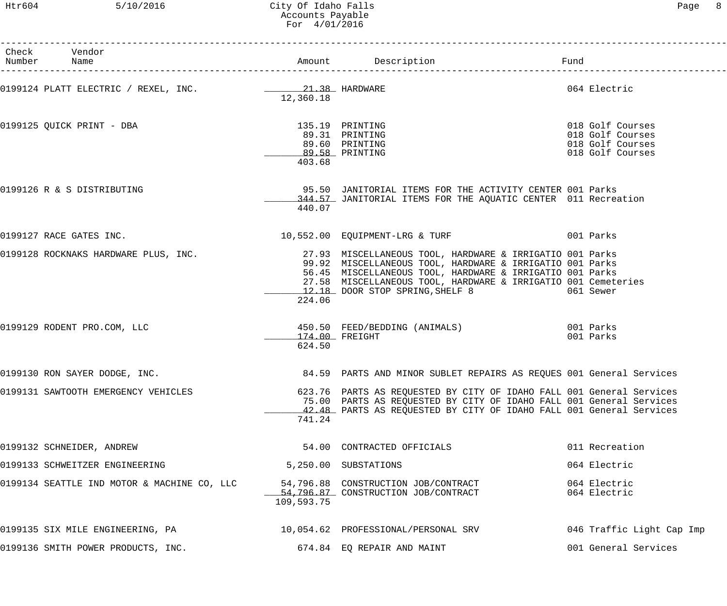Htr604 5/10/2016 City Of Idaho Falls Page 8 Accounts Payable For 4/01/2016

------------------------------------------------------------------------------------------------------------------------------------

| Page | 8 |
|------|---|
|      |   |
|      |   |
|      |   |
|      |   |
|      |   |

| Check | Vendor<br>Number Name                       |                                                               |                                                                                                                                                                                                                                                                                                                                     | Fund                                                                         |
|-------|---------------------------------------------|---------------------------------------------------------------|-------------------------------------------------------------------------------------------------------------------------------------------------------------------------------------------------------------------------------------------------------------------------------------------------------------------------------------|------------------------------------------------------------------------------|
|       |                                             | 12,360.18                                                     | 064 Electric                                                                                                                                                                                                                                                                                                                        |                                                                              |
|       | 0199125 QUICK PRINT - DBA                   | 135.19 PRINTING<br>89.60 PRINTING<br>89.58 PRINTING<br>403.68 | 89.31 PRINTING                                                                                                                                                                                                                                                                                                                      | 018 Golf Courses<br>018 Golf Courses<br>018 Golf Courses<br>018 Golf Courses |
|       | 0199126 R & S DISTRIBUTING                  | 440.07                                                        | 95.50 JANITORIAL ITEMS FOR THE ACTIVITY CENTER 001 Parks<br>344.57 JANITORIAL ITEMS FOR THE AQUATIC CENTER 011 Recreation                                                                                                                                                                                                           |                                                                              |
|       | 0199127 RACE GATES INC.                     |                                                               | 10,552.00 EQUIPMENT-LRG & TURF 6001 Parks                                                                                                                                                                                                                                                                                           |                                                                              |
|       |                                             | 224.06                                                        | 0199128 ROCKNAKS HARDWARE PLUS, INC. 27.93 MISCELLANEOUS TOOL, HARDWARE & IRRIGATIO 001 Parks<br>99.92 MISCELLANEOUS TOOL, HARDWARE & IRRIGATIO 001 Parks<br>56.45 MISCELLANEOUS TOOL, HARDWARE & IRRIGATIO 001 Parks<br>27.58 MISCELLANEOUS TOOL, HARDWARE & IRRIGATIO 001 Cemeteries<br>12.18 DOOR STOP SPRING, SHELF 8 061 Sewer |                                                                              |
|       | 0199129 RODENT PRO.COM, LLC                 | 174.00 FREIGHT<br>624.50                                      | 450.50 FEED/BEDDING (ANIMALS) 001 Parks                                                                                                                                                                                                                                                                                             | 001 Parks                                                                    |
|       | 0199130 RON SAYER DODGE, INC.               |                                                               | 84.59 PARTS AND MINOR SUBLET REPAIRS AS REQUES 001 General Services                                                                                                                                                                                                                                                                 |                                                                              |
|       | 0199131 SAWTOOTH EMERGENCY VEHICLES         | 741.24                                                        | 623.76 PARTS AS REQUESTED BY CITY OF IDAHO FALL 001 General Services<br>75.00 PARTS AS REQUESTED BY CITY OF IDAHO FALL 001 General Services<br>42.48 PARTS AS REQUESTED BY CITY OF IDAHO FALL 001 General Services                                                                                                                  |                                                                              |
|       | 0199132 SCHNEIDER, ANDREW                   |                                                               | 54.00 CONTRACTED OFFICIALS                                                                                                                                                                                                                                                                                                          | 011 Recreation                                                               |
|       | 0199133 SCHWEITZER ENGINEERING              |                                                               | 5,250.00 SUBSTATIONS                                                                                                                                                                                                                                                                                                                | 064 Electric                                                                 |
|       | 0199134 SEATTLE IND MOTOR & MACHINE CO, LLC | 109,593.75                                                    | 54,796.88 CONSTRUCTION JOB/CONTRACT<br>54,796.87 CONSTRUCTION JOB/CONTRACT                                                                                                                                                                                                                                                          | 064 Electric<br>064 Electric                                                 |
|       | 0199135 SIX MILE ENGINEERING, PA            |                                                               | 10,054.62 PROFESSIONAL/PERSONAL SRV                                                                                                                                                                                                                                                                                                 | 046 Traffic Light Cap Imp                                                    |
|       | 0199136 SMITH POWER PRODUCTS, INC.          |                                                               | 674.84 EQ REPAIR AND MAINT                                                                                                                                                                                                                                                                                                          | 001 General Services                                                         |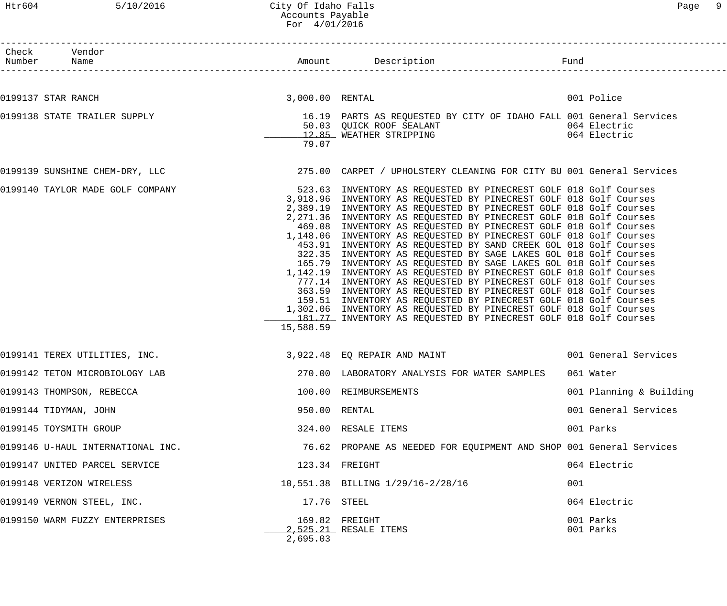# Htr604 5/10/2016 City Of Idaho Falls Page 9 Accounts Payable For 4/01/2016

| Check Vendor<br>Number Name |                                   |           |                                                                                                                                                                                                                                                                                                                                                                                                                                                                                                                                                                                                                                                                                                                                                                                                                                                                                                                                                                                                                                                                      |                         |
|-----------------------------|-----------------------------------|-----------|----------------------------------------------------------------------------------------------------------------------------------------------------------------------------------------------------------------------------------------------------------------------------------------------------------------------------------------------------------------------------------------------------------------------------------------------------------------------------------------------------------------------------------------------------------------------------------------------------------------------------------------------------------------------------------------------------------------------------------------------------------------------------------------------------------------------------------------------------------------------------------------------------------------------------------------------------------------------------------------------------------------------------------------------------------------------|-------------------------|
|                             |                                   |           |                                                                                                                                                                                                                                                                                                                                                                                                                                                                                                                                                                                                                                                                                                                                                                                                                                                                                                                                                                                                                                                                      |                         |
| 0199137 STAR RANCH          | 3,000.00 RENTAL                   |           |                                                                                                                                                                                                                                                                                                                                                                                                                                                                                                                                                                                                                                                                                                                                                                                                                                                                                                                                                                                                                                                                      | 001 Police              |
|                             | 0199138 STATE TRAILER SUPPLY      | 79.07     | 16.19 PARTS AS REQUESTED BY CITY OF IDAHO FALL 001 General Services<br>50.03 QUICK ROOF SEALANT<br>12.85 WEATHER STRIPPING CONTROLLER TRIPPING COMPANY 064 Electric                                                                                                                                                                                                                                                                                                                                                                                                                                                                                                                                                                                                                                                                                                                                                                                                                                                                                                  |                         |
|                             |                                   |           | 0199139 SUNSHINE CHEM-DRY, LLC 375.00 CARPET / UPHOLSTERY CLEANING FOR CITY BU 001 General Services                                                                                                                                                                                                                                                                                                                                                                                                                                                                                                                                                                                                                                                                                                                                                                                                                                                                                                                                                                  |                         |
|                             | 0199140 TAYLOR MADE GOLF COMPANY  | 15,588.59 | 523.63 INVENTORY AS REQUESTED BY PINECREST GOLF 018 Golf Courses<br>3,918.96 INVENTORY AS REQUESTED BY PINECREST GOLF 018 Golf Courses<br>2,389.19 INVENTORY AS REQUESTED BY PINECREST GOLF 018 Golf Courses<br>2,271.36 INVENTORY AS REQUESTED BY PINECREST GOLF 018 Golf Courses<br>469.08 INVENTORY AS REQUESTED BY PINECREST GOLF 018 Golf Courses<br>1,148.06 INVENTORY AS REQUESTED BY PINECREST GOLF 018 Golf Courses<br>453.91 INVENTORY AS REQUESTED BY SAND CREEK GOL 018 Golf Courses<br>322.35 INVENTORY AS REQUESTED BY SAGE LAKES GOL 018 Golf Courses<br>165.79 INVENTORY AS REQUESTED BY SAGE LAKES GOL 018 Golf Courses<br>1,142.19 INVENTORY AS REQUESTED BY PINECREST GOLF 018 Golf Courses<br>777.14 INVENTORY AS REQUESTED BY PINECREST GOLF 018 Golf Courses<br>363.59 INVENTORY AS REQUESTED BY PINECREST GOLF 018 Golf Courses<br>159.51 INVENTORY AS REQUESTED BY PINECREST GOLF 018 Golf Courses<br>1,302.06 INVENTORY AS REQUESTED BY PINECREST GOLF 018 Golf Courses<br>181.77 INVENTORY AS REQUESTED BY PINECREST GOLF 018 Golf Courses |                         |
|                             |                                   |           | 0199141 TEREX UTILITIES, INC. 3,922.48 EQ REPAIR AND MAINT 6001 General Services                                                                                                                                                                                                                                                                                                                                                                                                                                                                                                                                                                                                                                                                                                                                                                                                                                                                                                                                                                                     |                         |
|                             | 0199142 TETON MICROBIOLOGY LAB    |           | 270.00 LABORATORY ANALYSIS FOR WATER SAMPLES 061 Water                                                                                                                                                                                                                                                                                                                                                                                                                                                                                                                                                                                                                                                                                                                                                                                                                                                                                                                                                                                                               |                         |
|                             | 0199143 THOMPSON, REBECCA         |           | 100.00 REIMBURSEMENTS                                                                                                                                                                                                                                                                                                                                                                                                                                                                                                                                                                                                                                                                                                                                                                                                                                                                                                                                                                                                                                                | 001 Planning & Building |
| 0199144 TIDYMAN, JOHN       |                                   |           | 950.00 RENTAL                                                                                                                                                                                                                                                                                                                                                                                                                                                                                                                                                                                                                                                                                                                                                                                                                                                                                                                                                                                                                                                        | 001 General Services    |
| 0199145 TOYSMITH GROUP      |                                   |           | 324.00 RESALE ITEMS                                                                                                                                                                                                                                                                                                                                                                                                                                                                                                                                                                                                                                                                                                                                                                                                                                                                                                                                                                                                                                                  | 001 Parks               |
|                             | 0199146 U-HAUL INTERNATIONAL INC. |           | 76.62 PROPANE AS NEEDED FOR EQUIPMENT AND SHOP 001 General Services                                                                                                                                                                                                                                                                                                                                                                                                                                                                                                                                                                                                                                                                                                                                                                                                                                                                                                                                                                                                  |                         |
|                             | 0199147 UNITED PARCEL SERVICE     |           | 123.34 FREIGHT                                                                                                                                                                                                                                                                                                                                                                                                                                                                                                                                                                                                                                                                                                                                                                                                                                                                                                                                                                                                                                                       | 064 Electric            |
|                             | 0199148 VERIZON WIRELESS          |           | 10,551.38 BILLING 1/29/16-2/28/16                                                                                                                                                                                                                                                                                                                                                                                                                                                                                                                                                                                                                                                                                                                                                                                                                                                                                                                                                                                                                                    | 001                     |
|                             | 0199149 VERNON STEEL, INC.        |           | 17.76 STEEL                                                                                                                                                                                                                                                                                                                                                                                                                                                                                                                                                                                                                                                                                                                                                                                                                                                                                                                                                                                                                                                          | 064 Electric            |
|                             | 0199150 WARM FUZZY ENTERPRISES    | 2,695.03  | 169.82 FREIGHT<br>2,525.21 RESALE ITEMS                                                                                                                                                                                                                                                                                                                                                                                                                                                                                                                                                                                                                                                                                                                                                                                                                                                                                                                                                                                                                              | 001 Parks<br>001 Parks  |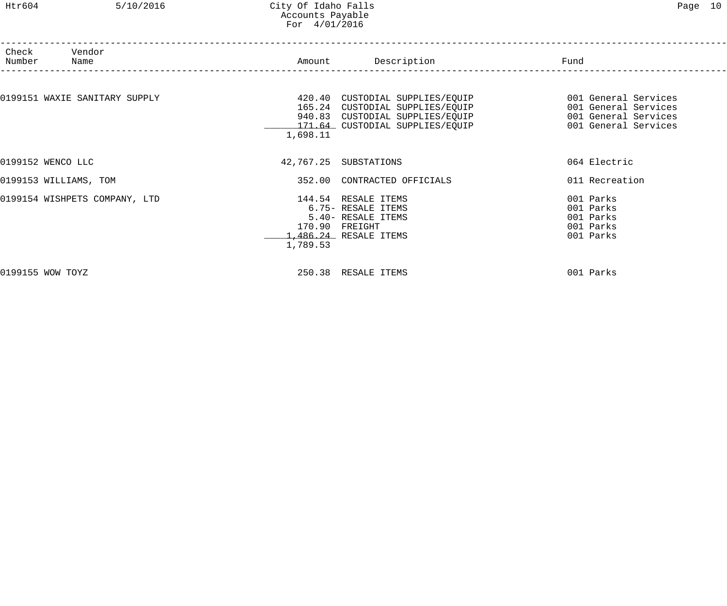### Htr604 5/10/2016 City Of Idaho Falls Page 10 Accounts Payable For 4/01/2016

| Check<br>Number               | Vendor<br>Name                |          | Amount Description                                                                                                                       | Fund                                                                                         |  |
|-------------------------------|-------------------------------|----------|------------------------------------------------------------------------------------------------------------------------------------------|----------------------------------------------------------------------------------------------|--|
|                               | 0199151 WAXIE SANITARY SUPPLY | 1,698.11 | 420.40 CUSTODIAL SUPPLIES/EQUIP<br>165.24 CUSTODIAL SUPPLIES/EQUIP<br>940.83 CUSTODIAL SUPPLIES/EQUIP<br>171.64 CUSTODIAL SUPPLIES/EQUIP | 001 General Services<br>001 General Services<br>001 General Services<br>001 General Services |  |
| 0199152 WENCO LLC             |                               |          | 42,767.25 SUBSTATIONS                                                                                                                    | 064 Electric                                                                                 |  |
| 0199153 WILLIAMS, TOM         |                               |          | 352.00 CONTRACTED OFFICIALS                                                                                                              | 011 Recreation                                                                               |  |
| 0199154 WISHPETS COMPANY, LTD |                               | 1,789.53 | 144.54 RESALE ITEMS<br>6.75- RESALE ITEMS<br>5.40- RESALE ITEMS<br>170.90 FREIGHT<br>1,486.24 RESALE ITEMS                               | 001 Parks<br>001 Parks<br>001 Parks<br>001 Parks<br>001 Parks                                |  |
| 0199155 WOW TOYZ              |                               |          | 250.38 RESALE ITEMS                                                                                                                      | 001 Parks                                                                                    |  |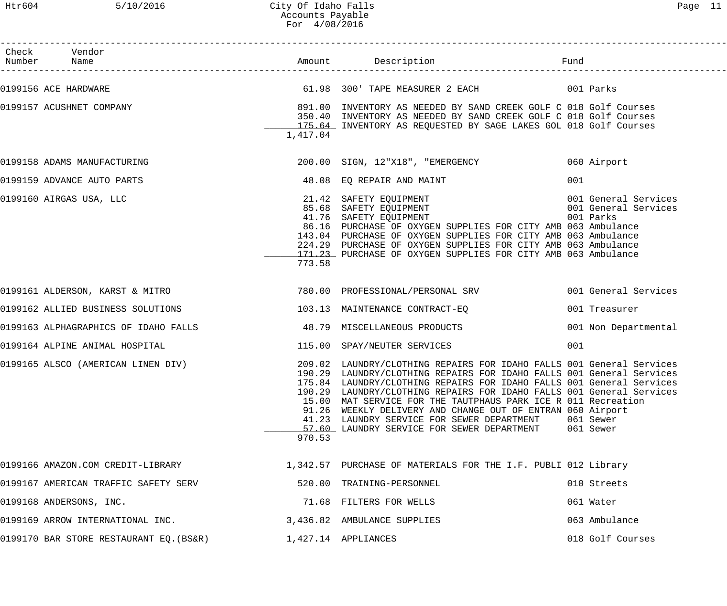## Htr604 5/10/2016 City Of Idaho Falls Page 11 Accounts Payable For 4/08/2016

| Check Vendor<br>Number Name             |          |                                                                                                                                                                                                                                                                                                                                                                                                                                                                                                                                   | Fund                                                      |
|-----------------------------------------|----------|-----------------------------------------------------------------------------------------------------------------------------------------------------------------------------------------------------------------------------------------------------------------------------------------------------------------------------------------------------------------------------------------------------------------------------------------------------------------------------------------------------------------------------------|-----------------------------------------------------------|
| 0199156 ACE HARDWARE                    |          | 61.98 300' TAPE MEASURER 2 EACH COLLIDATES ON Parks                                                                                                                                                                                                                                                                                                                                                                                                                                                                               |                                                           |
| 0199157 ACUSHNET COMPANY                | 1,417.04 | 891.00 INVENTORY AS NEEDED BY SAND CREEK GOLF C 018 Golf Courses<br>350.40 INVENTORY AS NEEDED BY SAND CREEK GOLF C 018 Golf Courses<br>175.64 INVENTORY AS REQUESTED BY SAGE LAKES GOL 018 Golf Courses                                                                                                                                                                                                                                                                                                                          |                                                           |
| 0199158 ADAMS MANUFACTURING             |          | 200.00 SIGN, 12"X18", "EMERGENCY                                                                                                                                                                                                                                                                                                                                                                                                                                                                                                  | 060 Airport                                               |
| 0199159 ADVANCE AUTO PARTS              |          | 48.08 EQ REPAIR AND MAINT                                                                                                                                                                                                                                                                                                                                                                                                                                                                                                         | 001                                                       |
| 0199160 AIRGAS USA, LLC                 | 773.58   | 21.42 SAFETY EQUIPMENT<br>85.68 SAFETY EQUIPMENT<br>41.76 SAFETY EOUIPMENT<br>41.76 SAFETY EQUIPMENT<br>86.16 PURCHASE OF OXYGEN SUPPLIES FOR CITY AMB 063 Ambulance<br>143.04 PURCHASE OF OXYGEN SUPPLIES FOR CITY AMB 063 Ambulance<br>224.29 PURCHASE OF OXYGEN SUPPLIES FOR CITY AMB 063 Ambulance<br>171.23 PURCHASE OF OXYGEN SUPPLIES FOR CITY AMB 063 Ambulance                                                                                                                                                           | 001 General Services<br>001 General Services<br>001 Parks |
| 0199161 ALDERSON, KARST & MITRO         |          | 780.00 PROFESSIONAL/PERSONAL SRV                                                                                                                                                                                                                                                                                                                                                                                                                                                                                                  | 001 General Services                                      |
| 0199162 ALLIED BUSINESS SOLUTIONS       |          | 103.13 MAINTENANCE CONTRACT-EQ                                                                                                                                                                                                                                                                                                                                                                                                                                                                                                    | 001 Treasurer                                             |
| 0199163 ALPHAGRAPHICS OF IDAHO FALLS    |          | 48.79 MISCELLANEOUS PRODUCTS                                                                                                                                                                                                                                                                                                                                                                                                                                                                                                      | 001 Non Departmental                                      |
| 0199164 ALPINE ANIMAL HOSPITAL          |          | 115.00 SPAY/NEUTER SERVICES                                                                                                                                                                                                                                                                                                                                                                                                                                                                                                       | 001                                                       |
| 0199165 ALSCO (AMERICAN LINEN DIV)      | 970.53   | 209.02 LAUNDRY/CLOTHING REPAIRS FOR IDAHO FALLS 001 General Services<br>190.29 LAUNDRY/CLOTHING REPAIRS FOR IDAHO FALLS 001 General Services<br>175.84 LAUNDRY/CLOTHING REPAIRS FOR IDAHO FALLS 001 General Services<br>190.29 LAUNDRY/CLOTHING REPAIRS FOR IDAHO FALLS 001 General Services<br>15.00 MAT SERVICE FOR THE TAUTPHAUS PARK ICE R 011 Recreation<br>91.26 WEEKLY DELIVERY AND CHANGE OUT OF ENTRAN 060 Airport<br>41.23 LAUNDRY SERVICE FOR SEWER DEPARTMENT<br>57.60 LAUNDRY SERVICE FOR SEWER DEPARTMENT 061 Sewer | 061 Sewer                                                 |
|                                         |          | 0199166 AMAZON.COM CREDIT-LIBRARY 1880 1,342.57 PURCHASE OF MATERIALS FOR THE I.F. PUBLI 012 Library                                                                                                                                                                                                                                                                                                                                                                                                                              |                                                           |
| 0199167 AMERICAN TRAFFIC SAFETY SERV    |          | 520.00 TRAINING-PERSONNEL                                                                                                                                                                                                                                                                                                                                                                                                                                                                                                         | 010 Streets                                               |
| 0199168 ANDERSONS, INC.                 |          | 71.68 FILTERS FOR WELLS                                                                                                                                                                                                                                                                                                                                                                                                                                                                                                           | 061 Water                                                 |
| 0199169 ARROW INTERNATIONAL INC.        |          | 3,436.82 AMBULANCE SUPPLIES                                                                                                                                                                                                                                                                                                                                                                                                                                                                                                       | 063 Ambulance                                             |
| 0199170 BAR STORE RESTAURANT EQ. (BS&R) |          | 1,427.14 APPLIANCES                                                                                                                                                                                                                                                                                                                                                                                                                                                                                                               | 018 Golf Courses                                          |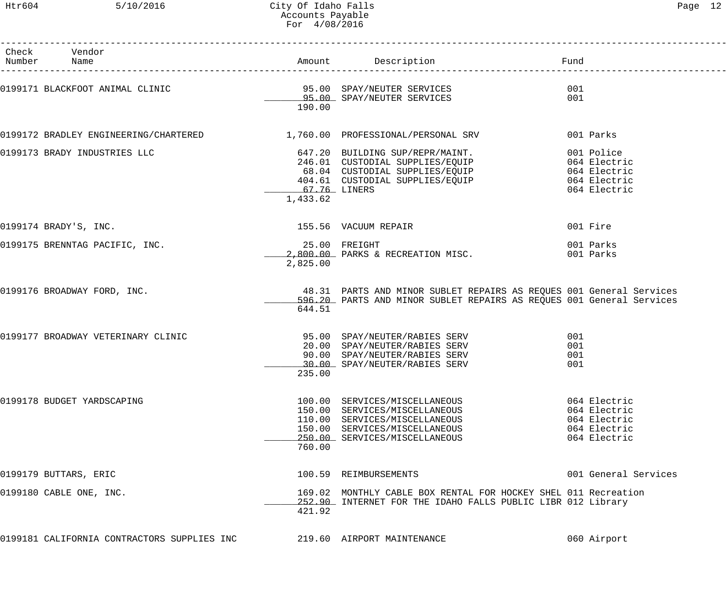| Check Vendor<br>Number Name                                              |                           | Amount Description Description and Fund                                                                                                                                                   |                                                                              |
|--------------------------------------------------------------------------|---------------------------|-------------------------------------------------------------------------------------------------------------------------------------------------------------------------------------------|------------------------------------------------------------------------------|
|                                                                          | 190.00                    |                                                                                                                                                                                           | 001<br>001                                                                   |
| 0199172 BRADLEY ENGINEERING/CHARTERED 1,760.00 PROFESSIONAL/PERSONAL SRV |                           |                                                                                                                                                                                           | 001 Parks                                                                    |
| 0199173 BRADY INDUSTRIES LLC                                             | 67.76 LINERS<br>1,433.62  | 647.20 BUILDING SUP/REPR/MAINT. 001 Police<br>246.01 CUSTODIAL SUPPLIES/EQUIP 064 Electric<br>68.04 CUSTODIAL SUPPLIES/EQUIP 064 Electric<br>404.61 CUSTODIAL SUPPLIES/EQUIP 064 Electric | 064 Electric                                                                 |
| 0199174 BRADY'S, INC.                                                    |                           | 155.56 VACUUM REPAIR                                                                                                                                                                      | 001 Fire                                                                     |
| 0199175 BRENNTAG PACIFIC, INC.                                           | 25.00 FREIGHT<br>2,825.00 | 2,800.00 PARKS & RECREATION MISC.                                                                                                                                                         | 001 Parks<br>001 Parks                                                       |
| 0199176 BROADWAY FORD, INC.                                              | 644.51                    | 48.31 PARTS AND MINOR SUBLET REPAIRS AS REQUES 001 General Services<br>596.20 PARTS AND MINOR SUBLET REPAIRS AS REQUES 001 General Services                                               |                                                                              |
| 0199177 BROADWAY VETERINARY CLINIC                                       | 235.00                    | 95.00 SPAY/NEUTER/RABIES SERV<br>20.00 SPAY/NEUTER/RABIES SERV<br>90.00 SPAY/NEUTER/RABIES SERV<br>30.00 SPAY/NEUTER/RABIES SERV                                                          | 001<br>001<br>001<br>001                                                     |
| 0199178 BUDGET YARDSCAPING                                               | 760.00                    | 100.00 SERVICES/MISCELLANEOUS<br>150.00 SERVICES/MISCELLANEOUS<br>110.00 SERVICES/MISCELLANEOUS<br>150.00 SERVICES/MISCELLANEOUS<br>250.00 SERVICES/MISCELLANEOUS                         | 064 Electric<br>064 Electric<br>064 Electric<br>064 Electric<br>064 Electric |
| 0199179 BUTTARS, ERIC                                                    |                           | 100.59 REIMBURSEMENTS                                                                                                                                                                     | 001 General Services                                                         |
| 0199180 CABLE ONE, INC.                                                  | 421.92                    | 169.02 MONTHLY CABLE BOX RENTAL FOR HOCKEY SHEL 011 Recreation<br>252.90 INTERNET FOR THE IDAHO FALLS PUBLIC LIBR 012 Library                                                             |                                                                              |
| 0199181 CALIFORNIA CONTRACTORS SUPPLIES INC                              |                           | 219.60 AIRPORT MAINTENANCE                                                                                                                                                                | 060 Airport                                                                  |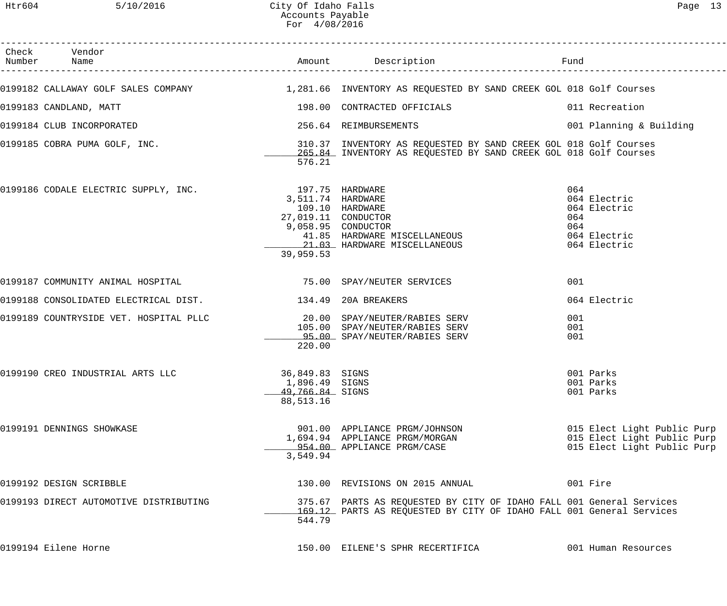| Check Vendor<br>Number Name                                                                            |                                                                          | Amount Description                                                                                                                           | Fund                                                                                      |
|--------------------------------------------------------------------------------------------------------|--------------------------------------------------------------------------|----------------------------------------------------------------------------------------------------------------------------------------------|-------------------------------------------------------------------------------------------|
| 0199182 CALLAWAY GOLF SALES COMPANY 1.281.66 INVENTORY AS REQUESTED BY SAND CREEK GOL 018 Golf Courses |                                                                          |                                                                                                                                              |                                                                                           |
|                                                                                                        |                                                                          |                                                                                                                                              |                                                                                           |
| 0199183 CANDLAND, MATT                                                                                 |                                                                          | 198.00 CONTRACTED OFFICIALS                                                                                                                  | 011 Recreation                                                                            |
| 0199184 CLUB INCORPORATED                                                                              |                                                                          | 256.64 REIMBURSEMENTS                                                                                                                        | 001 Planning & Building                                                                   |
| 0199185 COBRA PUMA GOLF, INC.                                                                          | 576.21                                                                   | 310.37 INVENTORY AS REQUESTED BY SAND CREEK GOL 018 Golf Courses<br>265.84 INVENTORY AS REQUESTED BY SAND CREEK GOL 018 Golf Courses         |                                                                                           |
|                                                                                                        |                                                                          |                                                                                                                                              |                                                                                           |
| 0199186 CODALE ELECTRIC SUPPLY, INC.                                                                   | 197.75 HARDWARE<br>3,511.74 HARDWARE<br>27,019.11 CONDUCTOR<br>39,959.53 | 109.10 HARDWARE<br>9,058.95 CONDUCTOR<br>41.85 HARDWARE MISCELLANEOUS<br>21.03 HARDWARE MISCELLANEOUS                                        | 064<br>064 Electric<br>064 Electric<br>064<br>064<br>064 Electric<br>064 Electric         |
| 0199187 COMMUNITY ANIMAL HOSPITAL                                                                      |                                                                          | 75.00 SPAY/NEUTER SERVICES                                                                                                                   | 001                                                                                       |
| 0199188 CONSOLIDATED ELECTRICAL DIST. 49 20A BREAKERS                                                  |                                                                          |                                                                                                                                              | 064 Electric                                                                              |
| 0199189 COUNTRYSIDE VET. HOSPITAL PLLC $20.00$ SPAY/NEUTER/RABIES SERV                                 | 220.00                                                                   | 105.00 SPAY/NEUTER/RABIES SERV<br>95.00 SPAY/NEUTER/RABIES SERV                                                                              | 001<br>001<br>001                                                                         |
| 0199190 CREO INDUSTRIAL ARTS LLC                                                                       | 36,849.83 SIGNS<br>1,896.49 SIGNS<br>49,766.84 SIGNS<br>88,513.16        |                                                                                                                                              | 001 Parks<br>001 Parks<br>001 Parks                                                       |
| 0199191 DENNINGS SHOWKASE                                                                              | 3,549.94                                                                 | 901.00 APPLIANCE PRGM/JOHNSON<br>1,694.94 APPLIANCE PRGM/MORGAN<br>954.00 APPLIANCE PRGM/CASE                                                | 015 Elect Light Public Purp<br>015 Elect Light Public Purp<br>015 Elect Light Public Purp |
| 0199192 DESIGN SCRIBBLE                                                                                |                                                                          | 130.00 REVISIONS ON 2015 ANNUAL                                                                                                              | 001 Fire                                                                                  |
| 0199193 DIRECT AUTOMOTIVE DISTRIBUTING                                                                 | 544.79                                                                   | 375.67 PARTS AS REQUESTED BY CITY OF IDAHO FALL 001 General Services<br>169.12 PARTS AS REQUESTED BY CITY OF IDAHO FALL 001 General Services |                                                                                           |
| 0199194 Eilene Horne                                                                                   |                                                                          | 150.00 EILENE'S SPHR RECERTIFICA                                                                                                             | 001 Human Resources                                                                       |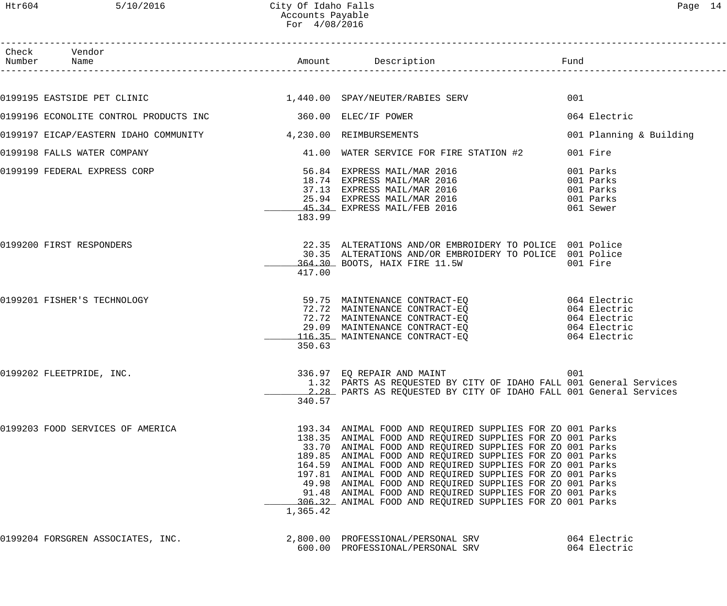| Раае |  |
|------|--|
|------|--|

| Htr604 | 5/10/2016                              | City Of Idaho Falls<br>Accounts Payable<br>For 4/08/2016 |                                                                                                                                                                                                                                                                                                                                                                                                                                                                                                                                                                |                                                               | Page 14 |
|--------|----------------------------------------|----------------------------------------------------------|----------------------------------------------------------------------------------------------------------------------------------------------------------------------------------------------------------------------------------------------------------------------------------------------------------------------------------------------------------------------------------------------------------------------------------------------------------------------------------------------------------------------------------------------------------------|---------------------------------------------------------------|---------|
| Number | Check Vendor<br>Name                   |                                                          | Amount Description<br>______________________                                                                                                                                                                                                                                                                                                                                                                                                                                                                                                                   | Fund                                                          |         |
|        | 0199195 EASTSIDE PET CLINIC            |                                                          | 1,440.00 SPAY/NEUTER/RABIES SERV                                                                                                                                                                                                                                                                                                                                                                                                                                                                                                                               | 001                                                           |         |
|        | 0199196 ECONOLITE CONTROL PRODUCTS INC |                                                          | 360.00 ELEC/IF POWER                                                                                                                                                                                                                                                                                                                                                                                                                                                                                                                                           | 064 Electric                                                  |         |
|        | 0199197 EICAP/EASTERN IDAHO COMMUNITY  | 4,230.00 REIMBURSEMENTS                                  |                                                                                                                                                                                                                                                                                                                                                                                                                                                                                                                                                                | 001 Planning & Building                                       |         |
|        | 0199198 FALLS WATER COMPANY            |                                                          | 41.00 WATER SERVICE FOR FIRE STATION #2                                                                                                                                                                                                                                                                                                                                                                                                                                                                                                                        | 001 Fire                                                      |         |
|        | 0199199 FEDERAL EXPRESS CORP           | 183.99                                                   | 56.84 EXPRESS MAIL/MAR 2016<br>18.74 EXPRESS MAIL/MAR 2016<br>37.13 EXPRESS MAIL/MAR 2016<br>25.94 EXPRESS MAIL/MAR 2016<br>45.34 EXPRESS MAIL/FEB 2016                                                                                                                                                                                                                                                                                                                                                                                                        | 001 Parks<br>001 Parks<br>001 Parks<br>001 Parks<br>061 Sewer |         |
|        | 0199200 FIRST RESPONDERS               | 417.00                                                   | 22.35 ALTERATIONS AND/OR EMBROIDERY TO POLICE 001 Police<br>30.35 ALTERATIONS AND/OR EMBROIDERY TO POLICE 001 Police<br>364.30 BOOTS, HAIX FIRE 11.5W                                                                                                                                                                                                                                                                                                                                                                                                          | 001 Fire                                                      |         |
|        | 0199201 FISHER'S TECHNOLOGY            | 350.63                                                   | 59.75 MAINTENANCE CONTRACT-EQ<br>72.72 MAINTENANCE CONTRACT-EQ 064 Electric<br>72.72 MAINTENANCE CONTRACT-EQ<br>29.09 MAINTENANCE CONTRACT-EQ<br>116.35 MAINTENANCE CONTRACT-EO                                                                                                                                                                                                                                                                                                                                                                                | 064 Electric<br>064 Electric<br>064 Electric<br>064 Electric  |         |
|        | 0199202 FLEETPRIDE, INC.               | 340.57                                                   | 336.97 EQ REPAIR AND MAINT<br>1.32 PARTS AS REQUESTED BY CITY OF IDAHO FALL 001 General Services<br>2.28 PARTS AS REQUESTED BY CITY OF IDAHO FALL 001 General Services                                                                                                                                                                                                                                                                                                                                                                                         | 001                                                           |         |
|        | 0199203 FOOD SERVICES OF AMERICA       | 1,365.42                                                 | 193.34 ANIMAL FOOD AND REQUIRED SUPPLIES FOR ZO 001 Parks<br>138.35 ANIMAL FOOD AND REQUIRED SUPPLIES FOR ZO 001 Parks<br>33.70 ANIMAL FOOD AND REQUIRED SUPPLIES FOR ZO 001 Parks<br>189.85 ANIMAL FOOD AND REQUIRED SUPPLIES FOR ZO 001 Parks<br>164.59 ANIMAL FOOD AND REQUIRED SUPPLIES FOR ZO 001 Parks<br>197.81 ANIMAL FOOD AND REQUIRED SUPPLIES FOR ZO 001 Parks<br>49.98 ANIMAL FOOD AND REQUIRED SUPPLIES FOR ZO 001 Parks<br>91.48 ANIMAL FOOD AND REQUIRED SUPPLIES FOR ZO 001 Parks<br>306.32 ANIMAL FOOD AND REQUIRED SUPPLIES FOR ZO 001 Parks |                                                               |         |
|        |                                        |                                                          |                                                                                                                                                                                                                                                                                                                                                                                                                                                                                                                                                                |                                                               |         |

0199204 FORSGREN ASSOCIATES, INC. 2,800.00 PROFESSIONAL/PERSONAL SRV 064 Electric 600.00 PROFESSIONAL/PERSONAL SRV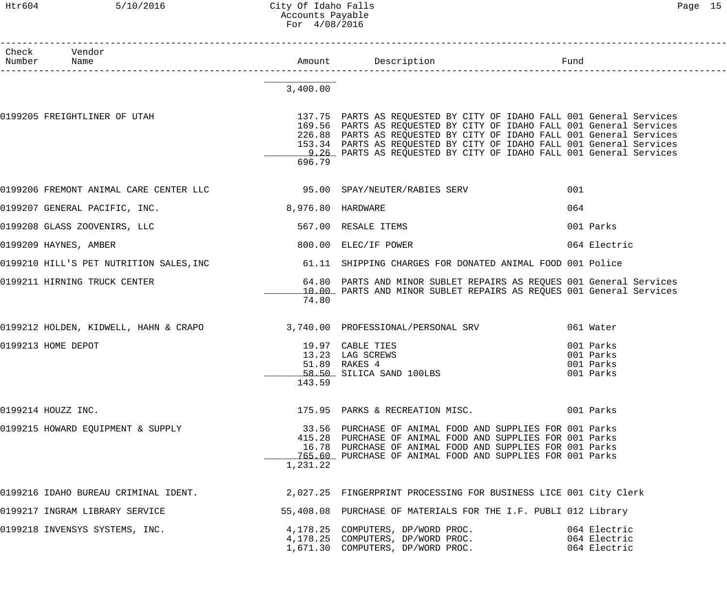## Htr604 5/10/2016 City Of Idaho Falls Page 15 Accounts Payable For 4/08/2016

| Check Vendor<br>Number Name                                                                           |                   |                                                                                                                                                                                                                                                                                                                                                                    |                                                  |
|-------------------------------------------------------------------------------------------------------|-------------------|--------------------------------------------------------------------------------------------------------------------------------------------------------------------------------------------------------------------------------------------------------------------------------------------------------------------------------------------------------------------|--------------------------------------------------|
|                                                                                                       | 3,400.00          |                                                                                                                                                                                                                                                                                                                                                                    |                                                  |
| 0199205 FREIGHTLINER OF UTAH                                                                          | 696.79            | 137.75 PARTS AS REQUESTED BY CITY OF IDAHO FALL 001 General Services<br>169.56 PARTS AS REQUESTED BY CITY OF IDAHO FALL 001 General Services<br>226.88 PARTS AS REQUESTED BY CITY OF IDAHO FALL 001 General Services<br>153.34 PARTS AS REQUESTED BY CITY OF IDAHO FALL 001 General Services<br>9.26 PARTS AS REQUESTED BY CITY OF IDAHO FALL 001 General Services |                                                  |
| 0199206 FREMONT ANIMAL CARE CENTER LLC 600 95.00 SPAY/NEUTER/RABIES SERV                              |                   |                                                                                                                                                                                                                                                                                                                                                                    | 001                                              |
| 0199207 GENERAL PACIFIC, INC.                                                                         | 8,976.80 HARDWARE |                                                                                                                                                                                                                                                                                                                                                                    | 064                                              |
| 0199208 GLASS ZOOVENIRS, LLC                                                                          |                   | 567.00 RESALE ITEMS                                                                                                                                                                                                                                                                                                                                                | 001 Parks                                        |
| 0199209 HAYNES, AMBER                                                                                 |                   | 800.00 ELEC/IF POWER                                                                                                                                                                                                                                                                                                                                               | 064 Electric                                     |
| 0199210 HILL'S PET NUTRITION SALES, INC 61.11 SHIPPING CHARGES FOR DONATED ANIMAL FOOD 001 Police     |                   |                                                                                                                                                                                                                                                                                                                                                                    |                                                  |
| 0199211 HIRNING TRUCK CENTER                                                                          | 74.80             | 64.80 PARTS AND MINOR SUBLET REPAIRS AS REQUES 001 General Services<br>10.00 PARTS AND MINOR SUBLET REPAIRS AS REQUES 001 General Services                                                                                                                                                                                                                         |                                                  |
| 0199212 HOLDEN, KIDWELL, HAHN & CRAPO 3,740.00 PROFESSIONAL/PERSONAL SRV                              |                   |                                                                                                                                                                                                                                                                                                                                                                    | 061 Water                                        |
| 0199213 HOME DEPOT                                                                                    | 143.59            | 19.97 CABLE TIES<br>13.23 LAG SCREWS<br>51.89 RAKES 4<br>58.50 SILICA SAND 100LBS                                                                                                                                                                                                                                                                                  | 001 Parks<br>001 Parks<br>001 Parks<br>001 Parks |
| 0199214 HOUZZ INC.                                                                                    |                   | 175.95 PARKS & RECREATION MISC. 001 Parks                                                                                                                                                                                                                                                                                                                          |                                                  |
| 0199215 HOWARD EQUIPMENT & SUPPLY                                                                     | 1,231.22          | 33.56 PURCHASE OF ANIMAL FOOD AND SUPPLIES FOR 001 Parks<br>415.28 PURCHASE OF ANIMAL FOOD AND SUPPLIES FOR 001 Parks<br>16.78 PURCHASE OF ANIMAL FOOD AND SUPPLIES FOR 001 Parks<br>765.60 PURCHASE OF ANIMAL FOOD AND SUPPLIES FOR 001 Parks                                                                                                                     |                                                  |
| 0199216 IDAHO BUREAU CRIMINAL IDENT. 2,027.25 FINGERPRINT PROCESSING FOR BUSINESS LICE 001 City Clerk |                   |                                                                                                                                                                                                                                                                                                                                                                    |                                                  |
| 0199217 INGRAM LIBRARY SERVICE                                                                        |                   | 55,408.08 PURCHASE OF MATERIALS FOR THE I.F. PUBLI 012 Library                                                                                                                                                                                                                                                                                                     |                                                  |
| 0199218 INVENSYS SYSTEMS, INC.                                                                        |                   | 4,178.25 COMPUTERS, DP/WORD PROC.<br>4,178.25 COMPUTERS, DP/WORD PROC.<br>1,671.30 COMPUTERS, DP/WORD PROC.                                                                                                                                                                                                                                                        | 064 Electric<br>064 Electric<br>064 Electric     |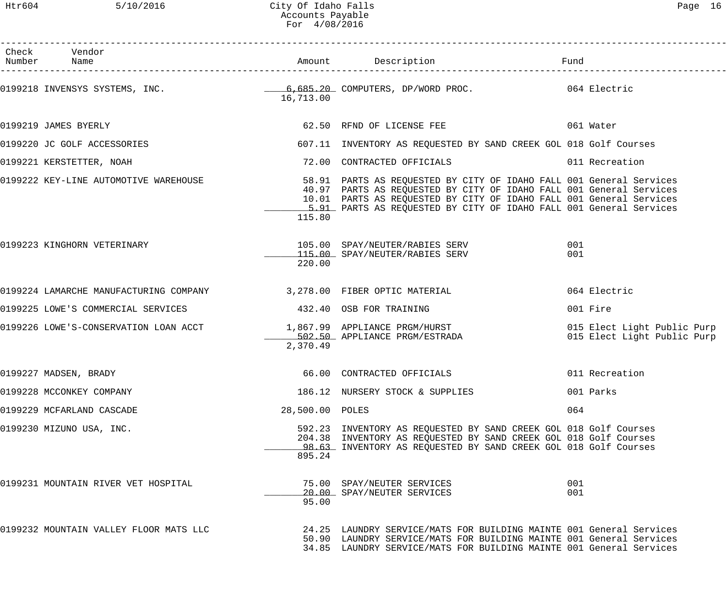| Check Vendor                                                                                                      |                 |                                                                                                                                                                                                                                                                                         | Fund                                                       |
|-------------------------------------------------------------------------------------------------------------------|-----------------|-----------------------------------------------------------------------------------------------------------------------------------------------------------------------------------------------------------------------------------------------------------------------------------------|------------------------------------------------------------|
| 0199218 INVENSYS SYSTEMS, INC.<br>20199218 INVENSYS SYSTEMS, INC. The Computers, DP/WORD PROC. 2019 10:4 Electric | 16,713.00       |                                                                                                                                                                                                                                                                                         |                                                            |
| 0199219 JAMES BYERLY                                                                                              |                 | 62.50 RFND OF LICENSE FEE 62.50 061 Water                                                                                                                                                                                                                                               |                                                            |
| 0199220 JC GOLF ACCESSORIES                                                                                       |                 | 607.11 INVENTORY AS REQUESTED BY SAND CREEK GOL 018 Golf Courses                                                                                                                                                                                                                        |                                                            |
| 0199221 KERSTETTER, NOAH                                                                                          |                 | 72.00 CONTRACTED OFFICIALS 6011 Recreation                                                                                                                                                                                                                                              |                                                            |
| 0199222 KEY-LINE AUTOMOTIVE WAREHOUSE                                                                             | 115.80          | 58.91 PARTS AS REQUESTED BY CITY OF IDAHO FALL 001 General Services<br>40.97 PARTS AS REQUESTED BY CITY OF IDAHO FALL 001 General Services<br>10.01 PARTS AS REQUESTED BY CITY OF IDAHO FALL 001 General Services<br>5.91 PARTS AS REQUESTED BY CITY OF IDAHO FALL 001 General Services |                                                            |
| 0199223 KINGHORN VETERINARY                                                                                       | 220.00          | 105.00 SPAY/NEUTER/RABIES SERV<br>115.00 SPAY/NEUTER/RABIES SERV                                                                                                                                                                                                                        | 001<br>001                                                 |
| 0199224 LAMARCHE MANUFACTURING COMPANY 3,278.00 FIBER OPTIC MATERIAL                                              |                 |                                                                                                                                                                                                                                                                                         | 064 Electric                                               |
| 0199225 LOWE'S COMMERCIAL SERVICES                                                                                |                 | 432.40 OSB FOR TRAINING                                                                                                                                                                                                                                                                 | 001 Fire                                                   |
| 0199226 LOWE'S-CONSERVATION LOAN ACCT 1,867.99 APPLIANCE PRGM/HURST<br>502.50 APPLIANCE PRGM/ESTRADA              | 2,370.49        |                                                                                                                                                                                                                                                                                         | 015 Elect Light Public Purp<br>015 Elect Light Public Purp |
| 0199227 MADSEN, BRADY                                                                                             |                 | 66.00 CONTRACTED OFFICIALS                                                                                                                                                                                                                                                              | 011 Recreation                                             |
| 0199228 MCCONKEY COMPANY                                                                                          |                 | 186.12 NURSERY STOCK & SUPPLIES                                                                                                                                                                                                                                                         | 001 Parks                                                  |
| 0199229 MCFARLAND CASCADE                                                                                         | 28,500.00 POLES |                                                                                                                                                                                                                                                                                         | 064                                                        |
| 0199230 MIZUNO USA, INC.                                                                                          | 895.24          | 592.23 INVENTORY AS REQUESTED BY SAND CREEK GOL 018 Golf Courses<br>204.38 INVENTORY AS REQUESTED BY SAND CREEK GOL 018 Golf Courses<br>98.63 INVENTORY AS REQUESTED BY SAND CREEK GOL 018 Golf Courses                                                                                 |                                                            |
| 0199231 MOUNTAIN RIVER VET HOSPITAL                                                                               | 95.00           | 75.00 SPAY/NEUTER SERVICES<br>20.00 SPAY/NEUTER SERVICES                                                                                                                                                                                                                                | 001<br>001                                                 |
| 0199232 MOUNTAIN VALLEY FLOOR MATS LLC                                                                            |                 | 24.25 LAUNDRY SERVICE/MATS FOR BUILDING MAINTE 001 General Services<br>50.90 LAUNDRY SERVICE/MATS FOR BUILDING MAINTE 001 General Services<br>34.85 LAUNDRY SERVICE/MATS FOR BUILDING MAINTE 001 General Services                                                                       |                                                            |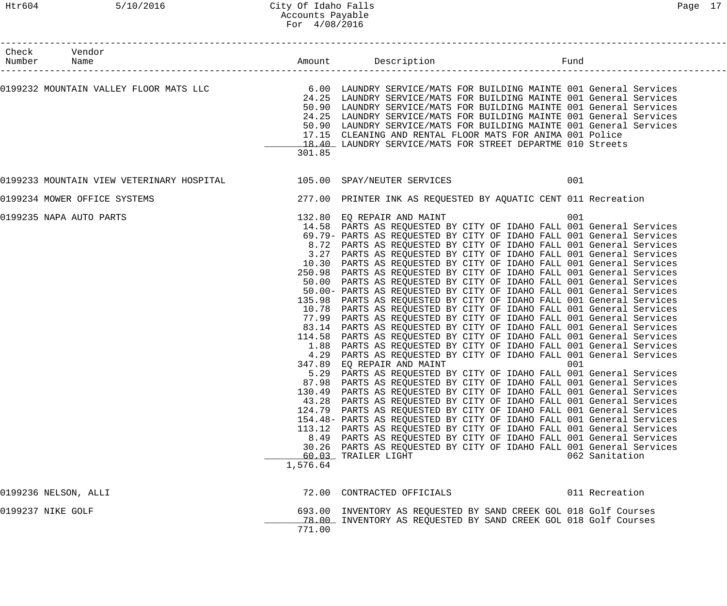| Check Vendor<br>Number Name<br>._____________________                                                     |          |                                                                                                                                                                                                                                                                                                                                                                                                                                                                                                                                                                                                                                                                                                                                                                                                                                                                                                                                                                                                                                                                                                                                                                                                                                                                                                                                                                                                                                                                                                                                                                                                                                                                                                                                                                                                                                                             |            |                |
|-----------------------------------------------------------------------------------------------------------|----------|-------------------------------------------------------------------------------------------------------------------------------------------------------------------------------------------------------------------------------------------------------------------------------------------------------------------------------------------------------------------------------------------------------------------------------------------------------------------------------------------------------------------------------------------------------------------------------------------------------------------------------------------------------------------------------------------------------------------------------------------------------------------------------------------------------------------------------------------------------------------------------------------------------------------------------------------------------------------------------------------------------------------------------------------------------------------------------------------------------------------------------------------------------------------------------------------------------------------------------------------------------------------------------------------------------------------------------------------------------------------------------------------------------------------------------------------------------------------------------------------------------------------------------------------------------------------------------------------------------------------------------------------------------------------------------------------------------------------------------------------------------------------------------------------------------------------------------------------------------------|------------|----------------|
| 0199232 MOUNTAIN VALLEY FLOOR MATS LLC 6.00 LAUNDRY SERVICE/MATS FOR BUILDING MAINTE 001 General Services | 301.85   | 24.25 LAUNDRY SERVICE/MATS FOR BUILDING MAINTE 001 General Services<br>50.90 LAUNDRY SERVICE/MATS FOR BUILDING MAINTE 001 General Services<br>24.25 LAUNDRY SERVICE/MATS FOR BUILDING MAINTE 001 General Services<br>50.90 LAUNDRY SERVICE/MATS FOR BUILDING MAINTE 001 General Services<br>17.15 CLEANING AND RENTAL FLOOR MATS FOR ANIMA 001 Police<br>18.40 LAUNDRY SERVICE/MATS FOR STREET DEPARTME 010 Streets                                                                                                                                                                                                                                                                                                                                                                                                                                                                                                                                                                                                                                                                                                                                                                                                                                                                                                                                                                                                                                                                                                                                                                                                                                                                                                                                                                                                                                         |            |                |
|                                                                                                           |          |                                                                                                                                                                                                                                                                                                                                                                                                                                                                                                                                                                                                                                                                                                                                                                                                                                                                                                                                                                                                                                                                                                                                                                                                                                                                                                                                                                                                                                                                                                                                                                                                                                                                                                                                                                                                                                                             | 001        |                |
| 0199234 MOWER OFFICE SYSTEMS                                                                              |          | 277.00 PRINTER INK AS REQUESTED BY AQUATIC CENT 011 Recreation                                                                                                                                                                                                                                                                                                                                                                                                                                                                                                                                                                                                                                                                                                                                                                                                                                                                                                                                                                                                                                                                                                                                                                                                                                                                                                                                                                                                                                                                                                                                                                                                                                                                                                                                                                                              |            |                |
| 0199235 NAPA AUTO PARTS                                                                                   | 1,576.64 | 132.80 EQ REPAIR AND MAINT<br>14.58 PARTS AS REQUESTED BY CITY OF IDAHO FALL 001 General Services<br>69.79- PARTS AS REQUESTED BY CITY OF IDAHO FALL 001 General Services<br>8.72 PARTS AS REQUESTED BY CITY OF IDAHO FALL 001 General Services<br>3.27 PARTS AS REQUESTED BY CITY OF IDAHO FALL 001 General Services<br>10.30 PARTS AS REQUESTED BY CITY OF IDAHO FALL 001 General Services<br>250.98 PARTS AS REQUESTED BY CITY OF IDAHO FALL 001 General Services<br>50.00 PARTS AS REQUESTED BY CITY OF IDAHO FALL 001 General Services<br>50.00- PARTS AS REQUESTED BY CITY OF IDAHO FALL 001 General Services<br>135.98 PARTS AS REQUESTED BY CITY OF IDAHO FALL 001 General Services<br>10.78 PARTS AS REQUESTED BY CITY OF IDAHO FALL 001 General Services<br>77.99 PARTS AS REQUESTED BY CITY OF IDAHO FALL 001 General Services<br>83.14 PARTS AS REQUESTED BY CITY OF IDAHO FALL 001 General Services<br>114.58 PARTS AS REQUESTED BY CITY OF IDAHO FALL 001 General Services<br>1.88 PARTS AS REQUESTED BY CITY OF IDAHO FALL 001 General Services<br>4.29 PARTS AS REQUESTED BY CITY OF IDAHO FALL 001 General Services<br>347.89 EQ REPAIR AND MAINT<br>5.29 PARTS AS REQUESTED BY CITY OF IDAHO FALL 001 General Services<br>87.98 PARTS AS REQUESTED BY CITY OF IDAHO FALL 001 General Services<br>130.49 PARTS AS REQUESTED BY CITY OF IDAHO FALL 001 General Services<br>43.28 PARTS AS REQUESTED BY CITY OF IDAHO FALL 001 General Services<br>124.79 PARTS AS REQUESTED BY CITY OF IDAHO FALL 001 General Services<br>154.48- PARTS AS REQUESTED BY CITY OF IDAHO FALL 001 General Services<br>113.12 PARTS AS REQUESTED BY CITY OF IDAHO FALL 001 General Services<br>8.49 PARTS AS REQUESTED BY CITY OF IDAHO FALL 001 General Services<br>30.26 PARTS AS REQUESTED BY CITY OF IDAHO FALL 001 General Services<br>60.03 TRAILER LIGHT | 001<br>001 | 062 Sanitation |
| 0199236 NELSON, ALLI                                                                                      |          | 72.00 CONTRACTED OFFICIALS                                                                                                                                                                                                                                                                                                                                                                                                                                                                                                                                                                                                                                                                                                                                                                                                                                                                                                                                                                                                                                                                                                                                                                                                                                                                                                                                                                                                                                                                                                                                                                                                                                                                                                                                                                                                                                  |            | 011 Recreation |
| 0199237 NIKE GOLF                                                                                         | 771.00   | 693.00 INVENTORY AS REQUESTED BY SAND CREEK GOL 018 Golf Courses<br>78.00 INVENTORY AS REQUESTED BY SAND CREEK GOL 018 Golf Courses                                                                                                                                                                                                                                                                                                                                                                                                                                                                                                                                                                                                                                                                                                                                                                                                                                                                                                                                                                                                                                                                                                                                                                                                                                                                                                                                                                                                                                                                                                                                                                                                                                                                                                                         |            |                |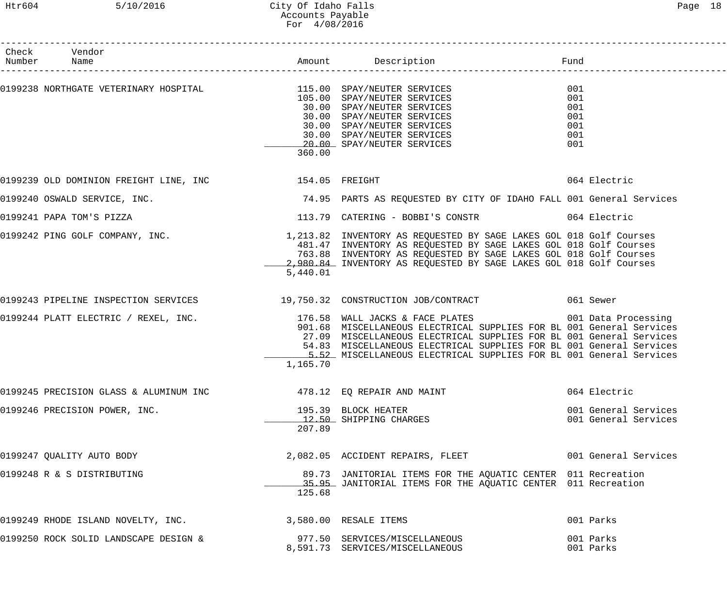| Check Vendor<br>Number Name                                                                                                                                                                                                                |          |                                                                                                                                                                                                                                                                                                                                                                                      |                                               |
|--------------------------------------------------------------------------------------------------------------------------------------------------------------------------------------------------------------------------------------------|----------|--------------------------------------------------------------------------------------------------------------------------------------------------------------------------------------------------------------------------------------------------------------------------------------------------------------------------------------------------------------------------------------|-----------------------------------------------|
| 0199238 NORTHGATE VETERINARY HOSPITAL (199238 AND SPAY/NEUTER SERVICES<br>105.00 SPAY/NEUTER SERVICES<br>30.00 SPAY/NEUTER SERVICES<br>30.00 SPAY/NEUTER SERVICES<br>30.00 SPAY/NEUTER SERVICES<br>30.00 SPAY/NEUTER SERVICES<br>20.00 SPA | 360.00   |                                                                                                                                                                                                                                                                                                                                                                                      | 001<br>001<br>001<br>001<br>001<br>001<br>001 |
| 0199239 OLD DOMINION FREIGHT LINE, INC <a>&gt; 154.05</a> FREIGHT                                                                                                                                                                          |          |                                                                                                                                                                                                                                                                                                                                                                                      | 064 Electric                                  |
|                                                                                                                                                                                                                                            |          | 0199240 OSWALD SERVICE, INC. The Same State of the State of the State of the State of the Services of the Services                                                                                                                                                                                                                                                                   |                                               |
|                                                                                                                                                                                                                                            |          | 0199241 PAPA TOM'S PIZZA <b>Example 2018 1213.79 CATERING - BOBBI'S CONSTR</b> 664 Electric                                                                                                                                                                                                                                                                                          |                                               |
|                                                                                                                                                                                                                                            | 5,440.01 | 0199242 PING GOLF COMPANY, INC.<br>1,213.82 INVENTORY AS REQUESTED BY SAGE LAKES GOL 018 Golf Courses<br>481.47 INVENTORY AS REQUESTED BY SAGE LAKES GOL 018 Golf Courses<br>763.88 INVENTORY AS REQUESTED BY SAGE LAKES GOL 018 Golf Courses<br>2,980.84 INVENTORY AS REQUESTED BY SAGE LAKES GOL 018 Golf Courses                                                                  |                                               |
|                                                                                                                                                                                                                                            |          | 0199243 PIPELINE INSPECTION SERVICES 19,750.32 CONSTRUCTION JOB/CONTRACT 061 Sewer                                                                                                                                                                                                                                                                                                   |                                               |
|                                                                                                                                                                                                                                            | 1,165.70 | 0199244 PLATT ELECTRIC / REXEL, INC. 176.58 WALL JACKS & FACE PLATES 001 Data Processing<br>901.68 MISCELLANEOUS ELECTRICAL SUPPLIES FOR BL 001 General Services<br>27.09 MISCELLANEOUS ELECTRICAL SUPPLIES FOR BL 001 General Services<br>54.83 MISCELLANEOUS ELECTRICAL SUPPLIES FOR BL 001 General Services<br>5.52 MISCELLANEOUS ELECTRICAL SUPPLIES FOR BL 001 General Services |                                               |
| 0199245 PRECISION GLASS & ALUMINUM INC                    478.12 EQ REPAIR AND MAINT                                                                                                                                                       |          |                                                                                                                                                                                                                                                                                                                                                                                      | 064 Electric                                  |
| 0199246 PRECISION POWER, INC.                                                                                                                                                                                                              | 207.89   | 195.39 BLOCK HEATER<br>12.50 SHIPPING CHARGES                                                                                                                                                                                                                                                                                                                                        | 001 General Services<br>001 General Services  |
| 0199247 QUALITY AUTO BODY                                                                                                                                                                                                                  |          | 2,082.05 ACCIDENT REPAIRS, FLEET 001 General Services                                                                                                                                                                                                                                                                                                                                |                                               |
| 0199248 R & S DISTRIBUTING                                                                                                                                                                                                                 | 125.68   | 89.73 JANITORIAL ITEMS FOR THE AQUATIC CENTER 011 Recreation<br>15.95 JANITORIAL ITEMS FOR THE AQUATIC CENTER 011 Recreation                                                                                                                                                                                                                                                         |                                               |
| 0199249 RHODE ISLAND NOVELTY, INC.                                                                                                                                                                                                         |          | 3,580.00 RESALE ITEMS                                                                                                                                                                                                                                                                                                                                                                | 001 Parks                                     |
| 0199250 ROCK SOLID LANDSCAPE DESIGN &                                                                                                                                                                                                      |          | 977.50 SERVICES/MISCELLANEOUS<br>8,591.73 SERVICES/MISCELLANEOUS                                                                                                                                                                                                                                                                                                                     | 001 Parks<br>001 Parks                        |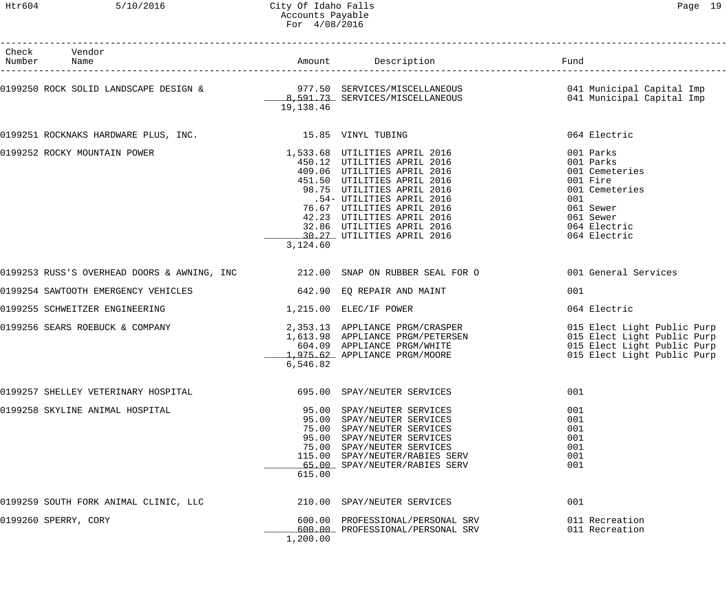| Check Vendor                                                                                                                                                 |           |                                                                                                                                                                                                                       |                                                                                                                                                                                                                         |
|--------------------------------------------------------------------------------------------------------------------------------------------------------------|-----------|-----------------------------------------------------------------------------------------------------------------------------------------------------------------------------------------------------------------------|-------------------------------------------------------------------------------------------------------------------------------------------------------------------------------------------------------------------------|
| 0199250 ROCK SOLID LANDSCAPE DESIGN & 977.50 SERVICES/MISCELLANEOUS 6 041 Municipal Capital Imp<br>B,591.73 SERVICES/MISCELLANEOUS 041 Municipal Capital Imp | 19,138.46 |                                                                                                                                                                                                                       |                                                                                                                                                                                                                         |
| 0199251 ROCKNAKS HARDWARE PLUS, INC. 15.85 VINYL TUBING                                                                                                      |           |                                                                                                                                                                                                                       | 064 Electric                                                                                                                                                                                                            |
|                                                                                                                                                              | 3,124.60  |                                                                                                                                                                                                                       | 001 Cemeteries<br>001 Cemeteries                                                                                                                                                                                        |
| 0199253 RUSS'S OVERHEAD DOORS & AWNING, INC 312.00 SNAP ON RUBBER SEAL FOR O 600000000000000000000000000000000                                               |           |                                                                                                                                                                                                                       |                                                                                                                                                                                                                         |
| 0199254 SAWTOOTH EMERGENCY VEHICLES 642.90 EQ REPAIR AND MAINT                                                                                               |           |                                                                                                                                                                                                                       | 001                                                                                                                                                                                                                     |
| 1,215.00 ELEC/IF POWER<br>0199255 SCHWEITZER ENGINEERING                                                                                                     |           |                                                                                                                                                                                                                       | 064 Electric                                                                                                                                                                                                            |
| 0199256 SEARS ROEBUCK & COMPANY                                                                                                                              | 6,546.82  |                                                                                                                                                                                                                       | 2,353.13 APPLIANCE PRGM/CRASPER<br>1,613.98 APPLIANCE PRGM/PETERSEN 015 Elect Light Public Purp<br>604.09 APPLIANCE PRGM/WHITE 015 Elect Light Public Purp<br>1,975.62 APPLIANCE PRGM/MOORE 015 Elect Light Public Purp |
| 0199257 SHELLEY VETERINARY HOSPITAL                                                                                                                          |           | 695.00 SPAY/NEUTER SERVICES                                                                                                                                                                                           | 001                                                                                                                                                                                                                     |
| 0199258 SKYLINE ANIMAL HOSPITAL                                                                                                                              | 615.00    | 95.00 SPAY/NEUTER SERVICES<br>95.00 SPAY/NEUTER SERVICES<br>75.00 SPAY/NEUTER SERVICES<br>95.00 SPAY/NEUTER SERVICES<br>75.00 SPAY/NEUTER SERVICES<br>115.00 SPAY/NEUTER/RABIES SERV<br>65.00 SPAY/NEUTER/RABIES SERV | 001<br>001<br>001<br>001<br>001<br>001<br>001                                                                                                                                                                           |
| 0199259 SOUTH FORK ANIMAL CLINIC, LLC                                                                                                                        |           | 210.00 SPAY/NEUTER SERVICES                                                                                                                                                                                           | 001                                                                                                                                                                                                                     |
| 0199260 SPERRY, CORY                                                                                                                                         | 1,200.00  | 600.00 PROFESSIONAL/PERSONAL SRV<br>600.00 PROFESSIONAL/PERSONAL SRV                                                                                                                                                  | 011 Recreation<br>011 Recreation                                                                                                                                                                                        |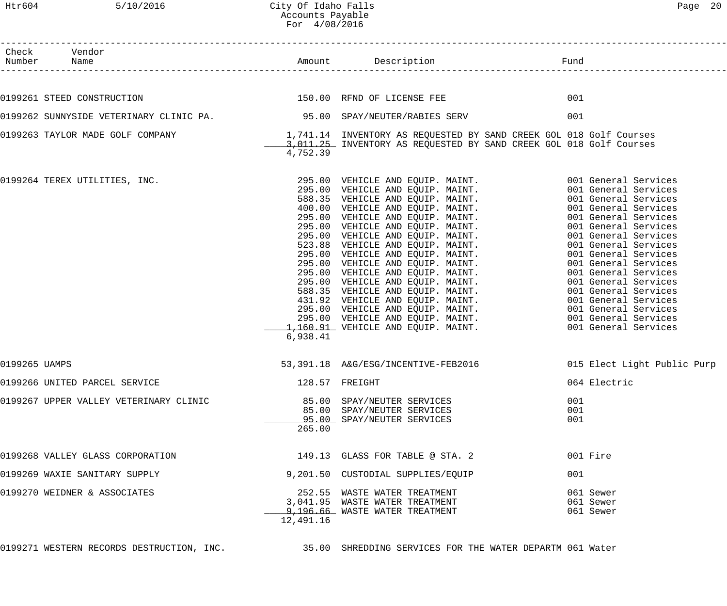Htr604 5/10/2016 City Of Idaho Falls Content Content of Page 20 Accounts Payable For 4/08/2016 ------------------------------------------------------------------------------------------------------------------------------------ Check Vendor<br>Number Name Number Name Rund Reserves Name Rund Amount Description Communist Pund ------------------------------------------------------------------------------------------------------------------------------------ 0199261 STEED CONSTRUCTION 601 CONSTRUCTION 150.00 RFND OF LICENSE FEE 0199262 SUNNYSIDE VETERINARY CLINIC PA. 95.00 SPAY/NEUTER/RABIES SERV 001 0199263 TAYLOR MADE GOLF COMPANY 1,741.14 INVENTORY AS REQUESTED BY SAND CREEK GOL 018 Golf Courses 1,011.25 INVENTORY AS REQUESTED BY SAND CREEK GOL 018 Golf Courses 4,752.39 0199264 TEREX UTILITIES, INC. 295.00 VEHICLE AND EQUIP. MAINT. 001 General Services 295.00 VEHICLE AND EQUIP. MAINT. 001 General Services 588.35 VEHICLE AND EQUIP. MAINT. 001 General Services 400.00 VEHICLE AND EQUIP. MAINT. 001 General Services 295.00 VEHICLE AND EQUIP. MAINT. 001 General Services 295.00 VEHICLE AND EQUIP. MAINT. 001 General Services 295.00 VEHICLE AND EQUIP. MAINT. 001 General Services 523.88 VEHICLE AND EQUIP. MAINT. 001 General Services 295.00 VEHICLE AND EQUIP. MAINT. 001 General Services

|                                        | 6,938.41            | 295.00 VEHICLE AND EQUIP. MAINT. 4001 General Services<br>1,160.91 VEHICLE AND EQUIP. MAINT. 001 General Services |                                     |
|----------------------------------------|---------------------|-------------------------------------------------------------------------------------------------------------------|-------------------------------------|
| 0199265 UAMPS                          |                     | 53,391.18 A&G/ESG/INCENTIVE-FEB2016                                                                               | 015 Elect Light Public Purp         |
| 0199266 UNITED PARCEL SERVICE          |                     | 128.57 FREIGHT                                                                                                    | 064 Electric                        |
| 0199267 UPPER VALLEY VETERINARY CLINIC | 265.00              | 85.00 SPAY/NEUTER SERVICES<br>85.00 SPAY/NEUTER SERVICES<br>95.00 SPAY/NEUTER SERVICES                            | 001<br>001<br>001                   |
| 0199268 VALLEY GLASS CORPORATION       |                     | 149.13 GLASS FOR TABLE @ STA. 2                                                                                   | 001 Fire                            |
| 0199269 WAXIE SANITARY SUPPLY          |                     | 9,201.50 CUSTODIAL SUPPLIES/EQUIP                                                                                 | 001                                 |
| 0199270 WEIDNER & ASSOCIATES           | 252.55<br>12,491.16 | WASTE WATER TREATMENT<br>3,041.95 WASTE WATER TREATMENT<br>9,196.66 WASTE WATER TREATMENT                         | 061 Sewer<br>061 Sewer<br>061 Sewer |

0199271 WESTERN RECORDS DESTRUCTION, INC. 35.00 SHREDDING SERVICES FOR THE WATER DEPARTM 061 Water

295.00 VEHICLE AND EQUIP. MAINT. 001 General Services 295.00 VEHICLE AND EQUIP. MAINT. 001 General Services 295.00 VEHICLE AND EQUIP. MAINT. 001 General Services 588.35 VEHICLE AND EQUIP. MAINT. 001 General Services 431.92 VEHICLE AND EQUIP. MAINT. 001 General Services 295.00 VEHICLE AND EQUIP. MAINT. 001 General Services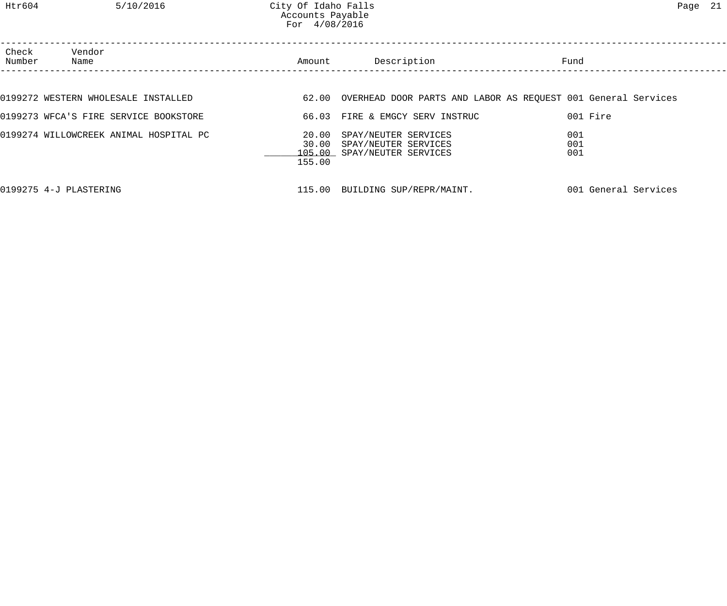| Check<br>Number | Vendor<br>Name                         | Amount | Description                                                                             | Fund                                                                |  |
|-----------------|----------------------------------------|--------|-----------------------------------------------------------------------------------------|---------------------------------------------------------------------|--|
|                 |                                        |        |                                                                                         |                                                                     |  |
|                 | 0199272 WESTERN WHOLESALE INSTALLED    |        |                                                                                         | 62.00 OVERHEAD DOOR PARTS AND LABOR AS REQUEST 001 General Services |  |
|                 | 0199273 WFCA'S FIRE SERVICE BOOKSTORE  |        | 66.03 FIRE & EMGCY SERV INSTRUC                                                         | 001 Fire                                                            |  |
|                 | 0199274 WILLOWCREEK ANIMAL HOSPITAL PC | 155.00 | 20.00 SPAY/NEUTER SERVICES<br>30.00 SPAY/NEUTER SERVICES<br>105.00 SPAY/NEUTER SERVICES | 001<br>001<br>001                                                   |  |
|                 | 0199275 4-J PLASTERING                 |        | 115.00 BUILDING SUP/REPR/MAINT.                                                         | 001 General Services                                                |  |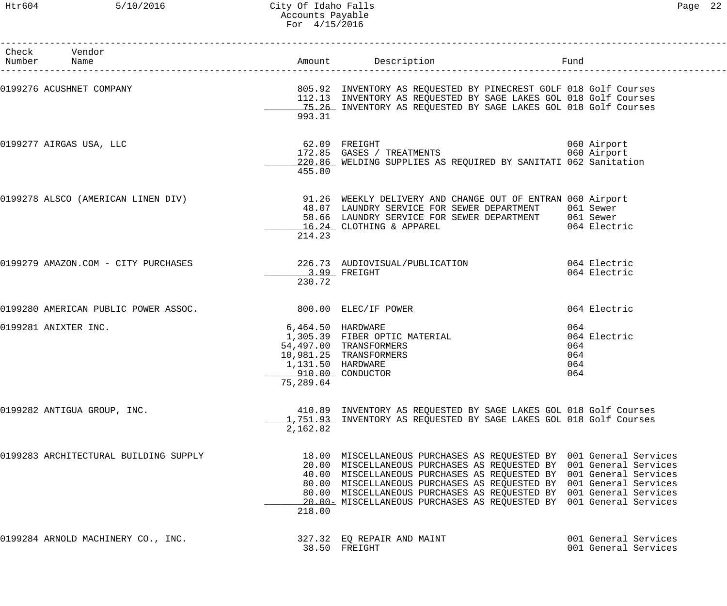| Check Vendor<br>Number Name           |                                                                         |                                                                                                                                                                                                                                                                                                                                                                                                                                   | Fund                                            |
|---------------------------------------|-------------------------------------------------------------------------|-----------------------------------------------------------------------------------------------------------------------------------------------------------------------------------------------------------------------------------------------------------------------------------------------------------------------------------------------------------------------------------------------------------------------------------|-------------------------------------------------|
|                                       | 993.31                                                                  | 0199276 ACUSHNET COMPANY COMPANY COMPANY SUMMAN RELATE BY PINECREST GOLF 018 Golf Courses<br>112.13 INVENTORY AS REQUESTED BY SAGE LAKES GOL 018 Golf Courses<br>15.26 INVENTORY AS REQUESTED BY SAGE LAKES GOL 018 Golf Courses                                                                                                                                                                                                  |                                                 |
| 0199277 AIRGAS USA, LLC               | 455.80                                                                  | 62.09   FREIGHT<br>172.85   GASES  /  TREATMENTS<br>220.86 WELDING SUPPLIES AS REQUIRED BY SANITATI 062 Sanitation                                                                                                                                                                                                                                                                                                                | 060 Airport<br>060 Airport                      |
|                                       | 214.23                                                                  | 0199278 ALSCO (AMERICAN LINEN DIV) 31.26 WEEKLY DELIVERY AND CHANGE OUT OF ENTRAN 060 Airport<br>48.07 LAUNDRY SERVICE FOR SEWER DEPARTMENT 061 Sewer<br>58.66 LAUNDRY SERVICE FOR SEWER DEPARTMENT 061 Sewer<br>16.24 CLOTHING & APPAREL                                                                                                                                                                                         | 064 Electric                                    |
| 0199279 AMAZON.COM - CITY PURCHASES   | 230.72                                                                  | 226.73 AUDIOVISUAL/PUBLICATION 064 Electric<br>$3.99$ FREIGHT                                                                                                                                                                                                                                                                                                                                                                     | 064 Electric                                    |
| 0199280 AMERICAN PUBLIC POWER ASSOC.  |                                                                         | 800.00 ELEC/IF POWER                                                                                                                                                                                                                                                                                                                                                                                                              | 064 Electric                                    |
| 0199281 ANIXTER INC.                  | 6,464.50 HARDWARE<br>1,131.50 HARDWARE<br>910.00 CONDUCTOR<br>75,289.64 | 1,305.39 FIBER OPTIC MATERIAL<br>54,497.00 TRANSFORMERS<br>10,981.25 TRANSFORMERS                                                                                                                                                                                                                                                                                                                                                 | 064<br>064 Electric<br>064<br>064<br>064<br>064 |
| 0199282 ANTIGUA GROUP, INC.           | 2,162.82                                                                | 410.89 INVENTORY AS REQUESTED BY SAGE LAKES GOL 018 Golf Courses<br>1,751.93 INVENTORY AS REQUESTED BY SAGE LAKES GOL 018 Golf Courses                                                                                                                                                                                                                                                                                            |                                                 |
| 0199283 ARCHITECTURAL BUILDING SUPPLY | 218.00                                                                  | 18.00 MISCELLANEOUS PURCHASES AS REQUESTED BY 001 General Services<br>20.00 MISCELLANEOUS PURCHASES AS REQUESTED BY 001 General Services<br>40.00 MISCELLANEOUS PURCHASES AS REQUESTED BY 001 General Services<br>80.00 MISCELLANEOUS PURCHASES AS REQUESTED BY 001 General Services<br>80.00 MISCELLANEOUS PURCHASES AS REQUESTED BY 001 General Services<br>20.00 EMISCELLANEOUS PURCHASES AS REQUESTED BY 001 General Services |                                                 |
| 0199284 ARNOLD MACHINERY CO., INC.    |                                                                         | 327.32 EQ REPAIR AND MAINT<br>38.50 FREIGHT                                                                                                                                                                                                                                                                                                                                                                                       | 001 General Services<br>001 General Services    |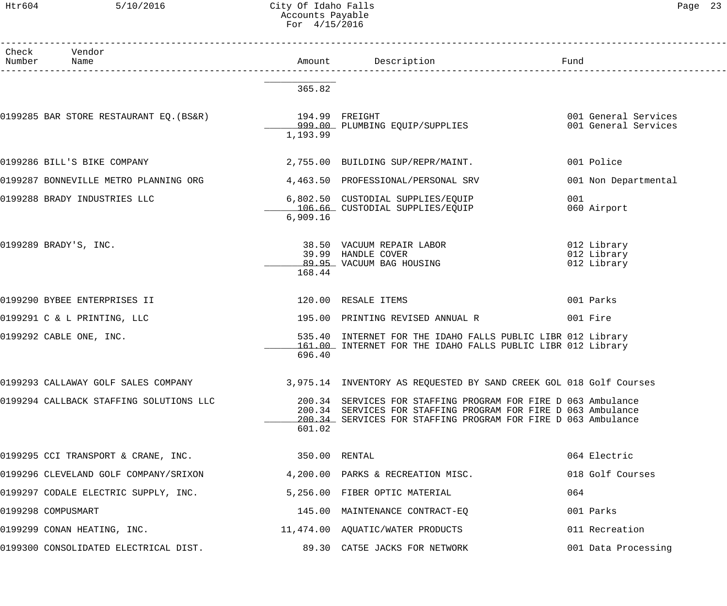## Htr604 5/10/2016 City Of Idaho Falls Page 23 Accounts Payable For 4/15/2016

| Раае |  |
|------|--|
|------|--|

| Check | Vendor<br>Number Name                                               |                 |                                                                                                                                                                                                 |                                              |
|-------|---------------------------------------------------------------------|-----------------|-------------------------------------------------------------------------------------------------------------------------------------------------------------------------------------------------|----------------------------------------------|
|       |                                                                     | 365.82          |                                                                                                                                                                                                 |                                              |
|       |                                                                     | 1,193.99        |                                                                                                                                                                                                 | 001 General Services<br>001 General Services |
|       | 0199286 BILL'S BIKE COMPANY                                         |                 | 2,755.00 BUILDING SUP/REPR/MAINT.                                                                                                                                                               | 001 Police                                   |
|       | 0199287 BONNEVILLE METRO PLANNING ORG                               |                 | 4,463.50 PROFESSIONAL/PERSONAL SRV                                                                                                                                                              | 001 Non Departmental                         |
|       | 0199288 BRADY INDUSTRIES LLC                                        | 6,909.16        | 6,802.50 CUSTODIAL SUPPLIES/EQUIP<br>106.66 CUSTODIAL SUPPLIES/EQUIP                                                                                                                            | 001<br>060 Airport                           |
|       | 0199289 BRADY'S, INC.                                               | 168.44          | 38.50 VACUUM REPAIR LABOR<br>39.99 HANDLE COVER<br>89.95 VACUUM BAG HOUSING                                                                                                                     | 012 Library<br>012 Library<br>012 Library    |
|       | 0199290 BYBEE ENTERPRISES II                                        |                 | 120.00 RESALE ITEMS                                                                                                                                                                             | 001 Parks                                    |
|       | 0199291 C & L PRINTING, LLC                                         |                 | 195.00 PRINTING REVISED ANNUAL R                                                                                                                                                                | 001 Fire                                     |
|       | 0199292 CABLE ONE, INC.                                             | 696.40          | 535.40 INTERNET FOR THE IDAHO FALLS PUBLIC LIBR 012 Library<br>161.00 INTERNET FOR THE IDAHO FALLS PUBLIC LIBR 012 Library                                                                      |                                              |
|       | 0199293 CALLAWAY GOLF SALES COMPANY                                 |                 | 3,975.14 INVENTORY AS REQUESTED BY SAND CREEK GOL 018 Golf Courses                                                                                                                              |                                              |
|       | 0199294 CALLBACK STAFFING SOLUTIONS LLC                             | 601.02          | 200.34 SERVICES FOR STAFFING PROGRAM FOR FIRE D 063 Ambulance<br>200.34 SERVICES FOR STAFFING PROGRAM FOR FIRE D 063 Ambulance<br>200.34 SERVICES FOR STAFFING PROGRAM FOR FIRE D 063 Ambulance |                                              |
|       | 0199295 CCI TRANSPORT & CRANE, INC.                                 | $350.00$ RENTAL |                                                                                                                                                                                                 | 064 Electric                                 |
|       | 0199296 CLEVELAND GOLF COMPANY/SRIXON                               |                 | 4,200.00 PARKS & RECREATION MISC.                                                                                                                                                               | 018 Golf Courses                             |
|       | 0199297 CODALE ELECTRIC SUPPLY, INC.                                |                 | 5,256.00 FIBER OPTIC MATERIAL                                                                                                                                                                   | 064                                          |
|       | 0199298 COMPUSMART                                                  |                 | 145.00 MAINTENANCE CONTRACT-EQ                                                                                                                                                                  | 001 Parks                                    |
|       | 0199299 CONAN HEATING, INC.                                         |                 | 11,474.00 AQUATIC/WATER PRODUCTS                                                                                                                                                                | 011 Recreation                               |
|       | 0199300 CONSOLIDATED ELECTRICAL DIST. 69.30 CAT5E JACKS FOR NETWORK |                 |                                                                                                                                                                                                 | 001 Data Processing                          |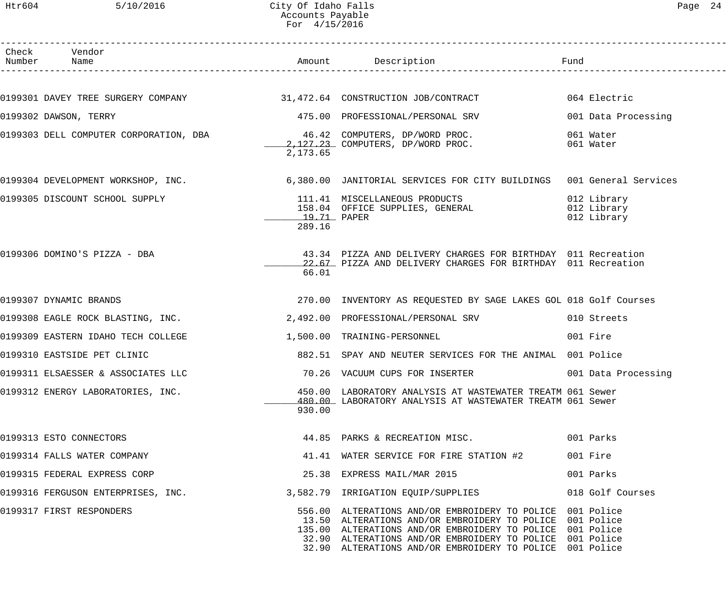## Htr604 5/10/2016 City Of Idaho Falls Page 24 Accounts Payable For 4/15/2016

| Check Vendor<br>Number Name                                            |                       |                                                                                                                                                                                                                                                                                                            |                                           |
|------------------------------------------------------------------------|-----------------------|------------------------------------------------------------------------------------------------------------------------------------------------------------------------------------------------------------------------------------------------------------------------------------------------------------|-------------------------------------------|
|                                                                        |                       |                                                                                                                                                                                                                                                                                                            |                                           |
| 0199301 DAVEY TREE SURGERY COMPANY 31,472.64 CONSTRUCTION JOB/CONTRACT |                       |                                                                                                                                                                                                                                                                                                            | 064 Electric                              |
| 0199302 DAWSON, TERRY                                                  |                       | 475.00 PROFESSIONAL/PERSONAL SRV                                                                                                                                                                                                                                                                           | 001 Data Processing                       |
| 0199303 DELL COMPUTER CORPORATION, DBA 6.42 COMPUTERS, DP/WORD PROC.   | 2,173.65              | $2,127.23$ COMPUTERS, DP/WORD PROC.                                                                                                                                                                                                                                                                        | 061 Water<br>061 Water                    |
|                                                                        |                       | 0199304 DEVELOPMENT WORKSHOP, INC. 6,380.00 JANITORIAL SERVICES FOR CITY BUILDINGS 001 General Services                                                                                                                                                                                                    |                                           |
| 0199305 DISCOUNT SCHOOL SUPPLY                                         | 19.71 PAPER<br>289.16 | 111.41 MISCELLANEOUS PRODUCTS<br>158.04 OFFICE SUPPLIES, GENERAL                                                                                                                                                                                                                                           | 012 Library<br>012 Library<br>012 Library |
| 0199306 DOMINO'S PIZZA - DBA                                           | 66.01                 | 43.34 PIZZA AND DELIVERY CHARGES FOR BIRTHDAY 011 Recreation<br>22.67 PIZZA AND DELIVERY CHARGES FOR BIRTHDAY 011 Recreation                                                                                                                                                                               |                                           |
| 0199307 DYNAMIC BRANDS                                                 |                       | 270.00 INVENTORY AS REQUESTED BY SAGE LAKES GOL 018 Golf Courses                                                                                                                                                                                                                                           |                                           |
| 0199308 EAGLE ROCK BLASTING, INC.                                      |                       | 2,492.00 PROFESSIONAL/PERSONAL SRV                                                                                                                                                                                                                                                                         | 010 Streets                               |
| 0199309 EASTERN IDAHO TECH COLLEGE                                     |                       | 1,500.00 TRAINING-PERSONNEL                                                                                                                                                                                                                                                                                | 001 Fire                                  |
| 0199310 EASTSIDE PET CLINIC                                            |                       | 882.51 SPAY AND NEUTER SERVICES FOR THE ANIMAL 001 Police                                                                                                                                                                                                                                                  |                                           |
| 0199311 ELSAESSER & ASSOCIATES LLC                                     |                       | 70.26 VACUUM CUPS FOR INSERTER                                                                                                                                                                                                                                                                             | 001 Data Processing                       |
| 0199312 ENERGY LABORATORIES, INC.                                      | 930.00                | 450.00 LABORATORY ANALYSIS AT WASTEWATER TREATM 061 Sewer<br>480.00 LABORATORY ANALYSIS AT WASTEWATER TREATM 061 Sewer                                                                                                                                                                                     |                                           |
| 0199313 ESTO CONNECTORS                                                |                       | 44.85 PARKS & RECREATION MISC.                                                                                                                                                                                                                                                                             | 001 Parks                                 |
| 0199314 FALLS WATER COMPANY                                            |                       | 41.41 WATER SERVICE FOR FIRE STATION #2                                                                                                                                                                                                                                                                    | 001 Fire                                  |
| 0199315 FEDERAL EXPRESS CORP                                           |                       | 25.38 EXPRESS MAIL/MAR 2015                                                                                                                                                                                                                                                                                | 001 Parks                                 |
| 0199316 FERGUSON ENTERPRISES, INC.                                     |                       | 3,582.79 IRRIGATION EQUIP/SUPPLIES                                                                                                                                                                                                                                                                         | 018 Golf Courses                          |
| 0199317 FIRST RESPONDERS                                               |                       | 556.00 ALTERATIONS AND/OR EMBROIDERY TO POLICE 001 Police<br>13.50 ALTERATIONS AND/OR EMBROIDERY TO POLICE 001 Police<br>135.00 ALTERATIONS AND/OR EMBROIDERY TO POLICE 001 Police<br>32.90 ALTERATIONS AND/OR EMBROIDERY TO POLICE 001 Police<br>32.90 ALTERATIONS AND/OR EMBROIDERY TO POLICE 001 Police |                                           |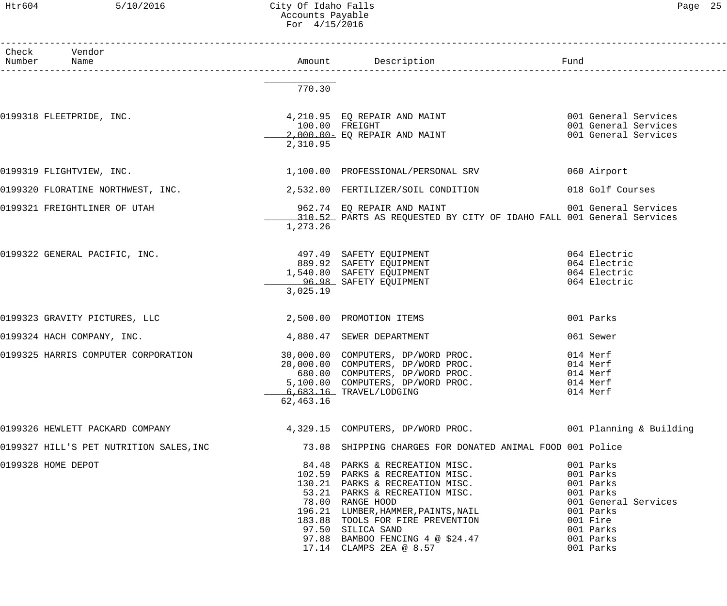## Htr604 5/10/2016 City Of Idaho Falls Page 25 Accounts Payable For 4/15/2016

| Check Vendor<br>Number Name                            |                              |                                                                                                                                                                                                                                                                                                                           |                                                                                                                                          |
|--------------------------------------------------------|------------------------------|---------------------------------------------------------------------------------------------------------------------------------------------------------------------------------------------------------------------------------------------------------------------------------------------------------------------------|------------------------------------------------------------------------------------------------------------------------------------------|
|                                                        | 770.30                       |                                                                                                                                                                                                                                                                                                                           |                                                                                                                                          |
| 0199318 FLEETPRIDE, INC.                               | $100.00$ FREIGHT<br>2,310.95 | 4,210.95 EQ REPAIR AND MAINT<br>2,000.00- EQ REPAIR AND MAINT                                                                                                                                                                                                                                                             | 001 General Services<br>001 General Services<br>001 General Services                                                                     |
| 0199319 FLIGHTVIEW, INC.                               |                              | 1,100.00 PROFESSIONAL/PERSONAL SRV 660 Airport                                                                                                                                                                                                                                                                            |                                                                                                                                          |
|                                                        |                              | 0199320 FLORATINE NORTHWEST, INC. 2,532.00 FERTILIZER/SOIL CONDITION 018 Golf Courses                                                                                                                                                                                                                                     |                                                                                                                                          |
| 0199321 FREIGHTLINER OF UTAH                           | 1,273.26                     | 962.74 EQ REPAIR AND MAINT<br>310.52 PARTS AS REQUESTED BY CITY OF IDAHO FALL 001 General Services                                                                                                                                                                                                                        | 001 General Services                                                                                                                     |
|                                                        | 3,025.19                     | 0199322 GENERAL PACIFIC, INC.<br>497.49 SAFETY EQUIPMENT<br>889.92 SAFETY EQUIPMENT<br>1,540.80 SAFETY EQUIPMENT<br>96.98 SAFETY EQUIPMENT<br>96.98 SAFETY EQUIPMENT<br>96.98 SAFETY EQUIPMENT<br>96.98 SAFETY EQUIPMENT                                                                                                  |                                                                                                                                          |
| 0199323 GRAVITY PICTURES, LLC 2,500.00 PROMOTION ITEMS |                              |                                                                                                                                                                                                                                                                                                                           | 001 Parks                                                                                                                                |
| 0199324 HACH COMPANY, INC.                             |                              | 4,880.47 SEWER DEPARTMENT                                                                                                                                                                                                                                                                                                 | 061 Sewer                                                                                                                                |
| 0199325 HARRIS COMPUTER CORPORATION                    | 62,463.16                    | 30,000.00 COMPUTERS, DP/WORD PROC. 014 Merf<br>20,000.00 COMPUTERS, DP/WORD PROC. 014 Merf<br>680.00 COMPUTERS, DP/WORD PROC. 014 Merf<br>5.100.00 COMPUTERS DP/WORD PROC. 014 Merf<br>5,100.00 COMPUTERS, DP/WORD PROC.<br>6,683.16 TRAVEL/LODGING                                                                       | 014 Merf<br>014 Merf                                                                                                                     |
| 0199326 HEWLETT PACKARD COMPANY                        |                              | 4,329.15 COMPUTERS, DP/WORD PROC. 001 Planning & Building                                                                                                                                                                                                                                                                 |                                                                                                                                          |
| 0199327 HILL'S PET NUTRITION SALES, INC                |                              | 73.08 SHIPPING CHARGES FOR DONATED ANIMAL FOOD 001 Police                                                                                                                                                                                                                                                                 |                                                                                                                                          |
| 0199328 HOME DEPOT                                     |                              | 84.48 PARKS & RECREATION MISC.<br>102.59 PARKS & RECREATION MISC.<br>130.21 PARKS & RECREATION MISC.<br>53.21 PARKS & RECREATION MISC.<br>78.00 RANGE HOOD<br>196.21 LUMBER, HAMMER, PAINTS, NAIL<br>183.88 TOOLS FOR FIRE PREVENTION<br>97.50 SILICA SAND<br>97.88 BAMBOO FENCING 4 @ \$24.47<br>17.14 CLAMPS 2EA @ 8.57 | 001 Parks<br>001 Parks<br>001 Parks<br>001 Parks<br>001 General Services<br>001 Parks<br>001 Fire<br>001 Parks<br>001 Parks<br>001 Parks |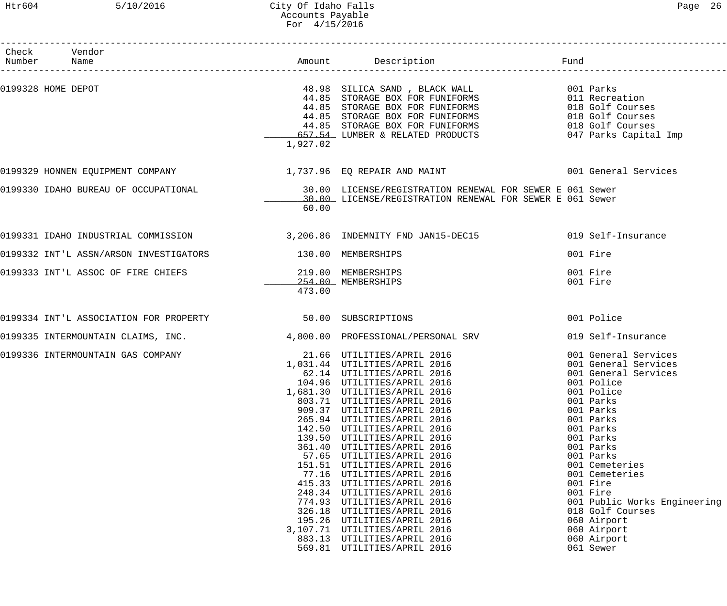# Htr604 5/10/2016 City Of Idaho Falls Page 26 Accounts Payable For 4/15/2016

| Paαe | n |
|------|---|
|------|---|

| Check Vendor       |                                                                                                 |                              |                                                                                                                                                                                                                                                                                                                                                                                                                                                                                                                                                                                                                                                                                                                                        |                                                                                                                                                                                                                                                                                                                                                                       |
|--------------------|-------------------------------------------------------------------------------------------------|------------------------------|----------------------------------------------------------------------------------------------------------------------------------------------------------------------------------------------------------------------------------------------------------------------------------------------------------------------------------------------------------------------------------------------------------------------------------------------------------------------------------------------------------------------------------------------------------------------------------------------------------------------------------------------------------------------------------------------------------------------------------------|-----------------------------------------------------------------------------------------------------------------------------------------------------------------------------------------------------------------------------------------------------------------------------------------------------------------------------------------------------------------------|
| Number Name        |                                                                                                 |                              | Amount Description                                                                                                                                                                                                                                                                                                                                                                                                                                                                                                                                                                                                                                                                                                                     | Fund                                                                                                                                                                                                                                                                                                                                                                  |
| 0199328 HOME DEPOT |                                                                                                 | 1,927.02                     | 48.98 SILICA SAND, BLACK WALL 6001 Parks<br>44.85 STORAGE BOX FOR FUNIFORMS 611 Recrea<br>44.85 STORAGE BOX FOR FUNIFORMS<br>44.85 STORAGE BOX FOR FUNIFORMS<br>44.85 STORAGE BOX FOR FUNIFORMS<br>657.54 LUMBER & RELATED PRODUCTS                                                                                                                                                                                                                                                                                                                                                                                                                                                                                                    | 011 Recreation<br>018 Golf Courses<br>018 Golf Courses<br>018 Golf Courses<br>047 Parks Capital Imp                                                                                                                                                                                                                                                                   |
|                    | 0199329 HONNEN EQUIPMENT COMPANY                                  1,737.96  EQ REPAIR AND MAINT |                              |                                                                                                                                                                                                                                                                                                                                                                                                                                                                                                                                                                                                                                                                                                                                        | 001 General Services                                                                                                                                                                                                                                                                                                                                                  |
|                    | 0199330 IDAHO BUREAU OF OCCUPATIONAL                                                            | 60.00                        | 30.00 LICENSE/REGISTRATION RENEWAL FOR SEWER E 061 Sewer<br>30.00 LICENSE/REGISTRATION RENEWAL FOR SEWER E 061 Sewer                                                                                                                                                                                                                                                                                                                                                                                                                                                                                                                                                                                                                   |                                                                                                                                                                                                                                                                                                                                                                       |
|                    |                                                                                                 |                              | 0199331 IDAHO INDUSTRIAL COMMISSION 3,206.86 INDEMNITY FND JAN15-DEC15                                                                                                                                                                                                                                                                                                                                                                                                                                                                                                                                                                                                                                                                 | 019 Self-Insurance                                                                                                                                                                                                                                                                                                                                                    |
|                    | 0199332 INT'L ASSN/ARSON INVESTIGATORS 130.00 MEMBERSHIPS                                       |                              |                                                                                                                                                                                                                                                                                                                                                                                                                                                                                                                                                                                                                                                                                                                                        | 001 Fire                                                                                                                                                                                                                                                                                                                                                              |
|                    | 0199333 INT'L ASSOC OF FIRE CHIEFS                                                              | 219.00 MEMBERSHIPS<br>473.00 | 254.00 MEMBERSHIPS                                                                                                                                                                                                                                                                                                                                                                                                                                                                                                                                                                                                                                                                                                                     | 001 Fire<br>001 Fire                                                                                                                                                                                                                                                                                                                                                  |
|                    | 0199334 INT'L ASSOCIATION FOR PROPERTY 50.00 SUBSCRIPTIONS                                      |                              |                                                                                                                                                                                                                                                                                                                                                                                                                                                                                                                                                                                                                                                                                                                                        | 001 Police                                                                                                                                                                                                                                                                                                                                                            |
|                    | 0199335 INTERMOUNTAIN CLAIMS, INC.                                                              |                              | 4,800.00 PROFESSIONAL/PERSONAL SRV                                                                                                                                                                                                                                                                                                                                                                                                                                                                                                                                                                                                                                                                                                     | 019 Self-Insurance                                                                                                                                                                                                                                                                                                                                                    |
|                    | 0199336 INTERMOUNTAIN GAS COMPANY                                                               |                              | 21.66 UTILITIES/APRIL 2016<br>1,031.44 UTILITIES/APRIL 2016<br>62.14 UTILITIES/APRIL 2016<br>62.14 UTILITIES/APRIL 2016<br>104.96 UTILITIES/APRIL 2016<br>1,681.30 UTILITIES/APRIL 2016<br>803.71 UTILITIES/APRIL 2016<br>909.37 UTILITIES/APRIL 2016<br>265.94 UTILITIES/APRIL 2016<br>142.50 UTILITIES/APRIL 2016<br>139.50 UTILITIES/APRIL 2016<br>361.40 UTILITIES/APRIL 2016<br>57.65 UTILITIES/APRIL 2016<br>151.51 UTILITIES/APRIL 2016<br>77.16 UTILITIES/APRIL 2016<br>415.33 UTILITIES/APRIL 2016<br>248.34 UTILITIES/APRIL 2016<br>774.93 UTILITIES/APRIL 2016<br>326.18 UTILITIES/APRIL 2016<br>195.26 UTILITIES/APRIL 2016<br>3,107.71 UTILITIES/APRIL 2016<br>883.13 UTILITIES/APRIL 2016<br>569.81 UTILITIES/APRIL 2016 | 001 General Services<br>001 General Services<br>001 General Services<br>001 Police<br>001 Police<br>001 Parks<br>001 Parks<br>001 Parks<br>001 Parks<br>001 Parks<br>001 Parks<br>001 Parks<br>001 Cemeteries<br>001 Cemeteries<br>001 Fire<br>001 Fire<br>001 Public Works Engineering<br>018 Golf Courses<br>060 Airport<br>060 Airport<br>060 Airport<br>061 Sewer |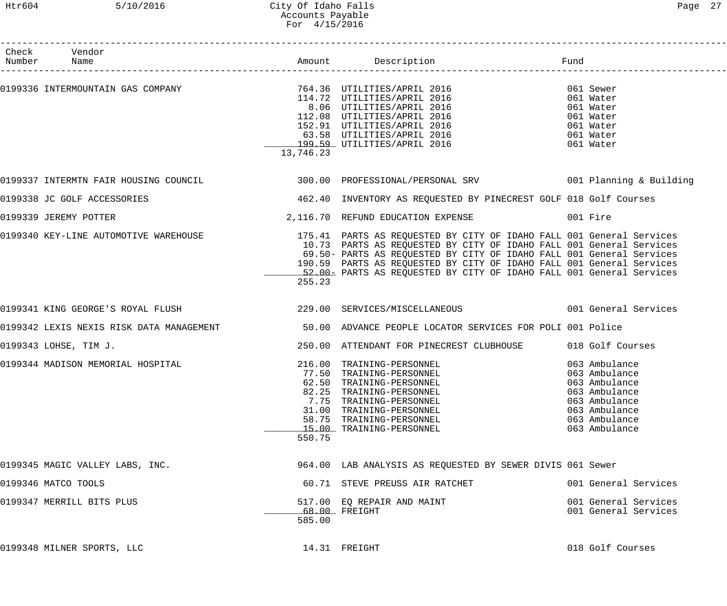| Check Vendor<br>Number Name           |           |                                                                                                                                                                                                                                              |                      |  |
|---------------------------------------|-----------|----------------------------------------------------------------------------------------------------------------------------------------------------------------------------------------------------------------------------------------------|----------------------|--|
|                                       |           |                                                                                                                                                                                                                                              |                      |  |
|                                       |           |                                                                                                                                                                                                                                              | 061 Sewer            |  |
|                                       |           |                                                                                                                                                                                                                                              | 061 Water            |  |
|                                       |           |                                                                                                                                                                                                                                              | 061 Water            |  |
|                                       |           |                                                                                                                                                                                                                                              | 061 Water            |  |
|                                       |           |                                                                                                                                                                                                                                              | 061 Water            |  |
|                                       |           |                                                                                                                                                                                                                                              | 061 Water            |  |
|                                       |           | 0199336 INTERMOUNTAIN GAS COMPANY<br>0199336 INTERMOUNTAIN GAS COMPANY<br>0199336 INTERMOUNTAIN GAS COMPANY<br>0216 06 UTILITIES/APRIL 2016<br>02.08 UTILITIES/APRIL 2016<br>12.08 UTILITIES/APRIL 2016<br>03.58 UTILITIES/APRIL 2016<br>03. | 061 Water            |  |
|                                       | 13,746.23 |                                                                                                                                                                                                                                              |                      |  |
|                                       |           | 0199337 INTERMTN FAIR HOUSING COUNCIL 300.00 PROFESSIONAL/PERSONAL SRV 001 Planning & Building                                                                                                                                               |                      |  |
| 0199338 JC GOLF ACCESSORIES           |           | 462.40 INVENTORY AS REQUESTED BY PINECREST GOLF 018 Golf Courses                                                                                                                                                                             |                      |  |
| 0199339 JEREMY POTTER                 |           | 2,116.70 REFUND EDUCATION EXPENSE 601 Fire                                                                                                                                                                                                   |                      |  |
| 0199340 KEY-LINE AUTOMOTIVE WAREHOUSE |           | 175.41 PARTS AS REQUESTED BY CITY OF IDAHO FALL 001 General Services                                                                                                                                                                         |                      |  |
|                                       |           | 10.73 PARTS AS REQUESTED BY CITY OF IDAHO FALL 001 General Services                                                                                                                                                                          |                      |  |
|                                       |           | 69.50- PARTS AS REQUESTED BY CITY OF IDAHO FALL 001 General Services                                                                                                                                                                         |                      |  |
|                                       |           | 190.59 PARTS AS REQUESTED BY CITY OF IDAHO FALL 001 General Services                                                                                                                                                                         |                      |  |
|                                       |           | 52.00- PARTS AS REQUESTED BY CITY OF IDAHO FALL 001 General Services                                                                                                                                                                         |                      |  |
|                                       | 255.23    |                                                                                                                                                                                                                                              |                      |  |
|                                       |           | 0199341 KING GEORGE'S ROYAL FLUSH 1993 229.00 SERVICES/MISCELLANEOUS 199341 KING GEORGE'S ROYAL FLUSH                                                                                                                                        |                      |  |
|                                       |           | 0199342 LEXIS NEXIS RISK DATA MANAGEMENT 50.00 ADVANCE PEOPLE LOCATOR SERVICES FOR POLI 001 Police                                                                                                                                           |                      |  |
| 0199343 LOHSE, TIM J.                 |           | 250.00 ATTENDANT FOR PINECREST CLUBHOUSE 018 Golf Courses                                                                                                                                                                                    |                      |  |
| 0199344 MADISON MEMORIAL HOSPITAL     |           | 216.00 TRAINING-PERSONNEL                                                                                                                                                                                                                    | 063 Ambulance        |  |
|                                       |           | 77.50 TRAINING-PERSONNEL                                                                                                                                                                                                                     | 063 Ambulance        |  |
|                                       |           | 62.50 TRAINING-PERSONNEL                                                                                                                                                                                                                     | 063 Ambulance        |  |
|                                       |           | 82.25 TRAINING-PERSONNEL                                                                                                                                                                                                                     | 063 Ambulance        |  |
|                                       |           | 7.75 TRAINING-PERSONNEL                                                                                                                                                                                                                      | 063 Ambulance        |  |
|                                       |           | 31.00 TRAINING-PERSONNEL                                                                                                                                                                                                                     | 063 Ambulance        |  |
|                                       |           | 58.75 TRAINING-PERSONNEL                                                                                                                                                                                                                     | 063 Ambulance        |  |
|                                       |           | 15.00 TRAINING-PERSONNEL                                                                                                                                                                                                                     | 063 Ambulance        |  |
|                                       | 550.75    |                                                                                                                                                                                                                                              |                      |  |
| 0199345 MAGIC VALLEY LABS, INC.       |           | 964.00 LAB ANALYSIS AS REQUESTED BY SEWER DIVIS 061 Sewer                                                                                                                                                                                    |                      |  |
| 0199346 MATCO TOOLS                   |           | 60.71 STEVE PREUSS AIR RATCHET                                                                                                                                                                                                               | 001 General Services |  |
| 0199347 MERRILL BITS PLUS             |           | 517.00 EQ REPAIR AND MAINT                                                                                                                                                                                                                   | 001 General Services |  |
|                                       |           | 68.00 FREIGHT                                                                                                                                                                                                                                | 001 General Services |  |
|                                       | 585.00    |                                                                                                                                                                                                                                              |                      |  |
| 0199348 MILNER SPORTS, LLC            |           | 14.31 FREIGHT                                                                                                                                                                                                                                | 018 Golf Courses     |  |
|                                       |           |                                                                                                                                                                                                                                              |                      |  |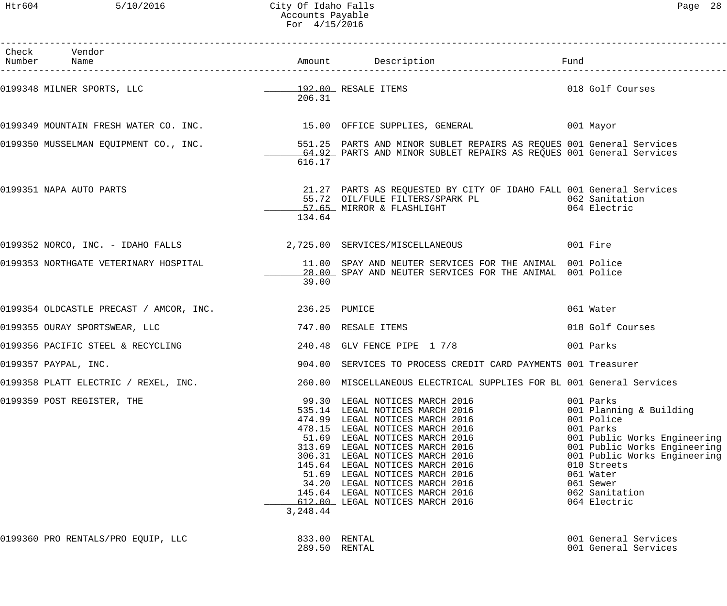| Check Vendor<br>Number Name                           |               | Amount Description                                                                                                                                                                                                                                                                                                                                                                                                           | Fund                                                                                                                                                                                                                                       |
|-------------------------------------------------------|---------------|------------------------------------------------------------------------------------------------------------------------------------------------------------------------------------------------------------------------------------------------------------------------------------------------------------------------------------------------------------------------------------------------------------------------------|--------------------------------------------------------------------------------------------------------------------------------------------------------------------------------------------------------------------------------------------|
| 0199348 MILNER SPORTS, LLC                            | 206.31        | 192.00 RESALE ITEMS                                                                                                                                                                                                                                                                                                                                                                                                          | 018 Golf Courses                                                                                                                                                                                                                           |
|                                                       |               | 0199349 MOUNTAIN FRESH WATER CO. INC. 15.00 OFFICE SUPPLIES, GENERAL 199349 MOUNTAIN FRESH WATER                                                                                                                                                                                                                                                                                                                             |                                                                                                                                                                                                                                            |
| 0199350 MUSSELMAN EQUIPMENT CO., INC.                 | 616.17        | 551.25 PARTS AND MINOR SUBLET REPAIRS AS REQUES 001 General Services<br>64.92 PARTS AND MINOR SUBLET REPAIRS AS REQUES 001 General Services                                                                                                                                                                                                                                                                                  |                                                                                                                                                                                                                                            |
| 0199351 NAPA AUTO PARTS                               | 134.64        | 21.27 PARTS AS REQUESTED BY CITY OF IDAHO FALL 001 General Services                                                                                                                                                                                                                                                                                                                                                          |                                                                                                                                                                                                                                            |
|                                                       |               | 0199352 NORCO, INC. - IDAHO FALLS 2,725.00 SERVICES/MISCELLANEOUS 001 Fire                                                                                                                                                                                                                                                                                                                                                   |                                                                                                                                                                                                                                            |
| 0199353 NORTHGATE VETERINARY HOSPITAL                 | 39.00         | 11.00 SPAY AND NEUTER SERVICES FOR THE ANIMAL 001 Police<br>28.00 SPAY AND NEUTER SERVICES FOR THE ANIMAL 001 Police                                                                                                                                                                                                                                                                                                         |                                                                                                                                                                                                                                            |
| 0199354 OLDCASTLE PRECAST / AMCOR, INC. 236.25 PUMICE |               |                                                                                                                                                                                                                                                                                                                                                                                                                              | 061 Water                                                                                                                                                                                                                                  |
| 0199355 OURAY SPORTSWEAR, LLC                         |               | 747.00 RESALE ITEMS                                                                                                                                                                                                                                                                                                                                                                                                          | 018 Golf Courses                                                                                                                                                                                                                           |
| 0199356 PACIFIC STEEL & RECYCLING                     |               | 240.48 GLV FENCE PIPE 1 7/8                                                                                                                                                                                                                                                                                                                                                                                                  | 001 Parks                                                                                                                                                                                                                                  |
| 0199357 PAYPAL, INC.                                  |               | 904.00 SERVICES TO PROCESS CREDIT CARD PAYMENTS 001 Treasurer                                                                                                                                                                                                                                                                                                                                                                |                                                                                                                                                                                                                                            |
| 0199358 PLATT ELECTRIC / REXEL, INC.                  |               | 260.00 MISCELLANEOUS ELECTRICAL SUPPLIES FOR BL 001 General Services                                                                                                                                                                                                                                                                                                                                                         |                                                                                                                                                                                                                                            |
| 0199359 POST REGISTER, THE                            | 3,248.44      | 99.30 LEGAL NOTICES MARCH 2016<br>535.14 LEGAL NOTICES MARCH 2016<br>474.99 LEGAL NOTICES MARCH 2016<br>478.15 LEGAL NOTICES MARCH 2016<br>51.69 LEGAL NOTICES MARCH 2016<br>313.69 LEGAL NOTICES MARCH 2016<br>306.31 LEGAL NOTICES MARCH 2016<br>145.64 LEGAL NOTICES MARCH 2016<br>51.69 LEGAL NOTICES MARCH 2016<br>34.20 LEGAL NOTICES MARCH 2016<br>145.64 LEGAL NOTICES MARCH 2016<br>612.00 LEGAL NOTICES MARCH 2016 | 001 Parks<br>001 Planning & Building<br>001 Police<br>001 Parks<br>001 Public Works Engineering<br>001 Public Works Engineering<br>001 Public Works Engineering<br>010 Streets<br>061 Water<br>061 Sewer<br>062 Sanitation<br>064 Electric |
| 0199360 PRO RENTALS/PRO EQUIP, LLC                    | 833.00 RENTAL |                                                                                                                                                                                                                                                                                                                                                                                                                              | 001 General Services                                                                                                                                                                                                                       |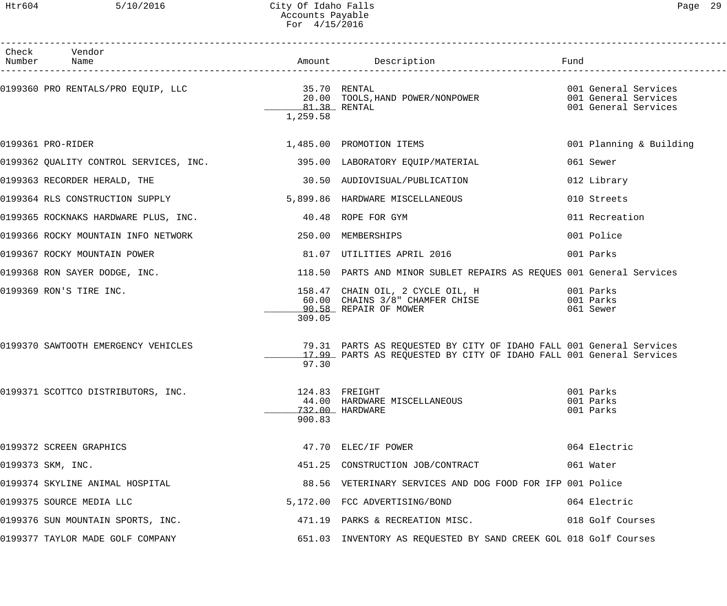# Htr604 5/10/2016 City Of Idaho Falls Page 29 Accounts Payable For 4/15/2016

| Check Vendor<br>Number Name                                             |                          | Amount Description Description Fund                                                                                                        |                                              |
|-------------------------------------------------------------------------|--------------------------|--------------------------------------------------------------------------------------------------------------------------------------------|----------------------------------------------|
|                                                                         | 81.38 RENTAL<br>1,259.58 | 20.00 TOOLS, HAND POWER/NONPOWER 6001 General Services                                                                                     | 001 General Services<br>001 General Services |
| 0199361 PRO-RIDER                                                       |                          | 1,485.00 PROMOTION ITEMS                                                                                                                   | 001 Planning & Building                      |
| 0199362 QUALITY CONTROL SERVICES, INC. 395.00 LABORATORY EQUIP/MATERIAL |                          |                                                                                                                                            | 061 Sewer                                    |
| 0199363 RECORDER HERALD, THE                                            |                          | 30.50 AUDIOVISUAL/PUBLICATION                                                                                                              | 012 Library                                  |
| 0199364 RLS CONSTRUCTION SUPPLY                                         |                          | 5,899.86 HARDWARE MISCELLANEOUS                                                                                                            | 010 Streets                                  |
| 0199365 ROCKNAKS HARDWARE PLUS, INC.                                    |                          | 40.48 ROPE FOR GYM                                                                                                                         | 011 Recreation                               |
| 0199366 ROCKY MOUNTAIN INFO NETWORK                                     |                          | 250.00 MEMBERSHIPS                                                                                                                         | 001 Police                                   |
| 0199367 ROCKY MOUNTAIN POWER                                            |                          | 81.07 UTILITIES APRIL 2016                                                                                                                 | 001 Parks                                    |
| 0199368 RON SAYER DODGE, INC.                                           |                          | 118.50 PARTS AND MINOR SUBLET REPAIRS AS REQUES 001 General Services                                                                       |                                              |
| 0199369 RON'S TIRE INC.                                                 | 309.05                   | 158.47 CHAIN OIL, 2 CYCLE OIL, H<br>60.00 CHAINS 3/8" CHAMFER CHISE<br>90.58 REPAIR OF MOWER                                               | 001 Parks<br>001 Parks<br>061 Sewer          |
| 0199370 SAWTOOTH EMERGENCY VEHICLES                                     | 97.30                    | 79.31 PARTS AS REQUESTED BY CITY OF IDAHO FALL 001 General Services<br>17.99 PARTS AS REQUESTED BY CITY OF IDAHO FALL 001 General Services |                                              |
| 0199371 SCOTTCO DISTRIBUTORS, INC.                                      | 900.83                   | 124.83 FREIGHT<br>44.00 HARDWARE MISCELLANEOUS<br>732.00 HARDWARE                                                                          | 001 Parks<br>001 Parks<br>001 Parks          |
| 0199372 SCREEN GRAPHICS                                                 |                          | 47.70 ELEC/IF POWER                                                                                                                        | 064 Electric                                 |
| 0199373 SKM, INC.                                                       |                          | 451.25 CONSTRUCTION JOB/CONTRACT                                                                                                           | 061 Water                                    |
| 0199374 SKYLINE ANIMAL HOSPITAL                                         |                          | 88.56 VETERINARY SERVICES AND DOG FOOD FOR IFP 001 Police                                                                                  |                                              |
| 0199375 SOURCE MEDIA LLC                                                |                          | 5,172.00 FCC ADVERTISING/BOND                                                                                                              | 064 Electric                                 |
| 0199376 SUN MOUNTAIN SPORTS, INC.                                       |                          | 471.19 PARKS & RECREATION MISC. 018 Golf Courses                                                                                           |                                              |
| 0199377 TAYLOR MADE GOLF COMPANY                                        |                          | 651.03 INVENTORY AS REQUESTED BY SAND CREEK GOL 018 Golf Courses                                                                           |                                              |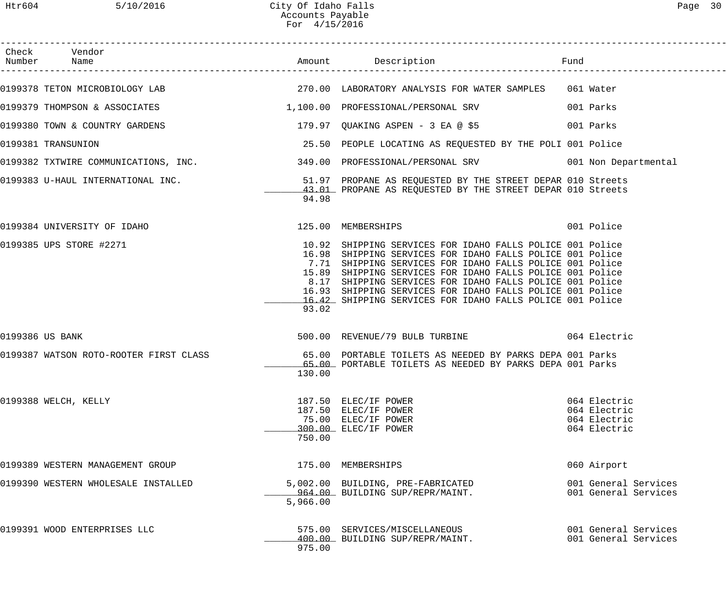| Check Vendor                                   |          |                                                                                                                                                                                                                                                                                                                                                                                                                                       | Fund |                                                              |
|------------------------------------------------|----------|---------------------------------------------------------------------------------------------------------------------------------------------------------------------------------------------------------------------------------------------------------------------------------------------------------------------------------------------------------------------------------------------------------------------------------------|------|--------------------------------------------------------------|
|                                                |          | 0199378 TETON MICROBIOLOGY LAB <a>&gt; 270.00 LABORATORY ANALYSIS FOR WATER SAMPLES <a> 061</a> Mater</a>                                                                                                                                                                                                                                                                                                                             |      |                                                              |
|                                                |          | 0199379 THOMPSON & ASSOCIATES 1,100.00 PROFESSIONAL/PERSONAL SRV 001 Parks                                                                                                                                                                                                                                                                                                                                                            |      |                                                              |
|                                                |          | 0199380 TOWN & COUNTRY GARDENS (2008) 279.97 QUAKING ASPEN - 3 EA @ \$5                                                                                                                                                                                                                                                                                                                                                               |      |                                                              |
| 0199381 TRANSUNION                             |          | 25.50 PEOPLE LOCATING AS REQUESTED BY THE POLI 001 Police                                                                                                                                                                                                                                                                                                                                                                             |      |                                                              |
|                                                |          | 0199382 TXTWIRE COMMUNICATIONS, INC. 349.00 PROFESSIONAL/PERSONAL SRV 001 Non Departmental                                                                                                                                                                                                                                                                                                                                            |      |                                                              |
|                                                | 94.98    | 0199383 U-HAUL INTERNATIONAL INC. 51.97 PROPANE AS REQUESTED BY THE STREET DEPAR 010 Streets<br>43.01 PROPANE AS REQUESTED BY THE STREET DEPAR 010 Streets                                                                                                                                                                                                                                                                            |      |                                                              |
| 0199384 UNIVERSITY OF IDAHO 125.00 MEMBERSHIPS |          |                                                                                                                                                                                                                                                                                                                                                                                                                                       |      | 001 Police                                                   |
| 0199385 UPS STORE #2271                        | 93.02    | 10.92 SHIPPING SERVICES FOR IDAHO FALLS POLICE 001 Police<br>16.98 SHIPPING SERVICES FOR IDAHO FALLS POLICE 001 Police<br>7.71 SHIPPING SERVICES FOR IDAHO FALLS POLICE 001 Police<br>15.89 SHIPPING SERVICES FOR IDAHO FALLS POLICE 001 Police<br>8.17 SHIPPING SERVICES FOR IDAHO FALLS POLICE 001 Police<br>16.93 SHIPPING SERVICES FOR IDAHO FALLS POLICE 001 Police<br>16.42 SHIPPING SERVICES FOR IDAHO FALLS POLICE 001 Police |      |                                                              |
| 0199386 US BANK                                |          | 500.00 REVENUE/79 BULB TURBINE 6064 Electric                                                                                                                                                                                                                                                                                                                                                                                          |      |                                                              |
|                                                | 130.00   | 0199387 WATSON ROTO-ROOTER FIRST CLASS 65.00 PORTABLE TOILETS AS NEEDED BY PARKS DEPA 001 Parks<br>65.00 PORTABLE TOILETS AS NEEDED BY PARKS DEPA 001 Parks                                                                                                                                                                                                                                                                           |      |                                                              |
| 0199388 WELCH, KELLY                           | 750.00   | 187.50 ELEC/IF POWER<br>187.50 ELEC/IF POWER<br>75.00 ELEC/IF POWER<br>300.00 ELEC/IF POWER                                                                                                                                                                                                                                                                                                                                           |      | 064 Electric<br>064 Electric<br>064 Electric<br>064 Electric |
| 0199389 WESTERN MANAGEMENT GROUP               |          | 175.00 MEMBERSHIPS                                                                                                                                                                                                                                                                                                                                                                                                                    |      | 060 Airport                                                  |
| 0199390 WESTERN WHOLESALE INSTALLED            | 5,966.00 | 5,002.00 BUILDING, PRE-FABRICATED<br>964.00 BUILDING SUP/REPR/MAINT.                                                                                                                                                                                                                                                                                                                                                                  |      | 001 General Services<br>001 General Services                 |
| 0199391 WOOD ENTERPRISES LLC                   | 975.00   | 575.00 SERVICES/MISCELLANEOUS<br>400.00 BUILDING SUP/REPR/MAINT.                                                                                                                                                                                                                                                                                                                                                                      |      | 001 General Services<br>001 General Services                 |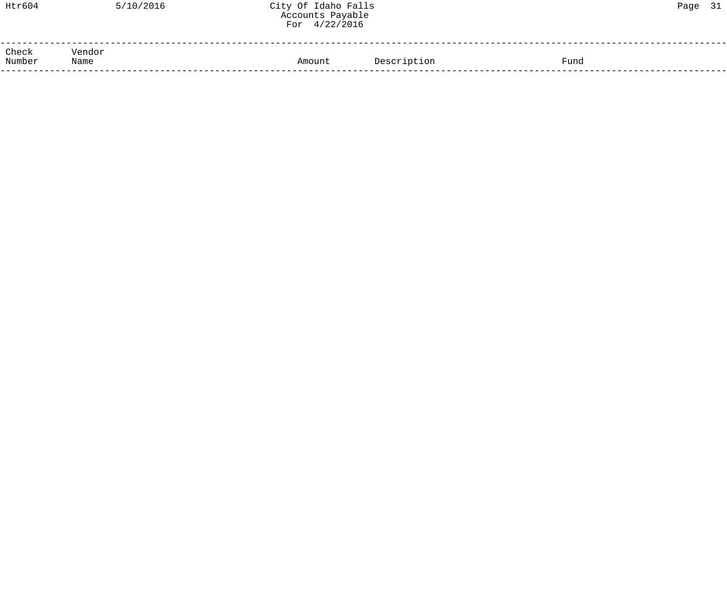| Htr604                  | 5/10/2016 | City Of Idaho Falls<br>Accounts Payable<br>For $4/22/2016$ |             |      | Page 31 |  |
|-------------------------|-----------|------------------------------------------------------------|-------------|------|---------|--|
| Check<br>Number<br>Name | Vendor    | Amount                                                     | Description | Fund |         |  |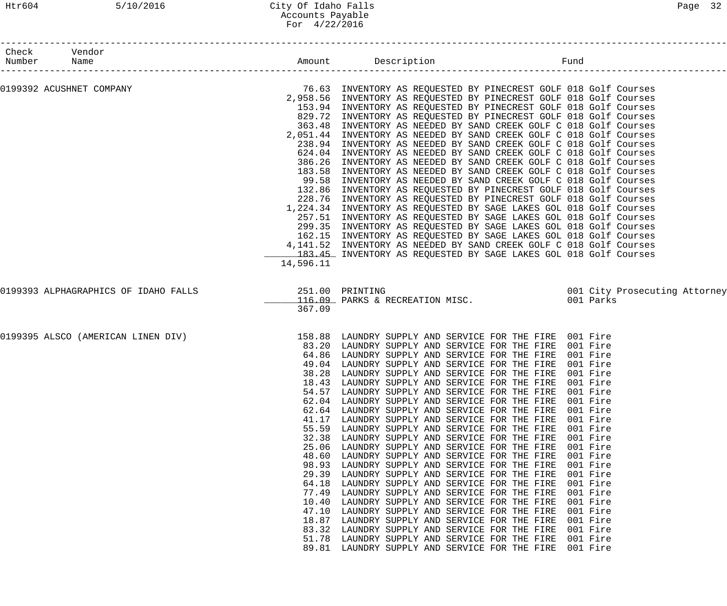## Htr604 5/10/2016 City Of Idaho Falls Page 32 Accounts Payable For 4/22/2016

|             | Check Vendor             |           |                                                                                                                                       |                               |
|-------------|--------------------------|-----------|---------------------------------------------------------------------------------------------------------------------------------------|-------------------------------|
| Number Name |                          |           | Fund                                                                                                                                  |                               |
|             | 0199392 ACUSHNET COMPANY |           | 76.63 INVENTORY AS REQUESTED BY PINECREST GOLF 018 Golf Courses<br>2.958.56 INVENTORY AS REQUESTED BY PINECREST GOLF 018 Golf Courses |                               |
|             |                          |           | 2,958.56 INVENTORY AS REQUESTED BY PINECREST GOLF 018 Golf Courses                                                                    |                               |
|             |                          |           | 153.94 INVENTORY AS REQUESTED BY PINECREST GOLF 018 Golf Courses                                                                      |                               |
|             |                          |           | 829.72 INVENTORY AS REQUESTED BY PINECREST GOLF 018 Golf Courses                                                                      |                               |
|             |                          |           | 363.48 INVENTORY AS NEEDED BY SAND CREEK GOLF C 018 Golf Courses                                                                      |                               |
|             |                          |           | 2,051.44 INVENTORY AS NEEDED BY SAND CREEK GOLF C 018 Golf Courses                                                                    |                               |
|             |                          |           | 238.94 INVENTORY AS NEEDED BY SAND CREEK GOLF C 018 Golf Courses                                                                      |                               |
|             |                          |           | 624.04 INVENTORY AS NEEDED BY SAND CREEK GOLF C 018 Golf Courses                                                                      |                               |
|             |                          |           | 386.26 INVENTORY AS NEEDED BY SAND CREEK GOLF C 018 Golf Courses                                                                      |                               |
|             |                          |           | 183.58 INVENTORY AS NEEDED BY SAND CREEK GOLF C 018 Golf Courses                                                                      |                               |
|             |                          |           | 99.58 INVENTORY AS NEEDED BY SAND CREEK GOLF C 018 Golf Courses                                                                       |                               |
|             |                          |           | 132.86 INVENTORY AS REQUESTED BY PINECREST GOLF 018 Golf Courses                                                                      |                               |
|             |                          |           | 228.76 INVENTORY AS REQUESTED BY PINECREST GOLF 018 Golf Courses                                                                      |                               |
|             |                          |           | 1,224.34 INVENTORY AS REQUESTED BY SAGE LAKES GOL 018 Golf Courses                                                                    |                               |
|             |                          |           | 257.51 INVENTORY AS REQUESTED BY SAGE LAKES GOL 018 Golf Courses<br>299.35 INVENTORY AS REQUESTED BY SAGE LAKES GOL 018 Golf Courses  |                               |
|             |                          |           | 162.15 INVENTORY AS REQUESTED BY SAGE LAKES GOL 018 Golf Courses                                                                      |                               |
|             |                          |           | 4,141.52 INVENTORY AS NEEDED BY SAND CREEK GOLF C 018 Golf Courses                                                                    |                               |
|             |                          |           | 183.45 INVENTORY AS REQUESTED BY SAGE LAKES GOL 018 Golf Courses                                                                      |                               |
|             |                          | 14,596.11 |                                                                                                                                       |                               |
|             |                          |           |                                                                                                                                       |                               |
|             |                          |           | 0199393 ALPHAGRAPHICS OF IDAHO FALLS<br>116.09 PARKS & RECREATION MISC.                                                               | 001 City Prosecuting Attorney |
|             |                          |           |                                                                                                                                       | 001 Parks                     |
|             |                          | 367.09    |                                                                                                                                       |                               |
|             |                          |           |                                                                                                                                       |                               |
|             |                          |           | 0199395 ALSCO (AMERICAN LINEN DIV) 158.88 LAUNDRY SUPPLY AND SERVICE FOR THE FIRE 001 Fire                                            |                               |
|             |                          |           | 83.20 LAUNDRY SUPPLY AND SERVICE FOR THE FIRE 001 Fire<br>64.86 LAUNDRY SUPPLY AND SERVICE FOR THE FIRE 001 Fire                      |                               |
|             |                          |           | 49.04 LAUNDRY SUPPLY AND SERVICE FOR THE FIRE 001 Fire                                                                                |                               |
|             |                          |           | 38.28 LAUNDRY SUPPLY AND SERVICE FOR THE FIRE 001 Fire                                                                                |                               |
|             |                          | 18.43     | LAUNDRY SUPPLY AND SERVICE FOR THE FIRE                                                                                               | 001 Fire                      |
|             |                          | 54.57     | LAUNDRY SUPPLY AND SERVICE FOR THE FIRE                                                                                               | 001 Fire                      |
|             |                          | 62.04     | LAUNDRY SUPPLY AND SERVICE FOR THE FIRE                                                                                               | 001 Fire                      |
|             |                          | 62.64     | LAUNDRY SUPPLY AND SERVICE FOR THE FIRE                                                                                               | 001 Fire                      |
|             |                          | 41.17     | LAUNDRY SUPPLY AND SERVICE FOR THE FIRE                                                                                               | 001 Fire                      |
|             |                          | 55.59     | LAUNDRY SUPPLY AND SERVICE FOR THE FIRE                                                                                               | 001 Fire                      |
|             |                          | 32.38     | LAUNDRY SUPPLY AND SERVICE FOR THE FIRE                                                                                               | 001 Fire                      |
|             |                          | 25.06     | LAUNDRY SUPPLY AND SERVICE FOR THE FIRE                                                                                               | 001 Fire                      |
|             |                          | 48.60     | LAUNDRY SUPPLY AND SERVICE FOR THE FIRE                                                                                               | 001 Fire                      |
|             |                          | 98.93     | LAUNDRY SUPPLY AND SERVICE FOR THE FIRE                                                                                               | 001 Fire                      |
|             |                          | 29.39     | LAUNDRY SUPPLY AND SERVICE FOR THE FIRE                                                                                               | 001 Fire                      |
|             |                          | 64.18     | LAUNDRY SUPPLY AND SERVICE FOR THE FIRE                                                                                               | 001 Fire                      |
|             |                          | 77.49     | LAUNDRY SUPPLY AND SERVICE FOR THE FIRE                                                                                               | 001 Fire                      |
|             |                          | 10.40     | LAUNDRY SUPPLY AND SERVICE FOR THE FIRE                                                                                               | 001 Fire                      |
|             |                          | 47.10     | LAUNDRY SUPPLY AND SERVICE FOR THE FIRE                                                                                               | 001 Fire                      |
|             |                          | 18.87     | LAUNDRY SUPPLY AND SERVICE FOR THE FIRE                                                                                               | 001 Fire                      |
|             |                          | 83.32     | LAUNDRY SUPPLY AND SERVICE FOR THE FIRE                                                                                               | 001 Fire                      |
|             |                          | 51.78     | LAUNDRY SUPPLY AND SERVICE FOR THE FIRE                                                                                               | 001 Fire                      |
|             |                          | 89.81     | LAUNDRY SUPPLY AND SERVICE FOR THE FIRE                                                                                               | 001 Fire                      |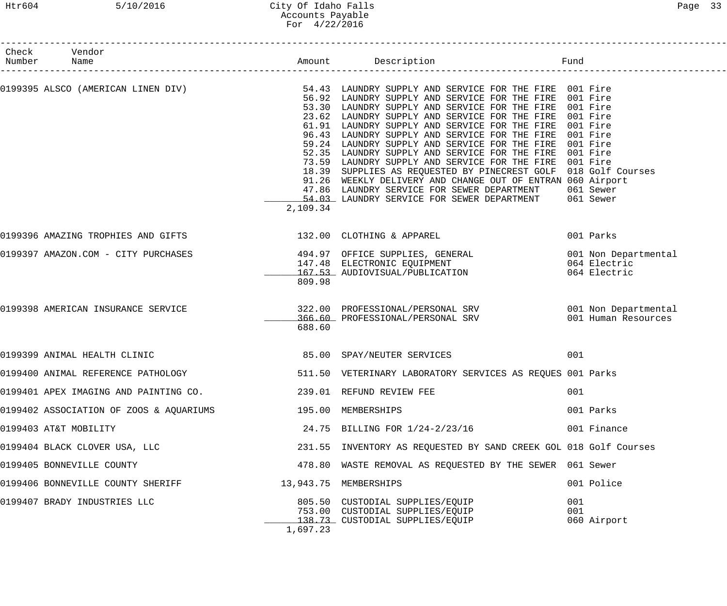## Htr604 5/10/2016 City Of Idaho Falls Page 33 Accounts Payable For 4/22/2016

| Check Vendor<br>Number Name                                     |          |                                                                                                                                                                                                                                                                                                                                                                                                                                                                                                                                                                                                                                                                                                                                                                                                                                                                              |                           |
|-----------------------------------------------------------------|----------|------------------------------------------------------------------------------------------------------------------------------------------------------------------------------------------------------------------------------------------------------------------------------------------------------------------------------------------------------------------------------------------------------------------------------------------------------------------------------------------------------------------------------------------------------------------------------------------------------------------------------------------------------------------------------------------------------------------------------------------------------------------------------------------------------------------------------------------------------------------------------|---------------------------|
|                                                                 | 2,109.34 | 0199395 ALSCO (AMERICAN LINEN DIV)             54.43 LAUNDRY SUPPLY AND SERVICE FOR THE FIRE 001 Fire<br>56.92 LAUNDRY SUPPLY AND SERVICE FOR THE FIRE 001 Fire<br>56.92 LAUNDRY SUPPLY AND SERVICE FOR THE FIRE 001 Fire<br>53.30 LAUNDRY SUPPLY AND SERVICE FOR THE FIRE 001 Fire<br>23.62 LAUNDRY SUPPLY AND SERVICE FOR THE FIRE 001 Fire<br>61.91 LAUNDRY SUPPLY AND SERVICE FOR THE FIRE 001 Fire<br>96.43 LAUNDRY SUPPLY AND SERVICE FOR THE FIRE<br>59.24 LAUNDRY SUPPLY AND SERVICE FOR THE FIRE 001 Fire<br>52.35 LAUNDRY SUPPLY AND SERVICE FOR THE FIRE 001 Fire<br>73.59 LAUNDRY SUPPLY AND SERVICE FOR THE FIRE 001 Fire<br>18.39 SUPPLIES AS REQUESTED BY PINECREST GOLF 018 Golf Courses<br>91.26 WEEKLY DELIVERY AND CHANGE OUT OF ENTRAN 060 Airport<br>47.86 LAUNDRY SERVICE FOR SEWER DEPARTMENT<br>54.03 LAUNDRY SERVICE FOR SEWER DEPARTMENT 061 Sewer | 001 Fire<br>061 Sewer     |
| 0199396 AMAZING TROPHIES AND GIFTS 30 132.00 CLOTHING & APPAREL |          |                                                                                                                                                                                                                                                                                                                                                                                                                                                                                                                                                                                                                                                                                                                                                                                                                                                                              | 001 Parks                 |
| 0199397 AMAZON.COM - CITY PURCHASES                             | 809.98   | 494.97 OFFICE SUPPLIES, GENERAL                            001 Non Departmental<br>147.48  ELECTRONIC EQUIPMENT                                  064 Electric<br>167.53  AUDIOVISUAL/PUBLICATION                               064 E                                                                                                                                                                                                                                                                                                                                                                                                                                                                                                                                                                                                                                         |                           |
| 0199398 AMERICAN INSURANCE SERVICE                              | 688.60   | 322.00 PROFESSIONAL/PERSONAL SRV 001 Non Departmental<br>366.60 PROFESSIONAL/PERSONAL SRV 601 Human Resources                                                                                                                                                                                                                                                                                                                                                                                                                                                                                                                                                                                                                                                                                                                                                                |                           |
| 0199399 ANIMAL HEALTH CLINIC                                    |          | 85.00 SPAY/NEUTER SERVICES                                                                                                                                                                                                                                                                                                                                                                                                                                                                                                                                                                                                                                                                                                                                                                                                                                                   | 001                       |
| 0199400 ANIMAL REFERENCE PATHOLOGY                              |          | 511.50 VETERINARY LABORATORY SERVICES AS REQUES 001 Parks                                                                                                                                                                                                                                                                                                                                                                                                                                                                                                                                                                                                                                                                                                                                                                                                                    |                           |
| 0199401 APEX IMAGING AND PAINTING CO.                           |          | 239.01 REFUND REVIEW FEE                                                                                                                                                                                                                                                                                                                                                                                                                                                                                                                                                                                                                                                                                                                                                                                                                                                     | 001                       |
| 0199402 ASSOCIATION OF ZOOS & AQUARIUMS                         |          | 195.00 MEMBERSHIPS                                                                                                                                                                                                                                                                                                                                                                                                                                                                                                                                                                                                                                                                                                                                                                                                                                                           | 001 Parks                 |
| 0199403 AT&T MOBILITY                                           |          | 24.75 BILLING FOR 1/24-2/23/16                                                                                                                                                                                                                                                                                                                                                                                                                                                                                                                                                                                                                                                                                                                                                                                                                                               | 001 Finance               |
| 0199404 BLACK CLOVER USA, LLC                                   |          | 231.55 INVENTORY AS REQUESTED BY SAND CREEK GOL 018 Golf Courses                                                                                                                                                                                                                                                                                                                                                                                                                                                                                                                                                                                                                                                                                                                                                                                                             |                           |
| 0199405 BONNEVILLE COUNTY                                       |          | 478.80 WASTE REMOVAL AS REQUESTED BY THE SEWER 061 Sewer                                                                                                                                                                                                                                                                                                                                                                                                                                                                                                                                                                                                                                                                                                                                                                                                                     |                           |
| 0199406 BONNEVILLE COUNTY SHERIFF                               |          | 13,943.75 MEMBERSHIPS                                                                                                                                                                                                                                                                                                                                                                                                                                                                                                                                                                                                                                                                                                                                                                                                                                                        | 001 Police                |
| 0199407 BRADY INDUSTRIES LLC                                    | 1,697.23 | 805.50 CUSTODIAL SUPPLIES/EQUIP<br>753.00 CUSTODIAL SUPPLIES/EQUIP<br><u>138.73</u> CUSTODIAL SUPPLIES/EQUIP                                                                                                                                                                                                                                                                                                                                                                                                                                                                                                                                                                                                                                                                                                                                                                 | 001<br>001<br>060 Airport |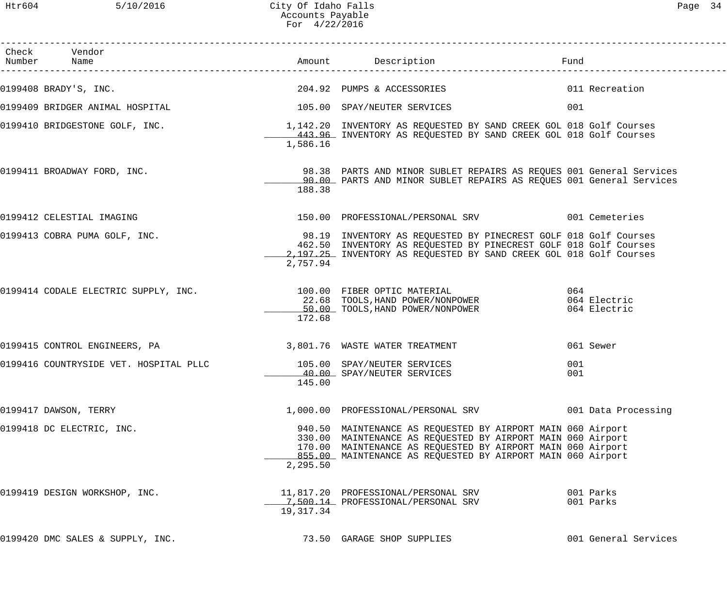Htr604 5/10/2016 City Of Idaho Falls Page 34 Accounts Payable For 4/22/2016

| Check Vendor<br>Number Name                                                                          |           | Amount Description                                                                                                                                                                                                                                       | Fund                                |
|------------------------------------------------------------------------------------------------------|-----------|----------------------------------------------------------------------------------------------------------------------------------------------------------------------------------------------------------------------------------------------------------|-------------------------------------|
| 0199408 BRADY'S, INC.                                                                                |           | 204.92 PUMPS & ACCESSORIES                                                                                                                                                                                                                               | 011 Recreation                      |
| 0199409 BRIDGER ANIMAL HOSPITAL CONTROL CONTROL CONTROLLER SERVICES                                  |           |                                                                                                                                                                                                                                                          | 001                                 |
| 0199410 BRIDGESTONE GOLF, INC.<br>1,142.20 INVENTORY AS REQUESTED BY SAND CREEK GOL 018 Golf Courses | 1,586.16  | 443.96 INVENTORY AS REQUESTED BY SAND CREEK GOL 018 Golf Courses                                                                                                                                                                                         |                                     |
| 0199411 BROADWAY FORD, INC.                                                                          | 188.38    | 98.38 PARTS AND MINOR SUBLET REPAIRS AS REQUES 001 General Services<br>90.00 PARTS AND MINOR SUBLET REPAIRS AS REQUES 001 General Services                                                                                                               |                                     |
| 0199412 CELESTIAL IMAGING                                                                            |           | 150.00 PROFESSIONAL/PERSONAL SRV 601 Cemeteries                                                                                                                                                                                                          |                                     |
| 0199413 COBRA PUMA GOLF, INC.                                                                        | 2,757.94  | 98.19 INVENTORY AS REQUESTED BY PINECREST GOLF 018 Golf Courses<br>462.50 INVENTORY AS REQUESTED BY PINECREST GOLF 018 Golf Courses<br>2,197.25 INVENTORY AS REQUESTED BY SAND CREEK GOL 018 Golf Courses                                                |                                     |
| 0199414 CODALE ELECTRIC SUPPLY, INC. 100.00 FIBER OPTIC MATERIAL                                     | 172.68    | 22.68 TOOLS, HAND POWER/NONPOWER<br>50.00 TOOLS, HAND POWER/NONPOWER                                                                                                                                                                                     | 064<br>064 Electric<br>064 Electric |
|                                                                                                      |           |                                                                                                                                                                                                                                                          | 061 Sewer                           |
| 0199416 COUNTRYSIDE VET. HOSPITAL PLLC 105.00 SPAY/NEUTER SERVICES                                   | 145.00    | 40.00 SPAY/NEUTER SERVICES                                                                                                                                                                                                                               | 001<br>001                          |
| 0199417 DAWSON, TERRY                                                                                |           | 1,000.00 PROFESSIONAL/PERSONAL SRV 001 Data Processing                                                                                                                                                                                                   |                                     |
| 0199418 DC ELECTRIC, INC.                                                                            | 2,295.50  | 940.50 MAINTENANCE AS REQUESTED BY AIRPORT MAIN 060 Airport<br>330.00 MAINTENANCE AS REQUESTED BY AIRPORT MAIN 060 Airport<br>170.00 MAINTENANCE AS REQUESTED BY AIRPORT MAIN 060 Airport<br>855.00 MAINTENANCE AS REQUESTED BY AIRPORT MAIN 060 Airport |                                     |
| 0199419 DESIGN WORKSHOP, INC.                                                                        | 19,317.34 | 11,817.20 PROFESSIONAL/PERSONAL SRV<br>7,500.14 PROFESSIONAL/PERSONAL SRV                                                                                                                                                                                | 001 Parks<br>001 Parks              |
| 0199420 DMC SALES & SUPPLY, INC.                                                                     |           | 73.50 GARAGE SHOP SUPPLIES                                                                                                                                                                                                                               | 001 General Services                |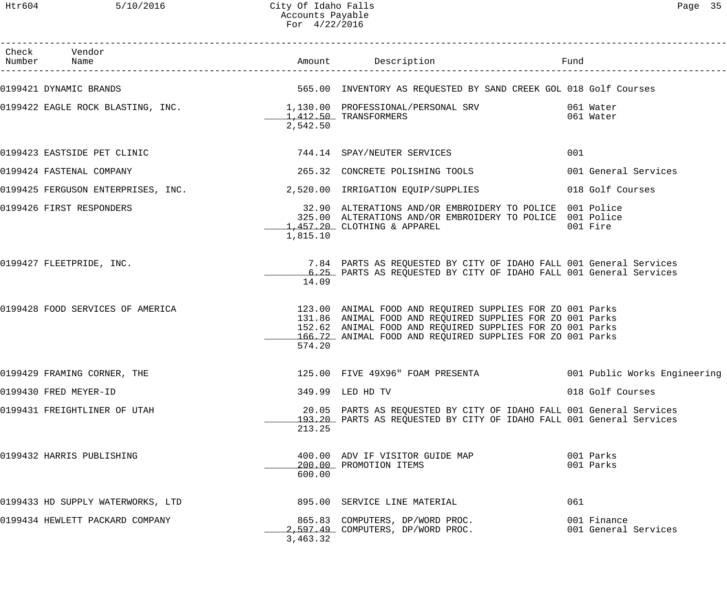Htr604 5/10/2016 City Of Idaho Falls Page 35 Accounts Payable For 4/22/2016

| Check Vendor<br>Number Name                                           |          |                                                                                                                                                                                                                                                  |                                     |  |
|-----------------------------------------------------------------------|----------|--------------------------------------------------------------------------------------------------------------------------------------------------------------------------------------------------------------------------------------------------|-------------------------------------|--|
|                                                                       |          | 0199421 DYNAMIC BRANDS 60 NOVER THE SERIE SERIES ON THE SERVES ON THE SAND CREEK GOL 018 Golf Courses                                                                                                                                            |                                     |  |
|                                                                       | 2,542.50 | 0199422 EAGLE ROCK BLASTING, INC. 1,130.00 PROFESSIONAL/PERSONAL SRV 061 Water<br>1,412.50 TRANSFORMERS 061 Water                                                                                                                                |                                     |  |
| 0199423 EASTSIDE PET CLINIC 2008 2009 744.14 SPAY/NEUTER SERVICES     |          |                                                                                                                                                                                                                                                  | 001                                 |  |
| 0199424 FASTENAL COMPANY                                              |          | 265.32 CONCRETE POLISHING TOOLS                                                                                                                                                                                                                  | 001 General Services                |  |
| 0199425 FERGUSON ENTERPRISES, INC. 2,520.00 IRRIGATION EQUIP/SUPPLIES |          |                                                                                                                                                                                                                                                  | 018 Golf Courses                    |  |
| 0199426 FIRST RESPONDERS                                              | 1,815.10 | 32.90 ALTERATIONS AND/OR EMBROIDERY TO POLICE 001 Police<br>325.00 ALTERATIONS AND/OR EMBROIDERY TO POLICE 001 Police<br>1,457.20 CLOTHING & APPAREL                                                                                             | 001 Fire                            |  |
| 0199427 FLEETPRIDE, INC.                                              | 14.09    | 7.84 PARTS AS REQUESTED BY CITY OF IDAHO FALL 001 General Services<br>6.25 PARTS AS REQUESTED BY CITY OF IDAHO FALL 001 General Services                                                                                                         |                                     |  |
| 0199428 FOOD SERVICES OF AMERICA                                      | 574.20   | 123.00 ANIMAL FOOD AND REQUIRED SUPPLIES FOR ZO 001 Parks<br>131.86 ANIMAL FOOD AND REQUIRED SUPPLIES FOR ZO 001 Parks<br>152.62 ANIMAL FOOD AND REQUIRED SUPPLIES FOR ZO 001 Parks<br>166.72 ANIMAL FOOD AND REQUIRED SUPPLIES FOR ZO 001 Parks |                                     |  |
| 0199429 FRAMING CORNER, THE                                           |          | 125.00 FIVE 49X96" FOAM PRESENTA <a>&gt; 001 Public Works Engineering</a>                                                                                                                                                                        |                                     |  |
| 0199430 FRED MEYER-ID                                                 |          | 349.99 LED HD TV                                                                                                                                                                                                                                 | 018 Golf Courses                    |  |
| 0199431 FREIGHTLINER OF UTAH                                          | 213.25   | 20.05 PARTS AS REQUESTED BY CITY OF IDAHO FALL 001 General Services<br>193.20 PARTS AS REQUESTED BY CITY OF IDAHO FALL 001 General Services                                                                                                      |                                     |  |
| 0199432 HARRIS PUBLISHING                                             | 600.00   | 400.00 ADV IF VISITOR GUIDE MAP<br>200.00 PROMOTION ITEMS                                                                                                                                                                                        | 001 Parks<br>001 Parks              |  |
| 0199433 HD SUPPLY WATERWORKS, LTD                                     |          | 895.00 SERVICE LINE MATERIAL                                                                                                                                                                                                                     | 061                                 |  |
| 0199434 HEWLETT PACKARD COMPANY                                       | 3,463.32 | 865.83 COMPUTERS, DP/WORD PROC.<br>2,597.49 COMPUTERS, DP/WORD PROC.                                                                                                                                                                             | 001 Finance<br>001 General Services |  |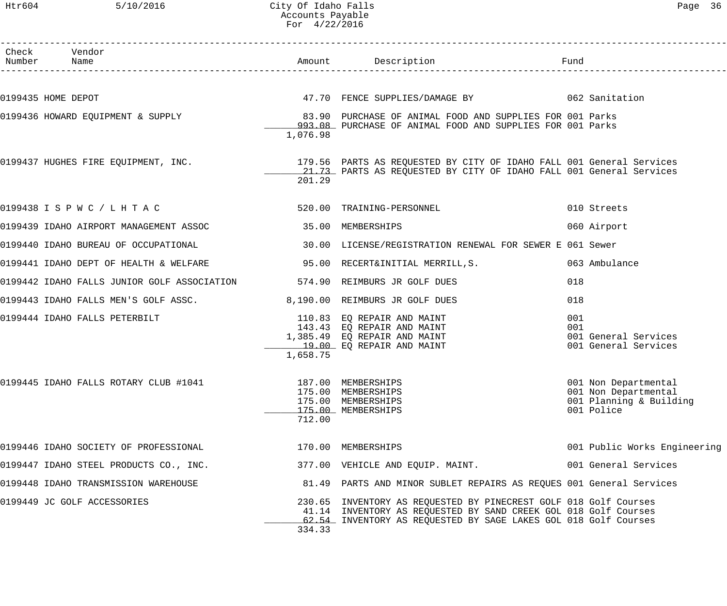## Htr604 5/10/2016 City Of Idaho Falls Page 36 Accounts Payable For 4/22/2016

| Check Vendor<br>Number Name                                                                                                                                                                                                                                      |          |                                                                                                                                                                                                         |            |                                                                                       |
|------------------------------------------------------------------------------------------------------------------------------------------------------------------------------------------------------------------------------------------------------------------|----------|---------------------------------------------------------------------------------------------------------------------------------------------------------------------------------------------------------|------------|---------------------------------------------------------------------------------------|
|                                                                                                                                                                                                                                                                  |          |                                                                                                                                                                                                         |            |                                                                                       |
| 0199435 HOME DEPOT                                                                                                                                                                                                                                               |          | 47.70 FENCE SUPPLIES/DAMAGE BY 062 Sanitation                                                                                                                                                           |            |                                                                                       |
|                                                                                                                                                                                                                                                                  | 1,076.98 | 0199436 HOWARD EQUIPMENT & SUPPLY (83.90 PURCHASE OF ANIMAL FOOD AND SUPPLIES FOR 001 Parks<br>993.08 PURCHASE OF ANIMAL FOOD AND SUPPLIES FOR 001 Parks                                                |            |                                                                                       |
|                                                                                                                                                                                                                                                                  | 201.29   | 0199437 HUGHES FIRE EQUIPMENT, INC.                         179.56 PARTS AS REQUESTED BY CITY OF IDAHO FALL 001 General Services<br>21.73 PARTS AS REQUESTED BY CITY OF IDAHO FALL 001 General Services |            |                                                                                       |
| 0199438 I S P W C / L H T A C                                                                                                                                                                                                                                    |          | 520.00 TRAINING-PERSONNEL                                                                                                                                                                               |            | 010 Streets                                                                           |
| 0199439 IDAHO AIRPORT MANAGEMENT ASSOC 35.00 MEMBERSHIPS                                                                                                                                                                                                         |          |                                                                                                                                                                                                         |            | 060 Airport                                                                           |
|                                                                                                                                                                                                                                                                  |          |                                                                                                                                                                                                         |            |                                                                                       |
| 0199441 IDAHO DEPT OF HEALTH & WELFARE 35.00 RECERT&INITIAL MERRILL, S.                                                                                                                                                                                          |          |                                                                                                                                                                                                         |            | 063 Ambulance                                                                         |
| 0199442 IDAHO FALLS JUNIOR GOLF ASSOCIATION 574.90 REIMBURS JR GOLF DUES                                                                                                                                                                                         |          |                                                                                                                                                                                                         | 018        |                                                                                       |
| 0199443 IDAHO FALLS MEN'S GOLF ASSC. 8,190.00 REIMBURS JR GOLF DUES                                                                                                                                                                                              |          |                                                                                                                                                                                                         | 018        |                                                                                       |
| 0199444 IDAHO FALLS PETERBILT $\begin{array}{r} 110.83 \ 143.43 \ 20 \ 143.43 \ 10.85.49 \ 10.85.49 \ 20 \ 10.85.49 \ 20.00 \ 20.00 \ 20.00 \ 20.00 \ 20.00 \ 20.00 \ 20.00 \ 20.00 \ 20.00 \ 20.00 \ 20.00 \ 20.00 \ 20.00 \ 20.00 \ 20.00 \ 20.00 \ 20.00 \ 2$ | 1,658.75 |                                                                                                                                                                                                         | 001<br>001 | 001 General Services<br>001 General Services                                          |
| 0199445 IDAHO FALLS ROTARY CLUB #1041 187.00 MEMBERSHIPS                                                                                                                                                                                                         | 712.00   | 175.00 MEMBERSHIPS<br>175.00 MEMBERSHIPS<br>175.00 MEMBERSHIPS                                                                                                                                          |            | 001 Non Departmental<br>001 Non Departmental<br>001 Planning & Building<br>001 Police |
| 0199446 IDAHO SOCIETY OF PROFESSIONAL                                                                                                                                                                                                                            |          | 170.00 MEMBERSHIPS                                                                                                                                                                                      |            | 001 Public Works Engineering                                                          |
| 0199447 IDAHO STEEL PRODUCTS CO., INC.                                                                                                                                                                                                                           |          | 377.00 VEHICLE AND EQUIP. MAINT.                                                                                                                                                                        |            | 001 General Services                                                                  |
| 0199448 IDAHO TRANSMISSION WAREHOUSE                                                                                                                                                                                                                             |          | 81.49 PARTS AND MINOR SUBLET REPAIRS AS REQUES 001 General Services                                                                                                                                     |            |                                                                                       |
| 0199449 JC GOLF ACCESSORIES                                                                                                                                                                                                                                      | 334.33   | 230.65 INVENTORY AS REQUESTED BY PINECREST GOLF 018 Golf Courses<br>41.14 INVENTORY AS REQUESTED BY SAND CREEK GOL 018 Golf Courses<br>62.54 INVENTORY AS REQUESTED BY SAGE LAKES GOL 018 Golf Courses  |            |                                                                                       |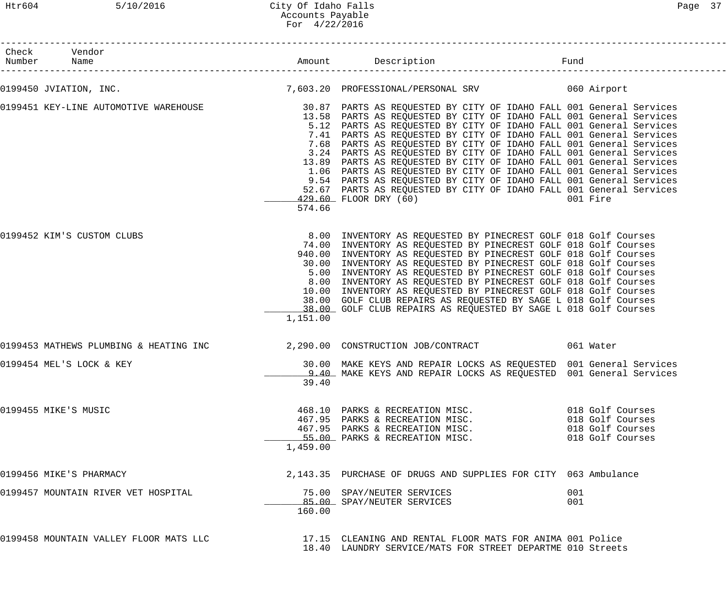Htr604 5/10/2016 City Of Idaho Falls Page 37 Accounts Payable For 4/22/2016

| Check Vendor<br>Number Name            |          |                                                                                                                                                                                                                                                                                                                                                                                                                                                                                                                                                                                                                                                                                                                                                                                             | Fund                                                                         |
|----------------------------------------|----------|---------------------------------------------------------------------------------------------------------------------------------------------------------------------------------------------------------------------------------------------------------------------------------------------------------------------------------------------------------------------------------------------------------------------------------------------------------------------------------------------------------------------------------------------------------------------------------------------------------------------------------------------------------------------------------------------------------------------------------------------------------------------------------------------|------------------------------------------------------------------------------|
|                                        |          | 0199450 JVIATION, INC. 20 T,603.20 PROFESSIONAL/PERSONAL SRV 060 Airport                                                                                                                                                                                                                                                                                                                                                                                                                                                                                                                                                                                                                                                                                                                    |                                                                              |
|                                        | 574.66   | 0199451 KEY-LINE AUTOMOTIVE WAREHOUSE 30.87 PARTS AS REQUESTED BY CITY OF IDAHO FALL 001 General Services<br>13.58 PARTS AS REQUESTED BY CITY OF IDAHO FALL 001 General Services<br>5.12 PARTS AS REQUESTED BY CITY OF IDAHO FALL 001 General Services<br>7.41 PARTS AS REQUESTED BY CITY OF IDAHO FALL 001 General Services<br>7.68 PARTS AS REQUESTED BY CITY OF IDAHO FALL 001 General Services<br>3.24 PARTS AS REQUESTED BY CITY OF IDAHO FALL 001 General Services<br>13.89 PARTS AS REQUESTED BY CITY OF IDAHO FALL 001 General Services<br>1.06 PARTS AS REQUESTED BY CITY OF IDAHO FALL 001 General Services<br>9.54 PARTS AS REQUESTED BY CITY OF IDAHO FALL 001 General Services<br>52.67 PARTS AS REQUESTED BY CITY OF IDAHO FALL 001 General Services<br>429.60 FLOOR DRY (60) | 001 Fire                                                                     |
| 0199452 KIM'S CUSTOM CLUBS             | 1,151.00 | 8.00 INVENTORY AS REQUESTED BY PINECREST GOLF 018 Golf Courses<br>74.00 INVENTORY AS REQUESTED BY PINECREST GOLF 018 Golf Courses<br>940.00 INVENTORY AS REQUESTED BY PINECREST GOLF 018 Golf Courses<br>30.00 INVENTORY AS REQUESTED BY PINECREST GOLF 018 Golf Courses<br>5.00 INVENTORY AS REQUESTED BY PINECREST GOLF 018 Golf Courses<br>8.00 INVENTORY AS REQUESTED BY PINECREST GOLF 018 Golf Courses<br>10.00 INVENTORY AS REQUESTED BY PINECREST GOLF 018 Golf Courses<br>38.00 GOLF CLUB REPAIRS AS REQUESTED BY SAGE L 018 Golf Courses<br>38.00 GOLF CLUB REPAIRS AS REQUESTED BY SAGE L 018 Golf Courses                                                                                                                                                                       |                                                                              |
|                                        |          | 0199453 MATHEWS PLUMBING & HEATING INC $\,$ 2,290.00 CONSTRUCTION JOB/CONTRACT $\,$ 061 Water                                                                                                                                                                                                                                                                                                                                                                                                                                                                                                                                                                                                                                                                                               |                                                                              |
| 0199454 MEL'S LOCK & KEY               | 39.40    | 30.00 MAKE KEYS AND REPAIR LOCKS AS REQUESTED 001 General Services<br>9.40 MAKE KEYS AND REPAIR LOCKS AS REQUESTED 001 General Services                                                                                                                                                                                                                                                                                                                                                                                                                                                                                                                                                                                                                                                     |                                                                              |
| 0199455 MIKE'S MUSIC                   | 1,459.00 | 468.10 PARKS & RECREATION MISC.<br>467.95 PARKS & RECREATION MISC.<br>467.95 PARKS & RECREATION MISC.<br>55.00 PARKS & RECREATION MISC.                                                                                                                                                                                                                                                                                                                                                                                                                                                                                                                                                                                                                                                     | 018 Golf Courses<br>018 Golf Courses<br>018 Golf Courses<br>018 Golf Courses |
| 0199456 MIKE'S PHARMACY                |          | 2,143.35 PURCHASE OF DRUGS AND SUPPLIES FOR CITY 063 Ambulance                                                                                                                                                                                                                                                                                                                                                                                                                                                                                                                                                                                                                                                                                                                              |                                                                              |
| 0199457 MOUNTAIN RIVER VET HOSPITAL    | 160.00   | 75.00 SPAY/NEUTER SERVICES<br>85.00 SPAY/NEUTER SERVICES                                                                                                                                                                                                                                                                                                                                                                                                                                                                                                                                                                                                                                                                                                                                    | 001<br>001                                                                   |
| 0199458 MOUNTAIN VALLEY FLOOR MATS LLC |          | 17.15 CLEANING AND RENTAL FLOOR MATS FOR ANIMA 001 Police<br>18.40 LAUNDRY SERVICE/MATS FOR STREET DEPARTME 010 Streets                                                                                                                                                                                                                                                                                                                                                                                                                                                                                                                                                                                                                                                                     |                                                                              |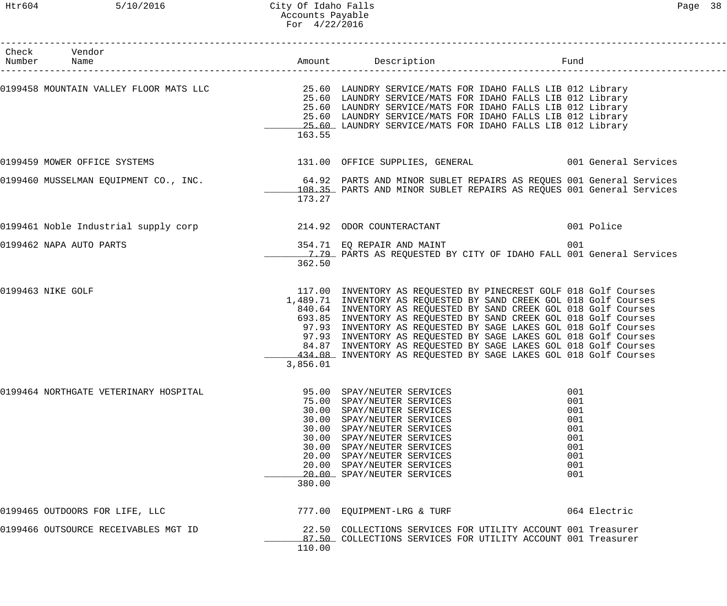## Htr604 5/10/2016 City Of Idaho Falls Page 38 Accounts Payable For 4/22/2016

| Check Vendor<br>Number Name           |          |                                                                                                                                                                                                                                                                                                                                                                                                                                                                                                                                                             |                                                                    |
|---------------------------------------|----------|-------------------------------------------------------------------------------------------------------------------------------------------------------------------------------------------------------------------------------------------------------------------------------------------------------------------------------------------------------------------------------------------------------------------------------------------------------------------------------------------------------------------------------------------------------------|--------------------------------------------------------------------|
|                                       | 163.55   | 0199458 MOUNTAIN VALLEY FLOOR MATS LLC 25.60 LAUNDRY SERVICE/MATS FOR IDAHO FALLS LIB 012 Library<br>25.60 LAUNDRY SERVICE/MATS FOR IDAHO FALLS LIB 012 Library<br>25.60 LAUNDRY SERVICE/MATS FOR IDAHO FALLS LIB 012 Library<br>25.60 LAUNDRY SERVICE/MATS FOR IDAHO FALLS LIB 012 Library<br>25.60 LAUNDRY SERVICE/MATS FOR IDAHO FALLS LIB 012 Library                                                                                                                                                                                                   |                                                                    |
|                                       |          | 0199459 MOWER OFFICE SYSTEMS                                   131.00 OFFICE SUPPLIES, GENERAL                 001 General Services                                                                                                                                                                                                                                                                                                                                                                                                                         |                                                                    |
|                                       | 173.27   | 0199460 MUSSELMAN EQUIPMENT CO., INC. 4 192 PARTS AND MINOR SUBLET REPAIRS AS REQUES 001 General Services<br>108.35 PARTS AND MINOR SUBLET REPAIRS AS REQUES 001 General Services                                                                                                                                                                                                                                                                                                                                                                           |                                                                    |
|                                       |          |                                                                                                                                                                                                                                                                                                                                                                                                                                                                                                                                                             | 001 Police                                                         |
| 0199462 NAPA AUTO PARTS               | 362.50   | 354.71 EQ REPAIR AND MAINT<br>1.79 PARTS AS REQUESTED BY CITY OF IDAHO FALL 001 General Services                                                                                                                                                                                                                                                                                                                                                                                                                                                            | 001                                                                |
| 0199463 NIKE GOLF                     | 3,856.01 | 117.00 INVENTORY AS REQUESTED BY PINECREST GOLF 018 Golf Courses<br>1,489.71 INVENTORY AS REQUESTED BY SAND CREEK GOL 018 Golf Courses<br>840.64 INVENTORY AS REQUESTED BY SAND CREEK GOL 018 Golf Courses<br>693.85 INVENTORY AS REQUESTED BY SAND CREEK GOL 018 Golf Courses<br>97.93 INVENTORY AS REQUESTED BY SAGE LAKES GOL 018 Golf Courses<br>97.93 INVENTORY AS REQUESTED BY SAGE LAKES GOL 018 Golf Courses<br>84.87 INVENTORY AS REQUESTED BY SAGE LAKES GOL 018 Golf Courses<br>434.08 INVENTORY AS REQUESTED BY SAGE LAKES GOL 018 Golf Courses |                                                                    |
| 0199464 NORTHGATE VETERINARY HOSPITAL | 380.00   | 95.00 SPAY/NEUTER SERVICES<br>75.00 SPAY/NEUTER SERVICES<br>30.00 SPAY/NEUTER SERVICES<br>30.00 SPAY/NEUTER SERVICES<br>30.00 SPAY/NEUTER SERVICES<br>30.00 SPAY/NEUTER SERVICES<br>30.00 SPAY/NEUTER SERVICES<br>20.00 SPAY/NEUTER SERVICES<br>20.00 SPAY/NEUTER SERVICES<br>20.00 SPAY/NEUTER SERVICES                                                                                                                                                                                                                                                    | 001<br>001<br>001<br>001<br>001<br>001<br>001<br>001<br>001<br>001 |
| 0199465 OUTDOORS FOR LIFE, LLC        |          | 777.00 EQUIPMENT-LRG & TURF                                                                                                                                                                                                                                                                                                                                                                                                                                                                                                                                 | 064 Electric                                                       |
| 0199466 OUTSOURCE RECEIVABLES MGT ID  | 110.00   | 22.50 COLLECTIONS SERVICES FOR UTILITY ACCOUNT 001 Treasurer<br>87.50 COLLECTIONS SERVICES FOR UTILITY ACCOUNT 001 Treasurer                                                                                                                                                                                                                                                                                                                                                                                                                                |                                                                    |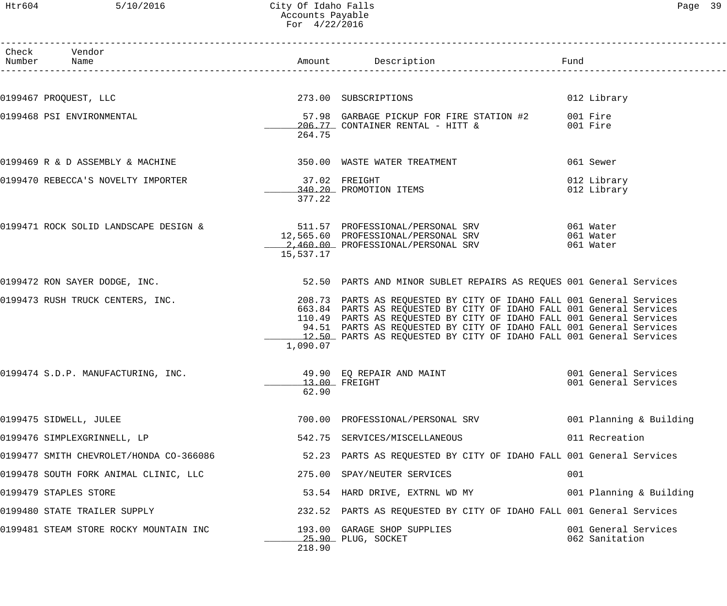# Htr604 5/10/2016 City Of Idaho Falls Page 39 Accounts Payable For 4/22/2016

| Page |  |
|------|--|
|------|--|

| Check Vendor<br>Number Name                                  |                          |                                                                                                                                              |                                        |
|--------------------------------------------------------------|--------------------------|----------------------------------------------------------------------------------------------------------------------------------------------|----------------------------------------|
|                                                              |                          |                                                                                                                                              |                                        |
| 0199467 PROQUEST, LLC                                        |                          | 273.00 SUBSCRIPTIONS                                                                                                                         | 012 Library                            |
| 0199468 PSI ENVIRONMENTAL                                    |                          | 57.98 GARBAGE PICKUP FOR FIRE STATION #2 001 Fire<br>206.77 CONTAINER RENTAL - HITT & 001 Fire                                               |                                        |
|                                                              | 264.75                   |                                                                                                                                              |                                        |
| 0199469 R & D ASSEMBLY & MACHINE                             |                          | 350.00 WASTE WATER TREATMENT                                                                                                                 | 061 Sewer                              |
| 0199470 REBECCA'S NOVELTY IMPORTER                           | 37.02 FREIGHT            |                                                                                                                                              | 012 Library                            |
|                                                              | 377.22                   | 340.20 PROMOTION ITEMS                                                                                                                       | 012 Library                            |
|                                                              |                          |                                                                                                                                              |                                        |
| 0199471 ROCK SOLID LANDSCAPE DESIGN &                        |                          | 511.57 PROFESSIONAL/PERSONAL SRV 061 Water<br>12,565.60 PROFESSIONAL/PERSONAL SRV 061 Water<br>2.153.33 PROFESSIONAL/PERSONAL SRV 061 Water  |                                        |
|                                                              |                          | 12,565.60 PROFESSIONAL/PERSONAL SRV 061 Water<br>2,460.00 PROFESSIONAL/PERSONAL SRV 061 Water                                                |                                        |
|                                                              | 15,537.17                |                                                                                                                                              |                                        |
| 0199472 RON SAYER DODGE, INC.                                |                          | 52.50 PARTS AND MINOR SUBLET REPAIRS AS REQUES 001 General Services                                                                          |                                        |
| 0199473 RUSH TRUCK CENTERS, INC.                             |                          | 208.73 PARTS AS REQUESTED BY CITY OF IDAHO FALL 001 General Services                                                                         |                                        |
|                                                              |                          | 663.84 PARTS AS REQUESTED BY CITY OF IDAHO FALL 001 General Services<br>110.49 PARTS AS REQUESTED BY CITY OF IDAHO FALL 001 General Services |                                        |
|                                                              |                          | 94.51 PARTS AS REQUESTED BY CITY OF IDAHO FALL 001 General Services<br>12.50 PARTS AS REOUESTED BY CITY OF IDAHO FALL 001 General Services   |                                        |
|                                                              | 1,090.07                 |                                                                                                                                              |                                        |
| 0199474 S.D.P. MANUFACTURING, INC. 49.90 EQ REPAIR AND MAINT |                          |                                                                                                                                              | 001 General Services                   |
|                                                              | $13.00$ FREIGHT<br>62.90 |                                                                                                                                              | 001 General Services                   |
| 0199475 SIDWELL, JULEE                                       |                          | 700.00 PROFESSIONAL/PERSONAL SRV                                                                                                             | 001 Planning & Building                |
| 0199476 SIMPLEXGRINNELL, LP                                  |                          | 542.75 SERVICES/MISCELLANEOUS                                                                                                                | 011 Recreation                         |
| 0199477 SMITH CHEVROLET/HONDA CO-366086                      |                          | 52.23 PARTS AS REQUESTED BY CITY OF IDAHO FALL 001 General Services                                                                          |                                        |
| 0199478 SOUTH FORK ANIMAL CLINIC, LLC                        |                          | 275.00 SPAY/NEUTER SERVICES                                                                                                                  | 001                                    |
| 0199479 STAPLES STORE                                        |                          | 53.54 HARD DRIVE, EXTRNL WD MY                                                                                                               | 001 Planning & Building                |
| 0199480 STATE TRAILER SUPPLY                                 |                          | 232.52 PARTS AS REQUESTED BY CITY OF IDAHO FALL 001 General Services                                                                         |                                        |
| 0199481 STEAM STORE ROCKY MOUNTAIN INC                       |                          | 193.00 GARAGE SHOP SUPPLIES<br>25.90 PLUG, SOCKET                                                                                            | 001 General Services<br>062 Sanitation |
|                                                              | 218.90                   |                                                                                                                                              |                                        |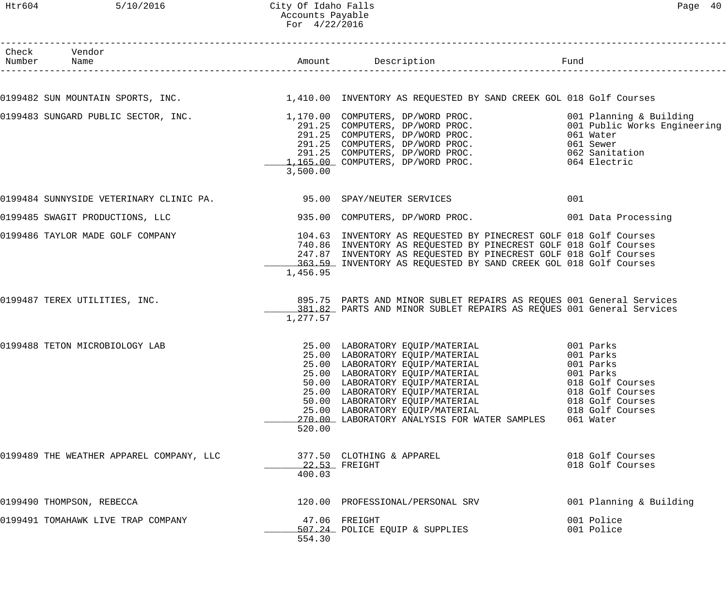Htr604 5/10/2016 City Of Idaho Falls Page 40 Accounts Payable For 4/22/2016

| Check Vendor<br>Number Name                                         |          |                                                                                                                                                                                                                                                                                                                                                                                                                       |                                                                                                        |
|---------------------------------------------------------------------|----------|-----------------------------------------------------------------------------------------------------------------------------------------------------------------------------------------------------------------------------------------------------------------------------------------------------------------------------------------------------------------------------------------------------------------------|--------------------------------------------------------------------------------------------------------|
|                                                                     |          | 0199482 SUN MOUNTAIN SPORTS, INC.<br>1,410.00 INVENTORY AS REQUESTED BY SAND CREEK GOL 018 Golf Courses                                                                                                                                                                                                                                                                                                               |                                                                                                        |
|                                                                     |          |                                                                                                                                                                                                                                                                                                                                                                                                                       |                                                                                                        |
|                                                                     | 3,500.00 | 0199483 SUNGARD PUBLIC SECTOR, INC.                      1,170.00 COMPUTERS, DP/WORD PROC.                        001 Planning & Building<br>291.25 COMPUTERS, DP/WORD PROC.                             001 Public Works Enginee<br>291.25 COMPUTERS, DP/WORD PROC.<br>291.25 COMPUTERS, DP/WORD PROC. 061 Sewer<br>291.25 COMPUTERS, DP/WORD PROC. 062 Sanitation<br>1,165.00 COMPUTERS, DP/WORD PROC. 064 Electric |                                                                                                        |
| 0199484 SUNNYSIDE VETERINARY CLINIC PA. 395.00 SPAY/NEUTER SERVICES |          |                                                                                                                                                                                                                                                                                                                                                                                                                       | 001                                                                                                    |
| 0199485 SWAGIT PRODUCTIONS, LLC                                     |          | 935.00 COMPUTERS, DP/WORD PROC. 001 Data Processing                                                                                                                                                                                                                                                                                                                                                                   |                                                                                                        |
| 0199486 TAYLOR MADE GOLF COMPANY                                    | 1,456.95 | 104.63 INVENTORY AS REQUESTED BY PINECREST GOLF 018 Golf Courses<br>740.86 INVENTORY AS REQUESTED BY PINECREST GOLF 018 Golf Courses<br>247.87 INVENTORY AS REQUESTED BY PINECREST GOLF 018 Golf Courses<br>363.59 INVENTORY AS REQUESTED BY SAND CREEK GOL 018 Golf Courses                                                                                                                                          |                                                                                                        |
| 0199487 TEREX UTILITIES, INC.                                       | 1,277.57 | 895.75 PARTS AND MINOR SUBLET REPAIRS AS REQUES 001 General Services<br>381.82 PARTS AND MINOR SUBLET REPAIRS AS REQUES 001 General Services                                                                                                                                                                                                                                                                          |                                                                                                        |
| 0199488 TETON MICROBIOLOGY LAB                                      | 520.00   | 25.00 LABORATORY EQUIP/MATERIAL 001 Parks<br>25.00 LABORATORY EQUIP/MATERIAL<br>50.00 LABORATORY EQUIP/MATERIAL<br>25.00 LABORATORY EQUIP/MATERIAL<br>50.00 LABORATORY EQUIP/MATERIAL<br>25.00 LABORATORY EQUIP/MATERIAL<br>270.00 LABORATORY ANALYSIS FOR WATER SAMPLES                                                                                                                                              | 001 Parks<br>018 Golf Courses<br>018 Golf Courses<br>018 Golf Courses<br>018 Golf Courses<br>061 Water |
| 0199489 THE WEATHER APPAREL COMPANY, LLC                            | 400.03   | 377.50 CLOTHING & APPAREL<br>22.53 FREIGHT                                                                                                                                                                                                                                                                                                                                                                            | 018 Golf Courses<br>018 Golf Courses                                                                   |
| 0199490 THOMPSON, REBECCA                                           |          | 120.00 PROFESSIONAL/PERSONAL SRV                                                                                                                                                                                                                                                                                                                                                                                      | 001 Planning & Building                                                                                |
| 0199491 TOMAHAWK LIVE TRAP COMPANY                                  | 554.30   | 47.06 FREIGHT<br>507.24 POLICE EQUIP & SUPPLIES                                                                                                                                                                                                                                                                                                                                                                       | 001 Police<br>001 Police                                                                               |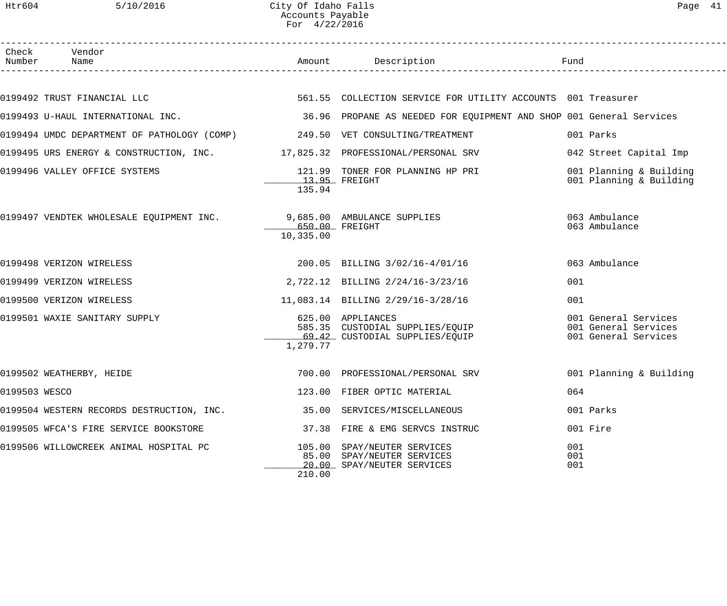Htr604 5/10/2016 City Of Idaho Falls Page 41 Accounts Payable For 4/22/2016

|               | Check Vendor<br>Number Name                                                    |                             | Amount Description Description                                                                                               |                                                                      |
|---------------|--------------------------------------------------------------------------------|-----------------------------|------------------------------------------------------------------------------------------------------------------------------|----------------------------------------------------------------------|
|               |                                                                                |                             |                                                                                                                              |                                                                      |
|               |                                                                                |                             |                                                                                                                              |                                                                      |
|               |                                                                                |                             | 0199493 U-HAUL INTERNATIONAL INC. 2010 1994 10 2010 1000 36.96 PROPANE AS NEEDED FOR EQUIPMENT AND SHOP 001 General Services |                                                                      |
|               | 0199494 UMDC DEPARTMENT OF PATHOLOGY (COMP) 249.50 VET CONSULTING/TREATMENT    |                             |                                                                                                                              | 001 Parks                                                            |
|               | 0199495 URS ENERGY & CONSTRUCTION, INC. 40 17,825.32 PROFESSIONAL/PERSONAL SRV |                             |                                                                                                                              | 042 Street Capital Imp                                               |
|               | 0199496 VALLEY OFFICE SYSTEMS                                                  | 13.95 FREIGHT<br>135.94     | 121.99 TONER FOR PLANNING HP PRI                                                                                             | 001 Planning & Building<br>001 Planning & Building                   |
|               | 0199497 VENDTEK WHOLESALE EQUIPMENT INC. 9,685.00 AMBULANCE SUPPLIES           | 650.00 FREIGHT<br>10,335.00 |                                                                                                                              | 063 Ambulance<br>063 Ambulance                                       |
|               | 0199498 VERIZON WIRELESS                                                       |                             | 200.05 BILLING 3/02/16-4/01/16                                                                                               | 063 Ambulance                                                        |
|               | 0199499 VERIZON WIRELESS                                                       |                             | 2,722.12 BILLING 2/24/16-3/23/16                                                                                             | 001                                                                  |
|               | 0199500 VERIZON WIRELESS                                                       |                             | 11,083.14 BILLING 2/29/16-3/28/16                                                                                            | 001                                                                  |
|               | 0199501 WAXIE SANITARY SUPPLY                                                  | 1,279.77                    | 625.00 APPLIANCES<br>585.35 CUSTODIAL SUPPLIES/EQUIP<br>69.42 CUSTODIAL SUPPLIES/EQUIP                                       | 001 General Services<br>001 General Services<br>001 General Services |
|               | 0199502 WEATHERBY, HEIDE                                                       |                             | 700.00 PROFESSIONAL/PERSONAL SRV 001 Planning & Building                                                                     |                                                                      |
| 0199503 WESCO |                                                                                |                             | 123.00 FIBER OPTIC MATERIAL                                                                                                  | 064                                                                  |
|               | 0199504 WESTERN RECORDS DESTRUCTION, INC.                                      |                             | 35.00 SERVICES/MISCELLANEOUS                                                                                                 | 001 Parks                                                            |
|               | 0199505 WFCA'S FIRE SERVICE BOOKSTORE                                          |                             | 37.38 FIRE & EMG SERVCS INSTRUC                                                                                              | 001 Fire                                                             |
|               | 0199506 WILLOWCREEK ANIMAL HOSPITAL PC                                         | 210.00                      | 105.00 SPAY/NEUTER SERVICES<br>85.00 SPAY/NEUTER SERVICES<br>20.00 SPAY/NEUTER SERVICES                                      | 001<br>001<br>001                                                    |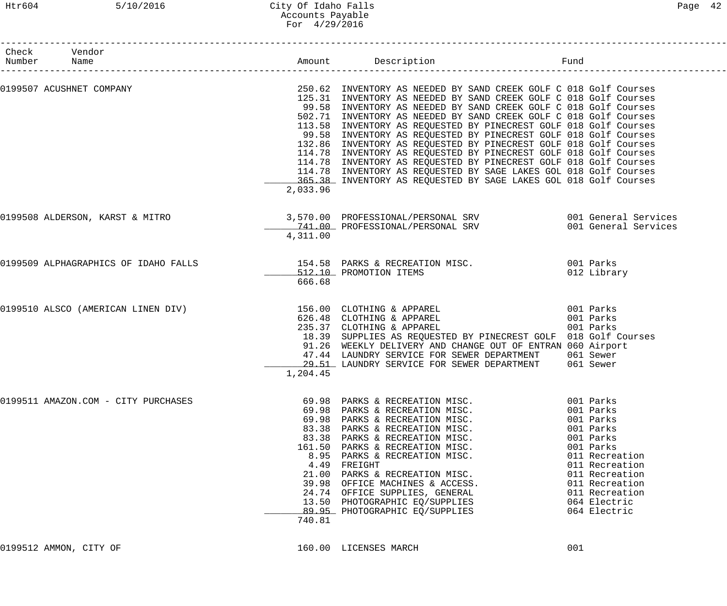# Htr604 5/10/2016 City Of Idaho Falls Page 42 Accounts Payable For 4/29/2016

| Check Vendor<br>Number Name                                                             |          | Amount Description<br>Fund                                                                                                                                                                                                                                                                                                                                                                                                                                                                                                                                                                                                                                                                                                                                             |                                                                                                                                                                                                      |
|-----------------------------------------------------------------------------------------|----------|------------------------------------------------------------------------------------------------------------------------------------------------------------------------------------------------------------------------------------------------------------------------------------------------------------------------------------------------------------------------------------------------------------------------------------------------------------------------------------------------------------------------------------------------------------------------------------------------------------------------------------------------------------------------------------------------------------------------------------------------------------------------|------------------------------------------------------------------------------------------------------------------------------------------------------------------------------------------------------|
| 0199507 ACUSHNET COMPANY                                                                | 2,033.96 | 250.62 INVENTORY AS NEEDED BY SAND CREEK GOLF C 018 Golf Courses<br>125.31 INVENTORY AS NEEDED BY SAND CREEK GOLF C 018 Golf Courses<br>99.58 INVENTORY AS NEEDED BY SAND CREEK GOLF C 018 Golf Courses<br>502.71 INVENTORY AS NEEDED BY SAND CREEK GOLF C 018 Golf Courses<br>113.58 INVENTORY AS REQUESTED BY PINECREST GOLF 018 Golf Courses<br>99.58 INVENTORY AS REQUESTED BY PINECREST GOLF 018 Golf Courses<br>132.86 INVENTORY AS REQUESTED BY PINECREST GOLF 018 Golf Courses<br>114.78 INVENTORY AS REQUESTED BY PINECREST GOLF 018 Golf Courses<br>114.78 INVENTORY AS REQUESTED BY PINECREST GOLF 018 Golf Courses<br>114.78 INVENTORY AS REQUESTED BY SAGE LAKES GOL 018 Golf Courses<br>365.38 INVENTORY AS REQUESTED BY SAGE LAKES GOL 018 Golf Courses |                                                                                                                                                                                                      |
| 0199508 ALDERSON, KARST & MITRO 3,570.00 PROFESSIONAL/PERSONAL SRV 001 General Services | 4,311.00 | 741.00 PROFESSIONAL/PERSONAL SRV                                                                                                                                                                                                                                                                                                                                                                                                                                                                                                                                                                                                                                                                                                                                       | 001 General Services                                                                                                                                                                                 |
| 0199509 ALPHAGRAPHICS OF IDAHO FALLS 154.58 PARKS & RECREATION MISC. 001 Parks          | 666.68   | 512.10 PROMOTION ITEMS                                                                                                                                                                                                                                                                                                                                                                                                                                                                                                                                                                                                                                                                                                                                                 | 012 Library                                                                                                                                                                                          |
| 0199510 ALSCO (AMERICAN LINEN DIV)                                                      | 1,204.45 | 156.00 CLOTHING & APPAREL<br>001 Parks<br>626.48 CLOTHING & APPAREL<br>235.37 CLOTHING & APPAREL<br>18.39 SUPPLIES AS REQUESTED BY PINECREST GOLF 018 Golf Courses<br>91.26 WEEKLY DELIVERY AND CHANGE OUT OF ENTRAN 060 Airport<br>47.44 LAUNDRY SERVICE FOR SEWER DEPARTMENT 061 Sewer<br>29.51 LAUNDRY SERVICE FOR SEWER DEPARTMENT 061 Sewer                                                                                                                                                                                                                                                                                                                                                                                                                       | 001 Parks<br>001 Parks                                                                                                                                                                               |
| 0199511 AMAZON.COM - CITY PURCHASES                                                     | 740.81   | 69.98 PARKS & RECREATION MISC.<br>69.98 PARKS & RECREATION MISC.<br>69.98 PARKS & RECREATION MISC.<br>83.38 PARKS & RECREATION MISC.<br>83.38 PARKS & RECREATION MISC.<br>161.50 PARKS & RECREATION MISC.<br>8.95 PARKS & RECREATION MISC.<br>4.49 FREIGHT<br>21.00 PARKS & RECREATION MISC.<br>39.98 OFFICE MACHINES & ACCESS.<br>24.74 OFFICE SUPPLIES, GENERAL<br>13.50 PHOTOGRAPHIC EQ/SUPPLIES<br>89.95 PHOTOGRAPHIC EQ/SUPPLIES                                                                                                                                                                                                                                                                                                                                  | 001 Parks<br>001 Parks<br>001 Parks<br>001 Parks<br>001 Parks<br>001 Parks<br>011 Recreation<br>011 Recreation<br>011 Recreation<br>011 Recreation<br>011 Recreation<br>064 Electric<br>064 Electric |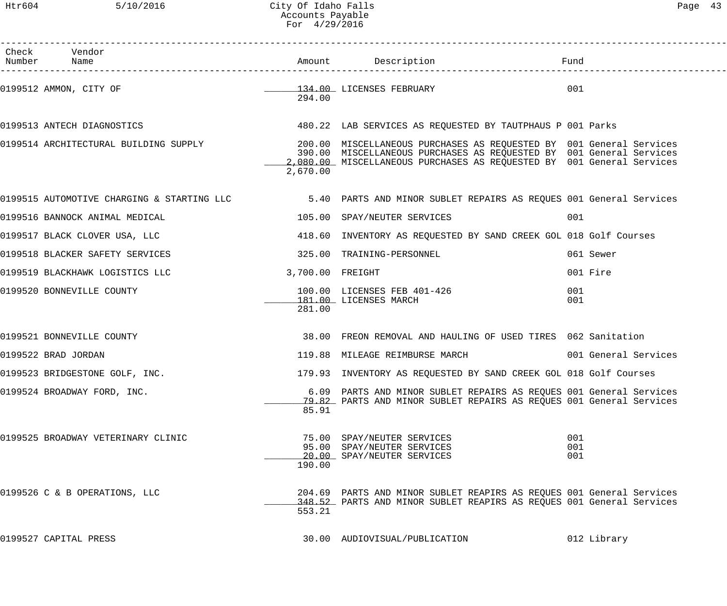Htr604 5/10/2016 City Of Idaho Falls Page 43 Accounts Payable For 4/29/2016

| Check Vendor<br>Number Name                |                  | Amount Description                                                                                                                           | Fund                 |
|--------------------------------------------|------------------|----------------------------------------------------------------------------------------------------------------------------------------------|----------------------|
| 0199512 AMMON, CITY OF                     | 294.00           | 134.00 LICENSES FEBRUARY                                                                                                                     | 001                  |
| 0199513 ANTECH DIAGNOSTICS                 |                  | 480.22 LAB SERVICES AS REQUESTED BY TAUTPHAUS P 001 Parks                                                                                    |                      |
|                                            | 2,670.00         | 390.00 MISCELLANEOUS PURCHASES AS REQUESTED BY 001 General Services<br>2,080.00 MISCELLANEOUS PURCHASES AS REQUESTED BY 001 General Services |                      |
| 0199515 AUTOMOTIVE CHARGING & STARTING LLC |                  | 5.40 PARTS AND MINOR SUBLET REPAIRS AS REQUES 001 General Services                                                                           |                      |
| 0199516 BANNOCK ANIMAL MEDICAL             |                  | 105.00 SPAY/NEUTER SERVICES                                                                                                                  | 001                  |
| 0199517 BLACK CLOVER USA, LLC              |                  | 418.60 INVENTORY AS REQUESTED BY SAND CREEK GOL 018 Golf Courses                                                                             |                      |
| 0199518 BLACKER SAFETY SERVICES            |                  | 325.00 TRAINING-PERSONNEL                                                                                                                    | 061 Sewer            |
| 0199519 BLACKHAWK LOGISTICS LLC            | 3,700.00 FREIGHT |                                                                                                                                              | 001 Fire             |
| 0199520 BONNEVILLE COUNTY                  | 281.00           | 100.00 LICENSES FEB 401-426<br>181.00 LICENSES MARCH                                                                                         | 001<br>001           |
| 0199521 BONNEVILLE COUNTY                  |                  | 38.00 FREON REMOVAL AND HAULING OF USED TIRES 062 Sanitation                                                                                 |                      |
| 0199522 BRAD JORDAN                        |                  | 119.88 MILEAGE REIMBURSE MARCH                                                                                                               | 001 General Services |
| 0199523 BRIDGESTONE GOLF, INC.             |                  | 179.93 INVENTORY AS REQUESTED BY SAND CREEK GOL 018 Golf Courses                                                                             |                      |
| 0199524 BROADWAY FORD, INC.                | 85.91            | 6.09 PARTS AND MINOR SUBLET REPAIRS AS REQUES 001 General Services<br>79.82 PARTS AND MINOR SUBLET REPAIRS AS REQUES 001 General Services    |                      |
| 0199525 BROADWAY VETERINARY CLINIC         | 190.00           | 75.00 SPAY/NEUTER SERVICES<br>95.00 SPAY/NEUTER SERVICES<br>20.00 SPAY/NEUTER SERVICES                                                       | 001<br>001<br>001    |
| 0199526 C & B OPERATIONS, LLC              | 553.21           | 204.69 PARTS AND MINOR SUBLET REAPIRS AS REQUES 001 General Services<br>348.52 PARTS AND MINOR SUBLET REAPIRS AS REQUES 001 General Services |                      |
| 0199527 CAPITAL PRESS                      |                  | 30.00 AUDIOVISUAL/PUBLICATION                                                                                                                | 012 Library          |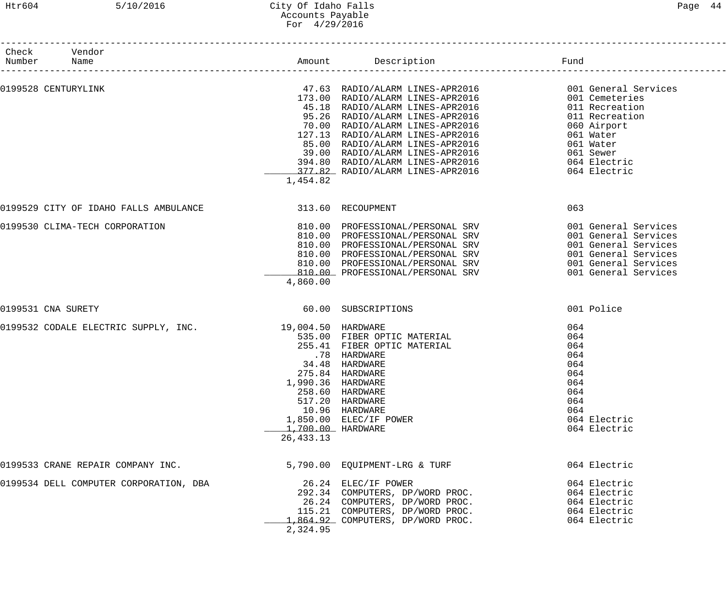------------------------------------------------------------------------------------------------------------------------------------

| Check<br>Number | Vendor<br>Name                                           |                                  | Amount Description                                                                                                                                                                                                                                                                                                                                                                                                                                                                                                       | Fund                                                                                                                 |
|-----------------|----------------------------------------------------------|----------------------------------|--------------------------------------------------------------------------------------------------------------------------------------------------------------------------------------------------------------------------------------------------------------------------------------------------------------------------------------------------------------------------------------------------------------------------------------------------------------------------------------------------------------------------|----------------------------------------------------------------------------------------------------------------------|
|                 | 0199528 CENTURYLINK                                      | 1,454.82                         | 47.63 RADIO/ALARM LINES-APR2016 001 General Services<br>173.00 RADIO/ALARM LINES-APR2016 001 Cemeteries<br>45.18 RADIO/ALARM LINES-APR2016 011 Recreation<br>95.26 RADIO/ALARM LINES-APR2016 011 Recreation<br>70.00 RADIO/ALARM LINES-APR<br>127.13 RADIO/ALARM LINES-APR2016 061 Water<br>85.00 RADIO/ALARM LINES-APR2016 061 Water<br>39.00 RADIO/ALARM LINES-APR2016 061 Water<br>394.80 RADIO/ALARM LINES-APR2016 064 Electric<br>375.88 RADIO/ALARM LINES-APR2016 064 Electric<br>377.82 RADIO/ALARM LINES-APR2016 | 064 Electric                                                                                                         |
|                 | 0199529 CITY OF IDAHO FALLS AMBULANCE   13.60 RECOUPMENT |                                  |                                                                                                                                                                                                                                                                                                                                                                                                                                                                                                                          | 063                                                                                                                  |
|                 | 0199530 CLIMA-TECH CORPORATION                           | 4,860.00                         | 810.00 PROFESSIONAL/PERSONAL SRV<br>810.00 PROFESSIONAL/PERSONAL SRV<br>810.00 PROFESSIONAL/PERSONAL SRV<br>810.00 PROFESSIONAL/PERSONAL SRV<br>810.00 PROFESSIONAL/PERSONAL SRV 6001 General Services<br>810.00 PROFESSIONAL/PERSONAL SRV                                                                                                                                                                                                                                                                               | 001 General Services<br>001 General Services<br>001 General Services<br>001 General Services<br>001 General Services |
|                 | 0199531 CNA SURETY                                       |                                  | 60.00 SUBSCRIPTIONS                                                                                                                                                                                                                                                                                                                                                                                                                                                                                                      | 001 Police                                                                                                           |
|                 | 0199532 CODALE ELECTRIC SUPPLY, INC. 19,004.50 HARDWARE  | 1,700.00 HARDWARE<br>26, 433. 13 | 535.00 FIBER OPTIC MATERIAL<br>255.41 FIBER OPTIC MATERIAL<br>.78 HARDWARE<br>34.48 HARDWARE<br>275.84 HARDWARE<br>1,990.36 HARDWARE<br>258.60 HARDWARE<br>517.20 HARDWARE<br>10.96 HARDWARE<br>1,850.00 ELEC/IF POWER                                                                                                                                                                                                                                                                                                   | 064<br>064<br>064<br>064<br>064<br>064<br>064<br>064<br>064<br>064<br>064 Electric<br>064 Electric                   |
|                 | 0199533 CRANE REPAIR COMPANY INC.                        |                                  | 5,790.00 EQUIPMENT-LRG & TURF                                                                                                                                                                                                                                                                                                                                                                                                                                                                                            | 064 Electric                                                                                                         |
|                 | 0199534 DELL COMPUTER CORPORATION, DBA                   | 2,324.95                         | 26.24 ELEC/IF POWER<br>292.34 COMPUTERS, DP/WORD PROC.<br>26.24 COMPUTERS, DP/WORD PROC.<br>115.21 COMPUTERS, DP/WORD PROC.<br>1,864.92 COMPUTERS, DP/WORD PROC.                                                                                                                                                                                                                                                                                                                                                         | 064 Electric<br>064 Electric<br>064 Electric<br>064 Electric<br>064 Electric                                         |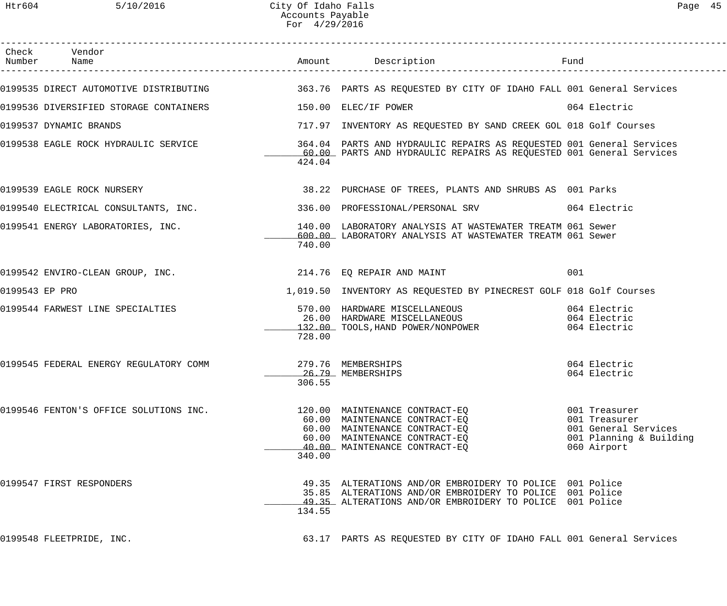|                | Check Vendor                                                |        |                                                                                                                                                                                  |                                                                                                  |
|----------------|-------------------------------------------------------------|--------|----------------------------------------------------------------------------------------------------------------------------------------------------------------------------------|--------------------------------------------------------------------------------------------------|
|                |                                                             |        | 0199535 DIRECT AUTOMOTIVE DISTRIBUTING 363.76 PARTS AS REQUESTED BY CITY OF IDAHO FALL 001 General Services                                                                      |                                                                                                  |
|                | 0199536 DIVERSIFIED STORAGE CONTAINERS 150.00 ELEC/IF POWER |        |                                                                                                                                                                                  | 064 Electric                                                                                     |
|                | 0199537 DYNAMIC BRANDS                                      |        | 717.97 INVENTORY AS REQUESTED BY SAND CREEK GOL 018 Golf Courses                                                                                                                 |                                                                                                  |
|                |                                                             | 424.04 | 0199538 EAGLE ROCK HYDRAULIC SERVICE 364.04 PARTS AND HYDRAULIC REPAIRS AS REQUESTED 001 General Services<br>60.00 PARTS AND HYDRAULIC REPAIRS AS REQUESTED 001 General Services |                                                                                                  |
|                | 0199539 EAGLE ROCK NURSERY                                  |        | 38.22 PURCHASE OF TREES, PLANTS AND SHRUBS AS 001 Parks                                                                                                                          |                                                                                                  |
|                |                                                             |        | 0199540 ELECTRICAL CONSULTANTS, INC. 336.00 PROFESSIONAL/PERSONAL SRV 064 Electric                                                                                               |                                                                                                  |
|                | 0199541 ENERGY LABORATORIES, INC.                           | 740.00 | 140.00 LABORATORY ANALYSIS AT WASTEWATER TREATM 061 Sewer<br>600.00 LABORATORY ANALYSIS AT WASTEWATER TREATM 061 Sewer                                                           |                                                                                                  |
|                | 0199542 ENVIRO-CLEAN GROUP, INC. 214.76 EQ REPAIR AND MAINT |        |                                                                                                                                                                                  | 001                                                                                              |
| 0199543 EP PRO |                                                             |        | 1,019.50 INVENTORY AS REQUESTED BY PINECREST GOLF 018 Golf Courses                                                                                                               |                                                                                                  |
|                | 0199544 FARWEST LINE SPECIALTIES                            | 728.00 | 570.00 HARDWARE MISCELLANEOUS 1064 Electric<br>26.00 HARDWARE MISCELLANEOUS 1064 Electric<br>132.00 TOOLS, HAND POWER/NONPOWER                                                   | 064 Electric<br>064 Electric                                                                     |
|                | 0199545 FEDERAL ENERGY REGULATORY COMM 279.76 MEMBERSHIPS   | 306.55 | 26.79 MEMBERSHIPS                                                                                                                                                                | 064 Electric<br>064 Electric                                                                     |
|                | 0199546 FENTON'S OFFICE SOLUTIONS INC.                      | 340.00 | 120.00 MAINTENANCE CONTRACT-EO<br>60.00 MAINTENANCE CONTRACT-EQ<br>60.00 MAINTENANCE CONTRACT-EQ<br>60.00 MAINTENANCE CONTRACT-EQ<br>40.00 MAINTENANCE CONTRACT-EO               | 001 Treasurer<br>001 Treasurer<br>001 General Services<br>001 Planning & Building<br>060 Airport |
|                | 0199547 FIRST RESPONDERS                                    | 134.55 | 49.35 ALTERATIONS AND/OR EMBROIDERY TO POLICE 001 Police<br>35.85 ALTERATIONS AND/OR EMBROIDERY TO POLICE 001 Police<br>49.35 ALTERATIONS AND/OR EMBROIDERY TO POLICE 001 Police |                                                                                                  |
|                | 0199548 FLEETPRIDE, INC.                                    |        | 63.17 PARTS AS REQUESTED BY CITY OF IDAHO FALL 001 General Services                                                                                                              |                                                                                                  |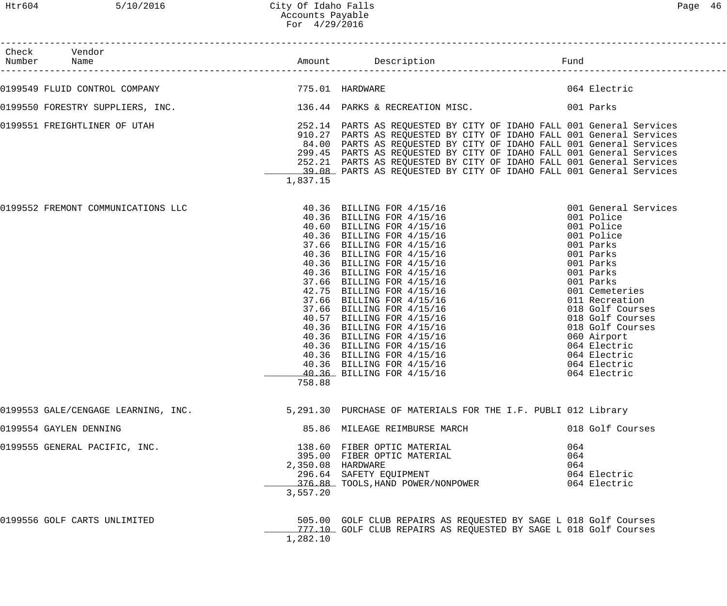| Page | n |
|------|---|
|------|---|

| Check Vendor<br>Number Name                                                |                               |                                                                                                                                                                                                                                                                                                                                                                                                                                            |                   |                                                                                                                                                                                                                                                                                                                |
|----------------------------------------------------------------------------|-------------------------------|--------------------------------------------------------------------------------------------------------------------------------------------------------------------------------------------------------------------------------------------------------------------------------------------------------------------------------------------------------------------------------------------------------------------------------------------|-------------------|----------------------------------------------------------------------------------------------------------------------------------------------------------------------------------------------------------------------------------------------------------------------------------------------------------------|
| 0199549 FLUID CONTROL COMPANY 1999549 775.01 HARDWARE                      |                               |                                                                                                                                                                                                                                                                                                                                                                                                                                            |                   | 064 Electric                                                                                                                                                                                                                                                                                                   |
| 0199550 FORESTRY SUPPLIERS, INC. 136.44 PARKS & RECREATION MISC. 001 Parks |                               |                                                                                                                                                                                                                                                                                                                                                                                                                                            |                   |                                                                                                                                                                                                                                                                                                                |
| 0199551 FREIGHTLINER OF UTAH                                               | 1,837.15                      | 252.14 PARTS AS REQUESTED BY CITY OF IDAHO FALL 001 General Services<br>910.27 PARTS AS REQUESTED BY CITY OF IDAHO FALL 001 General Services<br>84.00 PARTS AS REQUESTED BY CITY OF IDAHO FALL 001 General Services<br>299.45 PARTS AS REQUESTED BY CITY OF IDAHO FALL 001 General Services<br>252.21 PARTS AS REQUESTED BY CITY OF IDAHO FALL 001 General Services<br>39.08 PARTS AS REQUESTED BY CITY OF IDAHO FALL 001 General Services |                   |                                                                                                                                                                                                                                                                                                                |
| 0199552 FREMONT COMMUNICATIONS LLC                                         | 758.88                        | 40.36 BILLING FOR $4/15/16$<br>40.36 BILLING FOR $4/15/16$<br>40.60 BILLING FOR $4/15/16$<br>40.36 BILLING FOR $4/15/16$<br>40.36 BILLING FOR $4/15/16$<br>40.36 BILLING FOR $4/15/16$<br>40.36 BILLING FOR $4/15/16$<br>40.36 BILLING FOR $4/15/1$<br>40.36 BILLING FOR 4/15/16                                                                                                                                                           |                   | 001 General Services<br>001 Police<br>001 Police<br>001 Police<br>001 Parks<br>001 Parks<br>001 Parks<br>001 Parks<br>001 Parks<br>001 Cemeteries<br>011 Recreation<br>018 Golf Courses<br>018 Golf Courses<br>018 Golf Courses<br>060 Airport<br>064 Electric<br>064 Electric<br>064 Electric<br>064 Electric |
| 0199553 GALE/CENGAGE LEARNING, INC.                                        |                               | 5,291.30 PURCHASE OF MATERIALS FOR THE I.F. PUBLI 012 Library                                                                                                                                                                                                                                                                                                                                                                              |                   |                                                                                                                                                                                                                                                                                                                |
| 0199554 GAYLEN DENNING                                                     |                               | 85.86 MILEAGE REIMBURSE MARCH                                                                                                                                                                                                                                                                                                                                                                                                              |                   | 018 Golf Courses                                                                                                                                                                                                                                                                                               |
| 0199555 GENERAL PACIFIC, INC.                                              | 2,350.08 HARDWARE<br>3,557.20 | 138.60 FIBER OPTIC MATERIAL<br>395.00 FIBER OPTIC MATERIAL<br>296.64 SAFETY EQUIPMENT<br>376.88 TOOLS, HAND POWER/NONPOWER                                                                                                                                                                                                                                                                                                                 | 064<br>064<br>064 | 064 Electric<br>064 Electric                                                                                                                                                                                                                                                                                   |
| 0199556 GOLF CARTS UNLIMITED                                               | 1,282.10                      | 505.00 GOLF CLUB REPAIRS AS REQUESTED BY SAGE L 018 Golf Courses<br>777.10 GOLF CLUB REPAIRS AS REQUESTED BY SAGE L 018 Golf Courses                                                                                                                                                                                                                                                                                                       |                   |                                                                                                                                                                                                                                                                                                                |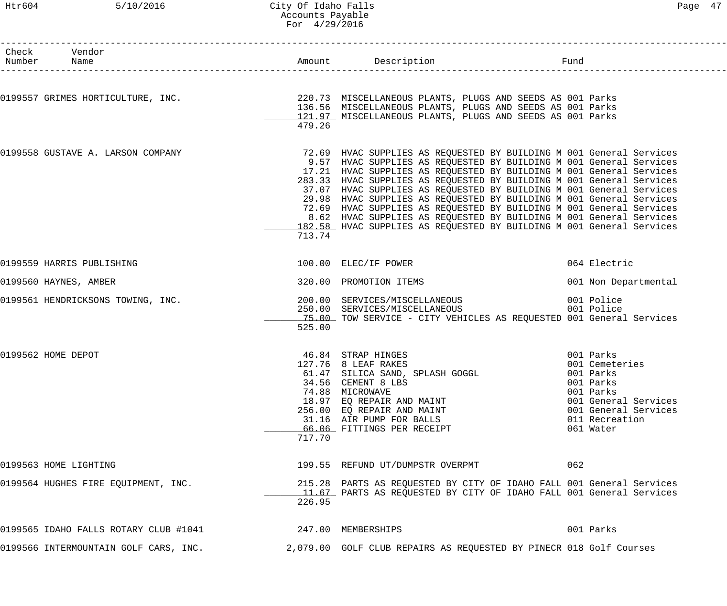## Htr604 5/10/2016 City Of Idaho Falls Page 47 Accounts Payable For 4/29/2016

| Check Vendor<br>Number Name           |        | Amount Description                                                                                                                                                                                                                                                                                                                                                                                                                                                                                                                                                                                                                                          | Fund                                                                                                                    |
|---------------------------------------|--------|-------------------------------------------------------------------------------------------------------------------------------------------------------------------------------------------------------------------------------------------------------------------------------------------------------------------------------------------------------------------------------------------------------------------------------------------------------------------------------------------------------------------------------------------------------------------------------------------------------------------------------------------------------------|-------------------------------------------------------------------------------------------------------------------------|
|                                       | 479.26 | 0199557 GRIMES HORTICULTURE, INC. 220.73 MISCELLANEOUS PLANTS, PLUGS AND SEEDS AS 001 Parks<br>136.56 MISCELLANEOUS PLANTS, PLUGS AND SEEDS AS 001 Parks<br>121.97 MISCELLANEOUS PLANTS, PLUGS AND SEEDS AS 001 Parks                                                                                                                                                                                                                                                                                                                                                                                                                                       |                                                                                                                         |
| 0199558 GUSTAVE A. LARSON COMPANY     | 713.74 | 72.69 HVAC SUPPLIES AS REQUESTED BY BUILDING M 001 General Services<br>9.57 HVAC SUPPLIES AS REQUESTED BY BUILDING M 001 General Services<br>17.21 HVAC SUPPLIES AS REQUESTED BY BUILDING M 001 General Services<br>283.33 HVAC SUPPLIES AS REQUESTED BY BUILDING M 001 General Services<br>37.07 HVAC SUPPLIES AS REQUESTED BY BUILDING M 001 General Services<br>29.98 HVAC SUPPLIES AS REQUESTED BY BUILDING M 001 General Services<br>72.69 HVAC SUPPLIES AS REQUESTED BY BUILDING M 001 General Services<br>8.62 HVAC SUPPLIES AS REQUESTED BY BUILDING M 001 General Services<br>182.58 HVAC SUPPLIES AS REQUESTED BY BUILDING M 001 General Services |                                                                                                                         |
| 0199559 HARRIS PUBLISHING             |        | 100.00 ELEC/IF POWER                                                                                                                                                                                                                                                                                                                                                                                                                                                                                                                                                                                                                                        | 064 Electric                                                                                                            |
| 0199560 HAYNES, AMBER                 |        | 320.00 PROMOTION ITEMS                                                                                                                                                                                                                                                                                                                                                                                                                                                                                                                                                                                                                                      | 001 Non Departmental                                                                                                    |
| 0199561 HENDRICKSONS TOWING, INC.     | 525.00 | 200.00 SERVICES/MISCELLANEOUS<br>250.00 SERVICES/MISCELLANEOUS<br>15.00 TOW SERVICE - CITY VEHICLES AS REQUESTED 001 General Services                                                                                                                                                                                                                                                                                                                                                                                                                                                                                                                       | 001 Police<br>001 Police                                                                                                |
| 0199562 HOME DEPOT                    | 717.70 | 46.84 STRAP HINGES<br>001 Parks<br>127.76 8 LEAF RAKES<br>61.47 SILICA SAND, SPLASH GOGGL 61.47 SILICA SAND, SPLASH GOGGL<br>34.56 CEMENT 8 LBS<br>74.88 MICROWAVE<br>18.97 EQ REPAIR AND MAINT<br>256.00 EQ REPAIR AND MAINT<br>31.16 AIR PUMP FOR BALLS<br>66.06 FITTINGS PER RECEIPT                                                                                                                                                                                                                                                                                                                                                                     | 001 Cemeteries<br>001 Parks<br>001 Parks<br>001 General Services<br>001 General Services<br>011 Recreation<br>061 Water |
| 0199563 HOME LIGHTING                 |        | 199.55 REFUND UT/DUMPSTR OVERPMT                                                                                                                                                                                                                                                                                                                                                                                                                                                                                                                                                                                                                            | 062                                                                                                                     |
| 0199564 HUGHES FIRE EQUIPMENT, INC.   | 226.95 | 215.28 PARTS AS REQUESTED BY CITY OF IDAHO FALL 001 General Services<br>11.67 PARTS AS REQUESTED BY CITY OF IDAHO FALL 001 General Services                                                                                                                                                                                                                                                                                                                                                                                                                                                                                                                 |                                                                                                                         |
| 0199565 IDAHO FALLS ROTARY CLUB #1041 |        | 247.00 MEMBERSHIPS                                                                                                                                                                                                                                                                                                                                                                                                                                                                                                                                                                                                                                          | 001 Parks                                                                                                               |
| 0199566 INTERMOUNTAIN GOLF CARS, INC. |        | 2,079.00 GOLF CLUB REPAIRS AS REQUESTED BY PINECR 018 Golf Courses                                                                                                                                                                                                                                                                                                                                                                                                                                                                                                                                                                                          |                                                                                                                         |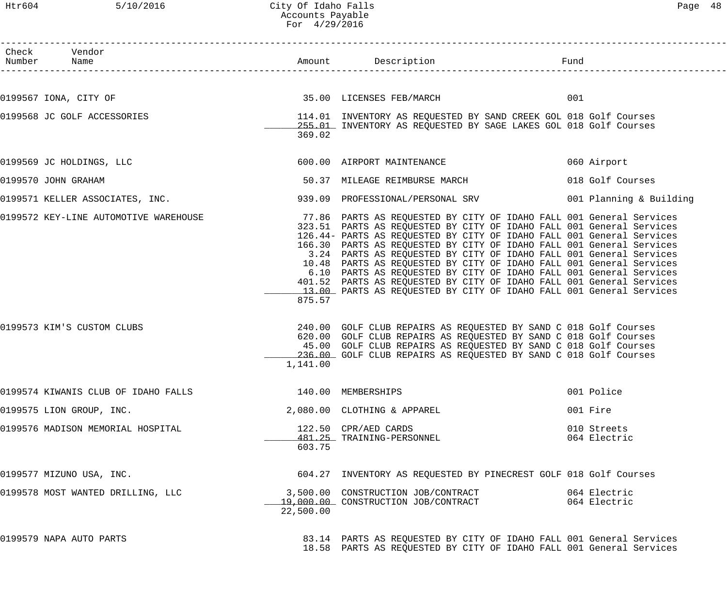# Htr604 5/10/2016 City Of Idaho Falls Page 48 Accounts Payable For 4/29/2016

| Check Vendor<br>Number Name                    |           | Amount Description Description                                                                                                                                                                                                                                                                                                                                                                                                                                                                                                                                                                                                                                 |     |                              |
|------------------------------------------------|-----------|----------------------------------------------------------------------------------------------------------------------------------------------------------------------------------------------------------------------------------------------------------------------------------------------------------------------------------------------------------------------------------------------------------------------------------------------------------------------------------------------------------------------------------------------------------------------------------------------------------------------------------------------------------------|-----|------------------------------|
| 0199567 IONA, CITY OF 35.00 LICENSES FEB/MARCH |           |                                                                                                                                                                                                                                                                                                                                                                                                                                                                                                                                                                                                                                                                | 001 |                              |
| 0199568 JC GOLF ACCESSORIES                    | 369.02    | 114.01 INVENTORY AS REQUESTED BY SAND CREEK GOL 018 Golf Courses<br>255.01 INVENTORY AS REQUESTED BY SAGE LAKES GOL 018 Golf Courses                                                                                                                                                                                                                                                                                                                                                                                                                                                                                                                           |     |                              |
| 0199569 JC HOLDINGS, LLC                       |           | 600.00 AIRPORT MAINTENANCE                                                                                                                                                                                                                                                                                                                                                                                                                                                                                                                                                                                                                                     |     | 060 Airport                  |
| 0199570 JOHN GRAHAM                            |           | 50.37 MILEAGE REIMBURSE MARCH                                                                                                                                                                                                                                                                                                                                                                                                                                                                                                                                                                                                                                  |     | 018 Golf Courses             |
| 0199571 KELLER ASSOCIATES, INC.                |           | 939.09 PROFESSIONAL/PERSONAL SRV 1999 1001 Planning & Building                                                                                                                                                                                                                                                                                                                                                                                                                                                                                                                                                                                                 |     |                              |
| 0199572 KEY-LINE AUTOMOTIVE WAREHOUSE          | 875.57    | 77.86 PARTS AS REQUESTED BY CITY OF IDAHO FALL 001 General Services<br>323.51 PARTS AS REQUESTED BY CITY OF IDAHO FALL 001 General Services<br>126.44- PARTS AS REQUESTED BY CITY OF IDAHO FALL 001 General Services<br>166.30 PARTS AS REQUESTED BY CITY OF IDAHO FALL 001 General Services<br>3.24 PARTS AS REQUESTED BY CITY OF IDAHO FALL 001 General Services<br>10.48 PARTS AS REQUESTED BY CITY OF IDAHO FALL 001 General Services<br>6.10 PARTS AS REQUESTED BY CITY OF IDAHO FALL 001 General Services<br>401.52 PARTS AS REQUESTED BY CITY OF IDAHO FALL 001 General Services<br>13.00 PARTS AS REQUESTED BY CITY OF IDAHO FALL 001 General Services |     |                              |
| 0199573 KIM'S CUSTOM CLUBS                     | 1,141.00  | 240.00 GOLF CLUB REPAIRS AS REQUESTED BY SAND C 018 Golf Courses<br>620.00 GOLF CLUB REPAIRS AS REQUESTED BY SAND C 018 Golf Courses<br>45.00 GOLF CLUB REPAIRS AS REQUESTED BY SAND C 018 Golf Courses<br>236.00 GOLF CLUB REPAIRS AS REQUESTED BY SAND C 018 Golf Courses                                                                                                                                                                                                                                                                                                                                                                                    |     |                              |
| 0199574 KIWANIS CLUB OF IDAHO FALLS            |           | 140.00 MEMBERSHIPS                                                                                                                                                                                                                                                                                                                                                                                                                                                                                                                                                                                                                                             |     | 001 Police                   |
| 0199575 LION GROUP, INC.                       |           | 2,080.00 CLOTHING & APPAREL                                                                                                                                                                                                                                                                                                                                                                                                                                                                                                                                                                                                                                    |     | 001 Fire                     |
| 0199576 MADISON MEMORIAL HOSPITAL              | 603.75    | 122.50 CPR/AED CARDS<br>122.50 CPR/AED CARDS<br><u>481.25</u> TRAINING-PERSONNEL                                                                                                                                                                                                                                                                                                                                                                                                                                                                                                                                                                               |     | 010 Streets<br>064 Electric  |
| 0199577 MIZUNO USA, INC.                       |           | 604.27 INVENTORY AS REQUESTED BY PINECREST GOLF 018 Golf Courses                                                                                                                                                                                                                                                                                                                                                                                                                                                                                                                                                                                               |     |                              |
| 0199578 MOST WANTED DRILLING, LLC              | 22,500.00 | 3,500.00 CONSTRUCTION JOB/CONTRACT<br>19,000.00 CONSTRUCTION JOB/CONTRACT                                                                                                                                                                                                                                                                                                                                                                                                                                                                                                                                                                                      |     | 064 Electric<br>064 Electric |
| 0199579 NAPA AUTO PARTS                        |           | 83.14 PARTS AS REQUESTED BY CITY OF IDAHO FALL 001 General Services<br>18.58 PARTS AS REQUESTED BY CITY OF IDAHO FALL 001 General Services                                                                                                                                                                                                                                                                                                                                                                                                                                                                                                                     |     |                              |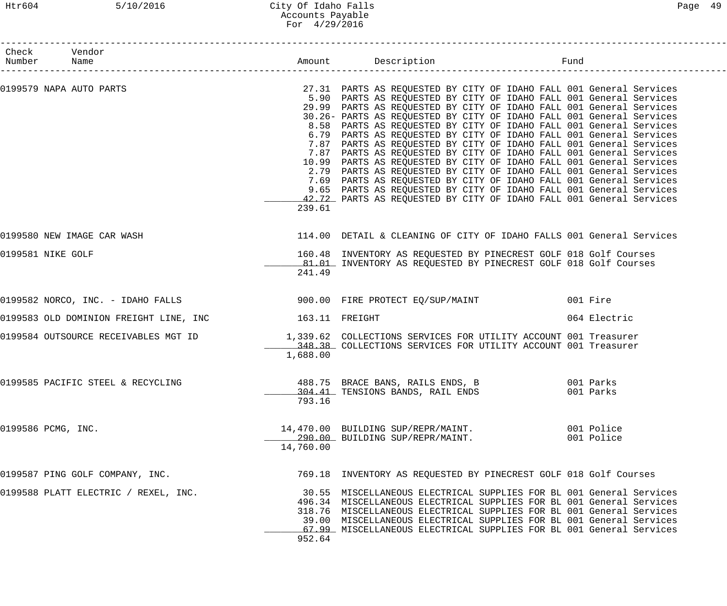# Htr604 5/10/2016 City Of Idaho Falls Page 49 Accounts Payable For 4/29/2016

| Check Vendor<br>Number Name |                                                                                                      |           |                                                                                                                                                                                                                                                                                                                                                                                                                                                                                                                                                                                                                                                                                                                                                                                                                                                                                                                                                  |                          |
|-----------------------------|------------------------------------------------------------------------------------------------------|-----------|--------------------------------------------------------------------------------------------------------------------------------------------------------------------------------------------------------------------------------------------------------------------------------------------------------------------------------------------------------------------------------------------------------------------------------------------------------------------------------------------------------------------------------------------------------------------------------------------------------------------------------------------------------------------------------------------------------------------------------------------------------------------------------------------------------------------------------------------------------------------------------------------------------------------------------------------------|--------------------------|
| 0199579 NAPA AUTO PARTS     |                                                                                                      | 239.61    | 27.31 PARTS AS REQUESTED BY CITY OF IDAHO FALL 001 General Services<br>5.90 PARTS AS REQUESTED BY CITY OF IDAHO FALL 001 General Services<br>29.99 PARTS AS REQUESTED BY CITY OF IDAHO FALL 001 General Services<br>30.26- PARTS AS REQUESTED BY CITY OF IDAHO FALL 001 General Services<br>8.58 PARTS AS REQUESTED BY CITY OF IDAHO FALL 001 General Services<br>6.79 PARTS AS REQUESTED BY CITY OF IDAHO FALL 001 General Services<br>7.87 PARTS AS REQUESTED BY CITY OF IDAHO FALL 001 General Services<br>7.87 PARTS AS REQUESTED BY CITY OF IDAHO FALL 001 General Services<br>10.99 PARTS AS REQUESTED BY CITY OF IDAHO FALL 001 General Services<br>2.79 PARTS AS REQUESTED BY CITY OF IDAHO FALL 001 General Services<br>7.69 PARTS AS REQUESTED BY CITY OF IDAHO FALL 001 General Services<br>9.65 PARTS AS REQUESTED BY CITY OF IDAHO FALL 001 General Services<br>42.72 PARTS AS REQUESTED BY CITY OF IDAHO FALL 001 General Services |                          |
|                             | 0199580 NEW IMAGE CAR WASH                                                                           |           | 114.00 DETAIL & CLEANING OF CITY OF IDAHO FALLS 001 General Services                                                                                                                                                                                                                                                                                                                                                                                                                                                                                                                                                                                                                                                                                                                                                                                                                                                                             |                          |
| 0199581 NIKE GOLF           |                                                                                                      | 241.49    | 160.48 INVENTORY AS REQUESTED BY PINECREST GOLF 018 Golf Courses<br>81.01 INVENTORY AS REQUESTED BY PINECREST GOLF 018 Golf Courses                                                                                                                                                                                                                                                                                                                                                                                                                                                                                                                                                                                                                                                                                                                                                                                                              |                          |
|                             | 0199582 NORCO, INC. - IDAHO FALLS                                                                    |           | 900.00 FIRE PROTECT EQ/SUP/MAINT 601 Fire                                                                                                                                                                                                                                                                                                                                                                                                                                                                                                                                                                                                                                                                                                                                                                                                                                                                                                        |                          |
|                             | 0199583 OLD DOMINION FREIGHT LINE, INC 163.11 FREIGHT                                                |           |                                                                                                                                                                                                                                                                                                                                                                                                                                                                                                                                                                                                                                                                                                                                                                                                                                                                                                                                                  | 064 Electric             |
|                             | 0199584 OUTSOURCE RECEIVABLES MGT ID 1,339.62 COLLECTIONS SERVICES FOR UTILITY ACCOUNT 001 Treasurer | 1,688.00  | 348.38 COLLECTIONS SERVICES FOR UTILITY ACCOUNT 001 Treasurer                                                                                                                                                                                                                                                                                                                                                                                                                                                                                                                                                                                                                                                                                                                                                                                                                                                                                    |                          |
|                             | 0199585 PACIFIC STEEL & RECYCLING                                                                    | 793.16    | 488.75 BRACE BANS, RAILS ENDS, B 001 Parks<br>304.41 TENSIONS BANDS, RAIL ENDS                                                                                                                                                                                                                                                                                                                                                                                                                                                                                                                                                                                                                                                                                                                                                                                                                                                                   | 001 Parks                |
| 0199586 PCMG, INC.          |                                                                                                      | 14,760.00 | 14,470.00 BUILDING SUP/REPR/MAINT.<br>290.00 BUILDING SUP/REPR/MAINT.                                                                                                                                                                                                                                                                                                                                                                                                                                                                                                                                                                                                                                                                                                                                                                                                                                                                            | 001 Police<br>001 Police |
|                             | 0199587 PING GOLF COMPANY, INC.                                                                      |           | 769.18 INVENTORY AS REQUESTED BY PINECREST GOLF 018 Golf Courses                                                                                                                                                                                                                                                                                                                                                                                                                                                                                                                                                                                                                                                                                                                                                                                                                                                                                 |                          |
|                             | 0199588 PLATT ELECTRIC / REXEL, INC.                                                                 | 952.64    | 30.55 MISCELLANEOUS ELECTRICAL SUPPLIES FOR BL 001 General Services<br>496.34 MISCELLANEOUS ELECTRICAL SUPPLIES FOR BL 001 General Services<br>318.76 MISCELLANEOUS ELECTRICAL SUPPLIES FOR BL 001 General Services<br>39.00 MISCELLANEOUS ELECTRICAL SUPPLIES FOR BL 001 General Services<br>67.99 MISCELLANEOUS ELECTRICAL SUPPLIES FOR BL 001 General Services                                                                                                                                                                                                                                                                                                                                                                                                                                                                                                                                                                                |                          |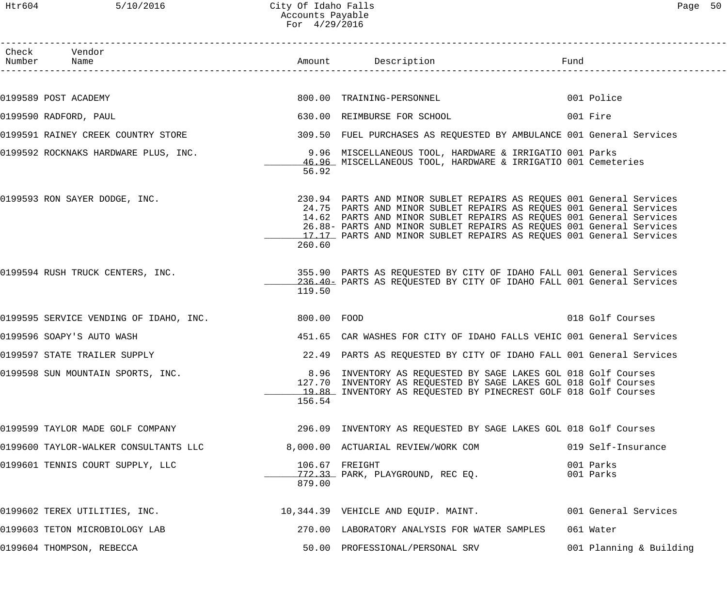| Check Vendor<br>Number Name            |             |                                                                                                                                                                                                                                                                                                                                                                   | Fund | __________________________ |
|----------------------------------------|-------------|-------------------------------------------------------------------------------------------------------------------------------------------------------------------------------------------------------------------------------------------------------------------------------------------------------------------------------------------------------------------|------|----------------------------|
|                                        |             |                                                                                                                                                                                                                                                                                                                                                                   |      |                            |
| 0199589 POST ACADEMY                   |             | 800.00 TRAINING-PERSONNEL                                                                                                                                                                                                                                                                                                                                         |      | 001 Police                 |
| 0199590 RADFORD, PAUL                  |             | 630.00 REIMBURSE FOR SCHOOL                                                                                                                                                                                                                                                                                                                                       |      | 001 Fire                   |
| 0199591 RAINEY CREEK COUNTRY STORE     |             | 309.50 FUEL PURCHASES AS REQUESTED BY AMBULANCE 001 General Services                                                                                                                                                                                                                                                                                              |      |                            |
| 0199592 ROCKNAKS HARDWARE PLUS, INC.   | 56.92       | 9.96 MISCELLANEOUS TOOL, HARDWARE & IRRIGATIO 001 Parks<br>46.96 MISCELLANEOUS TOOL, HARDWARE & IRRIGATIO 001 Cemeteries                                                                                                                                                                                                                                          |      |                            |
| 0199593 RON SAYER DODGE, INC.          | 260.60      | 230.94 PARTS AND MINOR SUBLET REPAIRS AS REQUES 001 General Services<br>24.75 PARTS AND MINOR SUBLET REPAIRS AS REQUES 001 General Services<br>14.62 PARTS AND MINOR SUBLET REPAIRS AS REQUES 001 General Services<br>26.88- PARTS AND MINOR SUBLET REPAIRS AS REQUES 001 General Services<br>17.17 PARTS AND MINOR SUBLET REPAIRS AS REQUES 001 General Services |      |                            |
| 0199594 RUSH TRUCK CENTERS, INC.       | 119.50      | 355.90 PARTS AS REQUESTED BY CITY OF IDAHO FALL 001 General Services<br>236.40- PARTS AS REQUESTED BY CITY OF IDAHO FALL 001 General Services                                                                                                                                                                                                                     |      |                            |
| 0199595 SERVICE VENDING OF IDAHO, INC. | 800.00 FOOD |                                                                                                                                                                                                                                                                                                                                                                   |      | 018 Golf Courses           |
| 0199596 SOAPY'S AUTO WASH              |             | 451.65 CAR WASHES FOR CITY OF IDAHO FALLS VEHIC 001 General Services                                                                                                                                                                                                                                                                                              |      |                            |
| 0199597 STATE TRAILER SUPPLY           |             | 22.49 PARTS AS REQUESTED BY CITY OF IDAHO FALL 001 General Services                                                                                                                                                                                                                                                                                               |      |                            |
| 0199598 SUN MOUNTAIN SPORTS, INC.      | 156.54      | 8.96 INVENTORY AS REQUESTED BY SAGE LAKES GOL 018 Golf Courses<br>127.70 INVENTORY AS REQUESTED BY SAGE LAKES GOL 018 Golf Courses<br>19.88 INVENTORY AS REQUESTED BY PINECREST GOLF 018 Golf Courses                                                                                                                                                             |      |                            |
| 0199599 TAYLOR MADE GOLF COMPANY       |             | 296.09 INVENTORY AS REQUESTED BY SAGE LAKES GOL 018 Golf Courses                                                                                                                                                                                                                                                                                                  |      |                            |
| 0199600 TAYLOR-WALKER CONSULTANTS LLC  |             | 8,000.00 ACTUARIAL REVIEW/WORK COM                                                                                                                                                                                                                                                                                                                                |      | 019 Self-Insurance         |
| 0199601 TENNIS COURT SUPPLY, LLC       | 879.00      | 106.67 FREIGHT<br>772.33 PARK, PLAYGROUND, REC EO.                                                                                                                                                                                                                                                                                                                |      | 001 Parks<br>001 Parks     |
| 0199602 TEREX UTILITIES, INC.          |             | 10,344.39 VEHICLE AND EQUIP. MAINT.                                                                                                                                                                                                                                                                                                                               |      | 001 General Services       |
| 0199603 TETON MICROBIOLOGY LAB         |             | 270.00 LABORATORY ANALYSIS FOR WATER SAMPLES                                                                                                                                                                                                                                                                                                                      |      | 061 Water                  |
| 0199604 THOMPSON, REBECCA              |             | 50.00 PROFESSIONAL/PERSONAL SRV                                                                                                                                                                                                                                                                                                                                   |      | 001 Planning & Building    |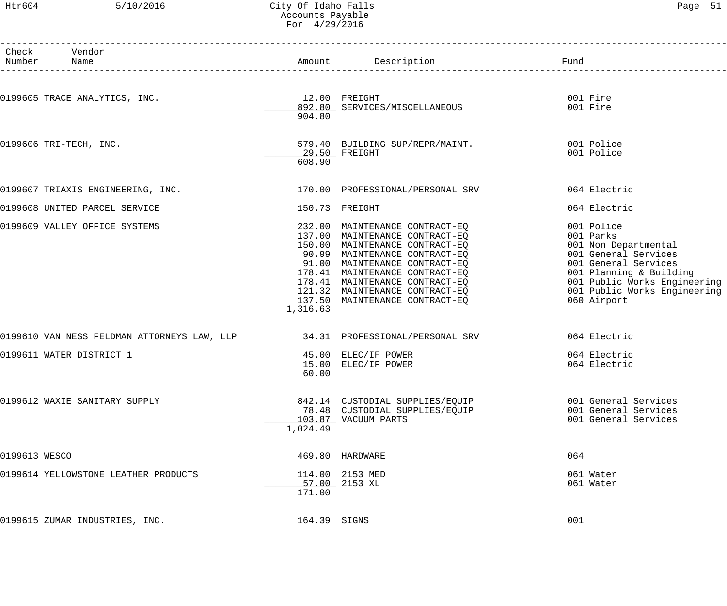## Htr604 5/10/2016 City Of Idaho Falls Page 51 Accounts Payable For 4/29/2016

|               | Check Vendor                                                                |                                 |                                                                                                                                                                                                                                                                                      |                                                                                                                                                                                                           |
|---------------|-----------------------------------------------------------------------------|---------------------------------|--------------------------------------------------------------------------------------------------------------------------------------------------------------------------------------------------------------------------------------------------------------------------------------|-----------------------------------------------------------------------------------------------------------------------------------------------------------------------------------------------------------|
|               | 0199605 TRACE ANALYTICS, INC.                                               | $12.00$ FREIGHT<br>904.80       | 12.00 FREIGHT<br>892.80 SERVICES/MISCELLANEOUS                                                                                                                                                                                                                                       | 001 Fire<br>001 Fire                                                                                                                                                                                      |
|               | 0199606 TRI-TECH, INC.                                                      | _______ 29.50 FREIGHT<br>608.90 | 579.40 BUILDING SUP/REPR/MAINT. 001 Police                                                                                                                                                                                                                                           | 001 Police                                                                                                                                                                                                |
|               | 0199607 TRIAXIS ENGINEERING, INC. 170.00 PROFESSIONAL/PERSONAL SRV          |                                 |                                                                                                                                                                                                                                                                                      | 064 Electric                                                                                                                                                                                              |
|               | 0199608 UNITED PARCEL SERVICE                                               |                                 | 150.73 FREIGHT                                                                                                                                                                                                                                                                       | 064 Electric                                                                                                                                                                                              |
|               | 0199609 VALLEY OFFICE SYSTEMS                                               | 1,316.63                        | 232.00 MAINTENANCE CONTRACT-EQ<br>137.00 MAINTENANCE CONTRACT-EQ<br>150.00 MAINTENANCE CONTRACT-EQ<br>90.99 MAINTENANCE CONTRACT-EQ<br>91.00 MAINTENANCE CONTRACT-EQ<br>178.41 MAINTENANCE CONTRACT-EQ<br>121.32 MAINTENANCE CONTRACT-EQ<br>121.32<br>137.50 MAINTENANCE CONTRACT-EQ | 001 Police<br>001 Parks<br>001 Non Departmental<br>001 General Services<br>001 General Services<br>001 Planning & Building<br>001 Public Works Engineering<br>001 Public Works Engineering<br>060 Airport |
|               | 0199610 VAN NESS FELDMAN ATTORNEYS LAW, LLP 34.31 PROFESSIONAL/PERSONAL SRV |                                 |                                                                                                                                                                                                                                                                                      | 064 Electric                                                                                                                                                                                              |
|               | 0199611 WATER DISTRICT 1                                                    | 60.00                           | 45.00 ELEC/IF POWER<br>15.00 ELEC/IF POWER                                                                                                                                                                                                                                           | 064 Electric<br>064 Electric                                                                                                                                                                              |
|               | 0199612 WAXIE SANITARY SUPPLY                                               | 1,024.49                        | 842.14 CUSTODIAL SUPPLIES/EQUIP<br>78.48 CUSTODIAL SUPPLIES/EQUIP<br>103.87 VACUUM PARTS                                                                                                                                                                                             | 001 General Services<br>001 General Services<br>001 General Services                                                                                                                                      |
| 0199613 WESCO |                                                                             |                                 | 469.80 HARDWARE                                                                                                                                                                                                                                                                      | 064                                                                                                                                                                                                       |
|               | 0199614 YELLOWSTONE LEATHER PRODUCTS                                        | $57.00$ 2153 XL<br>171.00       | 114.00 2153 MED                                                                                                                                                                                                                                                                      | 061 Water<br>061 Water                                                                                                                                                                                    |
|               | 0199615 ZUMAR INDUSTRIES, INC.                                              | 164.39 SIGNS                    |                                                                                                                                                                                                                                                                                      | 001                                                                                                                                                                                                       |
|               |                                                                             |                                 |                                                                                                                                                                                                                                                                                      |                                                                                                                                                                                                           |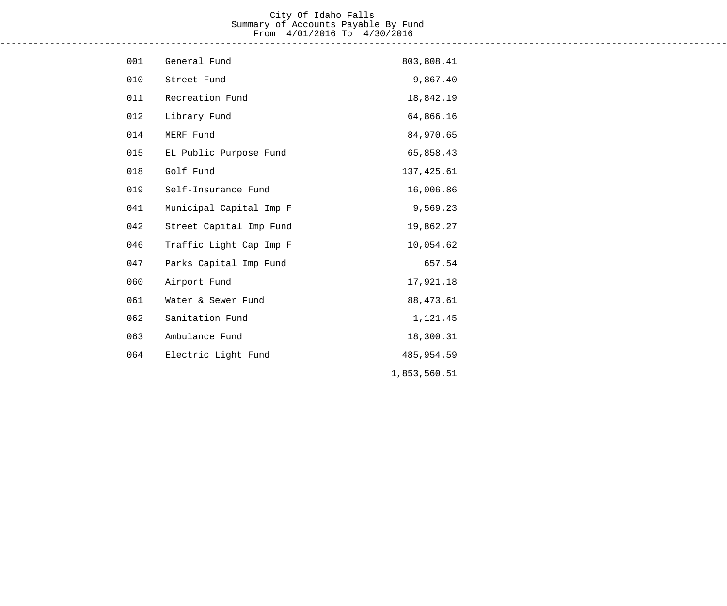#### City Of Idaho Falls Summary of Accounts Payable By Fund From 4/01/2016 To 4/30/2016 ------------------------------------------------------------------------------------------------------------------------------------

| 001 | General Fund            | 803,808.41   |
|-----|-------------------------|--------------|
| 010 | Street Fund             | 9,867.40     |
| 011 | Recreation Fund         | 18,842.19    |
| 012 | Library Fund            | 64,866.16    |
| 014 | MERF Fund               | 84,970.65    |
| 015 | EL Public Purpose Fund  | 65,858.43    |
| 018 | Golf Fund               | 137, 425.61  |
| 019 | Self-Insurance Fund     | 16,006.86    |
| 041 | Municipal Capital Imp F | 9,569.23     |
| 042 | Street Capital Imp Fund | 19,862.27    |
| 046 | Traffic Light Cap Imp F | 10,054.62    |
| 047 | Parks Capital Imp Fund  | 657.54       |
| 060 | Airport Fund            | 17,921.18    |
| 061 | Water & Sewer Fund      | 88, 473.61   |
| 062 | Sanitation Fund         | 1,121.45     |
| 063 | Ambulance Fund          | 18,300.31    |
| 064 | Electric Light Fund     | 485,954.59   |
|     |                         | 1,853,560.51 |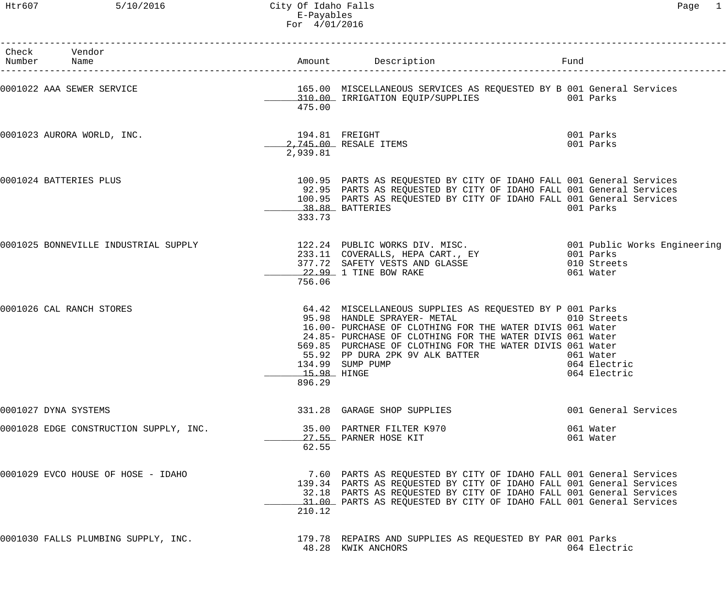| Check Vendor<br>Number Name            |                       |                                                                                                                                                                                                                                                                                                                                       | Fund |                                                          |
|----------------------------------------|-----------------------|---------------------------------------------------------------------------------------------------------------------------------------------------------------------------------------------------------------------------------------------------------------------------------------------------------------------------------------|------|----------------------------------------------------------|
| 0001022 AAA SEWER SERVICE              | 475.00                | 165.00 MISCELLANEOUS SERVICES AS REQUESTED BY B 001 General Services<br>310.00 IRRIGATION EQUIP/SUPPLIES 001 Parks                                                                                                                                                                                                                    |      |                                                          |
| 0001023 AURORA WORLD, INC.             | 2,939.81              | 194.81 FREIGHT<br>2,745.00 RESALE ITEMS                                                                                                                                                                                                                                                                                               |      | 001 Parks<br>001 Parks                                   |
| 0001024 BATTERIES PLUS                 | 333.73                | 100.95 PARTS AS REQUESTED BY CITY OF IDAHO FALL 001 General Services<br>92.95 PARTS AS REQUESTED BY CITY OF IDAHO FALL 001 General Services<br>100.95 PARTS AS REQUESTED BY CITY OF IDAHO FALL 001 General Services<br>38.88 BATTERIES                                                                                                |      | 001 Parks                                                |
| 0001025 BONNEVILLE INDUSTRIAL SUPPLY   | 756.06                | 122.24 PUBLIC WORKS DIV. MISC.<br>233.11 COVERALLS, HEPA CART., EY        001 Parks<br>377.72 SAFETY VESTS AND GLASSE          010 Streets<br>22.99 1 TINE POW PAKE<br>22.99 1 TINE BOW RAKE                                                                                                                                          |      | 061 Water                                                |
| 0001026 CAL RANCH STORES               | 15.98 HINGE<br>896.29 | 64.42 MISCELLANEOUS SUPPLIES AS REQUESTED BY P 001 Parks<br>95.98 HANDLE SPRAYER- METAL<br>16.00- PURCHASE OF CLOTHING FOR THE WATER DIVIS 061 Water<br>24.85- PURCHASE OF CLOTHING FOR THE WATER DIVIS 061 Water<br>569.85 PURCHASE OF CLOTHING FOR THE WATER DIVIS 061 Water<br>55.92 PP DURA 2PK 9V ALK BATTER<br>134.99 SUMP PUMP |      | 010 Streets<br>061 Water<br>064 Electric<br>064 Electric |
| 0001027 DYNA SYSTEMS                   |                       | 331.28 GARAGE SHOP SUPPLIES                                                                                                                                                                                                                                                                                                           |      | 001 General Services                                     |
| 0001028 EDGE CONSTRUCTION SUPPLY, INC. | 62.55                 | 35.00 PARTNER FILTER K970<br>27.55 PARNER HOSE KIT                                                                                                                                                                                                                                                                                    |      | 061 Water<br>061 Water                                   |
| 0001029 EVCO HOUSE OF HOSE - IDAHO     | 210.12                | 7.60 PARTS AS REQUESTED BY CITY OF IDAHO FALL 001 General Services<br>139.34 PARTS AS REQUESTED BY CITY OF IDAHO FALL 001 General Services<br>32.18 PARTS AS REQUESTED BY CITY OF IDAHO FALL 001 General Services<br>31.00 PARTS AS REQUESTED BY CITY OF IDAHO FALL 001 General Services                                              |      |                                                          |
| 0001030 FALLS PLUMBING SUPPLY, INC.    |                       | 179.78 REPAIRS AND SUPPLIES AS REQUESTED BY PAR 001 Parks<br>48.28 KWIK ANCHORS                                                                                                                                                                                                                                                       |      | 064 Electric                                             |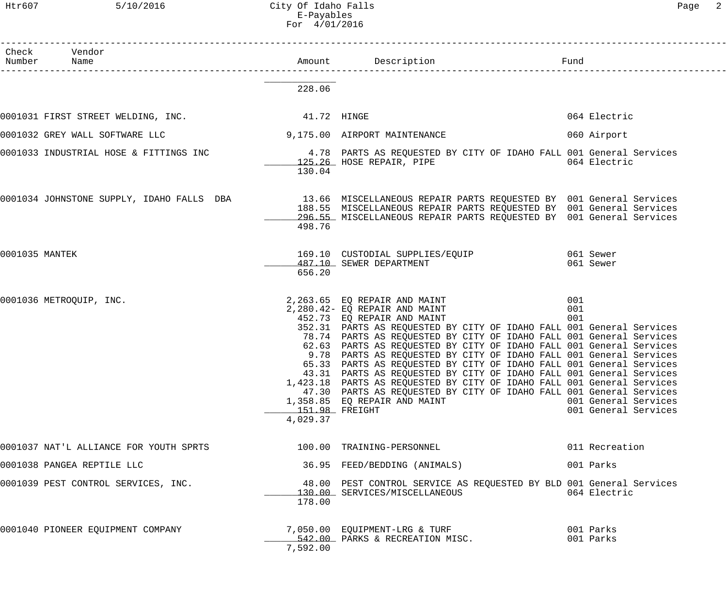|                | Check Vendor<br>Number Name                                                                                  |                            |                                                                                                                                                                                                                                                                                                                                                                                                                                                                                                                                                                                                                                                                                                                                                      |                                                                   |
|----------------|--------------------------------------------------------------------------------------------------------------|----------------------------|------------------------------------------------------------------------------------------------------------------------------------------------------------------------------------------------------------------------------------------------------------------------------------------------------------------------------------------------------------------------------------------------------------------------------------------------------------------------------------------------------------------------------------------------------------------------------------------------------------------------------------------------------------------------------------------------------------------------------------------------------|-------------------------------------------------------------------|
|                |                                                                                                              | 228.06                     |                                                                                                                                                                                                                                                                                                                                                                                                                                                                                                                                                                                                                                                                                                                                                      |                                                                   |
|                | 0001031 FIRST STREET WELDING, INC. 41.72 HINGE                                                               |                            |                                                                                                                                                                                                                                                                                                                                                                                                                                                                                                                                                                                                                                                                                                                                                      | 064 Electric                                                      |
|                | 0001032 GREY WALL SOFTWARE LLC                                                                               |                            | 9,175.00 AIRPORT MAINTENANCE                                                                                                                                                                                                                                                                                                                                                                                                                                                                                                                                                                                                                                                                                                                         | 060 Airport                                                       |
|                | 0001033 INDUSTRIAL HOSE & FITTINGS INC 3.78 PARTS AS REQUESTED BY CITY OF IDAHO FALL 001 General Services    | 130.04                     | 125.26 HOSE REPAIR, PIPE                                                                                                                                                                                                                                                                                                                                                                                                                                                                                                                                                                                                                                                                                                                             | 064 Electric                                                      |
|                | 0001034 JOHNSTONE SUPPLY, IDAHO FALLS DBA 13.66 MISCELLANEOUS REPAIR PARTS REQUESTED BY 001 General Services | 498.76                     | 188.55 MISCELLANEOUS REPAIR PARTS REQUESTED BY 001 General Services<br>296.55 MISCELLANEOUS REPAIR PARTS REQUESTED BY 001 General Services                                                                                                                                                                                                                                                                                                                                                                                                                                                                                                                                                                                                           |                                                                   |
| 0001035 MANTEK |                                                                                                              | 656.20                     | 169.10 CUSTODIAL SUPPLIES/EQUIP 169.10 061 Sewer<br>487.10 SEWER DEPARTMENT                                                                                                                                                                                                                                                                                                                                                                                                                                                                                                                                                                                                                                                                          | 061 Sewer                                                         |
|                | 0001036 METROQUIP, INC.                                                                                      | 151.98 FREIGHT<br>4,029.37 | 2,263.65 EQ REPAIR AND MAINT<br>2,280.42- EQ REPAIR AND MAINT<br>452.73 EQ REPAIR AND MAINT<br>452.73 EQ REPAIR AND MAINT<br>352.31 PARTS AS REQUESTED BY CITY OF IDAHO FALL 001 General Services<br>78.74 PARTS AS REQUESTED BY CITY OF IDAHO FALL 001 General Services<br>62.63 PARTS AS REQUESTED BY CITY OF IDAHO FALL 001 General Services<br>9.78 PARTS AS REQUESTED BY CITY OF IDAHO FALL 001 General Services<br>65.33 PARTS AS REQUESTED BY CITY OF IDAHO FALL 001 General Services<br>43.31 PARTS AS REQUESTED BY CITY OF IDAHO FALL 001 General Services<br>1,423.18 PARTS AS REQUESTED BY CITY OF IDAHO FALL 001 General Services<br>47.30 PARTS AS REQUESTED BY CITY OF IDAHO FALL 001 General Services<br>1,358.85 EQ REPAIR AND MAINT | 001<br>001<br>001<br>001 General Services<br>001 General Services |
|                | 0001037 NAT'L ALLIANCE FOR YOUTH SPRTS                                                                       |                            | 100.00 TRAINING-PERSONNEL                                                                                                                                                                                                                                                                                                                                                                                                                                                                                                                                                                                                                                                                                                                            | 011 Recreation                                                    |
|                | 0001038 PANGEA REPTILE LLC                                                                                   |                            | 36.95 FEED/BEDDING (ANIMALS)                                                                                                                                                                                                                                                                                                                                                                                                                                                                                                                                                                                                                                                                                                                         | 001 Parks                                                         |
|                | 0001039 PEST CONTROL SERVICES, INC.                                                                          | 178.00                     | 48.00 PEST CONTROL SERVICE AS REQUESTED BY BLD 001 General Services<br>130.00 SERVICES/MISCELLANEOUS                                                                                                                                                                                                                                                                                                                                                                                                                                                                                                                                                                                                                                                 | 064 Electric                                                      |
|                | 0001040 PIONEER EQUIPMENT COMPANY                                                                            | 7,592.00                   | 7,050.00 EQUIPMENT-LRG & TURF<br>542.00 PARKS & RECREATION MISC.                                                                                                                                                                                                                                                                                                                                                                                                                                                                                                                                                                                                                                                                                     | 001 Parks<br>001 Parks                                            |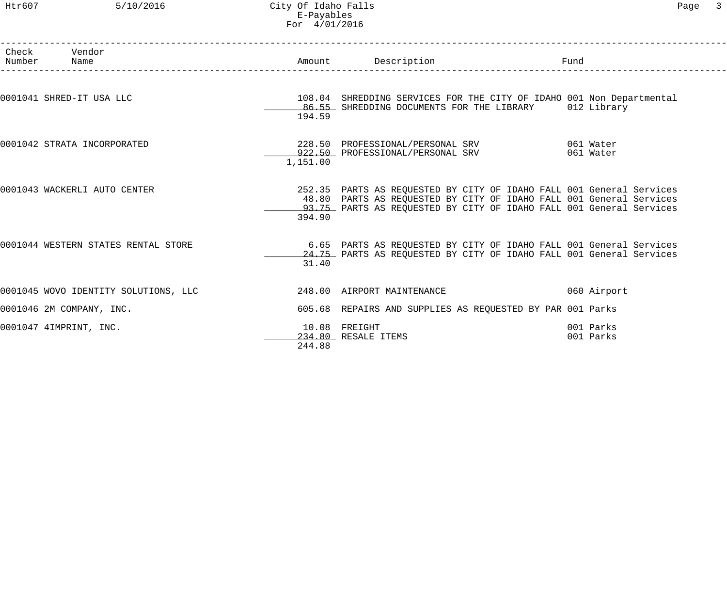## Htr607 5/10/2016 City Of Idaho Falls Page 3 E-Payables For 4/01/2016

| Check Vendor<br>Number Name          |          | Amount Description<br>______________________________                                                                                                                                                               | Fund |                        |
|--------------------------------------|----------|--------------------------------------------------------------------------------------------------------------------------------------------------------------------------------------------------------------------|------|------------------------|
| 0001041 SHRED-IT USA LLC             | 194.59   | 108.04 SHREDDING SERVICES FOR THE CITY OF IDAHO 001 Non Departmental<br>86.55 SHREDDING DOCUMENTS FOR THE LIBRARY 012 Library                                                                                      |      |                        |
| 0001042 STRATA INCORPORATED          | 1,151.00 | 228.50 PROFESSIONAL/PERSONAL SRV 661 Water<br>922.50 PROFESSIONAL/PERSONAL SRV 661 Water                                                                                                                           |      |                        |
| 0001043 WACKERLI AUTO CENTER         | 394.90   | 252.35 PARTS AS REQUESTED BY CITY OF IDAHO FALL 001 General Services<br>48.80 PARTS AS REQUESTED BY CITY OF IDAHO FALL 001 General Services<br>93.75 PARTS AS REQUESTED BY CITY OF IDAHO FALL 001 General Services |      |                        |
| 0001044 WESTERN STATES RENTAL STORE  | 31.40    | 6.65 PARTS AS REQUESTED BY CITY OF IDAHO FALL 001 General Services<br>24.75 PARTS AS REQUESTED BY CITY OF IDAHO FALL 001 General Services                                                                          |      |                        |
| 0001045 WOVO IDENTITY SOLUTIONS, LLC |          | 248.00 AIRPORT MAINTENANCE                                                                                                                                                                                         |      | 060 Airport            |
| 0001046 2M COMPANY, INC.             |          | 605.68 REPAIRS AND SUPPLIES AS REQUESTED BY PAR 001 Parks                                                                                                                                                          |      |                        |
| 0001047 4IMPRINT, INC.               | 244.88   | 10.08 FREIGHT<br>234.80 RESALE ITEMS                                                                                                                                                                               |      | 001 Parks<br>001 Parks |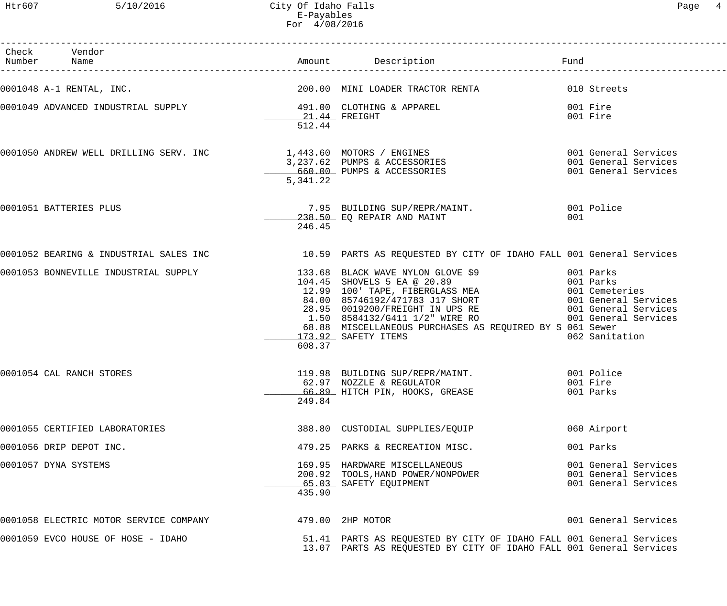Htr607 5/10/2016 City Of Idaho Falls Page 4 E-Payables For 4/08/2016

| Check Vendor<br>Number Name                                  |                         |                                                                                                                                                                                                                                                                                                                              | Fund                                                                 |
|--------------------------------------------------------------|-------------------------|------------------------------------------------------------------------------------------------------------------------------------------------------------------------------------------------------------------------------------------------------------------------------------------------------------------------------|----------------------------------------------------------------------|
| 0001048 A-1 RENTAL, INC.                                     |                         | 200.00 MINI LOADER TRACTOR RENTA 610 Streets                                                                                                                                                                                                                                                                                 |                                                                      |
| 0001049 ADVANCED INDUSTRIAL SUPPLY 191.00 CLOTHING & APPAREL | 21.44 FREIGHT<br>512.44 |                                                                                                                                                                                                                                                                                                                              | 001 Fire<br>001 Fire                                                 |
|                                                              | 5,341.22                | 0001050 ANDREW WELL DRILLING SERV. INC $\begin{array}{r} 1,443.60 \\ -3,237.62 \\ \end{array}$ PUMPS & ACCESSORIES 001 General Services<br>660.00 PUMPS & ACCESSORIES 001 General Services                                                                                                                                   |                                                                      |
| 0001051 BATTERIES PLUS                                       | 246.45                  | 238.50 EO REPAIR AND MAINT                                                                                                                                                                                                                                                                                                   | 001                                                                  |
|                                                              |                         | 0001052 BEARING & INDUSTRIAL SALES INC 10.59 PARTS AS REQUESTED BY CITY OF IDAHO FALL 001 General Services                                                                                                                                                                                                                   |                                                                      |
|                                                              | 608.37                  | 0001053 BONNEVILLE INDUSTRIAL SUPPLY<br>$104.45$ SHOVELS 5 EA @ 20.89<br>$104.45$ SHOVELS 5 EA @ 20.89<br>$109$ TAPE, FIBERGLASS MEA<br>$12.99$ 100' TAPE, FIBERGLASS MEA<br>$84.00$ 85746192/471783 J17 SHORT<br>$28.95$ 0019200/FREIGHT<br>68.88 MISCELLANEOUS PURCHASES AS REQUIRED BY S 061 Sewer<br>173.92 SAFETY ITEMS | 062 Sanitation                                                       |
| 0001054 CAL RANCH STORES                                     | 249.84                  | 119.98 BUILDING SUP/REPR/MAINT.<br>62.97 NOZZLE & REGULATOR<br>66.89 HITCH PIN, HOOKS, GREASE                                                                                                                                                                                                                                | 001 Police<br>001 Fire<br>001 Parks                                  |
| 0001055 CERTIFIED LABORATORIES                               |                         | 388.80 CUSTODIAL SUPPLIES/EQUIP                                                                                                                                                                                                                                                                                              | 060 Airport                                                          |
| 0001056 DRIP DEPOT INC.                                      |                         | 479.25 PARKS & RECREATION MISC.                                                                                                                                                                                                                                                                                              | 001 Parks                                                            |
| 0001057 DYNA SYSTEMS                                         | 435.90                  | 169.95 HARDWARE MISCELLANEOUS<br>200.92 TOOLS, HAND POWER/NONPOWER<br>65.03 SAFETY EQUIPMENT                                                                                                                                                                                                                                 | 001 General Services<br>001 General Services<br>001 General Services |
| 0001058 ELECTRIC MOTOR SERVICE COMPANY                       |                         | 479.00 2HP MOTOR                                                                                                                                                                                                                                                                                                             | 001 General Services                                                 |
| 0001059 EVCO HOUSE OF HOSE - IDAHO                           |                         | 51.41 PARTS AS REQUESTED BY CITY OF IDAHO FALL 001 General Services<br>13.07 PARTS AS REQUESTED BY CITY OF IDAHO FALL 001 General Services                                                                                                                                                                                   |                                                                      |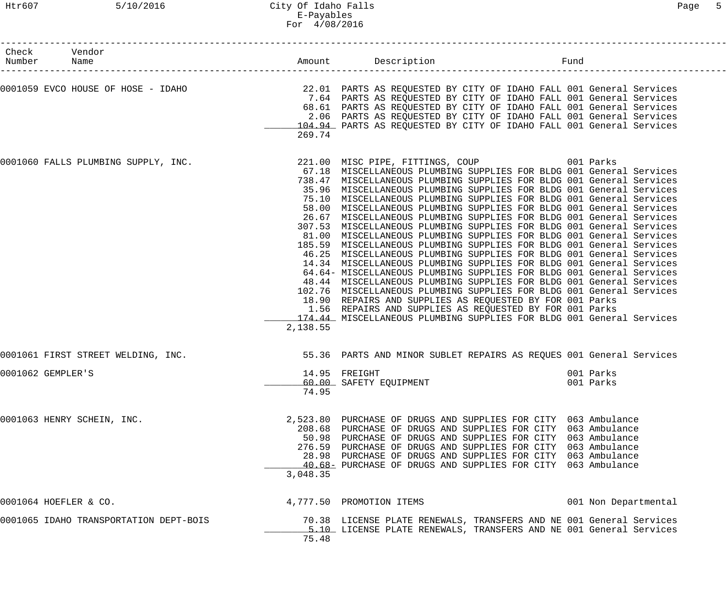| Check Vendor<br>Number Name            |          | Amount Description                                                                                                                                                                                                                                                                                                                                                                                                                                                                                                                                                                                                                                                                                                                                                                                                                                                                                                                                                                                                                                                                                                                                                                                                                                                               | Fund |                        |
|----------------------------------------|----------|----------------------------------------------------------------------------------------------------------------------------------------------------------------------------------------------------------------------------------------------------------------------------------------------------------------------------------------------------------------------------------------------------------------------------------------------------------------------------------------------------------------------------------------------------------------------------------------------------------------------------------------------------------------------------------------------------------------------------------------------------------------------------------------------------------------------------------------------------------------------------------------------------------------------------------------------------------------------------------------------------------------------------------------------------------------------------------------------------------------------------------------------------------------------------------------------------------------------------------------------------------------------------------|------|------------------------|
| 0001059 EVCO HOUSE OF HOSE - IDAHO     | 269.74   | 22.01 PARTS AS REQUESTED BY CITY OF IDAHO FALL 001 General Services<br>7.64 PARTS AS REQUESTED BY CITY OF IDAHO FALL 001 General Services<br>68.61 PARTS AS REQUESTED BY CITY OF IDAHO FALL 001 General Services<br>2.06 PARTS AS REQUESTED BY CITY OF IDAHO FALL 001 General Services<br>104.94 PARTS AS REQUESTED BY CITY OF IDAHO FALL 001 General Services                                                                                                                                                                                                                                                                                                                                                                                                                                                                                                                                                                                                                                                                                                                                                                                                                                                                                                                   |      |                        |
| 0001060 FALLS PLUMBING SUPPLY, INC.    | 2,138.55 | 221.00 MISC PIPE, FITTINGS, COUP 001 Parks<br>67.18 MISCELLANEOUS PLUMBING SUPPLIES FOR BLDG 001 General Services<br>738.47 MISCELLANEOUS PLUMBING SUPPLIES FOR BLDG 001 General Services<br>35.96 MISCELLANEOUS PLUMBING SUPPLIES FOR BLDG 001 General Services<br>75.10 MISCELLANEOUS PLUMBING SUPPLIES FOR BLDG 001 General Services<br>58.00 MISCELLANEOUS PLUMBING SUPPLIES FOR BLDG 001 General Services<br>26.67 MISCELLANEOUS PLUMBING SUPPLIES FOR BLDG 001 General Services<br>307.53 MISCELLANEOUS PLUMBING SUPPLIES FOR BLDG 001 General Services<br>81.00 MISCELLANEOUS PLUMBING SUPPLIES FOR BLDG 001 General Services<br>185.59 MISCELLANEOUS PLUMBING SUPPLIES FOR BLDG 001 General Services<br>46.25 MISCELLANEOUS PLUMBING SUPPLIES FOR BLDG 001 General Services<br>14.34 MISCELLANEOUS PLUMBING SUPPLIES FOR BLDG 001 General Services<br>64.64- MISCELLANEOUS PLUMBING SUPPLIES FOR BLDG 001 General Services<br>48.44 MISCELLANEOUS PLUMBING SUPPLIES FOR BLDG 001 General Services<br>102.76 MISCELLANEOUS PLUMBING SUPPLIES FOR BLDG 001 General Services<br>18.90 REPAIRS AND SUPPLIES AS REQUESTED BY FOR 001 Parks<br>1.56 REPAIRS AND SUPPLIES AS REQUESTED BY FOR 001 Parks<br>174.44 MISCELLANEOUS PLUMBING SUPPLIES FOR BLDG 001 General Services |      |                        |
| 0001061 FIRST STREET WELDING, INC.     |          | 55.36 PARTS AND MINOR SUBLET REPAIRS AS REQUES 001 General Services                                                                                                                                                                                                                                                                                                                                                                                                                                                                                                                                                                                                                                                                                                                                                                                                                                                                                                                                                                                                                                                                                                                                                                                                              |      |                        |
| 0001062 GEMPLER'S                      | 74.95    | 14.95 FREIGHT<br>60.00 SAFETY EQUIPMENT                                                                                                                                                                                                                                                                                                                                                                                                                                                                                                                                                                                                                                                                                                                                                                                                                                                                                                                                                                                                                                                                                                                                                                                                                                          |      | 001 Parks<br>001 Parks |
| 0001063 HENRY SCHEIN, INC.             | 3,048.35 | 2,523.80 PURCHASE OF DRUGS AND SUPPLIES FOR CITY 063 Ambulance<br>208.68 PURCHASE OF DRUGS AND SUPPLIES FOR CITY 063 Ambulance<br>50.98 PURCHASE OF DRUGS AND SUPPLIES FOR CITY 063 Ambulance<br>276.59 PURCHASE OF DRUGS AND SUPPLIES FOR CITY 063 Ambulance<br>28.98 PURCHASE OF DRUGS AND SUPPLIES FOR CITY 063 Ambulance<br>40.68 PURCHASE OF DRUGS AND SUPPLIES FOR CITY 063 Ambulance                                                                                                                                                                                                                                                                                                                                                                                                                                                                                                                                                                                                                                                                                                                                                                                                                                                                                      |      |                        |
| 0001064 HOEFLER & CO.                  |          | 4,777.50 PROMOTION ITEMS                                                                                                                                                                                                                                                                                                                                                                                                                                                                                                                                                                                                                                                                                                                                                                                                                                                                                                                                                                                                                                                                                                                                                                                                                                                         |      | 001 Non Departmental   |
| 0001065 IDAHO TRANSPORTATION DEPT-BOIS | 75.48    | 70.38 LICENSE PLATE RENEWALS, TRANSFERS AND NE 001 General Services<br>5.10 LICENSE PLATE RENEWALS, TRANSFERS AND NE 001 General Services                                                                                                                                                                                                                                                                                                                                                                                                                                                                                                                                                                                                                                                                                                                                                                                                                                                                                                                                                                                                                                                                                                                                        |      |                        |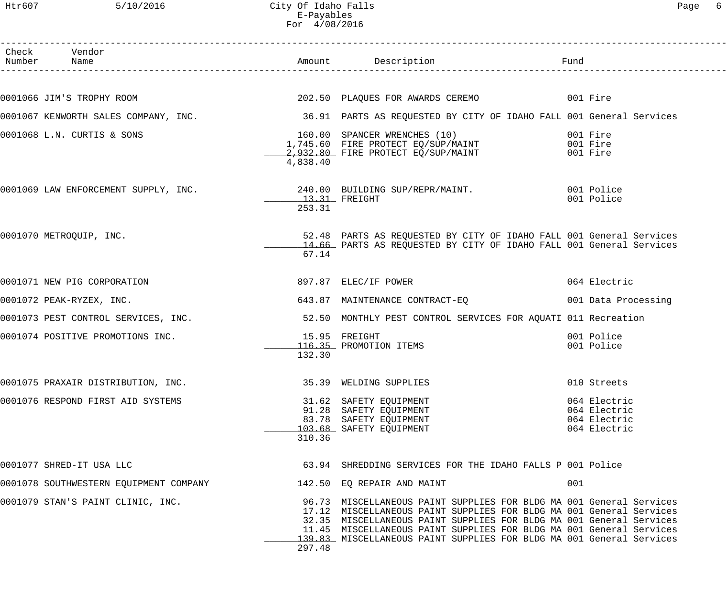| Htr607          | 5/10/2016                            | City Of Idaho Falls<br>E-Payables<br>For 4/08/2016 |                                                                                                                                                     |                                                              | 6<br>Page |
|-----------------|--------------------------------------|----------------------------------------------------|-----------------------------------------------------------------------------------------------------------------------------------------------------|--------------------------------------------------------------|-----------|
| Check<br>Number | Vendor<br>Name                       | Amount                                             | Description                                                                                                                                         | Fund                                                         |           |
|                 | 0001066 JIM'S TROPHY ROOM            |                                                    | 202.50 PLAQUES FOR AWARDS CEREMO                                                                                                                    | 001 Fire                                                     |           |
|                 | 0001067 KENWORTH SALES COMPANY, INC. |                                                    | 36.91 PARTS AS REQUESTED BY CITY OF IDAHO FALL 001 General Services                                                                                 |                                                              |           |
|                 | 0001068 L.N. CURTIS & SONS           | 160.00<br>4,838.40                                 | SPANCER WRENCHES (10)<br>160.00 SPANCER WRENCHES (10) 001 Fire<br>1,745.60 FIRE PROTECT EQ/SUP/MAINT 001 Fire<br>2,932.80 FIRE PROTECT EQ/SUP/MAINT | 001 Fire<br>001 Fire                                         |           |
|                 | 0001069 LAW ENFORCEMENT SUPPLY, INC. | 13.31 FREIGHT<br>253.31                            | 001 Police<br>240.00 BUILDING SUP/REPR/MAINT.                                                                                                       | 001 Police                                                   |           |
|                 | 0001070 METROQUIP, INC.              | 67.14                                              | 52.48 PARTS AS REQUESTED BY CITY OF IDAHO FALL 001 General Services<br>14.66 PARTS AS REQUESTED BY CITY OF IDAHO FALL 001 General Services          |                                                              |           |
|                 | 0001071 NEW PIG CORPORATION          |                                                    | 897.87 ELEC/IF POWER                                                                                                                                | 064 Electric                                                 |           |
|                 | 0001072 PEAK-RYZEX, INC.             |                                                    | 643.87 MAINTENANCE CONTRACT-EQ                                                                                                                      | 001 Data Processing                                          |           |
|                 | 0001073 PEST CONTROL SERVICES, INC.  |                                                    | 52.50 MONTHLY PEST CONTROL SERVICES FOR AQUATI 011 Recreation                                                                                       |                                                              |           |
|                 | 0001074 POSITIVE PROMOTIONS INC.     | 132.30                                             | 15.95 FREIGHT<br>116.35 PROMOTION ITEMS                                                                                                             | 001 Police<br>001 Police                                     |           |
|                 | 0001075 PRAXAIR DISTRIBUTION, INC.   |                                                    | 35.39 WELDING SUPPLIES                                                                                                                              | 010 Streets                                                  |           |
|                 | 0001076 RESPOND FIRST AID SYSTEMS    | 310.36                                             | 31.62 SAFETY EQUIPMENT<br>91.28 SAFETY EQUIPMENT<br>83.78 SAFETY EQUIPMENT<br>103.68 SAFETY EQUIPMENT                                               | 064 Electric<br>064 Electric<br>064 Electric<br>064 Electric |           |
|                 |                                      |                                                    |                                                                                                                                                     |                                                              |           |

| 0001077 SHRED-IT USA LLC               |        | 63.94 SHREDDING SERVICES FOR THE IDAHO FALLS P 001 Police                                                                                                                                                                                                                                                                                                        |
|----------------------------------------|--------|------------------------------------------------------------------------------------------------------------------------------------------------------------------------------------------------------------------------------------------------------------------------------------------------------------------------------------------------------------------|
| 0001078 SOUTHWESTERN EQUIPMENT COMPANY |        | 142.50 EQ REPAIR AND MAINT<br>001                                                                                                                                                                                                                                                                                                                                |
| 0001079 STAN'S PAINT CLINIC, INC.      | 297.48 | 96.73 MISCELLANEOUS PAINT SUPPLIES FOR BLDG MA 001 General Services<br>17.12 MISCELLANEOUS PAINT SUPPLIES FOR BLDG MA 001 General Services<br>32.35 MISCELLANEOUS PAINT SUPPLIES FOR BLDG MA 001 General Services<br>11.45 MISCELLANEOUS PAINT SUPPLIES FOR BLDG MA 001 General Services<br>139.83 MISCELLANEOUS PAINT SUPPLIES FOR BLDG MA 001 General Services |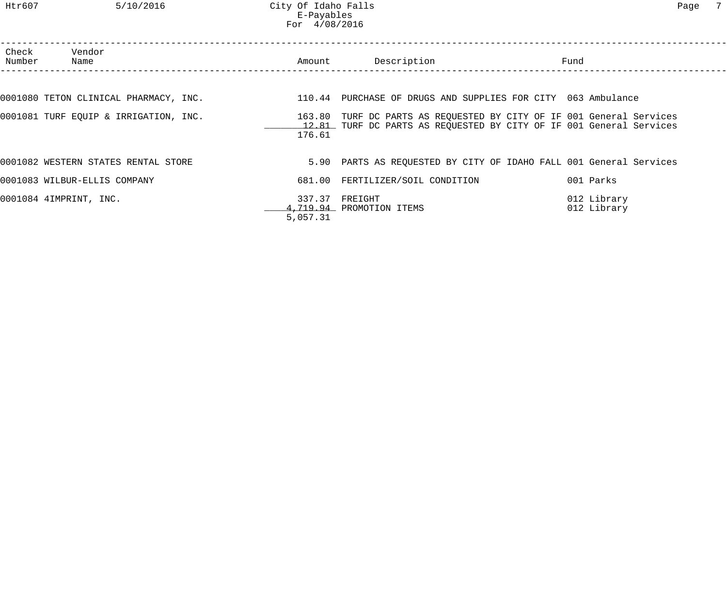Htr607 5/10/2016 City Of Idaho Falls Page 7 E-Payables For 4/08/2016

| Check<br>Number | Vendor<br>Name                        | Amount             | Description                                                                                                                                 | Fund |                            |
|-----------------|---------------------------------------|--------------------|---------------------------------------------------------------------------------------------------------------------------------------------|------|----------------------------|
|                 |                                       |                    |                                                                                                                                             |      |                            |
|                 | 0001080 TETON CLINICAL PHARMACY, INC. |                    | 110.44 PURCHASE OF DRUGS AND SUPPLIES FOR CITY 063 Ambulance                                                                                |      |                            |
|                 | 0001081 TURF EQUIP & IRRIGATION, INC. | 176.61             | 163.80 TURF DC PARTS AS REQUESTED BY CITY OF IF 001 General Services<br>12.81 TURF DC PARTS AS REQUESTED BY CITY OF IF 001 General Services |      |                            |
|                 | 0001082 WESTERN STATES RENTAL STORE   |                    | 5.90 PARTS AS REQUESTED BY CITY OF IDAHO FALL 001 General Services                                                                          |      |                            |
|                 | 0001083 WILBUR-ELLIS COMPANY          |                    | 681.00 FERTILIZER/SOIL CONDITION                                                                                                            |      | 001 Parks                  |
|                 | 0001084 4IMPRINT, INC.                | 337.37<br>5,057.31 | FREIGHT<br>4,719.94 PROMOTION ITEMS                                                                                                         |      | 012 Library<br>012 Library |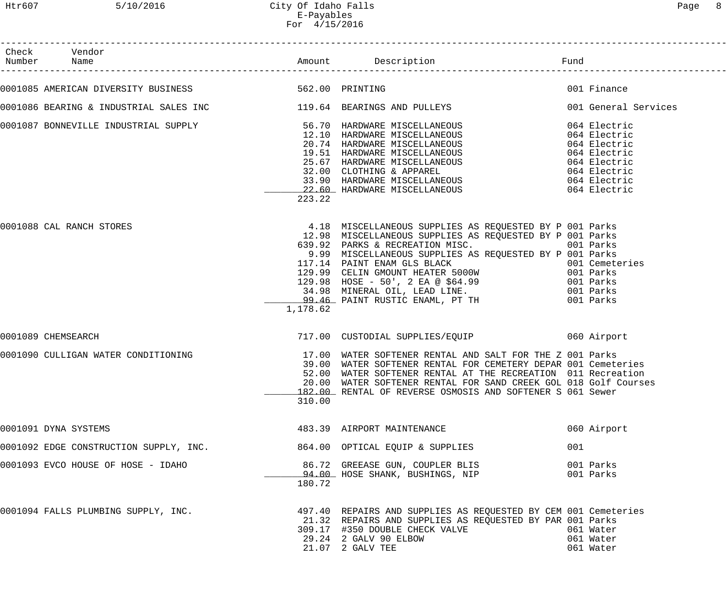| Check Vendor                                                                                                                                                                                                                                |          |                                                                                                                                                                                                                                                                                                                                                                                                                                       |     |                                     |
|---------------------------------------------------------------------------------------------------------------------------------------------------------------------------------------------------------------------------------------------|----------|---------------------------------------------------------------------------------------------------------------------------------------------------------------------------------------------------------------------------------------------------------------------------------------------------------------------------------------------------------------------------------------------------------------------------------------|-----|-------------------------------------|
| 0001085 AMERICAN DIVERSITY BUSINESS 60 1997 562.00 PRINTING                                                                                                                                                                                 |          |                                                                                                                                                                                                                                                                                                                                                                                                                                       |     | 001 Finance                         |
| 0001086 BEARING & INDUSTRIAL SALES INC 119.64 BEARINGS AND PULLEYS                                                                                                                                                                          |          |                                                                                                                                                                                                                                                                                                                                                                                                                                       |     | 001 General Services                |
| 0001087 BONNEVILLE INDUSTRIAL SUPPLY<br>12.10 HARDWARE MISCELLANEOUS<br>20.74 HARDWARE MISCELLANEOUS<br>20.74 HARDWARE MISCELLANEOUS<br>20.74 HARDWARE MISCELLANEOUS<br>25.67 HARDWARE MISCELLANEOUS<br>25.67 HARDWARE MISCELLANEOUS<br>264 | 223.22   |                                                                                                                                                                                                                                                                                                                                                                                                                                       |     |                                     |
| 0001088 CAL RANCH STORES                                                                                                                                                                                                                    | 1,178.62 | 4.18 MISCELLANEOUS SUPPLIES AS REQUESTED BY P 001 Parks<br>12.98 MISCELLANEOUS SUPPLIES AS REQUESTED BY P 001 Parks<br>639.92 PARKS & RECREATION MISC. 001 Parks<br>9.99 MISCELLANEOUS SUPPLIES AS REQUESTED BY P 001 Parks<br>117.14 PAINT ENAM GLS BLACK<br>129.99 CELIN GMOUNT HEATER 5000W<br>129.98 HOSE - 50', 2 EA @ \$64.99 001 Parks<br>34.98 MINERAL OIL, LEAD LINE. 001 Parks<br>99.46 PAINT RUSTIC ENAML, PT TH 001 Parks |     |                                     |
| 0001089 CHEMSEARCH                                                                                                                                                                                                                          |          | 717.00 CUSTODIAL SUPPLIES/EQUIP 060 Airport                                                                                                                                                                                                                                                                                                                                                                                           |     |                                     |
| 0001090 CULLIGAN WATER CONDITIONING                                                                                                                                                                                                         | 310.00   | 17.00 WATER SOFTENER RENTAL AND SALT FOR THE Z 001 Parks<br>39.00 WATER SOFTENER RENTAL FOR CEMETERY DEPAR 001 Cemeteries<br>52.00 WATER SOFTENER RENTAL AT THE RECREATION 011 Recreation<br>20.00 WATER SOFTENER RENTAL FOR SAND CREEK GOL 018 Golf Courses<br>182.00 RENTAL OF REVERSE OSMOSIS AND SOFTENER S 061 Sewer                                                                                                             |     |                                     |
| 0001091 DYNA SYSTEMS                                                                                                                                                                                                                        |          | 483.39 AIRPORT MAINTENANCE                                                                                                                                                                                                                                                                                                                                                                                                            |     | 060 Airport                         |
| 0001092 EDGE CONSTRUCTION SUPPLY, INC.                                                                                                                                                                                                      |          | 864.00 OPTICAL EQUIP & SUPPLIES                                                                                                                                                                                                                                                                                                                                                                                                       | 001 |                                     |
| 0001093 EVCO HOUSE OF HOSE - IDAHO                                                                                                                                                                                                          | 180.72   | 86.72 GREEASE GUN, COUPLER BLIS<br>94.00 HOSE SHANK, BUSHINGS, NIP                                                                                                                                                                                                                                                                                                                                                                    |     | 001 Parks<br>001 Parks              |
| 0001094 FALLS PLUMBING SUPPLY, INC.                                                                                                                                                                                                         |          | 497.40 REPAIRS AND SUPPLIES AS REQUESTED BY CEM 001 Cemeteries<br>21.32 REPAIRS AND SUPPLIES AS REQUESTED BY PAR 001 Parks<br>309.17 #350 DOUBLE CHECK VALVE<br>29.24 2 GALV 90 ELBOW<br>21.07 2 GALV TEE                                                                                                                                                                                                                             |     | 061 Water<br>061 Water<br>061 Water |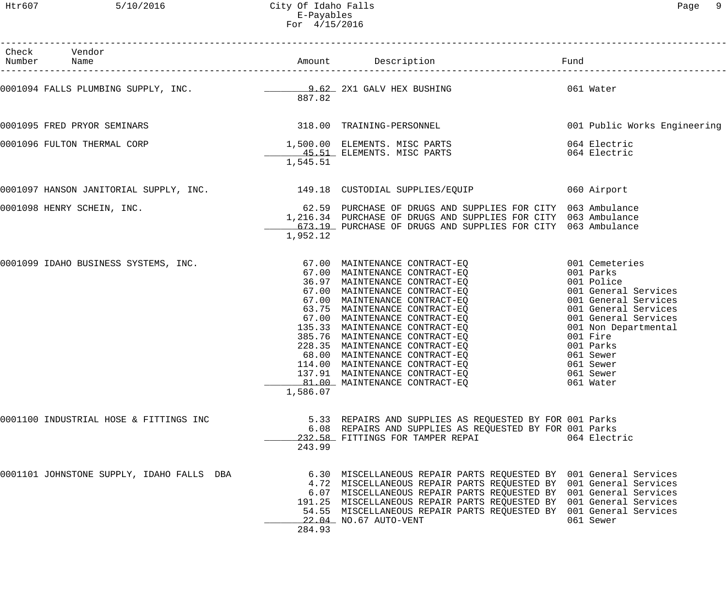| Check Vendor<br>Number Name               |          |                                                                                                                                                                                                                                                                                                                                                                                   |                                                                                                                                                                                                                                                |
|-------------------------------------------|----------|-----------------------------------------------------------------------------------------------------------------------------------------------------------------------------------------------------------------------------------------------------------------------------------------------------------------------------------------------------------------------------------|------------------------------------------------------------------------------------------------------------------------------------------------------------------------------------------------------------------------------------------------|
|                                           | 887.82   | 0001094 FALLS PLUMBING SUPPLY, INC. 22.02 2X1 GALV HEX BUSHING                                                                                                                                                                                                                                                                                                                    | 061 Water                                                                                                                                                                                                                                      |
|                                           |          | 0001095 FRED PRYOR SEMINARS 318.00 TRAINING-PERSONNEL                                                                                                                                                                                                                                                                                                                             | 001 Public Works Engineering                                                                                                                                                                                                                   |
| 0001096 FULTON THERMAL CORP               | 1,545.51 | 1,500.00 ELEMENTS. MISC PARTS<br>45.51 ELEMENTS. MISC PARTS                                                                                                                                                                                                                                                                                                                       | 064 Electric<br>064 Electric                                                                                                                                                                                                                   |
|                                           |          | 0001097 HANSON JANITORIAL SUPPLY, INC. 149.18 CUSTODIAL SUPPLIES/EQUIP                                                                                                                                                                                                                                                                                                            | 060 Airport                                                                                                                                                                                                                                    |
| 0001098 HENRY SCHEIN, INC.                | 1,952.12 | 62.59 PURCHASE OF DRUGS AND SUPPLIES FOR CITY 063 Ambulance<br>1,216.34 PURCHASE OF DRUGS AND SUPPLIES FOR CITY 063 Ambulance<br>673.19 PURCHASE OF DRUGS AND SUPPLIES FOR CITY 063 Ambulance                                                                                                                                                                                     |                                                                                                                                                                                                                                                |
|                                           | 1,586.07 | 0001099 IDAHO BUSINESS SYSTEMS, INC.<br>$67.00$ MAINTENANCE CONTRACT-EQ<br>$67.00$ MAINTENANCE CONTRACT-EQ<br>$7.00$ MAINTENANCE CONTRACT-EQ<br>$67.00$ MAINTENANCE CONTRACT-EQ<br>$67.00$ MAINTENANCE CONTRACT-EQ<br>$67.00$ MAINTENANCE<br>81.00 MAINTENANCE CONTRACT-EQ                                                                                                        | 001 Cemeteries<br>001 Parks<br>001 Police<br>001 General Services<br>001 General Services<br>001 General Services<br>001 General Services<br>001 Non Departmental<br>001 Fire<br>001 Parks<br>061 Sewer<br>061 Sewer<br>061 Sewer<br>061 Water |
| 0001100 INDUSTRIAL HOSE & FITTINGS INC    | 243.99   | 5.33 REPAIRS AND SUPPLIES AS REQUESTED BY FOR 001 Parks<br>6.08 REPAIRS AND SUPPLIES AS REQUESTED BY FOR 001 Parks<br>232.58 FITTINGS FOR TAMPER REPAI                                                                                                                                                                                                                            | 064 Electric                                                                                                                                                                                                                                   |
| 0001101 JOHNSTONE SUPPLY, IDAHO FALLS DBA | 284.93   | 6.30 MISCELLANEOUS REPAIR PARTS REQUESTED BY 001 General Services<br>4.72 MISCELLANEOUS REPAIR PARTS REQUESTED BY 001 General Services<br>6.07 MISCELLANEOUS REPAIR PARTS REQUESTED BY 001 General Services<br>191.25 MISCELLANEOUS REPAIR PARTS REQUESTED BY 001 General Services<br>54.55 MISCELLANEOUS REPAIR PARTS REQUESTED BY 001 General Services<br>22.04 NO.67 AUTO-VENT | 061 Sewer                                                                                                                                                                                                                                      |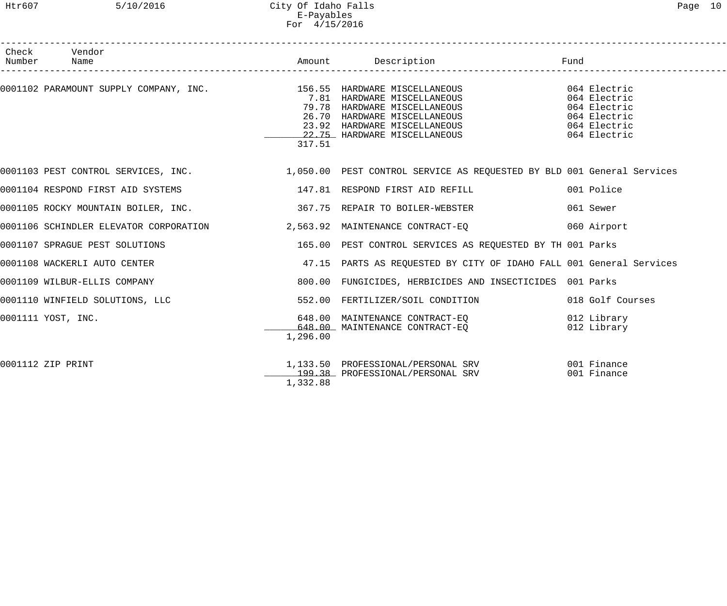## Htr607 5/10/2016 City Of Idaho Falls Page 10 E-Payables For 4/15/2016

| Check Vendor                    |          |                                                                                                                                           |                                              |
|---------------------------------|----------|-------------------------------------------------------------------------------------------------------------------------------------------|----------------------------------------------|
| Number Name                     |          |                                                                                                                                           |                                              |
|                                 | 317.51   | 79.78 HARDWARE MISCELLANEOUS<br>26.70 HARDWARE MISCELLANEOUS<br>23.92 HARDWARE MISCELLANEOUS 064 Electric<br>22.75 HARDWARE MISCELLANEOUS | 064 Electric<br>064 Electric<br>064 Electric |
|                                 |          | 0001103 PEST CONTROL SERVICES, INC. 1,050.00 PEST CONTROL SERVICE AS REQUESTED BY BLD 001 General Services                                |                                              |
|                                 |          |                                                                                                                                           | 001 Police                                   |
|                                 |          | 0001105 ROCKY MOUNTAIN BOILER, INC. 40 1997 1998 187.75 REPAIR TO BOILER-WEBSTER                                                          | 061 Sewer                                    |
|                                 |          | 0001106 SCHINDLER ELEVATOR CORPORATION 2,563.92 MAINTENANCE CONTRACT-EQ 060 Airport                                                       |                                              |
| 0001107 SPRAGUE PEST SOLUTIONS  |          | 165.00 PEST CONTROL SERVICES AS REQUESTED BY TH 001 Parks                                                                                 |                                              |
| 0001108 WACKERLI AUTO CENTER    |          | 47.15 PARTS AS REQUESTED BY CITY OF IDAHO FALL 001 General Services                                                                       |                                              |
| 0001109 WILBUR-ELLIS COMPANY    |          | 800.00 FUNGICIDES, HERBICIDES AND INSECTICIDES 001 Parks                                                                                  |                                              |
| 0001110 WINFIELD SOLUTIONS, LLC |          | 552.00 FERTILIZER/SOIL CONDITION                                                                                                          | 018 Golf Courses                             |
| 0001111 YOST, INC.              | 1,296.00 | 648.00 MAINTENANCE CONTRACT-EQ<br>648.00 MAINTENANCE CONTRACT-EO                                                                          | 012 Library<br>012 Library                   |
| 0001112 ZIP PRINT               | 1,332.88 | 1,133.50 PROFESSIONAL/PERSONAL SRV 001 Finance<br>199.38 PROFESSIONAL/PERSONAL SRV                                                        | 001 Finance                                  |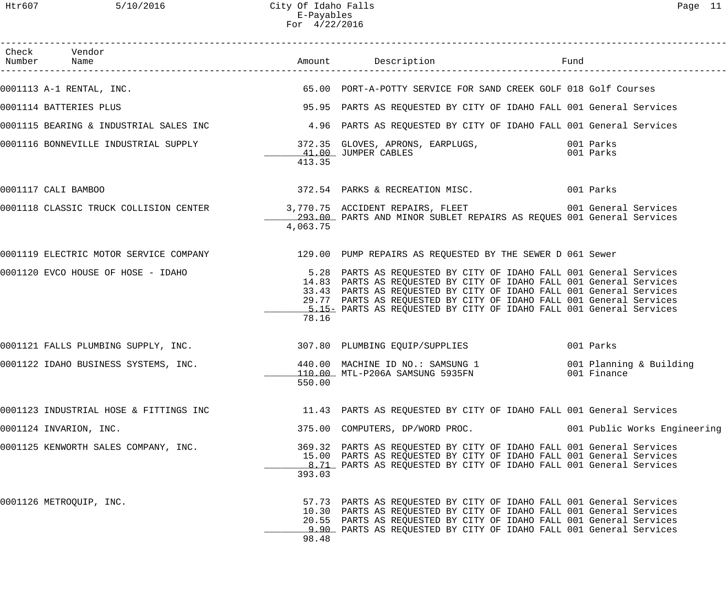| Check Vendor<br>Number Name                                        |          |                                                                                                                                                                                                                                                                                                                                                               | Fund                         |
|--------------------------------------------------------------------|----------|---------------------------------------------------------------------------------------------------------------------------------------------------------------------------------------------------------------------------------------------------------------------------------------------------------------------------------------------------------------|------------------------------|
|                                                                    |          | 0001113 A-1 RENTAL, INC. THE SALE RESOURCE TO A SERVICE FOR SAND CREEK GOLF 018 Golf Courses                                                                                                                                                                                                                                                                  |                              |
| 0001114 BATTERIES PLUS                                             |          | 95.95 PARTS AS REQUESTED BY CITY OF IDAHO FALL 001 General Services                                                                                                                                                                                                                                                                                           |                              |
|                                                                    |          | 0001115 BEARING & INDUSTRIAL SALES INC 4.96 PARTS AS REQUESTED BY CITY OF IDAHO FALL 001 General Services                                                                                                                                                                                                                                                     |                              |
| 0001116 BONNEVILLE INDUSTRIAL SUPPLY                               | 413.35   |                                                                                                                                                                                                                                                                                                                                                               |                              |
|                                                                    |          |                                                                                                                                                                                                                                                                                                                                                               |                              |
| 0001117 CALI BAMBOO                                                |          | 372.54 PARKS & RECREATION MISC.                                                                                                                                                                                                                                                                                                                               | 001 Parks                    |
|                                                                    | 4,063.75 | 0001118 CLASSIC TRUCK COLLISION CENTER 3,770.75 ACCIDENT REPAIRS, FLEET 601 General Services<br>293.00 PARTS AND MINOR SUBLET REPAIRS AS REQUES 001 General Services                                                                                                                                                                                          |                              |
|                                                                    |          | 0001119 ELECTRIC MOTOR SERVICE COMPANY 129.00 PUMP REPAIRS AS REQUESTED BY THE SEWER D 061 Sewer                                                                                                                                                                                                                                                              |                              |
| 0001120 EVCO HOUSE OF HOSE - IDAHO                                 | 78.16    | 5.28 PARTS AS REQUESTED BY CITY OF IDAHO FALL 001 General Services<br>14.83 PARTS AS REQUESTED BY CITY OF IDAHO FALL 001 General Services<br>33.43 PARTS AS REQUESTED BY CITY OF IDAHO FALL 001 General Services<br>29.77 PARTS AS REQUESTED BY CITY OF IDAHO FALL 001 General Services<br>1.15 PARTS AS REQUESTED BY CITY OF IDAHO FALL 001 General Services |                              |
| 0001121 FALLS PLUMBING SUPPLY, INC. 307.80 PLUMBING EQUIP/SUPPLIES |          |                                                                                                                                                                                                                                                                                                                                                               | 001 Parks                    |
| 0001122 IDAHO BUSINESS SYSTEMS, INC.                               | 550.00   | 440.00 MACHINE ID NO.: SAMSUNG 1 001 Planning & Building<br>110.00 MTL-P206A SAMSUNG 5935FN                                                                                                                                                                                                                                                                   | 001 Finance                  |
| 0001123 INDUSTRIAL HOSE & FITTINGS INC                             |          | 11.43 PARTS AS REQUESTED BY CITY OF IDAHO FALL 001 General Services                                                                                                                                                                                                                                                                                           |                              |
| 0001124 INVARION, INC.                                             |          | 375.00 COMPUTERS, DP/WORD PROC.                                                                                                                                                                                                                                                                                                                               | 001 Public Works Engineering |
| 0001125 KENWORTH SALES COMPANY, INC.                               | 393.03   | 369.32 PARTS AS REQUESTED BY CITY OF IDAHO FALL 001 General Services<br>15.00 PARTS AS REQUESTED BY CITY OF IDAHO FALL 001 General Services<br>8.71 PARTS AS REQUESTED BY CITY OF IDAHO FALL 001 General Services                                                                                                                                             |                              |
| 0001126 METROQUIP, INC.                                            | 98.48    | 57.73 PARTS AS REQUESTED BY CITY OF IDAHO FALL 001 General Services<br>10.30 PARTS AS REQUESTED BY CITY OF IDAHO FALL 001 General Services<br>20.55 PARTS AS REQUESTED BY CITY OF IDAHO FALL 001 General Services<br>9.90 PARTS AS REQUESTED BY CITY OF IDAHO FALL 001 General Services                                                                       |                              |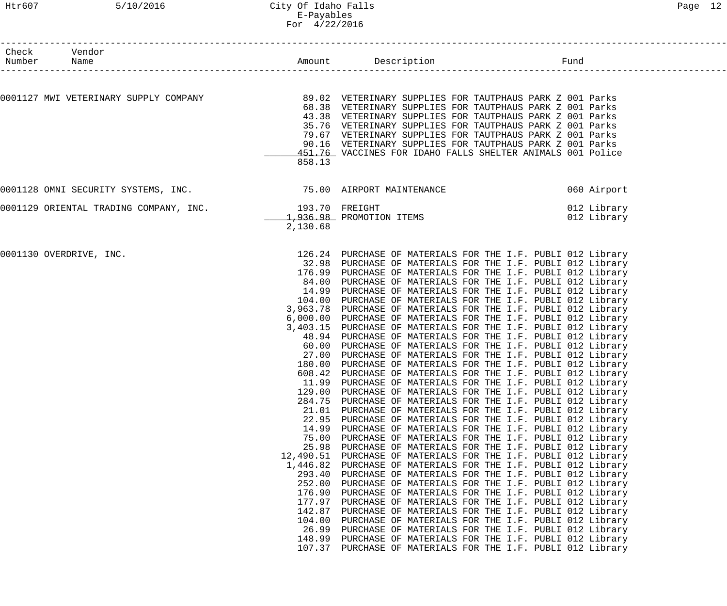| Number | Check Vendor<br>Name                                          |                  |                                                                                                              | Fund                       |
|--------|---------------------------------------------------------------|------------------|--------------------------------------------------------------------------------------------------------------|----------------------------|
|        |                                                               |                  |                                                                                                              |                            |
|        |                                                               |                  |                                                                                                              |                            |
|        |                                                               |                  | 68.38 VETERINARY SUPPLIES FOR TAUTPHAUS PARK Z 001 Parks                                                     |                            |
|        |                                                               | 43.38            | VETERINARY SUPPLIES FOR TAUTPHAUS PARK Z 001 Parks                                                           |                            |
|        |                                                               | 35.76            | VETERINARY SUPPLIES FOR TAUTPHAUS PARK Z 001 Parks                                                           |                            |
|        |                                                               | 79.67            | VETERINARY SUPPLIES FOR TAUTPHAUS PARK Z 001 Parks                                                           |                            |
|        |                                                               |                  | 90.16 VETERINARY SUPPLIES FOR TAUTPHAUS PARK Z 001 Parks                                                     |                            |
|        |                                                               |                  | 451.76 VACCINES FOR IDAHO FALLS SHELTER ANIMALS 001 Police                                                   |                            |
|        |                                                               | 858.13           |                                                                                                              |                            |
|        | 0001128 OMNI SECURITY SYSTEMS, INC. 75.00 AIRPORT MAINTENANCE |                  |                                                                                                              | 060 Airport                |
|        |                                                               |                  |                                                                                                              |                            |
|        | 0001129 ORIENTAL TRADING COMPANY, INC.                        | 193.70 FREIGHT   | 193.70 FREIGHT<br>1,936.98 PROMOTION ITEMS                                                                   | 012 Library<br>012 Library |
|        |                                                               | 2,130.68         |                                                                                                              |                            |
|        |                                                               |                  |                                                                                                              |                            |
|        | 0001130 OVERDRIVE, INC.                                       |                  | 126.24 PURCHASE OF MATERIALS FOR THE I.F. PUBLI 012 Library                                                  |                            |
|        |                                                               |                  | 32.98 PURCHASE OF MATERIALS FOR THE I.F. PUBLI 012 Library                                                   |                            |
|        |                                                               |                  | 176.99 PURCHASE OF MATERIALS FOR THE I.F. PUBLI 012 Library                                                  |                            |
|        |                                                               |                  | 84.00 PURCHASE OF MATERIALS FOR THE I.F. PUBLI 012 Library                                                   |                            |
|        |                                                               | 14.99            | PURCHASE OF MATERIALS FOR THE I.F. PUBLI 012 Library                                                         |                            |
|        |                                                               |                  | 104.00 PURCHASE OF MATERIALS FOR THE I.F. PUBLI 012 Library                                                  |                            |
|        |                                                               |                  | 3,963.78 PURCHASE OF MATERIALS FOR THE I.F. PUBLI 012 Library                                                |                            |
|        |                                                               |                  | 6,000.00 PURCHASE OF MATERIALS FOR THE I.F. PUBLI 012 Library                                                |                            |
|        |                                                               |                  | 3,403.15 PURCHASE OF MATERIALS FOR THE I.F. PUBLI 012 Library                                                |                            |
|        |                                                               | 48.94            | PURCHASE OF MATERIALS FOR THE I.F. PUBLI 012 Library                                                         |                            |
|        |                                                               | 60.00<br>27.00   | PURCHASE OF MATERIALS FOR THE I.F. PUBLI 012 Library<br>PURCHASE OF MATERIALS FOR THE I.F. PUBLI 012 Library |                            |
|        |                                                               |                  | 180.00 PURCHASE OF MATERIALS FOR THE I.F. PUBLI 012 Library                                                  |                            |
|        |                                                               |                  | 608.42 PURCHASE OF MATERIALS FOR THE I.F. PUBLI 012 Library                                                  |                            |
|        |                                                               | 11.99            | PURCHASE OF MATERIALS FOR THE I.F. PUBLI 012 Library                                                         |                            |
|        |                                                               | 129.00           | PURCHASE OF MATERIALS FOR THE I.F. PUBLI 012 Library                                                         |                            |
|        |                                                               | 284.75           | PURCHASE OF MATERIALS FOR THE I.F. PUBLI 012 Library                                                         |                            |
|        |                                                               | 21.01            | PURCHASE OF MATERIALS FOR THE I.F. PUBLI 012 Library                                                         |                            |
|        |                                                               | 22.95            | PURCHASE OF MATERIALS FOR THE I.F. PUBLI 012 Library                                                         |                            |
|        |                                                               | 14.99            | PURCHASE OF MATERIALS FOR THE I.F. PUBLI 012 Library                                                         |                            |
|        |                                                               | 75.00            | PURCHASE OF MATERIALS FOR THE I.F. PUBLI 012 Library                                                         |                            |
|        |                                                               | 25.98            | PURCHASE OF MATERIALS FOR THE I.F. PUBLI 012 Library                                                         |                            |
|        |                                                               | 12,490.51        | PURCHASE OF MATERIALS FOR THE I.F. PUBLI 012 Library                                                         |                            |
|        |                                                               | 1,446.82         | PURCHASE OF MATERIALS FOR THE I.F. PUBLI 012 Library                                                         |                            |
|        |                                                               | 293.40           | PURCHASE OF MATERIALS FOR THE I.F. PUBLI 012 Library                                                         |                            |
|        |                                                               | 252.00           | PURCHASE OF MATERIALS FOR THE I.F. PUBLI 012 Library                                                         |                            |
|        |                                                               | 176.90<br>177.97 | PURCHASE OF MATERIALS FOR THE I.F. PUBLI 012 Library                                                         |                            |
|        |                                                               | 142.87           | PURCHASE OF MATERIALS FOR THE I.F. PUBLI 012 Library<br>PURCHASE OF MATERIALS FOR THE I.F. PUBLI 012 Library |                            |
|        |                                                               | 104.00           | PURCHASE OF MATERIALS FOR THE I.F. PUBLI 012 Library                                                         |                            |
|        |                                                               | 26.99            | PURCHASE OF MATERIALS FOR THE I.F. PUBLI 012 Library                                                         |                            |
|        |                                                               | 148.99           | PURCHASE OF MATERIALS FOR THE I.F. PUBLI 012 Library                                                         |                            |
|        |                                                               | 107.37           | PURCHASE OF MATERIALS FOR THE I.F. PUBLI 012 Library                                                         |                            |
|        |                                                               |                  |                                                                                                              |                            |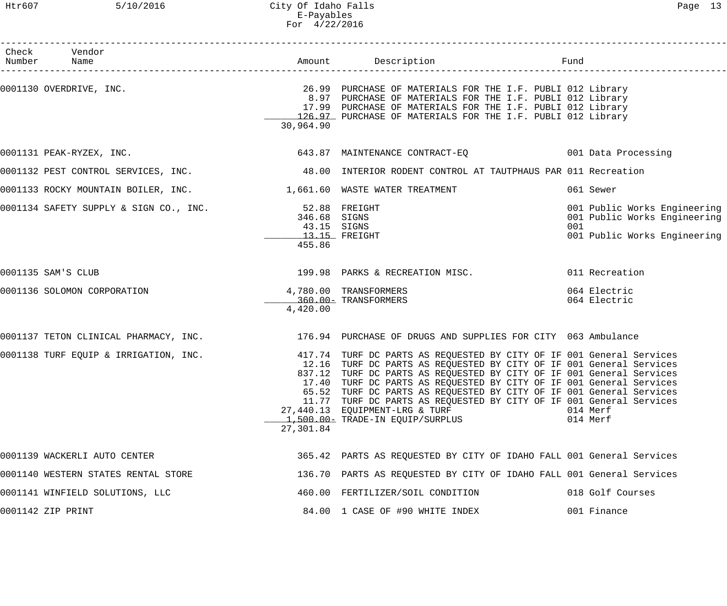| Check Vendor<br>Number Name                                          |                                                        |                                                                                                                                                                                                                                                                                                                                                                                                                                                                                                                |                                                                                                     |
|----------------------------------------------------------------------|--------------------------------------------------------|----------------------------------------------------------------------------------------------------------------------------------------------------------------------------------------------------------------------------------------------------------------------------------------------------------------------------------------------------------------------------------------------------------------------------------------------------------------------------------------------------------------|-----------------------------------------------------------------------------------------------------|
| 0001130 OVERDRIVE, INC.                                              | 30,964.90                                              | 26.99 PURCHASE OF MATERIALS FOR THE I.F. PUBLI 012 Library<br>8.97 PURCHASE OF MATERIALS FOR THE I.F. PUBLI 012 Library<br>17.99 PURCHASE OF MATERIALS FOR THE I.F. PUBLI 012 Library<br>126.97 PURCHASE OF MATERIALS FOR THE I.F. PUBLI 012 Library                                                                                                                                                                                                                                                           |                                                                                                     |
| 0001131 PEAK-RYZEX, INC.                                             |                                                        | 643.87 MAINTENANCE CONTRACT-EQ 001 Data Processing                                                                                                                                                                                                                                                                                                                                                                                                                                                             |                                                                                                     |
|                                                                      |                                                        | 0001132 PEST CONTROL SERVICES, INC. 48.00 INTERIOR RODENT CONTROL AT TAUTPHAUS PAR 011 Recreation                                                                                                                                                                                                                                                                                                                                                                                                              |                                                                                                     |
| 0001133 ROCKY MOUNTAIN BOILER, INC. $1,661.60$ WASTE WATER TREATMENT |                                                        |                                                                                                                                                                                                                                                                                                                                                                                                                                                                                                                | 061 Sewer                                                                                           |
| 0001134 SAFETY SUPPLY & SIGN CO., INC.                               | 52.88 FREIGHT<br>346.68 SIGNS<br>43.15 SIGNS<br>455.86 | $13.15$ FREIGHT                                                                                                                                                                                                                                                                                                                                                                                                                                                                                                | 001 Public Works Engineering<br>001 Public Works Engineering<br>001<br>001 Public Works Engineering |
| 0001135 SAM'S CLUB                                                   |                                                        | 199.98 PARKS & RECREATION MISC.                                                                                                                                                                                                                                                                                                                                                                                                                                                                                | 011 Recreation                                                                                      |
| 0001136 SOLOMON CORPORATION                                          | 4,420.00                                               | 4,780.00 TRANSFORMERS<br>360.00- TRANSFORMERS                                                                                                                                                                                                                                                                                                                                                                                                                                                                  | 064 Electric<br>064 Electric                                                                        |
|                                                                      |                                                        | 0001137 TETON CLINICAL PHARMACY, INC. 176.94 PURCHASE OF DRUGS AND SUPPLIES FOR CITY 063 Ambulance                                                                                                                                                                                                                                                                                                                                                                                                             |                                                                                                     |
| 0001138 TURF EQUIP & IRRIGATION, INC.                                | 27,301.84                                              | 417.74 TURF DC PARTS AS REQUESTED BY CITY OF IF 001 General Services<br>12.16 TURF DC PARTS AS REQUESTED BY CITY OF IF 001 General Services<br>837.12 TURF DC PARTS AS REQUESTED BY CITY OF IF 001 General Services<br>17.40 TURF DC PARTS AS REQUESTED BY CITY OF IF 001 General Services<br>65.52 TURF DC PARTS AS REQUESTED BY CITY OF IF 001 General Services<br>11.77 TURF DC PARTS AS REQUESTED BY CITY OF IF 001 General Services<br>27,440.13 EQUIPMENT-LRG & TURF<br>1,500.00- TRADE-IN EQUIP/SURPLUS | 014 Merf<br>014 Merf                                                                                |
| 0001139 WACKERLI AUTO CENTER                                         |                                                        | 365.42 PARTS AS REQUESTED BY CITY OF IDAHO FALL 001 General Services                                                                                                                                                                                                                                                                                                                                                                                                                                           |                                                                                                     |
| 0001140 WESTERN STATES RENTAL STORE                                  |                                                        | 136.70 PARTS AS REQUESTED BY CITY OF IDAHO FALL 001 General Services                                                                                                                                                                                                                                                                                                                                                                                                                                           |                                                                                                     |
| 0001141 WINFIELD SOLUTIONS, LLC                                      |                                                        | 460.00 FERTILIZER/SOIL CONDITION                                                                                                                                                                                                                                                                                                                                                                                                                                                                               | 018 Golf Courses                                                                                    |
| 0001142 ZIP PRINT                                                    |                                                        | 84.00 1 CASE OF #90 WHITE INDEX                                                                                                                                                                                                                                                                                                                                                                                                                                                                                | 001 Finance                                                                                         |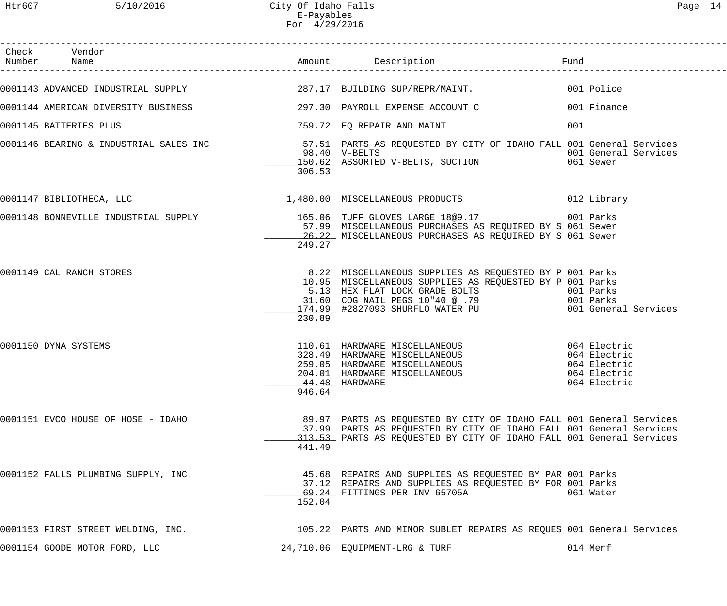|                                                                    | FOL 4/29/2016 |                                                                                                                                                                                                                                                                                        |                                                                              |
|--------------------------------------------------------------------|---------------|----------------------------------------------------------------------------------------------------------------------------------------------------------------------------------------------------------------------------------------------------------------------------------------|------------------------------------------------------------------------------|
| Check Vendor<br>Number Name                                        |               | Amount Description<br><u>and the state of the state of the state of the state of the state of the state of the state of the state of the state of the state of the state of the state of the state of the state of the state of the state of the state</u><br>------------------------ |                                                                              |
| 0001143 ADVANCED INDUSTRIAL SUPPLY 287.17 BUILDING SUP/REPR/MAINT. |               |                                                                                                                                                                                                                                                                                        | 001 Police                                                                   |
| 0001144 AMERICAN DIVERSITY BUSINESS                                |               | 297.30 PAYROLL EXPENSE ACCOUNT C                                                                                                                                                                                                                                                       | 001 Finance                                                                  |
| 0001145 BATTERIES PLUS                                             |               | 759.72 EQ REPAIR AND MAINT                                                                                                                                                                                                                                                             | 001                                                                          |
|                                                                    | 306.53        | 0001146 BEARING & INDUSTRIAL SALES INC 30000000 57.51 PARTS AS REQUESTED BY CITY OF IDAHO FALL 001 General Services<br>98.40 V-BELTS<br>98.40   V-BELTS<br>_____150.62   ASSORTED  V-BELTS,  SUCTION                                                                                   | 001 General Services<br>061 Sewer                                            |
| 0001147 BIBLIOTHECA, LLC                                           |               | 1,480.00 MISCELLANEOUS PRODUCTS                                                                                                                                                                                                                                                        | 012 Library                                                                  |
| 0001148 BONNEVILLE INDUSTRIAL SUPPLY                               | 249.27        | 165.06 TUFF GLOVES LARGE 18@9.17 1001 Parks<br>57.99 MISCELLANEOUS PURCHASES AS REQUIRED BY S 061 Sewer<br>26.22 MISCELLANEOUS PURCHASES AS REQUIRED BY S 061 Sewer                                                                                                                    |                                                                              |
| 0001149 CAL RANCH STORES                                           | 230.89        | 8.22 MISCELLANEOUS SUPPLIES AS REQUESTED BY P 001 Parks<br>10.95 MISCELLANEOUS SUPPLIES AS REQUESTED BY P 001 Parks<br>5.13 HEX FLAT LOCK GRADE BOLTS<br>31.60 COG NAIL PEGS 10"40 @ .79                                                                                               | 001 Parks<br>001 Parks                                                       |
| 0001150 DYNA SYSTEMS                                               | 946.64        | 110.61 HARDWARE MISCELLANEOUS<br>110.61 HARDWARE MISCELLANEOUS<br>328.49 HARDWARE MISCELLANEOUS<br>204.01 HARDWARE MISCELLANEOUS<br>$44.48$ HARDWARE                                                                                                                                   | 064 Electric<br>064 Electric<br>064 Electric<br>064 Electric<br>064 Electric |
| 0001151 EVCO HOUSE OF HOSE - IDAHO                                 | 441.49        | 89.97 PARTS AS REQUESTED BY CITY OF IDAHO FALL 001 General Services<br>37.99 PARTS AS REQUESTED BY CITY OF IDAHO FALL 001 General Services<br>_313.53_ PARTS AS REQUESTED BY CITY OF IDAHO FALL 001 General Services                                                                   |                                                                              |
| 0001152 FALLS PLUMBING SUPPLY, INC.                                | 152.04        | 45.68 REPAIRS AND SUPPLIES AS REQUESTED BY PAR 001 Parks<br>37.12 REPAIRS AND SUPPLIES AS REQUESTED BY FOR 001 Parks<br>69.24 FITTINGS PER INV 65705A                                                                                                                                  | 061 Water                                                                    |
|                                                                    |               | 0001153 FIRST STREET WELDING, INC. THE SAME SERVIES 22 PARTS AND MINOR SUBLET REPAIRS AS REQUES 001 General Services                                                                                                                                                                   |                                                                              |
| 0001154 GOODE MOTOR FORD, LLC                                      |               | 24,710.06 EQUIPMENT-LRG & TURF                                                                                                                                                                                                                                                         | 014 Merf                                                                     |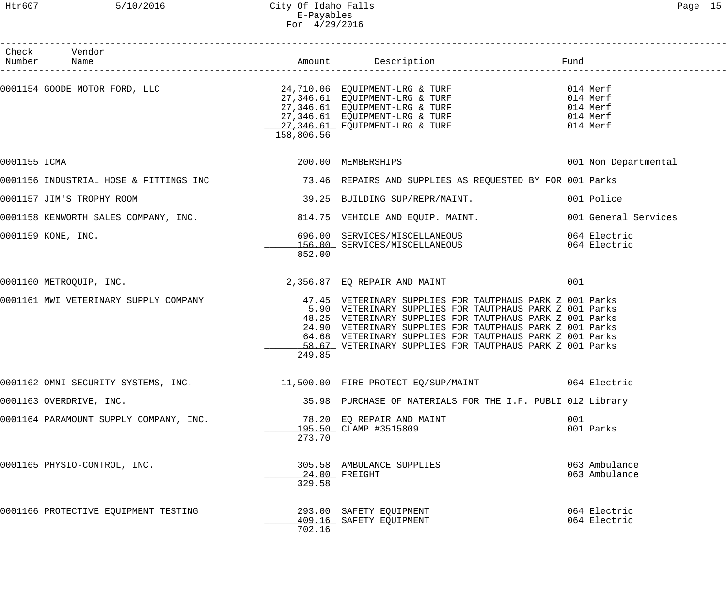|              | Check Vendor<br>Number Name            |            |                                                                                                                                                                                                                                                                                                                                                                     |                                                          |
|--------------|----------------------------------------|------------|---------------------------------------------------------------------------------------------------------------------------------------------------------------------------------------------------------------------------------------------------------------------------------------------------------------------------------------------------------------------|----------------------------------------------------------|
|              |                                        | 158,806.56 | 0001154 GOODE MOTOR FORD, LLC<br>24,710.06 EQUIPMENT-LRG & TURF<br>27,346.61 EQUIPMENT-LRG & TURF<br>27,346.61 EQUIPMENT-LRG & TURF<br>27,346.61 EQUIPMENT-LRG & TURF<br>27,346.61 EQUIPMENT-LRG & TURF<br>27,346.61 EQUIPMENT-LRG & TURF                                                                                                                           | 014 Merf<br>014 Merf<br>014 Merf<br>014 Merf<br>014 Merf |
| 0001155 ICMA |                                        |            | 200.00 MEMBERSHIPS                                                                                                                                                                                                                                                                                                                                                  | 001 Non Departmental                                     |
|              |                                        |            |                                                                                                                                                                                                                                                                                                                                                                     |                                                          |
|              | 0001157 JIM'S TROPHY ROOM              |            | 39.25 BUILDING SUP/REPR/MAINT.                                                                                                                                                                                                                                                                                                                                      | 001 Police                                               |
|              |                                        |            | 0001158 KENWORTH SALES COMPANY, INC. 314.75 VEHICLE AND EQUIP. MAINT.                                                                                                                                                                                                                                                                                               | 001 General Services                                     |
|              | 0001159 KONE, INC.                     | 852.00     | 696.00 SERVICES/MISCELLANEOUS<br>156.00 SERVICES/MISCELLANEOUS                                                                                                                                                                                                                                                                                                      | 064 Electric<br>064 Electric                             |
|              | 0001160 METROQUIP, INC.                |            | 2,356.87 EQ REPAIR AND MAINT                                                                                                                                                                                                                                                                                                                                        | 001                                                      |
|              | 0001161 MWI VETERINARY SUPPLY COMPANY  | 249.85     | 47.45 VETERINARY SUPPLIES FOR TAUTPHAUS PARK Z 001 Parks<br>5.90 VETERINARY SUPPLIES FOR TAUTPHAUS PARK Z 001 Parks<br>48.25 VETERINARY SUPPLIES FOR TAUTPHAUS PARK Z 001 Parks<br>24.90 VETERINARY SUPPLIES FOR TAUTPHAUS PARK Z 001 Parks<br>64.68 VETERINARY SUPPLIES FOR TAUTPHAUS PARK Z 001 Parks<br>58.67 VETERINARY SUPPLIES FOR TAUTPHAUS PARK Z 001 Parks |                                                          |
|              | 0001162 OMNI SECURITY SYSTEMS, INC.    |            | 11,500.00 FIRE PROTECT EQ/SUP/MAINT 664 Electric                                                                                                                                                                                                                                                                                                                    |                                                          |
|              | 0001163 OVERDRIVE, INC.                |            | 35.98 PURCHASE OF MATERIALS FOR THE I.F. PUBLI 012 Library                                                                                                                                                                                                                                                                                                          |                                                          |
|              | 0001164 PARAMOUNT SUPPLY COMPANY, INC. | 273.70     | 78.20 EQ REPAIR AND MAINT<br>195.50 CLAMP #3515809                                                                                                                                                                                                                                                                                                                  | 001<br>001 Parks                                         |
|              | 0001165 PHYSIO-CONTROL, INC.           | 329.58     | 305.58 AMBULANCE SUPPLIES<br>24.00 FREIGHT                                                                                                                                                                                                                                                                                                                          | 063 Ambulance<br>063 Ambulance                           |
|              | 0001166 PROTECTIVE EQUIPMENT TESTING   | 702.16     | 293.00 SAFETY EQUIPMENT<br>409.16 SAFETY EQUIPMENT                                                                                                                                                                                                                                                                                                                  | 064 Electric<br>064 Electric                             |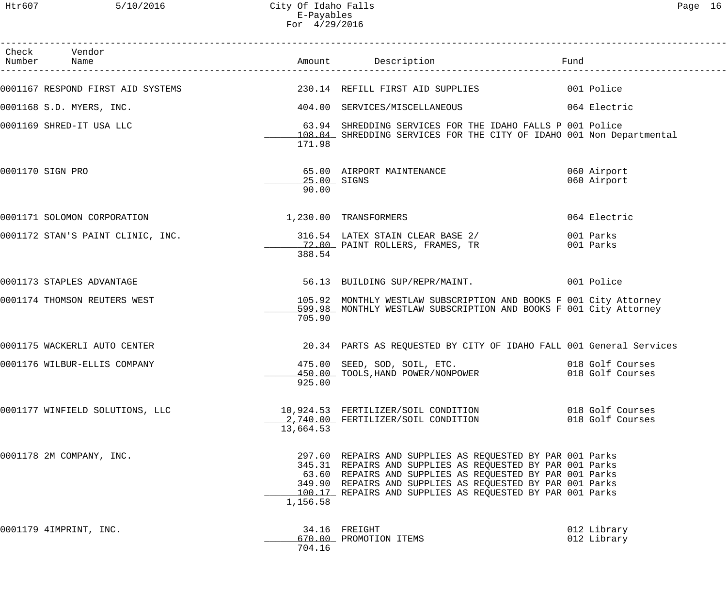Htr607 5/10/2016 City Of Idaho Falls Page 16 E-Payables For 4/29/2016

| Check Vendor<br>Number Name                                        |                      |                                                                                                                                                                                                                                                                                                              | Fund                                 |
|--------------------------------------------------------------------|----------------------|--------------------------------------------------------------------------------------------------------------------------------------------------------------------------------------------------------------------------------------------------------------------------------------------------------------|--------------------------------------|
|                                                                    |                      |                                                                                                                                                                                                                                                                                                              |                                      |
| 0001168 S.D. MYERS, INC.                                           |                      | 404.00 SERVICES/MISCELLANEOUS                                                                                                                                                                                                                                                                                | 064 Electric                         |
| 0001169 SHRED-IT USA LLC                                           | 171.98               | 63.94 SHREDDING SERVICES FOR THE IDAHO FALLS P 001 Police<br>108.04 SHREDDING SERVICES FOR THE CITY OF IDAHO 001 Non Departmental                                                                                                                                                                            |                                      |
| 0001170 SIGN PRO                                                   | 25.00 SIGNS<br>90.00 | 65.00 AIRPORT MAINTENANCE                                                                                                                                                                                                                                                                                    | 060 Airport<br>060 Airport           |
| 0001171 SOLOMON CORPORATION                                        |                      | 1,230.00 TRANSFORMERS                                                                                                                                                                                                                                                                                        | 064 Electric                         |
| 0001172 STAN'S PAINT CLINIC, INC. 216.54 LATEX STAIN CLEAR BASE 2/ | 388.54               | 12.00 PAINT ROLLERS, FRAMES, TR                                                                                                                                                                                                                                                                              | 001 Parks<br>001 Parks               |
| 0001173 STAPLES ADVANTAGE                                          |                      | 56.13 BUILDING SUP/REPR/MAINT. 001 Police                                                                                                                                                                                                                                                                    |                                      |
| 0001174 THOMSON REUTERS WEST                                       | 705.90               | 105.92 MONTHLY WESTLAW SUBSCRIPTION AND BOOKS F 001 City Attorney<br>599.98 MONTHLY WESTLAW SUBSCRIPTION AND BOOKS F 001 City Attorney                                                                                                                                                                       |                                      |
| 0001175 WACKERLI AUTO CENTER                                       |                      | 20.34 PARTS AS REQUESTED BY CITY OF IDAHO FALL 001 General Services                                                                                                                                                                                                                                          |                                      |
| 0001176 WILBUR-ELLIS COMPANY                                       |                      | 475.00 SEED, SOD, SOIL, ETC. 018 Golf Courses<br>450.00 TOOLS, HAND POWER/NONPOWER<br>925.00                                                                                                                                                                                                                 | 018 Golf Courses                     |
| 0001177 WINFIELD SOLUTIONS, LLC                                    | 13,664.53            | 10,924.53 FERTILIZER/SOIL CONDITION<br>2,740.00 FERTILIZER/SOIL CONDITION                                                                                                                                                                                                                                    | 018 Golf Courses<br>018 Golf Courses |
| 0001178 2M COMPANY, INC.                                           | 1,156.58             | 297.60 REPAIRS AND SUPPLIES AS REQUESTED BY PAR 001 Parks<br>345.31 REPAIRS AND SUPPLIES AS REQUESTED BY PAR 001 Parks<br>63.60 REPAIRS AND SUPPLIES AS REQUESTED BY PAR 001 Parks<br>349.90 REPAIRS AND SUPPLIES AS REQUESTED BY PAR 001 Parks<br>100.17 REPAIRS AND SUPPLIES AS REQUESTED BY PAR 001 Parks |                                      |
| 0001179 4IMPRINT, INC.                                             | 704.16               | 34.16 FREIGHT<br>670.00 PROMOTION ITEMS                                                                                                                                                                                                                                                                      | 012 Library<br>012 Library           |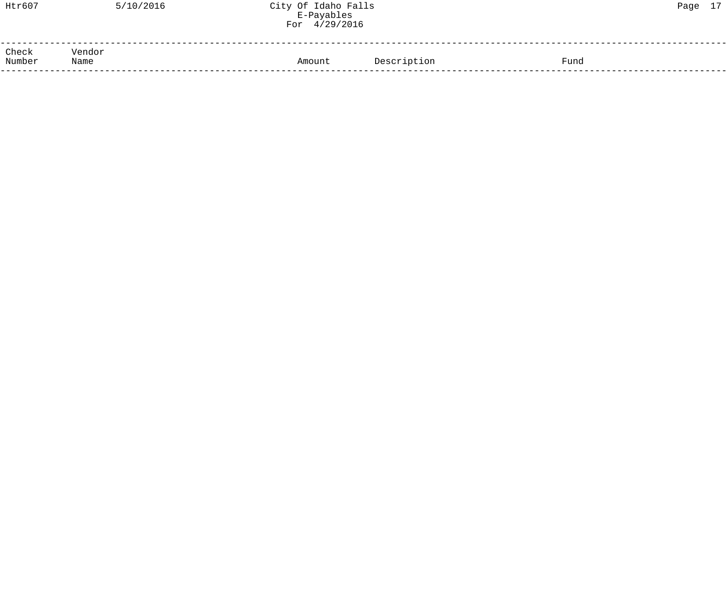| Htr607          | 5/10/2016      | City Of Idaho Falls<br>E-Payables<br>For 4/29/2016 |                     | Page 17 |
|-----------------|----------------|----------------------------------------------------|---------------------|---------|
| Check<br>Number | Vendor<br>Name | Amount                                             | Fund<br>Description |         |